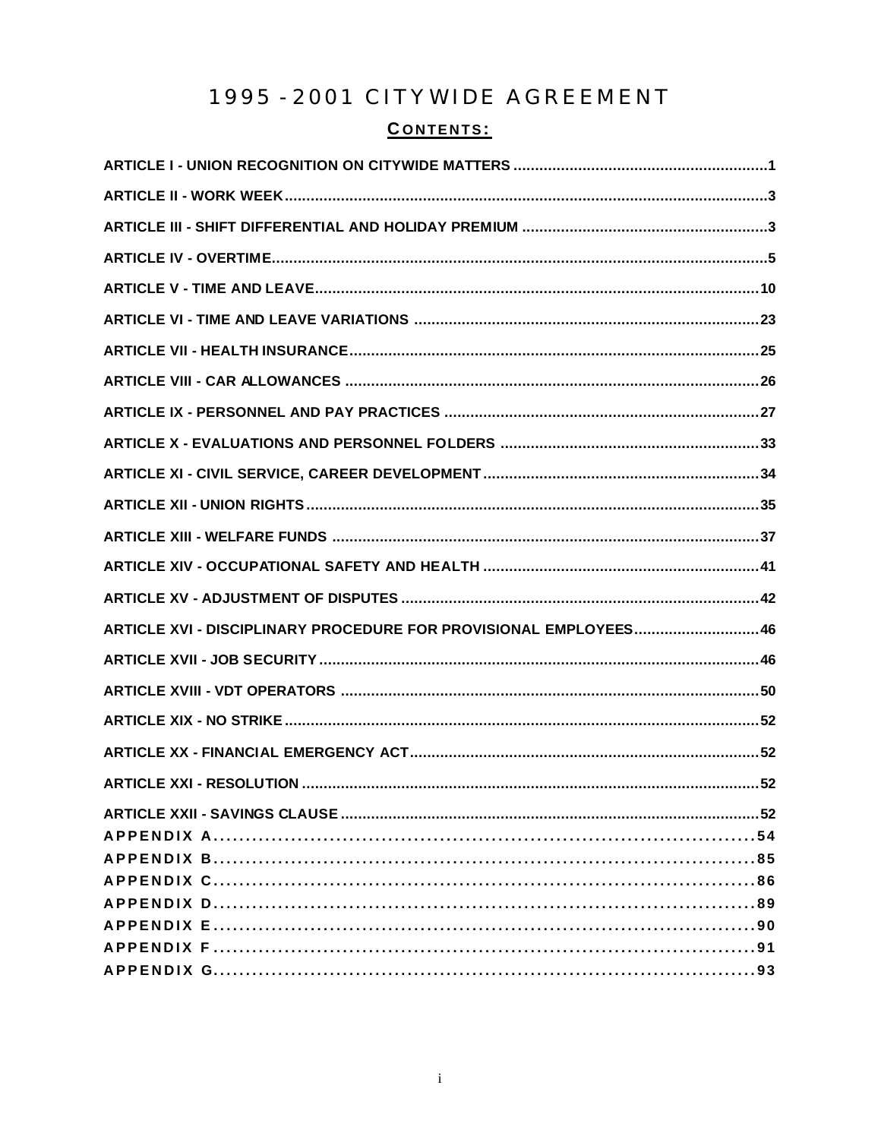# 1995 - 2001 CITYWIDE AGREEMENT

# CONTENTS:

| ARTICLE XVI - DISCIPLINARY PROCEDURE FOR PROVISIONAL EMPLOYEES 46 |
|-------------------------------------------------------------------|
|                                                                   |
|                                                                   |
|                                                                   |
|                                                                   |
|                                                                   |
|                                                                   |
|                                                                   |
|                                                                   |
|                                                                   |
|                                                                   |
|                                                                   |
|                                                                   |
|                                                                   |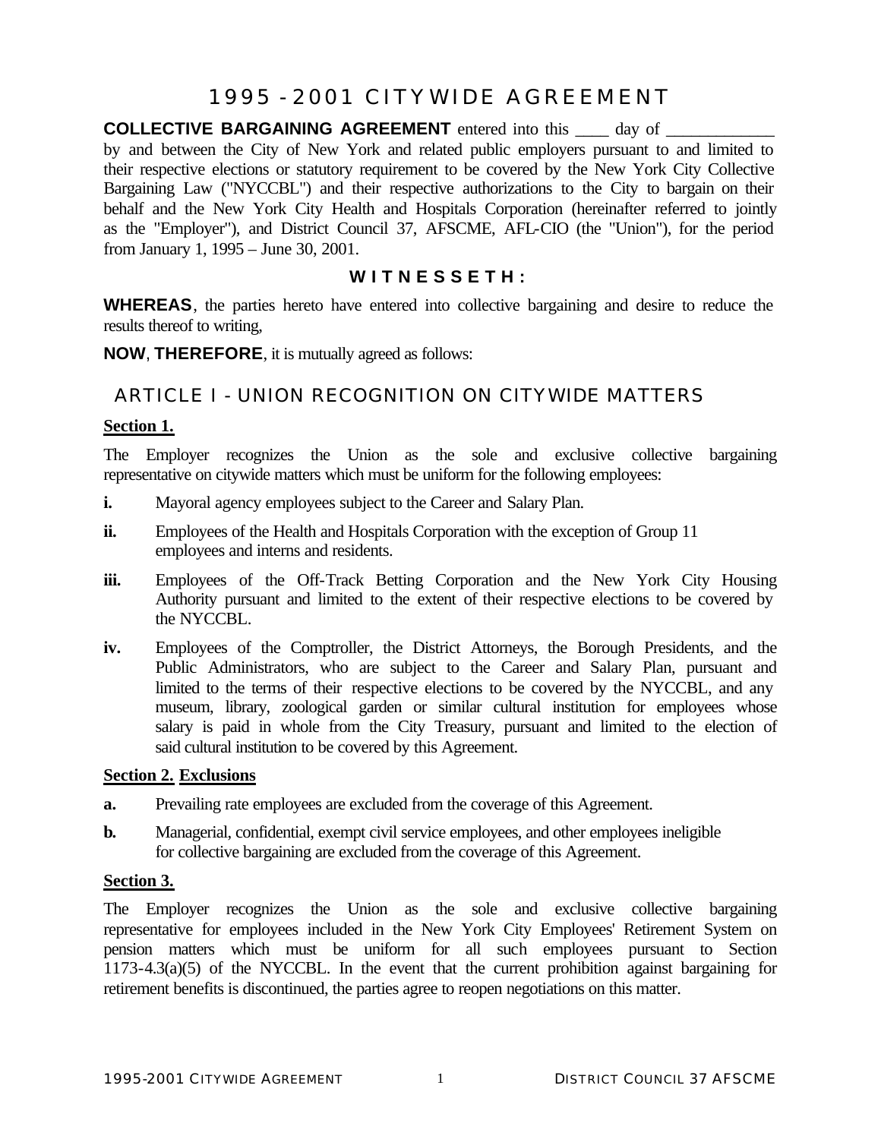# 1995 - 2001 CITYWIDE AGREEMENT

**COLLECTIVE BARGAINING AGREEMENT** entered into this \_\_\_\_ day of \_\_\_\_\_\_\_\_\_\_\_\_\_\_\_\_\_\_ by and between the City of New York and related public employers pursuant to and limited to their respective elections or statutory requirement to be covered by the New York City Collective Bargaining Law ("NYCCBL") and their respective authorizations to the City to bargain on their behalf and the New York City Health and Hospitals Corporation (hereinafter referred to jointly as the "Employer"), and District Council 37, AFSCME, AFL-CIO (the "Union"), for the period from January 1, 1995 – June 30, 2001.

# **WITNESSETH:**

**WHEREAS**, the parties hereto have entered into collective bargaining and desire to reduce the results thereof to writing,

**NOW**, **THEREFORE**, it is mutually agreed as follows:

# ARTICLE I - UNION RECOGNITION ON CITYWIDE MATTERS

## **Section 1.**

The Employer recognizes the Union as the sole and exclusive collective bargaining representative on citywide matters which must be uniform for the following employees:

- **i.** Mayoral agency employees subject to the Career and Salary Plan.
- **ii.** Employees of the Health and Hospitals Corporation with the exception of Group 11 employees and interns and residents.
- **iii.** Employees of the Off-Track Betting Corporation and the New York City Housing Authority pursuant and limited to the extent of their respective elections to be covered by the NYCCBL.
- **iv.** Employees of the Comptroller, the District Attorneys, the Borough Presidents, and the Public Administrators, who are subject to the Career and Salary Plan, pursuant and limited to the terms of their respective elections to be covered by the NYCCBL, and any museum, library, zoological garden or similar cultural institution for employees whose salary is paid in whole from the City Treasury, pursuant and limited to the election of said cultural institution to be covered by this Agreement.

#### **Section 2. Exclusions**

- **a.** Prevailing rate employees are excluded from the coverage of this Agreement.
- **b.** Managerial, confidential, exempt civil service employees, and other employees ineligible for collective bargaining are excluded from the coverage of this Agreement.

#### **Section 3.**

The Employer recognizes the Union as the sole and exclusive collective bargaining representative for employees included in the New York City Employees' Retirement System on pension matters which must be uniform for all such employees pursuant to Section 1173-4.3(a)(5) of the NYCCBL. In the event that the current prohibition against bargaining for retirement benefits is discontinued, the parties agree to reopen negotiations on this matter.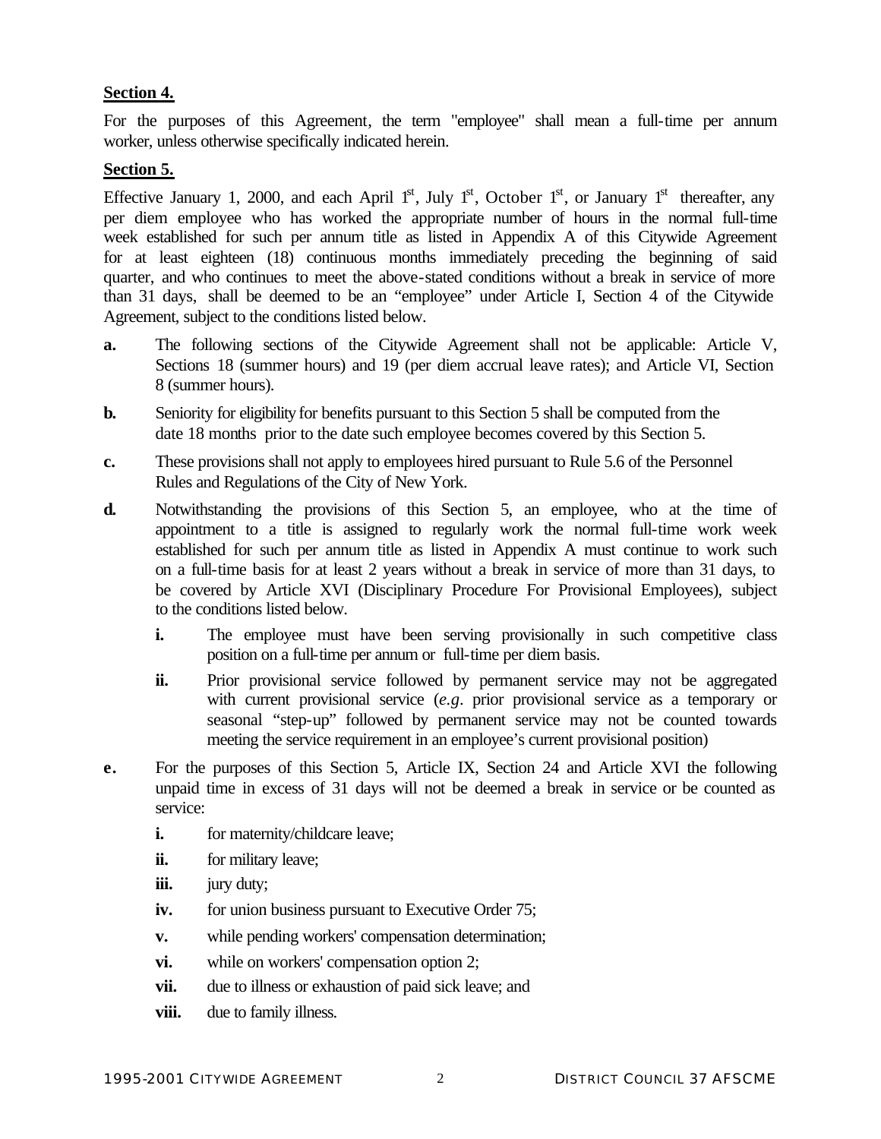## **Section 4.**

For the purposes of this Agreement, the term "employee" shall mean a full-time per annum worker, unless otherwise specifically indicated herein.

## **Section 5.**

Effective January 1, 2000, and each April  $1<sup>st</sup>$ , July  $1<sup>st</sup>$ , October  $1<sup>st</sup>$ , or January  $1<sup>st</sup>$  thereafter, any per diem employee who has worked the appropriate number of hours in the normal full-time week established for such per annum title as listed in Appendix A of this Citywide Agreement for at least eighteen (18) continuous months immediately preceding the beginning of said quarter, and who continues to meet the above-stated conditions without a break in service of more than 31 days, shall be deemed to be an "employee" under Article I, Section 4 of the Citywide Agreement, subject to the conditions listed below.

- **a.** The following sections of the Citywide Agreement shall not be applicable: Article V, Sections 18 (summer hours) and 19 (per diem accrual leave rates); and Article VI, Section 8 (summer hours).
- **b.** Seniority for eligibility for benefits pursuant to this Section 5 shall be computed from the date 18 months prior to the date such employee becomes covered by this Section 5.
- **c.** These provisions shall not apply to employees hired pursuant to Rule 5.6 of the Personnel Rules and Regulations of the City of New York.
- **d.** Notwithstanding the provisions of this Section 5, an employee, who at the time of appointment to a title is assigned to regularly work the normal full-time work week established for such per annum title as listed in Appendix A must continue to work such on a full-time basis for at least 2 years without a break in service of more than 31 days, to be covered by Article XVI (Disciplinary Procedure For Provisional Employees), subject to the conditions listed below.
	- **i.** The employee must have been serving provisionally in such competitive class position on a full-time per annum or full-time per diem basis.
	- **ii.** Prior provisional service followed by permanent service may not be aggregated with current provisional service (*e.g*. prior provisional service as a temporary or seasonal "step-up" followed by permanent service may not be counted towards meeting the service requirement in an employee's current provisional position)
- **e.** For the purposes of this Section 5, Article IX, Section 24 and Article XVI the following unpaid time in excess of 31 days will not be deemed a break in service or be counted as service:
	- **i.** for maternity/childcare leave;
	- ii. for military leave;
	- **iii.** jury duty;
	- **iv.** for union business pursuant to Executive Order 75;
	- **v.** while pending workers' compensation determination;
	- **vi.** while on workers' compensation option 2;
	- **vii.** due to illness or exhaustion of paid sick leave; and
	- **viii.** due to family illness.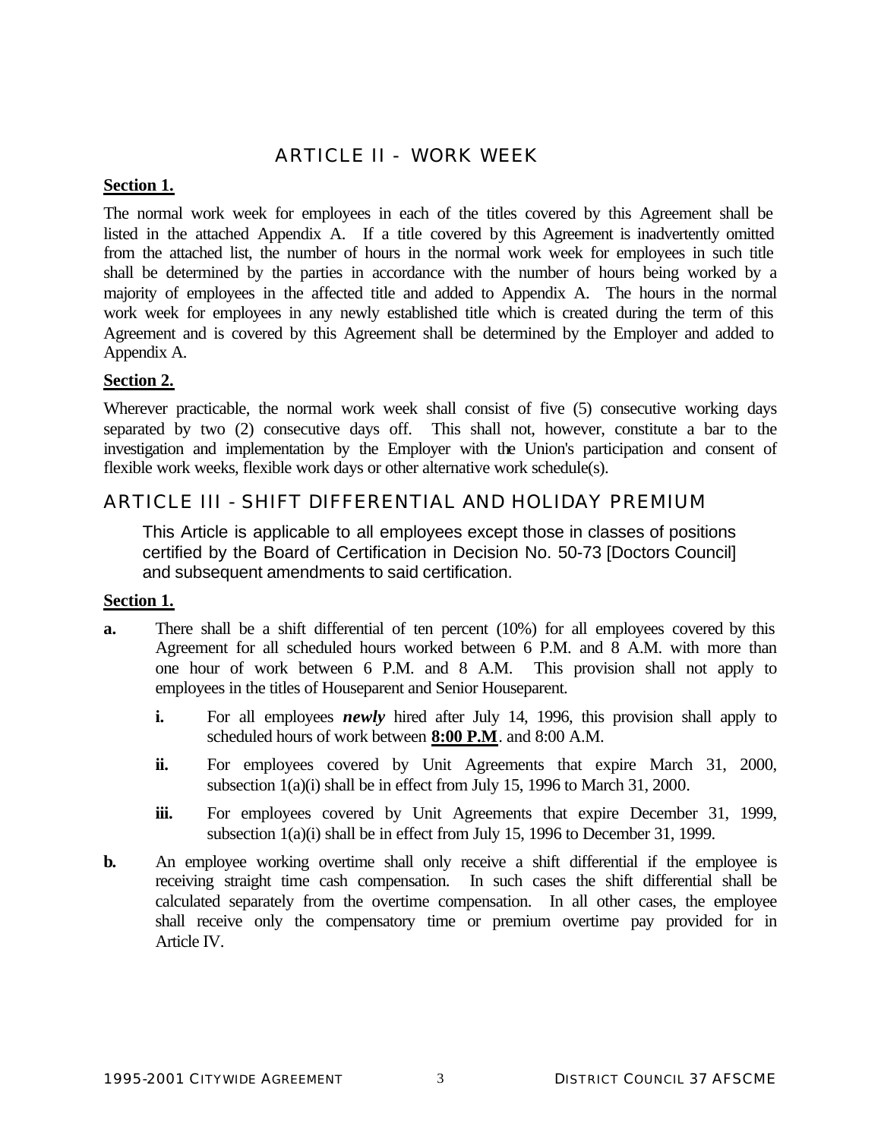# ARTICLE II - WORK WEEK

## **Section 1.**

The normal work week for employees in each of the titles covered by this Agreement shall be listed in the attached Appendix A. If a title covered by this Agreement is inadvertently omitted from the attached list, the number of hours in the normal work week for employees in such title shall be determined by the parties in accordance with the number of hours being worked by a majority of employees in the affected title and added to Appendix A. The hours in the normal work week for employees in any newly established title which is created during the term of this Agreement and is covered by this Agreement shall be determined by the Employer and added to Appendix A.

## **Section 2.**

Wherever practicable, the normal work week shall consist of five (5) consecutive working days separated by two (2) consecutive days off. This shall not, however, constitute a bar to the investigation and implementation by the Employer with the Union's participation and consent of flexible work weeks, flexible work days or other alternative work schedule(s).

# ARTICLE III - SHIFT DIFFERENTIAL AND HOLIDAY PREMIUM

This Article is applicable to all employees except those in classes of positions certified by the Board of Certification in Decision No. 50-73 [Doctors Council] and subsequent amendments to said certification.

## **Section 1.**

- **a.** There shall be a shift differential of ten percent (10%) for all employees covered by this Agreement for all scheduled hours worked between 6 P.M. and 8 A.M. with more than one hour of work between 6 P.M. and 8 A.M. This provision shall not apply to employees in the titles of Houseparent and Senior Houseparent.
	- **i.** For all employees *newly* hired after July 14, 1996, this provision shall apply to scheduled hours of work between **8:00 P.M**. and 8:00 A.M.
	- ii. For employees covered by Unit Agreements that expire March 31, 2000, subsection 1(a)(i) shall be in effect from July 15, 1996 to March 31, 2000.
	- **iii.** For employees covered by Unit Agreements that expire December 31, 1999, subsection 1(a)(i) shall be in effect from July 15, 1996 to December 31, 1999.
- **b.** An employee working overtime shall only receive a shift differential if the employee is receiving straight time cash compensation. In such cases the shift differential shall be calculated separately from the overtime compensation. In all other cases, the employee shall receive only the compensatory time or premium overtime pay provided for in Article IV.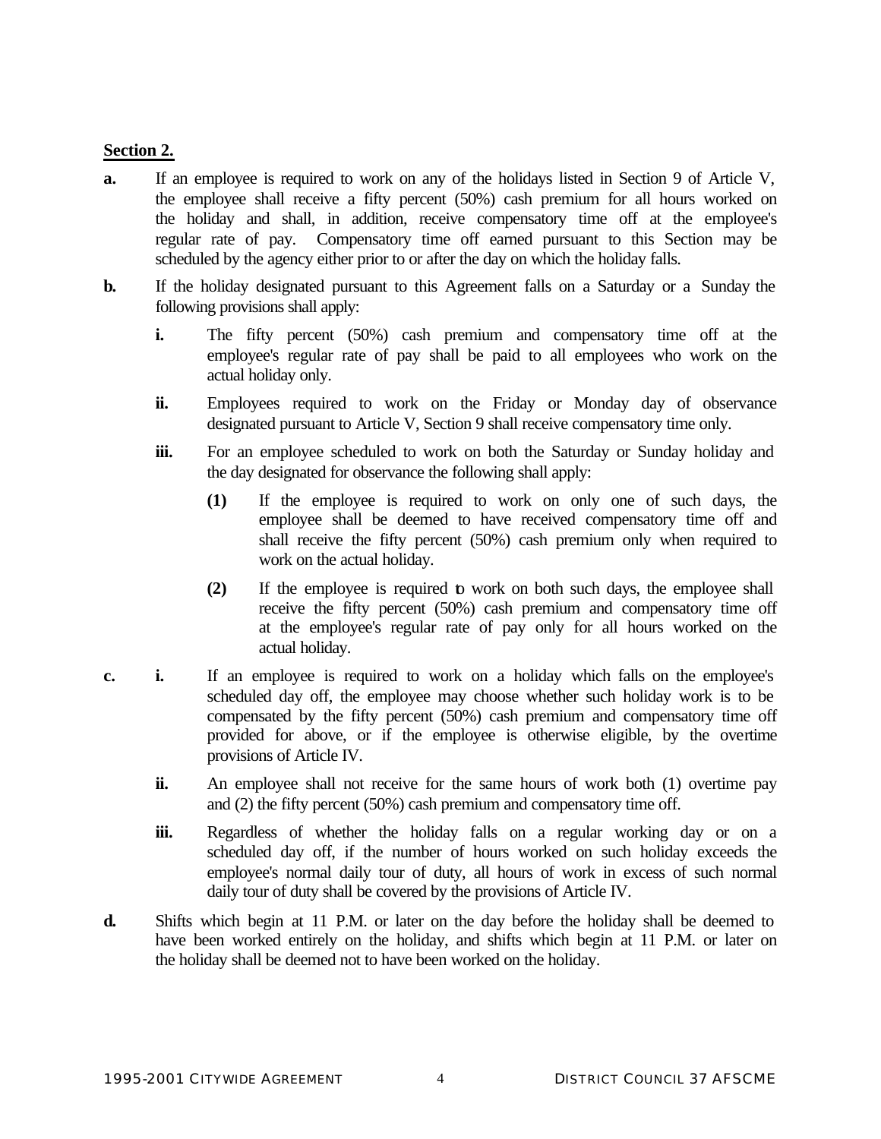## **Section 2.**

- **a.** If an employee is required to work on any of the holidays listed in Section 9 of Article V, the employee shall receive a fifty percent (50%) cash premium for all hours worked on the holiday and shall, in addition, receive compensatory time off at the employee's regular rate of pay. Compensatory time off earned pursuant to this Section may be scheduled by the agency either prior to or after the day on which the holiday falls.
- **b.** If the holiday designated pursuant to this Agreement falls on a Saturday or a Sunday the following provisions shall apply:
	- **i.** The fifty percent (50%) cash premium and compensatory time off at the employee's regular rate of pay shall be paid to all employees who work on the actual holiday only.
	- ii. Employees required to work on the Friday or Monday day of observance designated pursuant to Article V, Section 9 shall receive compensatory time only.
	- **iii.** For an employee scheduled to work on both the Saturday or Sunday holiday and the day designated for observance the following shall apply:
		- **(1)** If the employee is required to work on only one of such days, the employee shall be deemed to have received compensatory time off and shall receive the fifty percent (50%) cash premium only when required to work on the actual holiday.
		- **(2)** If the employee is required to work on both such days, the employee shall receive the fifty percent (50%) cash premium and compensatory time off at the employee's regular rate of pay only for all hours worked on the actual holiday.
- **c. i.** If an employee is required to work on a holiday which falls on the employee's scheduled day off, the employee may choose whether such holiday work is to be compensated by the fifty percent (50%) cash premium and compensatory time off provided for above, or if the employee is otherwise eligible, by the overtime provisions of Article IV.
	- **ii.** An employee shall not receive for the same hours of work both (1) overtime pay and (2) the fifty percent (50%) cash premium and compensatory time off.
	- **iii.** Regardless of whether the holiday falls on a regular working day or on a scheduled day off, if the number of hours worked on such holiday exceeds the employee's normal daily tour of duty, all hours of work in excess of such normal daily tour of duty shall be covered by the provisions of Article IV.
- **d.** Shifts which begin at 11 P.M. or later on the day before the holiday shall be deemed to have been worked entirely on the holiday, and shifts which begin at 11 P.M. or later on the holiday shall be deemed not to have been worked on the holiday.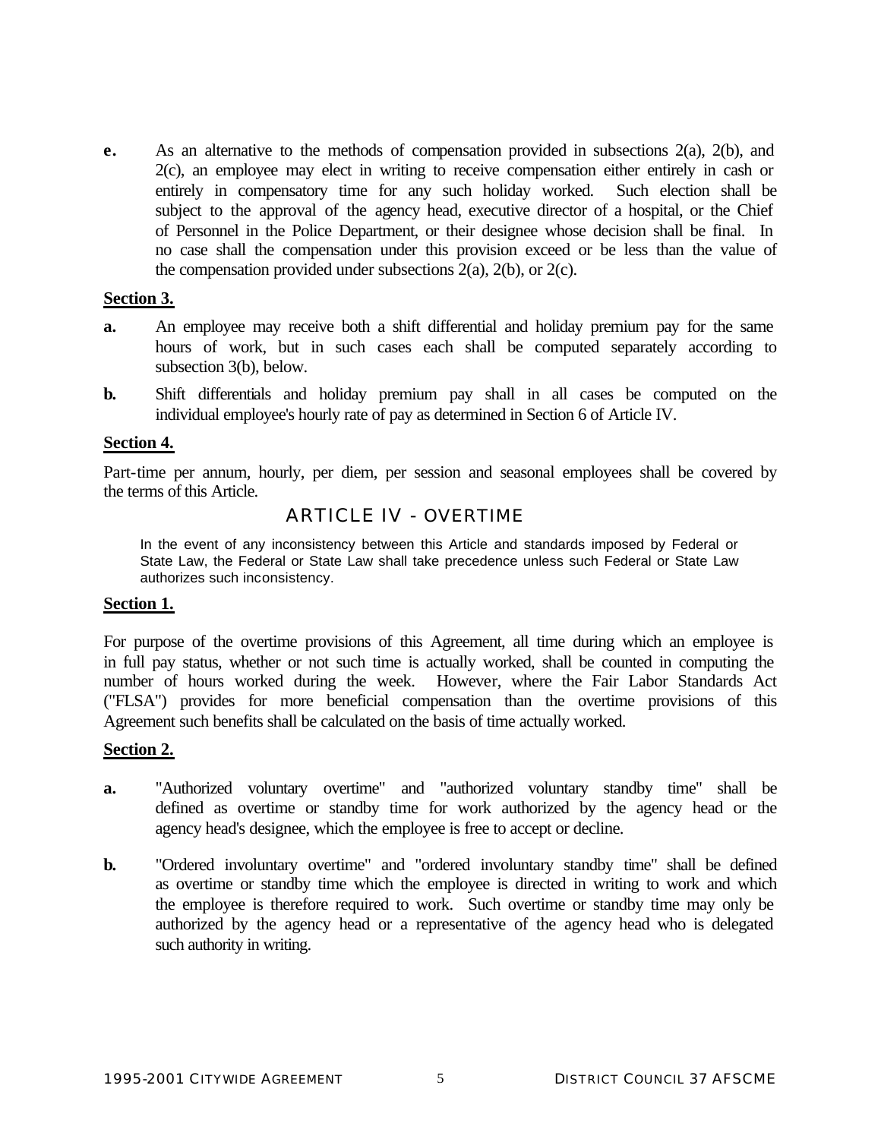**e.** As an alternative to the methods of compensation provided in subsections 2(a), 2(b), and 2(c), an employee may elect in writing to receive compensation either entirely in cash or entirely in compensatory time for any such holiday worked. Such election shall be subject to the approval of the agency head, executive director of a hospital, or the Chief of Personnel in the Police Department, or their designee whose decision shall be final. In no case shall the compensation under this provision exceed or be less than the value of the compensation provided under subsections  $2(a)$ ,  $2(b)$ , or  $2(c)$ .

#### **Section 3.**

- **a.** An employee may receive both a shift differential and holiday premium pay for the same hours of work, but in such cases each shall be computed separately according to subsection 3(b), below.
- **b.** Shift differentials and holiday premium pay shall in all cases be computed on the individual employee's hourly rate of pay as determined in Section 6 of Article IV.

#### **Section 4.**

Part-time per annum, hourly, per diem, per session and seasonal employees shall be covered by the terms of this Article.

## ARTICLE IV - OVERTIME

In the event of any inconsistency between this Article and standards imposed by Federal or State Law, the Federal or State Law shall take precedence unless such Federal or State Law authorizes such inconsistency.

#### **Section 1.**

For purpose of the overtime provisions of this Agreement, all time during which an employee is in full pay status, whether or not such time is actually worked, shall be counted in computing the number of hours worked during the week. However, where the Fair Labor Standards Act ("FLSA") provides for more beneficial compensation than the overtime provisions of this Agreement such benefits shall be calculated on the basis of time actually worked.

#### **Section 2.**

- **a.** "Authorized voluntary overtime" and "authorized voluntary standby time" shall be defined as overtime or standby time for work authorized by the agency head or the agency head's designee, which the employee is free to accept or decline.
- **b.** "Ordered involuntary overtime" and "ordered involuntary standby time" shall be defined as overtime or standby time which the employee is directed in writing to work and which the employee is therefore required to work. Such overtime or standby time may only be authorized by the agency head or a representative of the agency head who is delegated such authority in writing.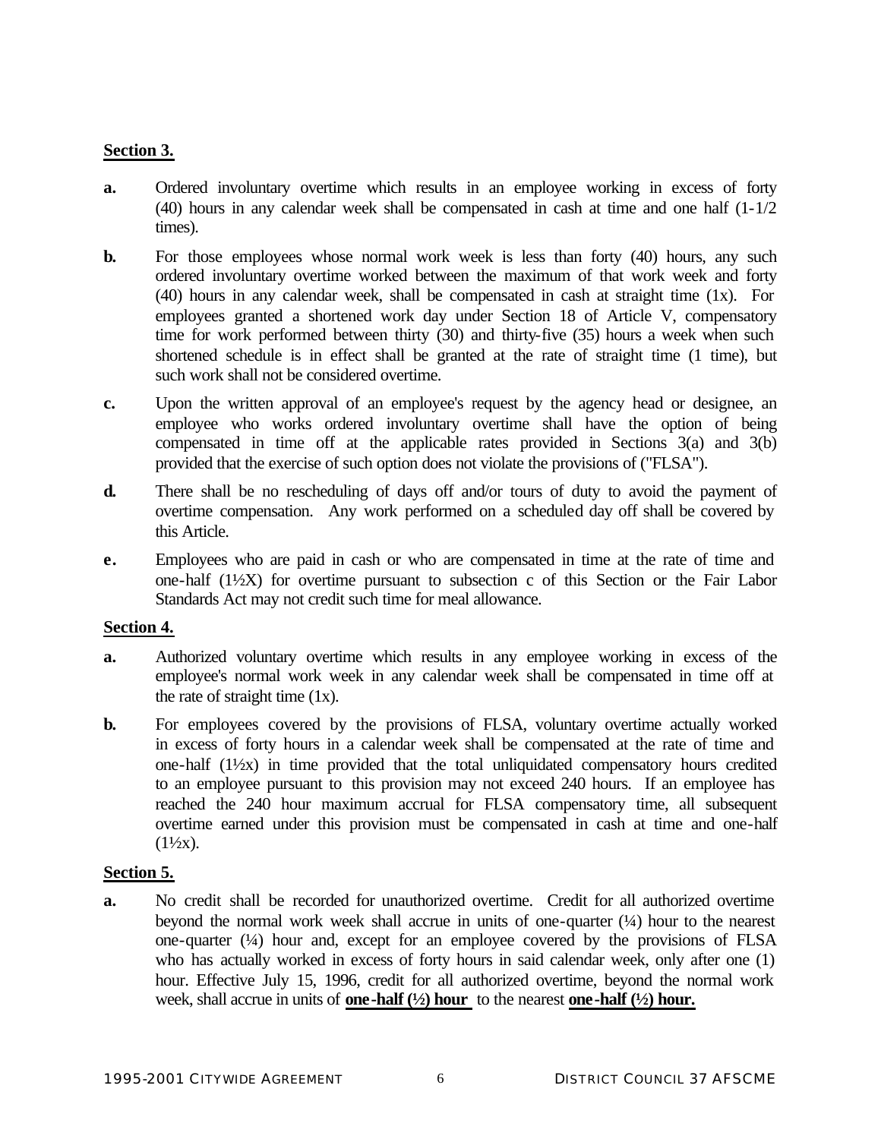# **Section 3.**

- **a.** Ordered involuntary overtime which results in an employee working in excess of forty (40) hours in any calendar week shall be compensated in cash at time and one half (1-1/2 times).
- **b.** For those employees whose normal work week is less than forty (40) hours, any such ordered involuntary overtime worked between the maximum of that work week and forty (40) hours in any calendar week, shall be compensated in cash at straight time (1x). For employees granted a shortened work day under Section 18 of Article V, compensatory time for work performed between thirty (30) and thirty-five (35) hours a week when such shortened schedule is in effect shall be granted at the rate of straight time (1 time), but such work shall not be considered overtime.
- **c.** Upon the written approval of an employee's request by the agency head or designee, an employee who works ordered involuntary overtime shall have the option of being compensated in time off at the applicable rates provided in Sections 3(a) and 3(b) provided that the exercise of such option does not violate the provisions of ("FLSA").
- **d.** There shall be no rescheduling of days off and/or tours of duty to avoid the payment of overtime compensation. Any work performed on a scheduled day off shall be covered by this Article.
- **e.** Employees who are paid in cash or who are compensated in time at the rate of time and one-half (1½X) for overtime pursuant to subsection c of this Section or the Fair Labor Standards Act may not credit such time for meal allowance.

## **Section 4.**

- **a.** Authorized voluntary overtime which results in any employee working in excess of the employee's normal work week in any calendar week shall be compensated in time off at the rate of straight time  $(1x)$ .
- **b.** For employees covered by the provisions of FLSA, voluntary overtime actually worked in excess of forty hours in a calendar week shall be compensated at the rate of time and one-half (1½x) in time provided that the total unliquidated compensatory hours credited to an employee pursuant to this provision may not exceed 240 hours. If an employee has reached the 240 hour maximum accrual for FLSA compensatory time, all subsequent overtime earned under this provision must be compensated in cash at time and one-half  $(1½x)$ .

## **Section 5.**

**a.** No credit shall be recorded for unauthorized overtime. Credit for all authorized overtime beyond the normal work week shall accrue in units of one-quarter (¼) hour to the nearest one-quarter  $(\frac{1}{4})$  hour and, except for an employee covered by the provisions of FLSA who has actually worked in excess of forty hours in said calendar week, only after one (1) hour. Effective July 15, 1996, credit for all authorized overtime, beyond the normal work week, shall accrue in units of **one-half (½) hour** to the nearest **one-half (½) hour.**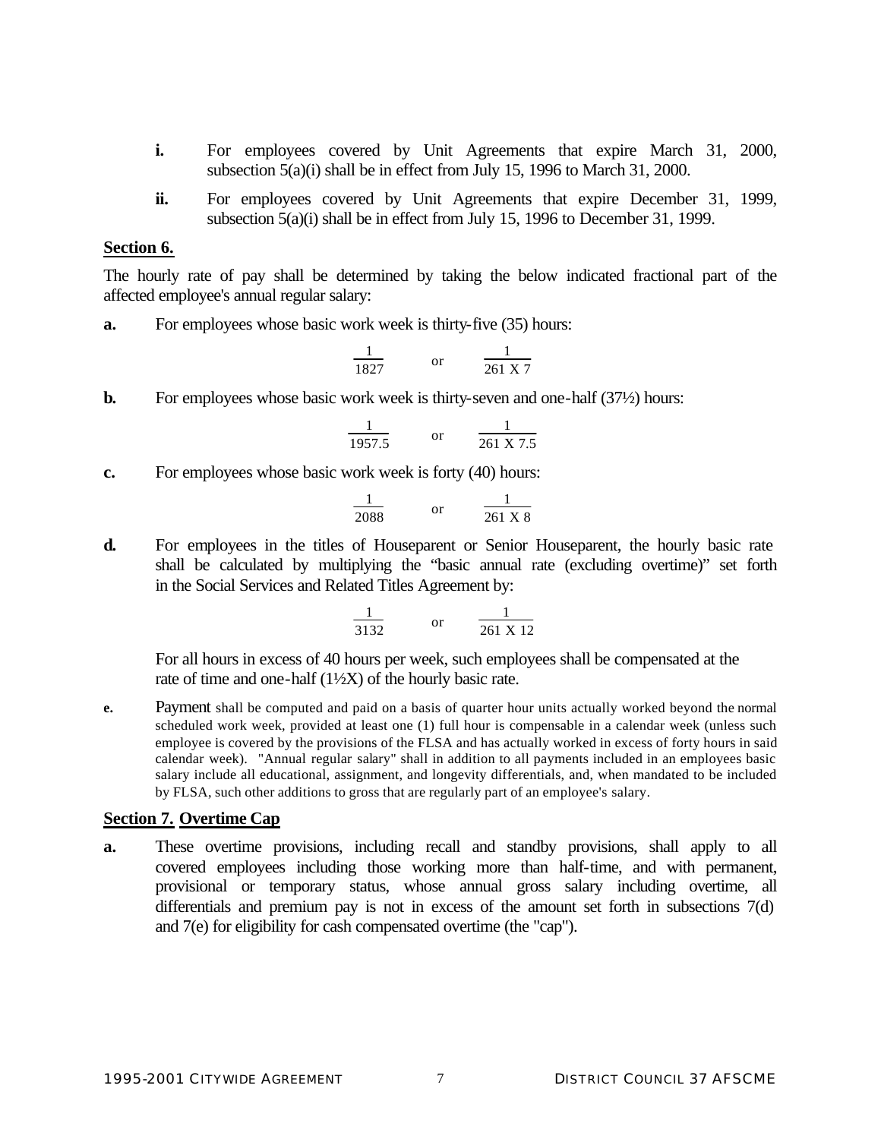- **i.** For employees covered by Unit Agreements that expire March 31, 2000, subsection 5(a)(i) shall be in effect from July 15, 1996 to March 31, 2000.
- **ii.** For employees covered by Unit Agreements that expire December 31, 1999, subsection 5(a)(i) shall be in effect from July 15, 1996 to December 31, 1999.

#### **Section 6.**

The hourly rate of pay shall be determined by taking the below indicated fractional part of the affected employee's annual regular salary:

**a.** For employees whose basic work week is thirty-five (35) hours:

$$
\frac{1}{1827} \qquad \text{or} \qquad \frac{1}{261 \text{ X } 7}
$$

**b.** For employees whose basic work week is thirty-seven and one-half  $(37/2)$  hours:

$$
\frac{1}{1957.5} \quad \text{or} \quad \frac{1}{261 \text{ X } 7.5}
$$

**c.** For employees whose basic work week is forty (40) hours:

$$
\frac{1}{2088} \qquad \text{or} \qquad \frac{1}{261 \text{ X } 8}
$$

**d.** For employees in the titles of Houseparent or Senior Houseparent, the hourly basic rate shall be calculated by multiplying the "basic annual rate (excluding overtime)" set forth in the Social Services and Related Titles Agreement by:

$$
\frac{1}{3132} \qquad \text{or} \qquad \frac{1}{261 \text{ X } 12}
$$

For all hours in excess of 40 hours per week, such employees shall be compensated at the rate of time and one-half  $(1\frac{1}{2}X)$  of the hourly basic rate.

**e.** Payment shall be computed and paid on a basis of quarter hour units actually worked beyond the normal scheduled work week, provided at least one (1) full hour is compensable in a calendar week (unless such employee is covered by the provisions of the FLSA and has actually worked in excess of forty hours in said calendar week). "Annual regular salary" shall in addition to all payments included in an employees basic salary include all educational, assignment, and longevity differentials, and, when mandated to be included by FLSA, such other additions to gross that are regularly part of an employee's salary.

#### **Section 7. Overtime Cap**

**a.** These overtime provisions, including recall and standby provisions, shall apply to all covered employees including those working more than half-time, and with permanent, provisional or temporary status, whose annual gross salary including overtime, all differentials and premium pay is not in excess of the amount set forth in subsections 7(d) and 7(e) for eligibility for cash compensated overtime (the "cap").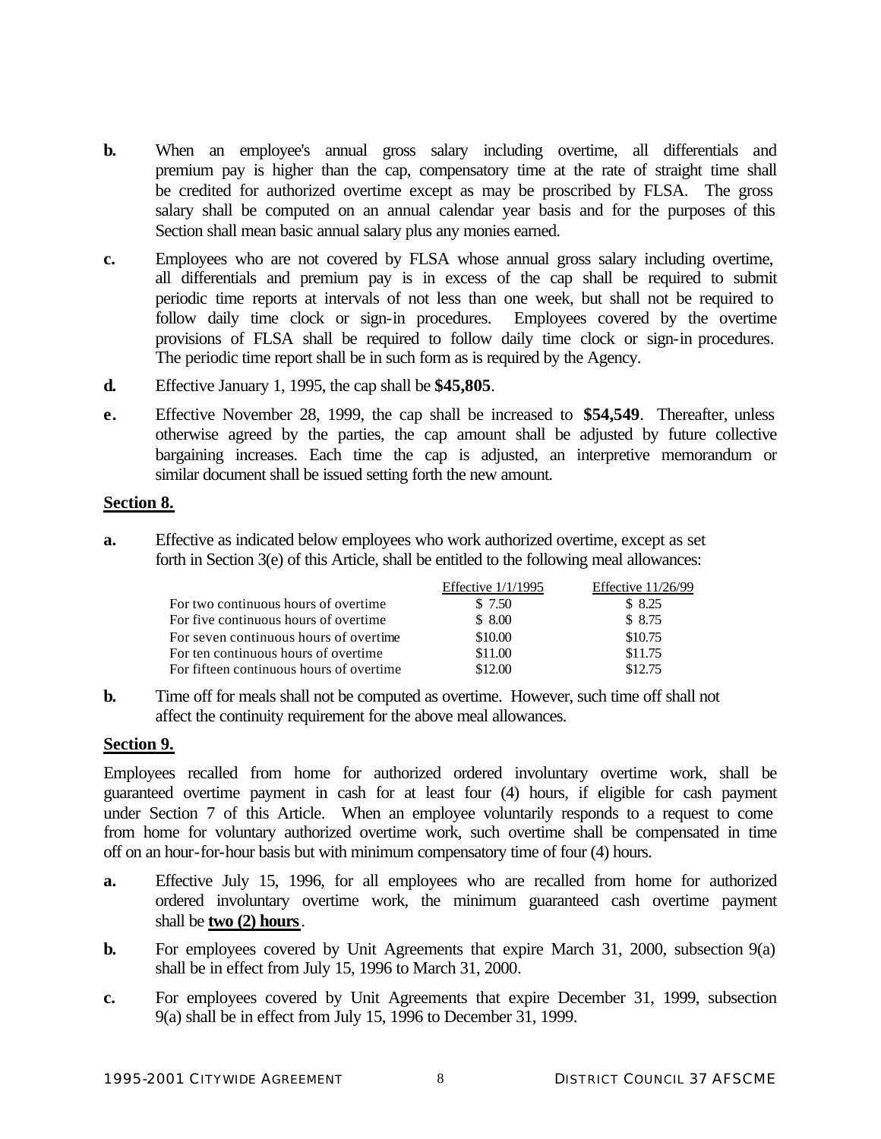- **b.** When an employee's annual gross salary including overtime, all differentials and premium pay is higher than the cap, compensatory time at the rate of straight time shall be credited for authorized overtime except as may be proscribed by FLSA. The gross salary shall be computed on an annual calendar year basis and for the purposes of this Section shall mean basic annual salary plus any monies earned.
- **c.** Employees who are not covered by FLSA whose annual gross salary including overtime, all differentials and premium pay is in excess of the cap shall be required to submit periodic time reports at intervals of not less than one week, but shall not be required to follow daily time clock or sign-in procedures. Employees covered by the overtime provisions of FLSA shall be required to follow daily time clock or sign-in procedures. The periodic time report shall be in such form as is required by the Agency.
- **d.** Effective January 1, 1995, the cap shall be **\$45,805**.
- **e.** Effective November 28, 1999, the cap shall be increased to **\$54,549**. Thereafter, unless otherwise agreed by the parties, the cap amount shall be adjusted by future collective bargaining increases. Each time the cap is adjusted, an interpretive memorandum or similar document shall be issued setting forth the new amount.

## **Section 8.**

**a.** Effective as indicated below employees who work authorized overtime, except as set forth in Section 3(e) of this Article, shall be entitled to the following meal allowances:

|                                          | Effective $1/1/1995$ | Effective $11/26/99$ |
|------------------------------------------|----------------------|----------------------|
| For two continuous hours of overtime     | \$ 7.50              | \$ 8.25              |
| For five continuous hours of overtime    | \$8.00               | \$ 8.75              |
| For seven continuous hours of overtime   | \$10.00              | \$10.75              |
| For ten continuous hours of overtime     | \$11.00              | \$11.75              |
| For fifteen continuous hours of overtime | \$12.00              | \$12.75              |

**b.** Time off for meals shall not be computed as overtime. However, such time off shall not affect the continuity requirement for the above meal allowances.

# **Section 9.**

Employees recalled from home for authorized ordered involuntary overtime work, shall be guaranteed overtime payment in cash for at least four (4) hours, if eligible for cash payment under Section 7 of this Article. When an employee voluntarily responds to a request to come from home for voluntary authorized overtime work, such overtime shall be compensated in time off on an hour-for-hour basis but with minimum compensatory time of four (4) hours.

- **a.** Effective July 15, 1996, for all employees who are recalled from home for authorized ordered involuntary overtime work, the minimum guaranteed cash overtime payment shall be **two (2) hours**.
- **b.** For employees covered by Unit Agreements that expire March 31, 2000, subsection 9(a) shall be in effect from July 15, 1996 to March 31, 2000.
- **c.** For employees covered by Unit Agreements that expire December 31, 1999, subsection 9(a) shall be in effect from July 15, 1996 to December 31, 1999.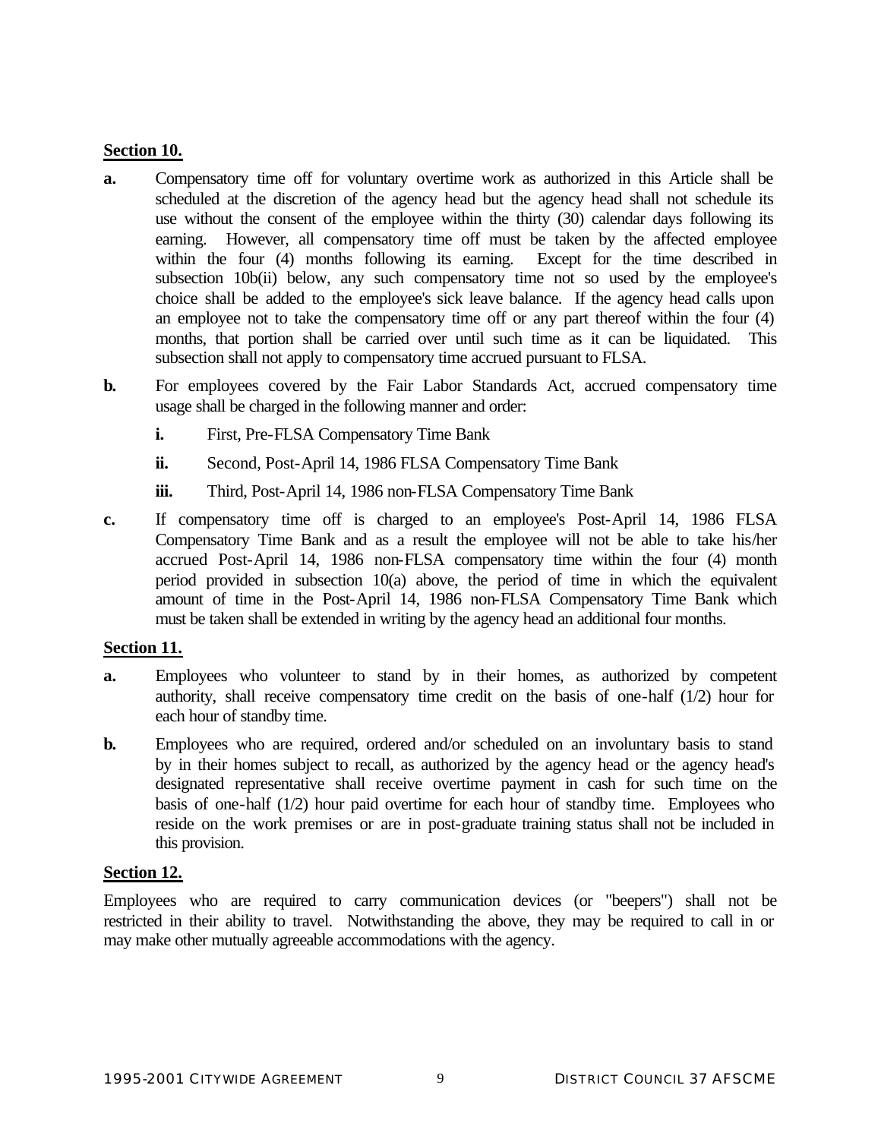## **Section 10.**

- **a.** Compensatory time off for voluntary overtime work as authorized in this Article shall be scheduled at the discretion of the agency head but the agency head shall not schedule its use without the consent of the employee within the thirty (30) calendar days following its earning. However, all compensatory time off must be taken by the affected employee within the four (4) months following its earning. Except for the time described in subsection 10b(ii) below, any such compensatory time not so used by the employee's choice shall be added to the employee's sick leave balance. If the agency head calls upon an employee not to take the compensatory time off or any part thereof within the four (4) months, that portion shall be carried over until such time as it can be liquidated. This subsection shall not apply to compensatory time accrued pursuant to FLSA.
- **b.** For employees covered by the Fair Labor Standards Act, accrued compensatory time usage shall be charged in the following manner and order:
	- **i.** First, Pre-FLSA Compensatory Time Bank
	- **ii.** Second, Post-April 14, 1986 FLSA Compensatory Time Bank
	- **iii.** Third, Post-April 14, 1986 non-FLSA Compensatory Time Bank
- **c.** If compensatory time off is charged to an employee's Post-April 14, 1986 FLSA Compensatory Time Bank and as a result the employee will not be able to take his/her accrued Post-April 14, 1986 non-FLSA compensatory time within the four (4) month period provided in subsection 10(a) above, the period of time in which the equivalent amount of time in the Post-April 14, 1986 non-FLSA Compensatory Time Bank which must be taken shall be extended in writing by the agency head an additional four months.

## **Section 11.**

- **a.** Employees who volunteer to stand by in their homes, as authorized by competent authority, shall receive compensatory time credit on the basis of one-half (1/2) hour for each hour of standby time.
- **b.** Employees who are required, ordered and/or scheduled on an involuntary basis to stand by in their homes subject to recall, as authorized by the agency head or the agency head's designated representative shall receive overtime payment in cash for such time on the basis of one-half (1/2) hour paid overtime for each hour of standby time. Employees who reside on the work premises or are in post-graduate training status shall not be included in this provision.

## **Section 12.**

Employees who are required to carry communication devices (or "beepers") shall not be restricted in their ability to travel. Notwithstanding the above, they may be required to call in or may make other mutually agreeable accommodations with the agency.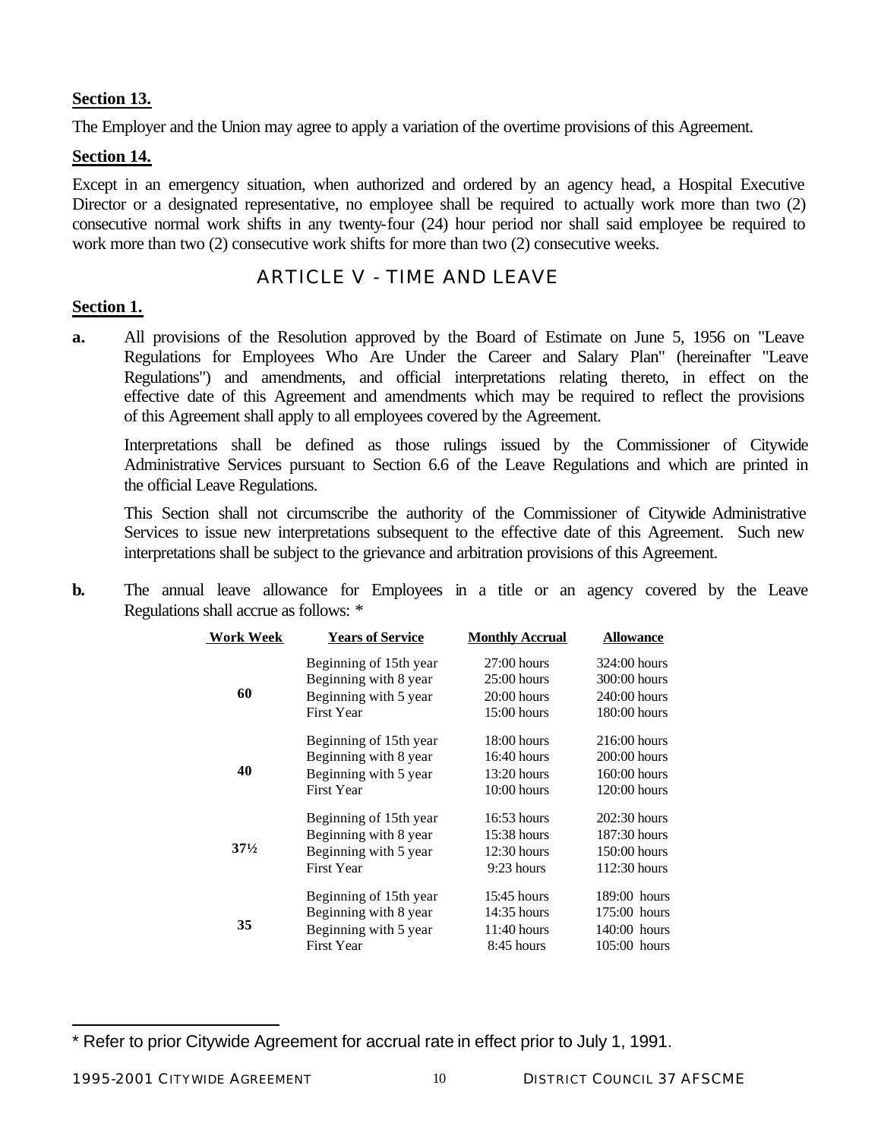# **Section 13.**

The Employer and the Union may agree to apply a variation of the overtime provisions of this Agreement.

# **Section 14.**

Except in an emergency situation, when authorized and ordered by an agency head, a Hospital Executive Director or a designated representative, no employee shall be required to actually work more than two (2) consecutive normal work shifts in any twenty-four (24) hour period nor shall said employee be required to work more than two (2) consecutive work shifts for more than two (2) consecutive weeks.

# ARTICLE V - TIME AND LEAVE

# **Section 1.**

**a.** All provisions of the Resolution approved by the Board of Estimate on June 5, 1956 on "Leave Regulations for Employees Who Are Under the Career and Salary Plan" (hereinafter "Leave Regulations") and amendments, and official interpretations relating thereto, in effect on the effective date of this Agreement and amendments which may be required to reflect the provisions of this Agreement shall apply to all employees covered by the Agreement.

Interpretations shall be defined as those rulings issued by the Commissioner of Citywide Administrative Services pursuant to Section 6.6 of the Leave Regulations and which are printed in the official Leave Regulations.

This Section shall not circumscribe the authority of the Commissioner of Citywide Administrative Services to issue new interpretations subsequent to the effective date of this Agreement. Such new interpretations shall be subject to the grievance and arbitration provisions of this Agreement.

**b.** The annual leave allowance for Employees in a title or an agency covered by the Leave Regulations shall accrue as follows: \*

| <b>Work Week</b> | <b>Years of Service</b> | <b>Monthly Accrual</b> | Allowance      |
|------------------|-------------------------|------------------------|----------------|
|                  | Beginning of 15th year  | $27:00$ hours          | 324:00 hours   |
|                  | Beginning with 8 year   | $25:00$ hours          | 300:00 hours   |
| 60               | Beginning with 5 year   | $20:00$ hours          | 240:00 hours   |
|                  | <b>First Year</b>       | $15:00$ hours          | 180:00 hours   |
|                  | Beginning of 15th year  | $18:00$ hours          | $216:00$ hours |
|                  | Beginning with 8 year   | $16:40$ hours          | $200:00$ hours |
| 40               | Beginning with 5 year   | $13:20$ hours          | 160:00 hours   |
|                  | <b>First Year</b>       | $10:00$ hours          | 120:00 hours   |
|                  | Beginning of 15th year  | $16:53$ hours          | $202:30$ hours |
|                  | Beginning with 8 year   | $15:38$ hours          | $187:30$ hours |
| $37\frac{1}{2}$  | Beginning with 5 year   | $12:30$ hours          | 150:00 hours   |
|                  | <b>First Year</b>       | $9:23$ hours           | $112:30$ hours |
|                  | Beginning of 15th year  | $15:45$ hours          | 189:00 hours   |
|                  | Beginning with 8 year   | 14:35 hours            | 175:00 hours   |
| 35               | Beginning with 5 year   | $11:40$ hours          | $140:00$ hours |
|                  | <b>First Year</b>       | 8:45 hours             | $105:00$ hours |
|                  |                         |                        |                |

l \* Refer to prior Citywide Agreement for accrual rate in effect prior to July 1, 1991.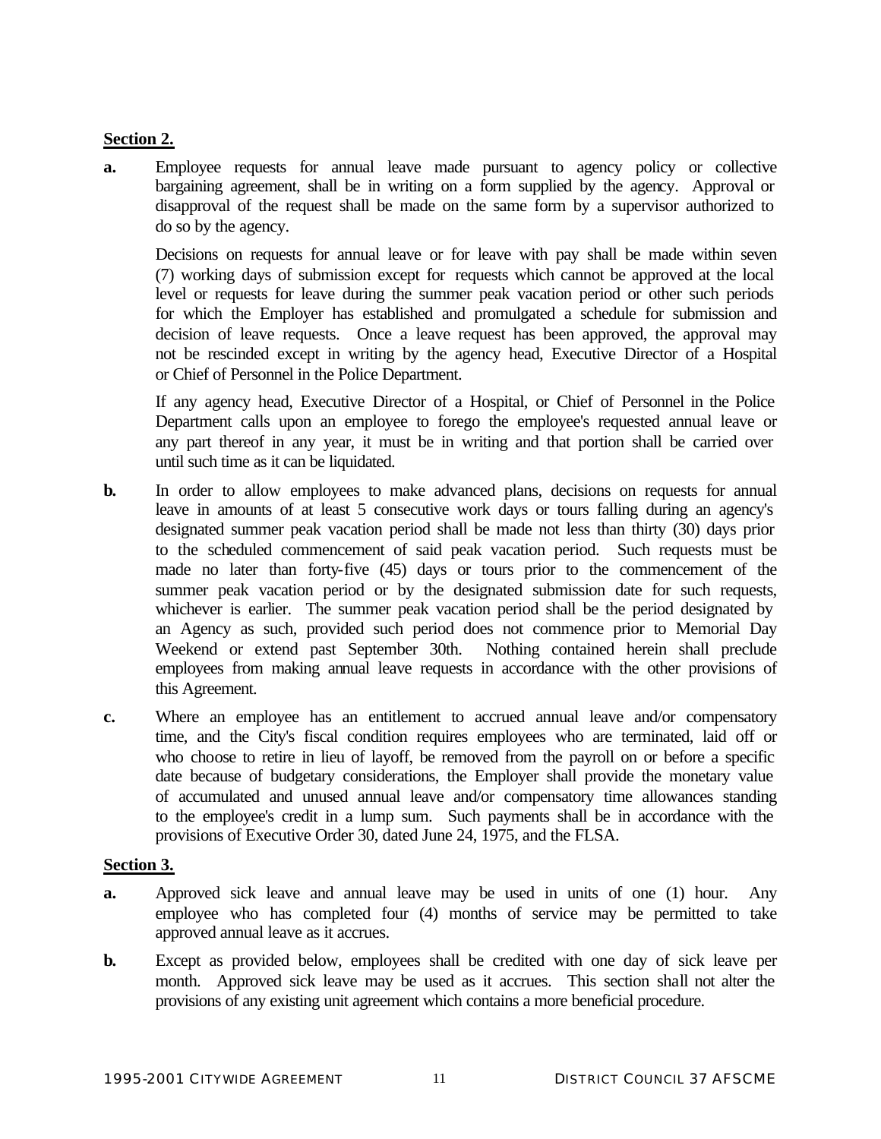# **Section 2.**

**a.** Employee requests for annual leave made pursuant to agency policy or collective bargaining agreement, shall be in writing on a form supplied by the agency. Approval or disapproval of the request shall be made on the same form by a supervisor authorized to do so by the agency.

Decisions on requests for annual leave or for leave with pay shall be made within seven (7) working days of submission except for requests which cannot be approved at the local level or requests for leave during the summer peak vacation period or other such periods for which the Employer has established and promulgated a schedule for submission and decision of leave requests. Once a leave request has been approved, the approval may not be rescinded except in writing by the agency head, Executive Director of a Hospital or Chief of Personnel in the Police Department.

If any agency head, Executive Director of a Hospital, or Chief of Personnel in the Police Department calls upon an employee to forego the employee's requested annual leave or any part thereof in any year, it must be in writing and that portion shall be carried over until such time as it can be liquidated.

- **b.** In order to allow employees to make advanced plans, decisions on requests for annual leave in amounts of at least 5 consecutive work days or tours falling during an agency's designated summer peak vacation period shall be made not less than thirty (30) days prior to the scheduled commencement of said peak vacation period. Such requests must be made no later than forty-five (45) days or tours prior to the commencement of the summer peak vacation period or by the designated submission date for such requests, whichever is earlier. The summer peak vacation period shall be the period designated by an Agency as such, provided such period does not commence prior to Memorial Day Weekend or extend past September 30th. Nothing contained herein shall preclude employees from making annual leave requests in accordance with the other provisions of this Agreement.
- **c.** Where an employee has an entitlement to accrued annual leave and/or compensatory time, and the City's fiscal condition requires employees who are terminated, laid off or who choose to retire in lieu of layoff, be removed from the payroll on or before a specific date because of budgetary considerations, the Employer shall provide the monetary value of accumulated and unused annual leave and/or compensatory time allowances standing to the employee's credit in a lump sum. Such payments shall be in accordance with the provisions of Executive Order 30, dated June 24, 1975, and the FLSA.

## **Section 3.**

- **a.** Approved sick leave and annual leave may be used in units of one (1) hour. Any employee who has completed four (4) months of service may be permitted to take approved annual leave as it accrues.
- **b.** Except as provided below, employees shall be credited with one day of sick leave per month. Approved sick leave may be used as it accrues. This section shall not alter the provisions of any existing unit agreement which contains a more beneficial procedure.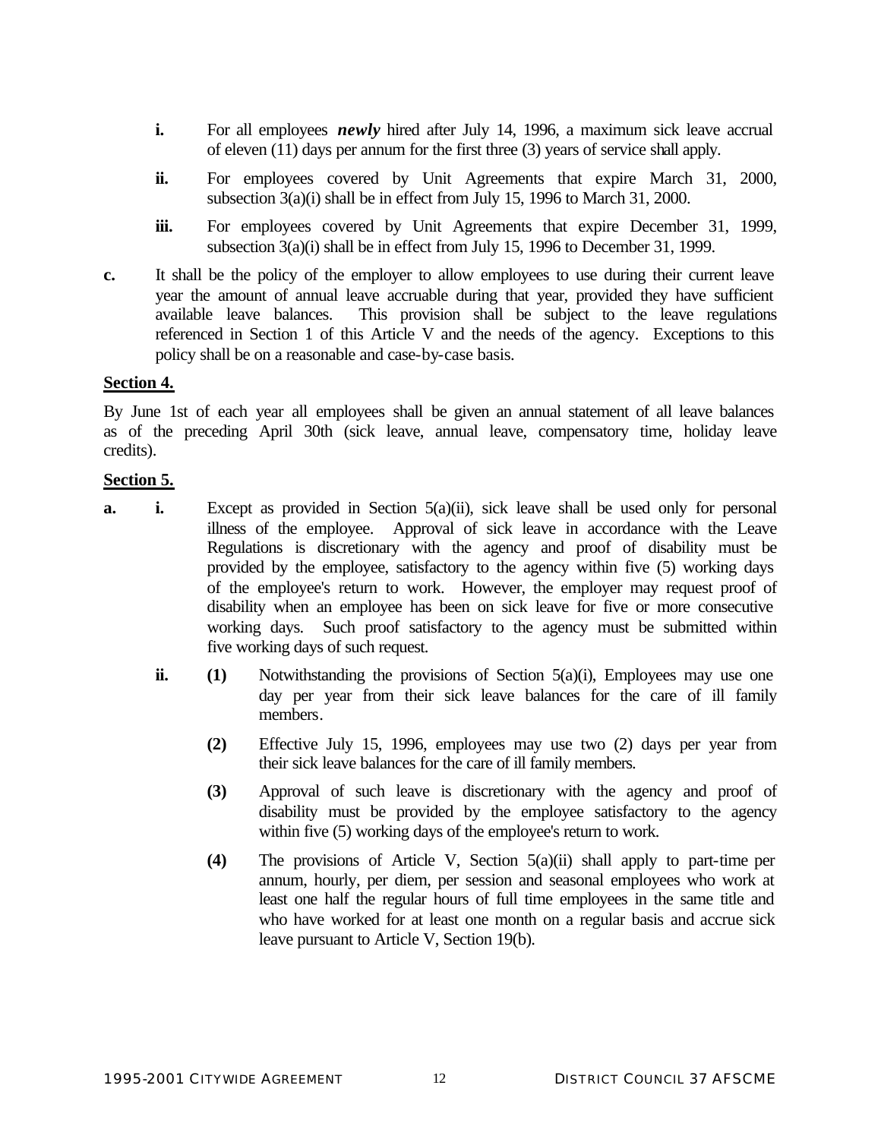- **i.** For all employees *newly* hired after July 14, 1996, a maximum sick leave accrual of eleven (11) days per annum for the first three (3) years of service shall apply.
- **ii.** For employees covered by Unit Agreements that expire March 31, 2000, subsection 3(a)(i) shall be in effect from July 15, 1996 to March 31, 2000.
- **iii.** For employees covered by Unit Agreements that expire December 31, 1999, subsection 3(a)(i) shall be in effect from July 15, 1996 to December 31, 1999.
- **c.** It shall be the policy of the employer to allow employees to use during their current leave year the amount of annual leave accruable during that year, provided they have sufficient available leave balances. This provision shall be subject to the leave regulations referenced in Section 1 of this Article V and the needs of the agency. Exceptions to this policy shall be on a reasonable and case-by-case basis.

#### **Section 4.**

By June 1st of each year all employees shall be given an annual statement of all leave balances as of the preceding April 30th (sick leave, annual leave, compensatory time, holiday leave credits).

#### **Section 5.**

- **a. i.** Except as provided in Section 5(a)(ii), sick leave shall be used only for personal illness of the employee. Approval of sick leave in accordance with the Leave Regulations is discretionary with the agency and proof of disability must be provided by the employee, satisfactory to the agency within five (5) working days of the employee's return to work. However, the employer may request proof of disability when an employee has been on sick leave for five or more consecutive working days. Such proof satisfactory to the agency must be submitted within five working days of such request.
	- **ii. (1)** Notwithstanding the provisions of Section 5(a)(i), Employees may use one day per year from their sick leave balances for the care of ill family members.
		- **(2)** Effective July 15, 1996, employees may use two (2) days per year from their sick leave balances for the care of ill family members.
		- **(3)** Approval of such leave is discretionary with the agency and proof of disability must be provided by the employee satisfactory to the agency within five (5) working days of the employee's return to work.
		- **(4)** The provisions of Article V, Section 5(a)(ii) shall apply to part-time per annum, hourly, per diem, per session and seasonal employees who work at least one half the regular hours of full time employees in the same title and who have worked for at least one month on a regular basis and accrue sick leave pursuant to Article V, Section 19(b).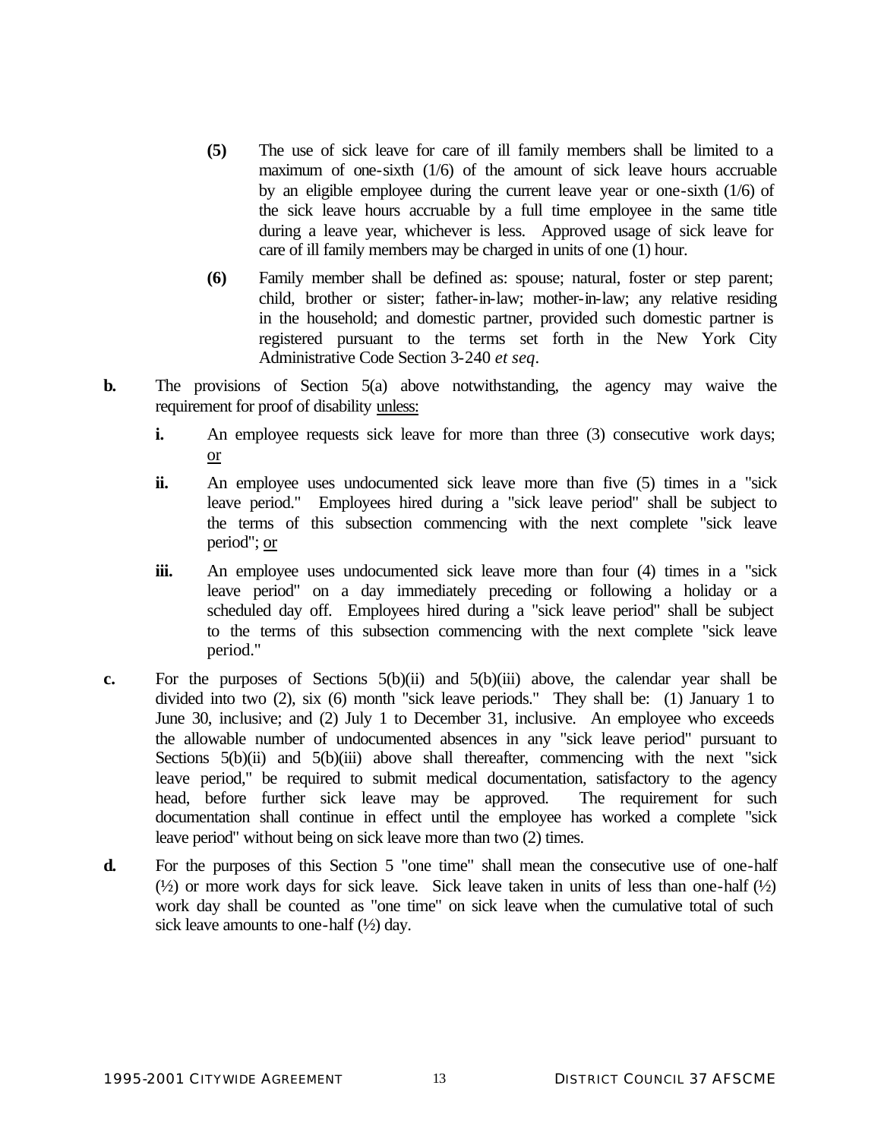- **(5)** The use of sick leave for care of ill family members shall be limited to a maximum of one-sixth (1/6) of the amount of sick leave hours accruable by an eligible employee during the current leave year or one-sixth (1/6) of the sick leave hours accruable by a full time employee in the same title during a leave year, whichever is less. Approved usage of sick leave for care of ill family members may be charged in units of one (1) hour.
- **(6)** Family member shall be defined as: spouse; natural, foster or step parent; child, brother or sister; father-in-law; mother-in-law; any relative residing in the household; and domestic partner, provided such domestic partner is registered pursuant to the terms set forth in the New York City Administrative Code Section 3-240 *et seq*.
- **b.** The provisions of Section 5(a) above notwithstanding, the agency may waive the requirement for proof of disability unless:
	- **i.** An employee requests sick leave for more than three (3) consecutive work days; or
	- **ii.** An employee uses undocumented sick leave more than five (5) times in a "sick leave period." Employees hired during a "sick leave period" shall be subject to the terms of this subsection commencing with the next complete "sick leave period"; or
	- **iii.** An employee uses undocumented sick leave more than four (4) times in a "sick leave period" on a day immediately preceding or following a holiday or a scheduled day off. Employees hired during a "sick leave period" shall be subject to the terms of this subsection commencing with the next complete "sick leave period."
- **c.** For the purposes of Sections 5(b)(ii) and 5(b)(iii) above, the calendar year shall be divided into two (2), six (6) month "sick leave periods." They shall be: (1) January 1 to June 30, inclusive; and (2) July 1 to December 31, inclusive. An employee who exceeds the allowable number of undocumented absences in any "sick leave period" pursuant to Sections 5(b)(ii) and 5(b)(iii) above shall thereafter, commencing with the next "sick leave period," be required to submit medical documentation, satisfactory to the agency head, before further sick leave may be approved. The requirement for such documentation shall continue in effect until the employee has worked a complete "sick leave period" without being on sick leave more than two (2) times.
- **d.** For the purposes of this Section 5 "one time" shall mean the consecutive use of one-half  $(\frac{1}{2})$  or more work days for sick leave. Sick leave taken in units of less than one-half  $(\frac{1}{2})$ work day shall be counted as "one time" on sick leave when the cumulative total of such sick leave amounts to one-half  $(\frac{1}{2})$  day.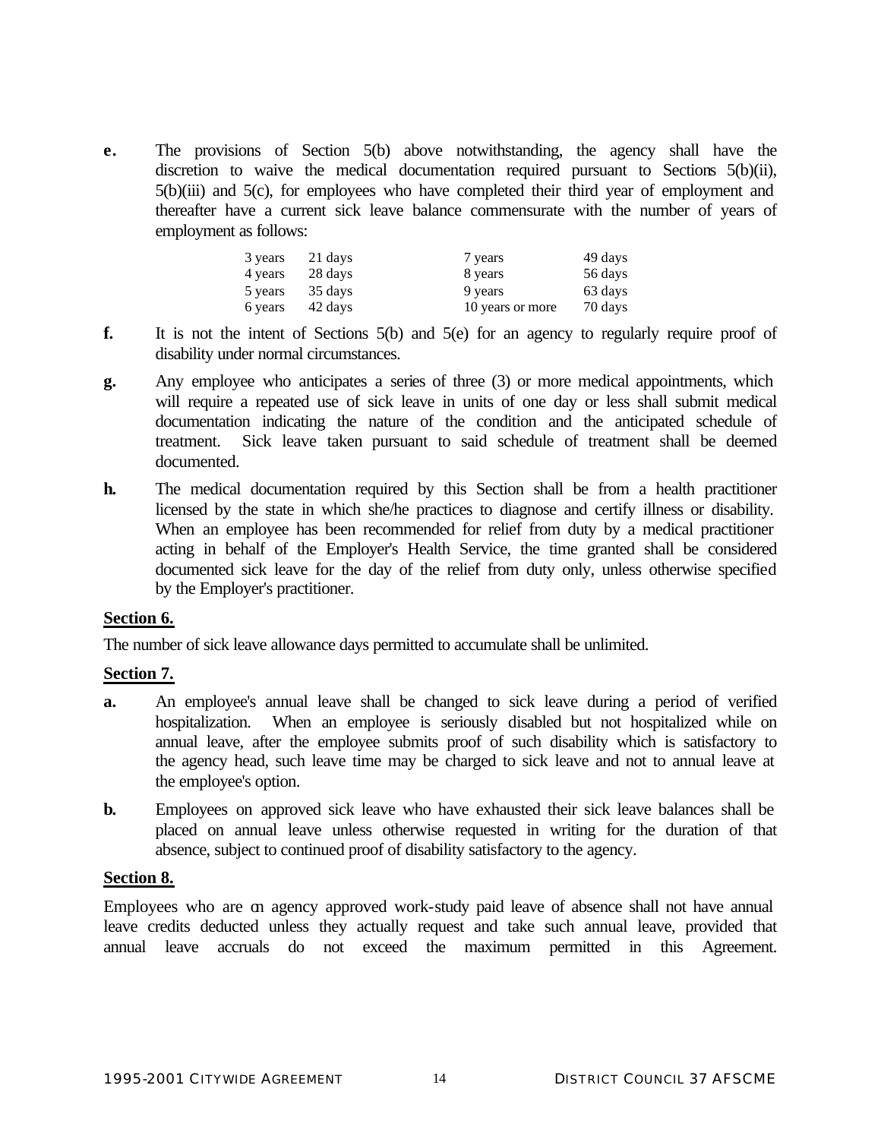**e.** The provisions of Section 5(b) above notwithstanding, the agency shall have the discretion to waive the medical documentation required pursuant to Sections 5(b)(ii), 5(b)(iii) and 5(c), for employees who have completed their third year of employment and thereafter have a current sick leave balance commensurate with the number of years of employment as follows:

| 3 years | 21 days | 7 years          | 49 days |
|---------|---------|------------------|---------|
| 4 years | 28 days | 8 years          | 56 days |
| 5 years | 35 days | 9 years          | 63 days |
| 6 years | 42 days | 10 years or more | 70 days |

- **f.** It is not the intent of Sections 5(b) and 5(e) for an agency to regularly require proof of disability under normal circumstances.
- **g.** Any employee who anticipates a series of three (3) or more medical appointments, which will require a repeated use of sick leave in units of one day or less shall submit medical documentation indicating the nature of the condition and the anticipated schedule of treatment. Sick leave taken pursuant to said schedule of treatment shall be deemed documented.
- **h.** The medical documentation required by this Section shall be from a health practitioner licensed by the state in which she/he practices to diagnose and certify illness or disability. When an employee has been recommended for relief from duty by a medical practitioner acting in behalf of the Employer's Health Service, the time granted shall be considered documented sick leave for the day of the relief from duty only, unless otherwise specified by the Employer's practitioner.

## **Section 6.**

The number of sick leave allowance days permitted to accumulate shall be unlimited.

## **Section 7.**

- **a.** An employee's annual leave shall be changed to sick leave during a period of verified hospitalization. When an employee is seriously disabled but not hospitalized while on annual leave, after the employee submits proof of such disability which is satisfactory to the agency head, such leave time may be charged to sick leave and not to annual leave at the employee's option.
- **b.** Employees on approved sick leave who have exhausted their sick leave balances shall be placed on annual leave unless otherwise requested in writing for the duration of that absence, subject to continued proof of disability satisfactory to the agency.

#### **Section 8.**

Employees who are on agency approved work-study paid leave of absence shall not have annual leave credits deducted unless they actually request and take such annual leave, provided that annual leave accruals do not exceed the maximum permitted in this Agreement.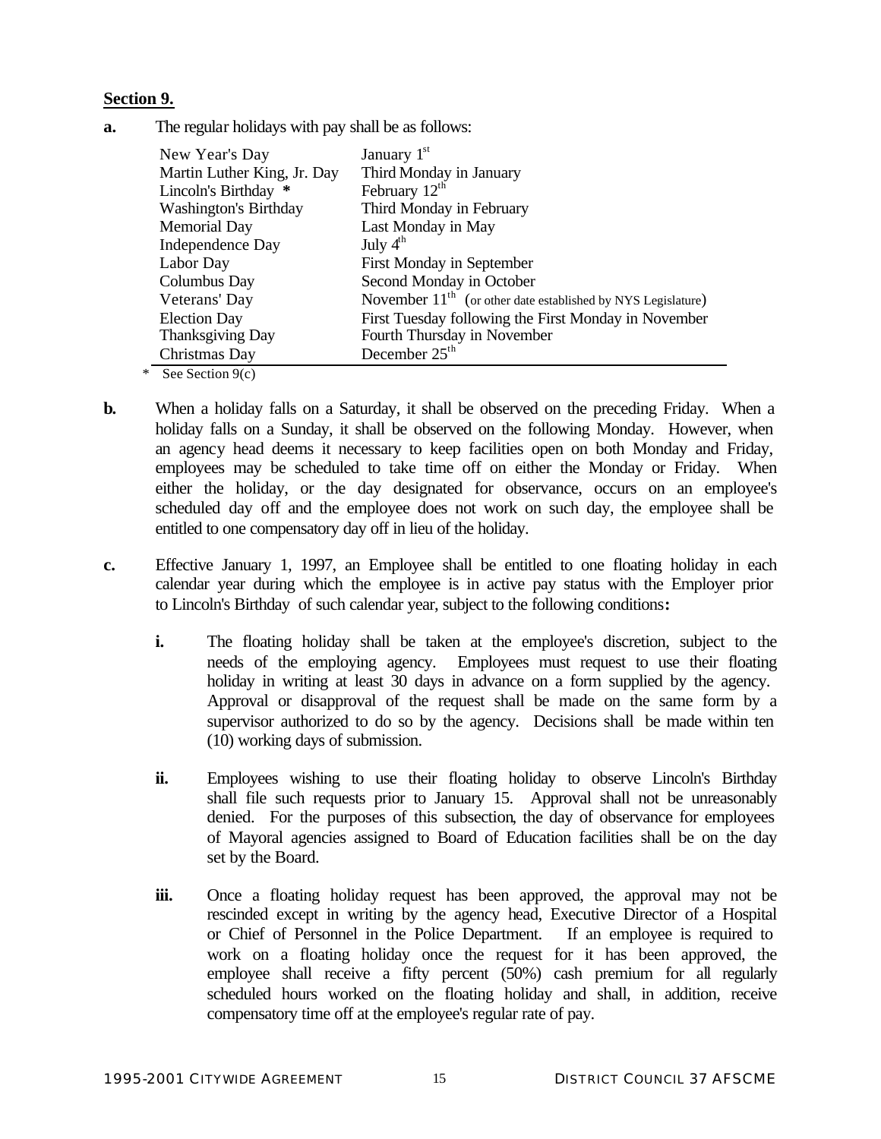## **Section 9.**

**a.** The regular holidays with pay shall be as follows:

| New Year's Day               | January $1st$                                                  |
|------------------------------|----------------------------------------------------------------|
| Martin Luther King, Jr. Day  | Third Monday in January                                        |
| Lincoln's Birthday *         | February $12th$                                                |
| <b>Washington's Birthday</b> | Third Monday in February                                       |
| <b>Memorial Day</b>          | Last Monday in May                                             |
| Independence Day             | July $4^{\text{th}}$                                           |
| Labor Day                    | First Monday in September                                      |
| Columbus Day                 | Second Monday in October                                       |
| Veterans' Day                | November $11th$ (or other date established by NYS Legislature) |
| <b>Election Day</b>          | First Tuesday following the First Monday in November           |
| <b>Thanksgiving Day</b>      | Fourth Thursday in November                                    |
| Christmas Day                | December $25th$                                                |

\* See Section 9(c)

- **b.** When a holiday falls on a Saturday, it shall be observed on the preceding Friday. When a holiday falls on a Sunday, it shall be observed on the following Monday. However, when an agency head deems it necessary to keep facilities open on both Monday and Friday, employees may be scheduled to take time off on either the Monday or Friday. When either the holiday, or the day designated for observance, occurs on an employee's scheduled day off and the employee does not work on such day, the employee shall be entitled to one compensatory day off in lieu of the holiday.
- **c.** Effective January 1, 1997, an Employee shall be entitled to one floating holiday in each calendar year during which the employee is in active pay status with the Employer prior to Lincoln's Birthday of such calendar year, subject to the following conditions**:**
	- **i.** The floating holiday shall be taken at the employee's discretion, subject to the needs of the employing agency. Employees must request to use their floating holiday in writing at least 30 days in advance on a form supplied by the agency. Approval or disapproval of the request shall be made on the same form by a supervisor authorized to do so by the agency. Decisions shall be made within ten (10) working days of submission.
	- **ii.** Employees wishing to use their floating holiday to observe Lincoln's Birthday shall file such requests prior to January 15. Approval shall not be unreasonably denied. For the purposes of this subsection, the day of observance for employees of Mayoral agencies assigned to Board of Education facilities shall be on the day set by the Board.
	- **iii.** Once a floating holiday request has been approved, the approval may not be rescinded except in writing by the agency head, Executive Director of a Hospital or Chief of Personnel in the Police Department. If an employee is required to work on a floating holiday once the request for it has been approved, the employee shall receive a fifty percent (50%) cash premium for all regularly scheduled hours worked on the floating holiday and shall, in addition, receive compensatory time off at the employee's regular rate of pay.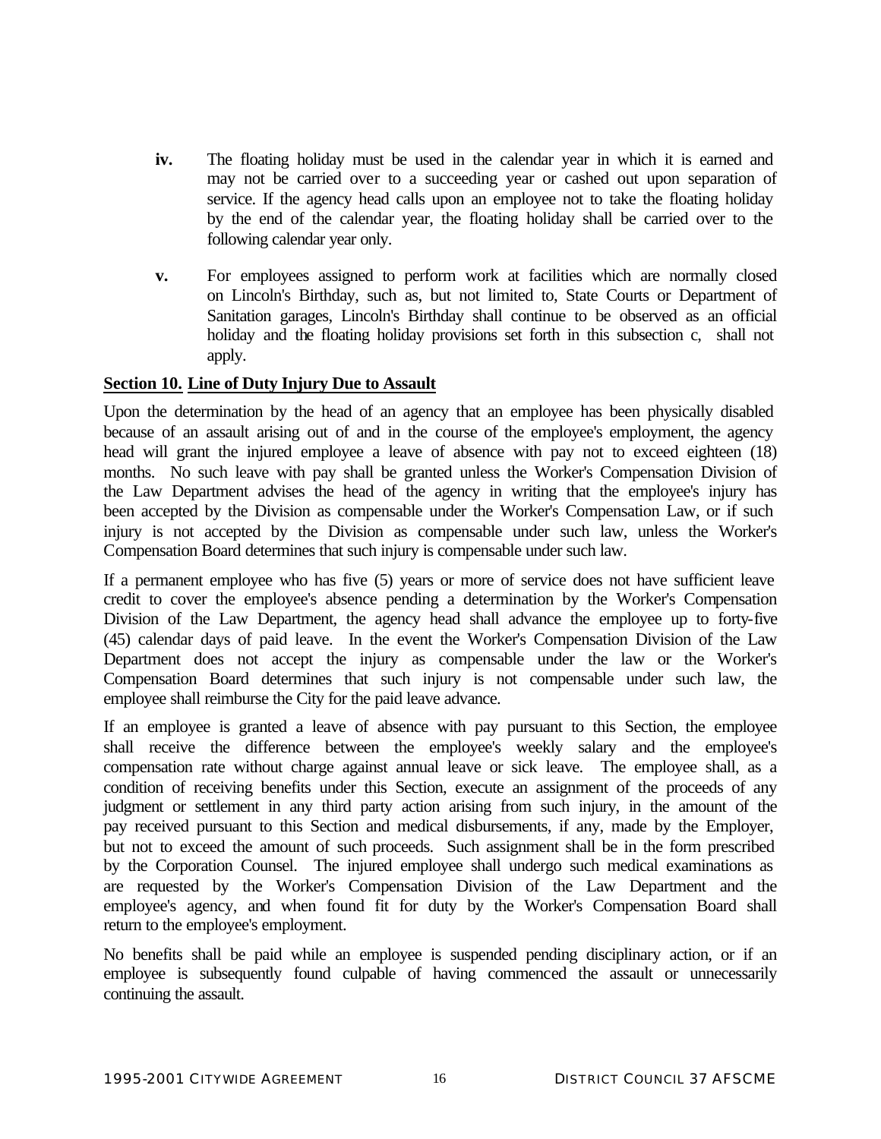- **iv.** The floating holiday must be used in the calendar year in which it is earned and may not be carried over to a succeeding year or cashed out upon separation of service. If the agency head calls upon an employee not to take the floating holiday by the end of the calendar year, the floating holiday shall be carried over to the following calendar year only.
- **v.** For employees assigned to perform work at facilities which are normally closed on Lincoln's Birthday, such as, but not limited to, State Courts or Department of Sanitation garages, Lincoln's Birthday shall continue to be observed as an official holiday and the floating holiday provisions set forth in this subsection c, shall not apply.

## **Section 10. Line of Duty Injury Due to Assault**

Upon the determination by the head of an agency that an employee has been physically disabled because of an assault arising out of and in the course of the employee's employment, the agency head will grant the injured employee a leave of absence with pay not to exceed eighteen (18) months. No such leave with pay shall be granted unless the Worker's Compensation Division of the Law Department advises the head of the agency in writing that the employee's injury has been accepted by the Division as compensable under the Worker's Compensation Law, or if such injury is not accepted by the Division as compensable under such law, unless the Worker's Compensation Board determines that such injury is compensable under such law.

If a permanent employee who has five (5) years or more of service does not have sufficient leave credit to cover the employee's absence pending a determination by the Worker's Compensation Division of the Law Department, the agency head shall advance the employee up to forty-five (45) calendar days of paid leave. In the event the Worker's Compensation Division of the Law Department does not accept the injury as compensable under the law or the Worker's Compensation Board determines that such injury is not compensable under such law, the employee shall reimburse the City for the paid leave advance.

If an employee is granted a leave of absence with pay pursuant to this Section, the employee shall receive the difference between the employee's weekly salary and the employee's compensation rate without charge against annual leave or sick leave. The employee shall, as a condition of receiving benefits under this Section, execute an assignment of the proceeds of any judgment or settlement in any third party action arising from such injury, in the amount of the pay received pursuant to this Section and medical disbursements, if any, made by the Employer, but not to exceed the amount of such proceeds. Such assignment shall be in the form prescribed by the Corporation Counsel. The injured employee shall undergo such medical examinations as are requested by the Worker's Compensation Division of the Law Department and the employee's agency, and when found fit for duty by the Worker's Compensation Board shall return to the employee's employment.

No benefits shall be paid while an employee is suspended pending disciplinary action, or if an employee is subsequently found culpable of having commenced the assault or unnecessarily continuing the assault.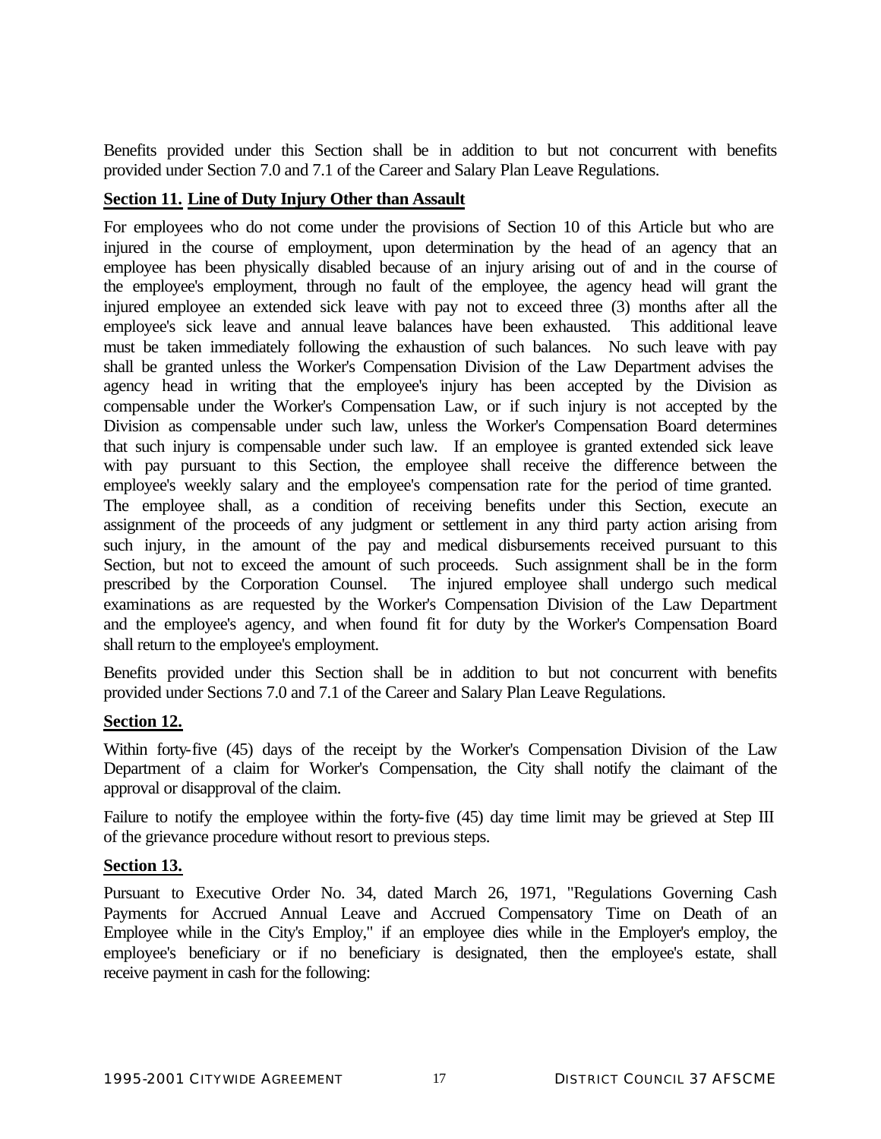Benefits provided under this Section shall be in addition to but not concurrent with benefits provided under Section 7.0 and 7.1 of the Career and Salary Plan Leave Regulations.

## **Section 11. Line of Duty Injury Other than Assault**

For employees who do not come under the provisions of Section 10 of this Article but who are injured in the course of employment, upon determination by the head of an agency that an employee has been physically disabled because of an injury arising out of and in the course of the employee's employment, through no fault of the employee, the agency head will grant the injured employee an extended sick leave with pay not to exceed three (3) months after all the employee's sick leave and annual leave balances have been exhausted. This additional leave must be taken immediately following the exhaustion of such balances. No such leave with pay shall be granted unless the Worker's Compensation Division of the Law Department advises the agency head in writing that the employee's injury has been accepted by the Division as compensable under the Worker's Compensation Law, or if such injury is not accepted by the Division as compensable under such law, unless the Worker's Compensation Board determines that such injury is compensable under such law. If an employee is granted extended sick leave with pay pursuant to this Section, the employee shall receive the difference between the employee's weekly salary and the employee's compensation rate for the period of time granted. The employee shall, as a condition of receiving benefits under this Section, execute an assignment of the proceeds of any judgment or settlement in any third party action arising from such injury, in the amount of the pay and medical disbursements received pursuant to this Section, but not to exceed the amount of such proceeds. Such assignment shall be in the form prescribed by the Corporation Counsel. The injured employee shall undergo such medical examinations as are requested by the Worker's Compensation Division of the Law Department and the employee's agency, and when found fit for duty by the Worker's Compensation Board shall return to the employee's employment.

Benefits provided under this Section shall be in addition to but not concurrent with benefits provided under Sections 7.0 and 7.1 of the Career and Salary Plan Leave Regulations.

## **Section 12.**

Within forty-five (45) days of the receipt by the Worker's Compensation Division of the Law Department of a claim for Worker's Compensation, the City shall notify the claimant of the approval or disapproval of the claim.

Failure to notify the employee within the forty-five (45) day time limit may be grieved at Step III of the grievance procedure without resort to previous steps.

## **Section 13.**

Pursuant to Executive Order No. 34, dated March 26, 1971, "Regulations Governing Cash Payments for Accrued Annual Leave and Accrued Compensatory Time on Death of an Employee while in the City's Employ," if an employee dies while in the Employer's employ, the employee's beneficiary or if no beneficiary is designated, then the employee's estate, shall receive payment in cash for the following: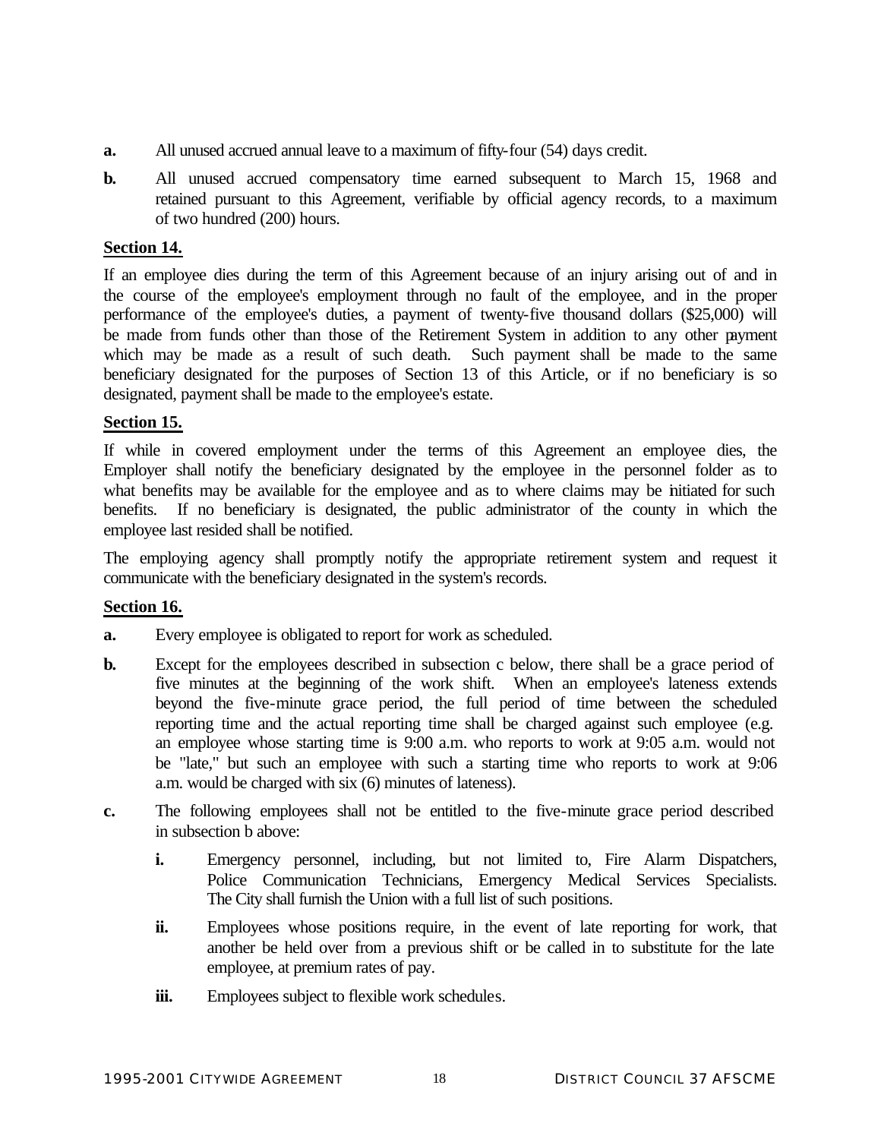- **a.** All unused accrued annual leave to a maximum of fifty-four (54) days credit.
- **b.** All unused accrued compensatory time earned subsequent to March 15, 1968 and retained pursuant to this Agreement, verifiable by official agency records, to a maximum of two hundred (200) hours.

# **Section 14.**

If an employee dies during the term of this Agreement because of an injury arising out of and in the course of the employee's employment through no fault of the employee, and in the proper performance of the employee's duties, a payment of twenty-five thousand dollars (\$25,000) will be made from funds other than those of the Retirement System in addition to any other payment which may be made as a result of such death. Such payment shall be made to the same beneficiary designated for the purposes of Section 13 of this Article, or if no beneficiary is so designated, payment shall be made to the employee's estate.

# **Section 15.**

If while in covered employment under the terms of this Agreement an employee dies, the Employer shall notify the beneficiary designated by the employee in the personnel folder as to what benefits may be available for the employee and as to where claims may be initiated for such benefits. If no beneficiary is designated, the public administrator of the county in which the employee last resided shall be notified.

The employing agency shall promptly notify the appropriate retirement system and request it communicate with the beneficiary designated in the system's records.

## **Section 16.**

- **a.** Every employee is obligated to report for work as scheduled.
- **b.** Except for the employees described in subsection c below, there shall be a grace period of five minutes at the beginning of the work shift. When an employee's lateness extends beyond the five-minute grace period, the full period of time between the scheduled reporting time and the actual reporting time shall be charged against such employee (e.g. an employee whose starting time is 9:00 a.m. who reports to work at 9:05 a.m. would not be "late," but such an employee with such a starting time who reports to work at 9:06 a.m. would be charged with six (6) minutes of lateness).
- **c.** The following employees shall not be entitled to the five-minute grace period described in subsection b above:
	- **i.** Emergency personnel, including, but not limited to, Fire Alarm Dispatchers, Police Communication Technicians, Emergency Medical Services Specialists. The City shall furnish the Union with a full list of such positions.
	- **ii.** Employees whose positions require, in the event of late reporting for work, that another be held over from a previous shift or be called in to substitute for the late employee, at premium rates of pay.
	- iii. Employees subject to flexible work schedules.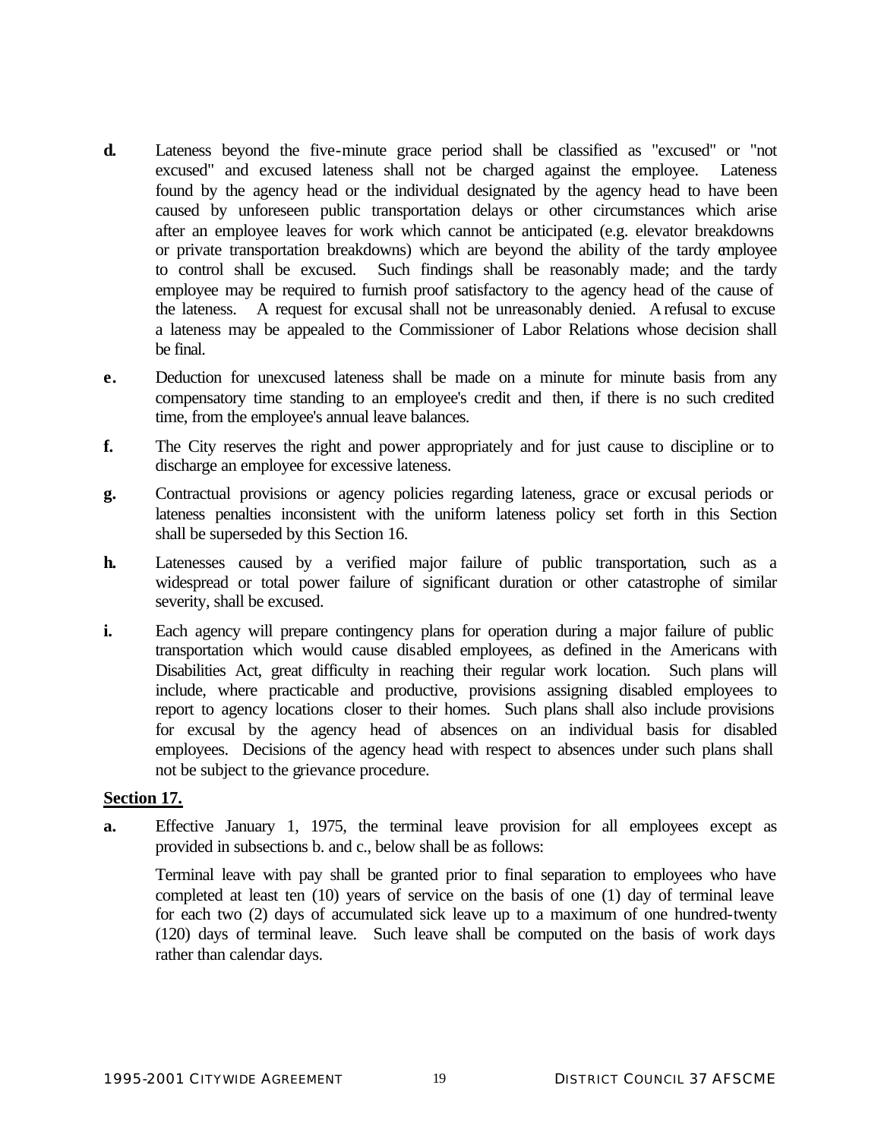- **d.** Lateness beyond the five-minute grace period shall be classified as "excused" or "not excused" and excused lateness shall not be charged against the employee. Lateness found by the agency head or the individual designated by the agency head to have been caused by unforeseen public transportation delays or other circumstances which arise after an employee leaves for work which cannot be anticipated (e.g. elevator breakdowns or private transportation breakdowns) which are beyond the ability of the tardy employee to control shall be excused. Such findings shall be reasonably made; and the tardy employee may be required to furnish proof satisfactory to the agency head of the cause of the lateness. A request for excusal shall not be unreasonably denied. A refusal to excuse a lateness may be appealed to the Commissioner of Labor Relations whose decision shall be final.
- **e.** Deduction for unexcused lateness shall be made on a minute for minute basis from any compensatory time standing to an employee's credit and then, if there is no such credited time, from the employee's annual leave balances.
- **f.** The City reserves the right and power appropriately and for just cause to discipline or to discharge an employee for excessive lateness.
- **g.** Contractual provisions or agency policies regarding lateness, grace or excusal periods or lateness penalties inconsistent with the uniform lateness policy set forth in this Section shall be superseded by this Section 16.
- **h.** Latenesses caused by a verified major failure of public transportation, such as a widespread or total power failure of significant duration or other catastrophe of similar severity, shall be excused.
- **i.** Each agency will prepare contingency plans for operation during a major failure of public transportation which would cause disabled employees, as defined in the Americans with Disabilities Act, great difficulty in reaching their regular work location. Such plans will include, where practicable and productive, provisions assigning disabled employees to report to agency locations closer to their homes. Such plans shall also include provisions for excusal by the agency head of absences on an individual basis for disabled employees. Decisions of the agency head with respect to absences under such plans shall not be subject to the grievance procedure.

## **Section 17.**

**a.** Effective January 1, 1975, the terminal leave provision for all employees except as provided in subsections b. and c., below shall be as follows:

Terminal leave with pay shall be granted prior to final separation to employees who have completed at least ten (10) years of service on the basis of one (1) day of terminal leave for each two (2) days of accumulated sick leave up to a maximum of one hundred-twenty (120) days of terminal leave. Such leave shall be computed on the basis of work days rather than calendar days.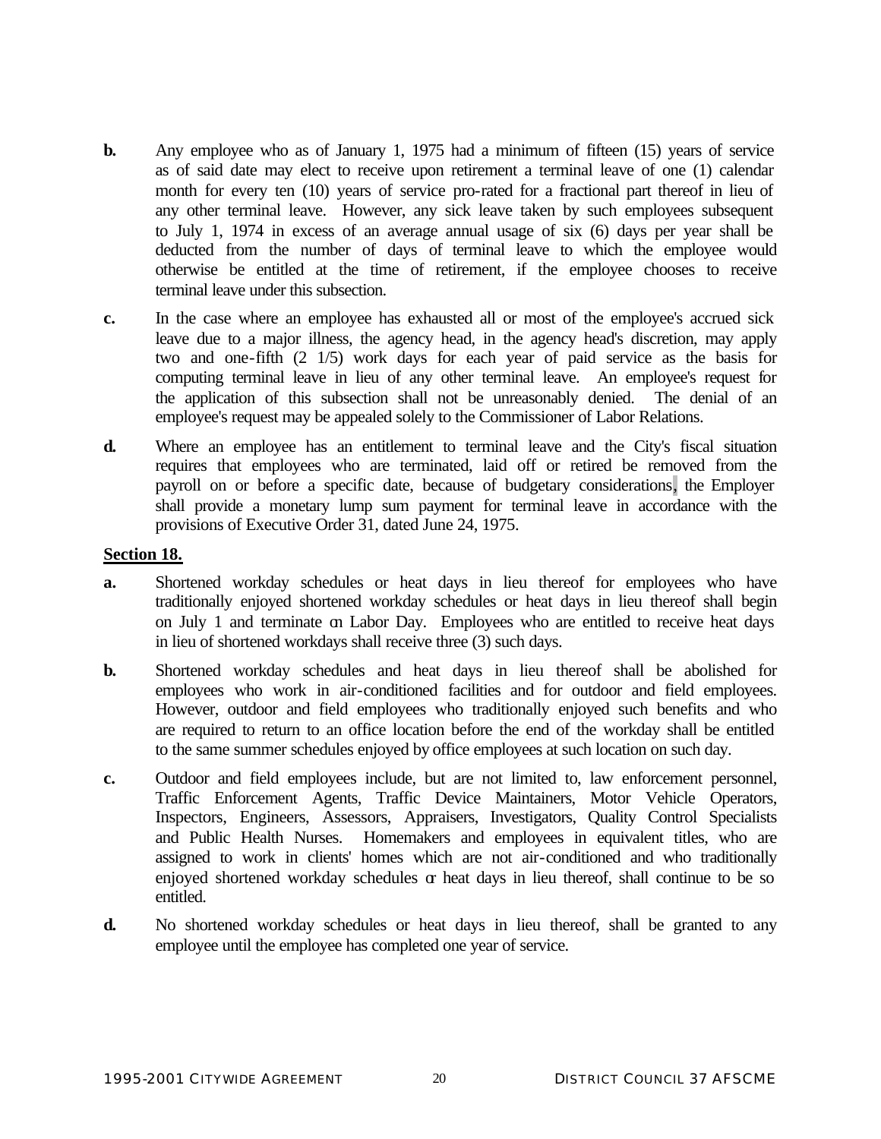- **b.** Any employee who as of January 1, 1975 had a minimum of fifteen (15) years of service as of said date may elect to receive upon retirement a terminal leave of one (1) calendar month for every ten (10) years of service pro-rated for a fractional part thereof in lieu of any other terminal leave. However, any sick leave taken by such employees subsequent to July 1, 1974 in excess of an average annual usage of six (6) days per year shall be deducted from the number of days of terminal leave to which the employee would otherwise be entitled at the time of retirement, if the employee chooses to receive terminal leave under this subsection.
- **c.** In the case where an employee has exhausted all or most of the employee's accrued sick leave due to a major illness, the agency head, in the agency head's discretion, may apply two and one-fifth (2 1/5) work days for each year of paid service as the basis for computing terminal leave in lieu of any other terminal leave. An employee's request for the application of this subsection shall not be unreasonably denied. The denial of an employee's request may be appealed solely to the Commissioner of Labor Relations.
- **d.** Where an employee has an entitlement to terminal leave and the City's fiscal situation requires that employees who are terminated, laid off or retired be removed from the payroll on or before a specific date, because of budgetary considerations, the Employer shall provide a monetary lump sum payment for terminal leave in accordance with the provisions of Executive Order 31, dated June 24, 1975.

#### **Section 18.**

- **a.** Shortened workday schedules or heat days in lieu thereof for employees who have traditionally enjoyed shortened workday schedules or heat days in lieu thereof shall begin on July 1 and terminate on Labor Day. Employees who are entitled to receive heat days in lieu of shortened workdays shall receive three (3) such days.
- **b.** Shortened workday schedules and heat days in lieu thereof shall be abolished for employees who work in air-conditioned facilities and for outdoor and field employees. However, outdoor and field employees who traditionally enjoyed such benefits and who are required to return to an office location before the end of the workday shall be entitled to the same summer schedules enjoyed by office employees at such location on such day.
- **c.** Outdoor and field employees include, but are not limited to, law enforcement personnel, Traffic Enforcement Agents, Traffic Device Maintainers, Motor Vehicle Operators, Inspectors, Engineers, Assessors, Appraisers, Investigators, Quality Control Specialists and Public Health Nurses. Homemakers and employees in equivalent titles, who are assigned to work in clients' homes which are not air-conditioned and who traditionally enjoyed shortened workday schedules or heat days in lieu thereof, shall continue to be so entitled.
- **d.** No shortened workday schedules or heat days in lieu thereof, shall be granted to any employee until the employee has completed one year of service.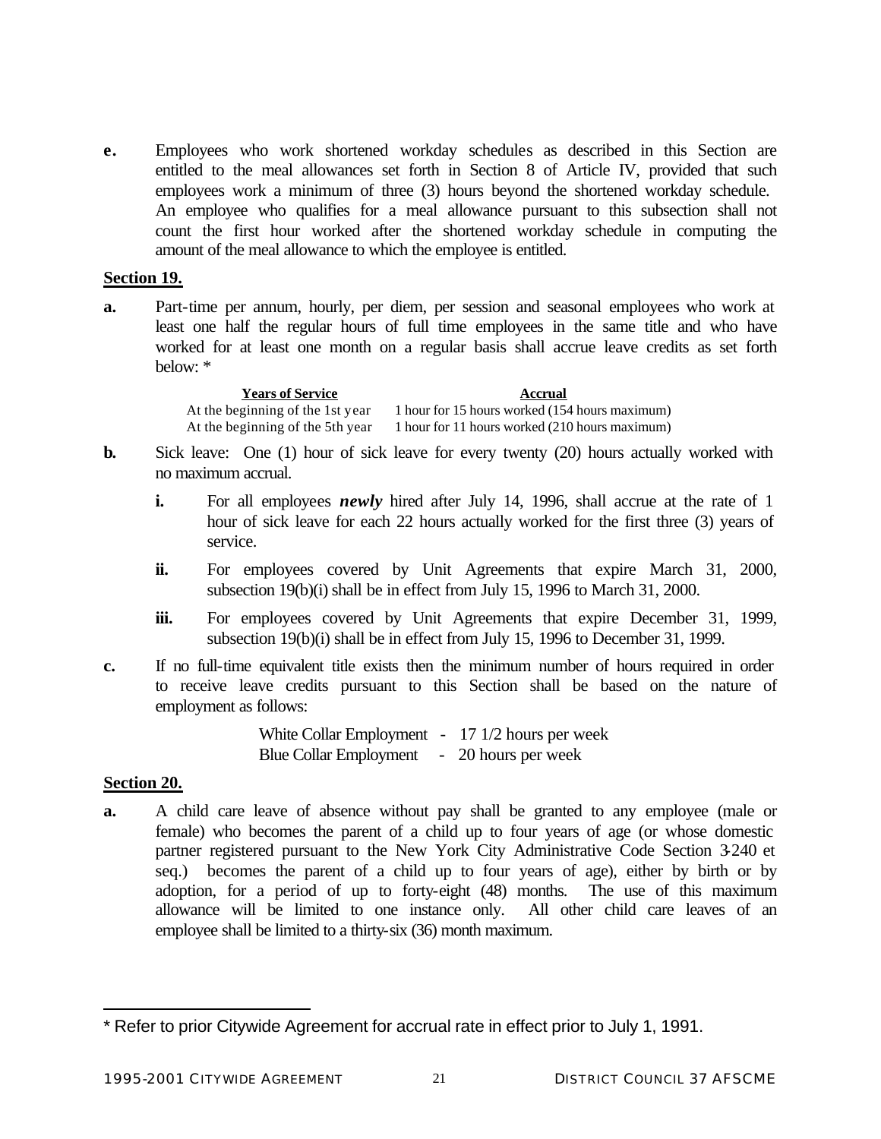**e.** Employees who work shortened workday schedules as described in this Section are entitled to the meal allowances set forth in Section 8 of Article IV, provided that such employees work a minimum of three (3) hours beyond the shortened workday schedule. An employee who qualifies for a meal allowance pursuant to this subsection shall not count the first hour worked after the shortened workday schedule in computing the amount of the meal allowance to which the employee is entitled.

#### **Section 19.**

**a.** Part-time per annum, hourly, per diem, per session and seasonal employees who work at least one half the regular hours of full time employees in the same title and who have worked for at least one month on a regular basis shall accrue leave credits as set forth below: \*

> **Years of Service Accrual** At the beginning of the 1st year At the beginning of the 5th year 1 hour for 15 hours worked (154 hours maximum) 1 hour for 11 hours worked (210 hours maximum)

- **b.** Sick leave: One (1) hour of sick leave for every twenty (20) hours actually worked with no maximum accrual.
	- **i.** For all employees *newly* hired after July 14, 1996, shall accrue at the rate of 1 hour of sick leave for each 22 hours actually worked for the first three (3) years of service.
	- ii. For employees covered by Unit Agreements that expire March 31, 2000, subsection 19(b)(i) shall be in effect from July 15, 1996 to March 31, 2000.
	- **iii.** For employees covered by Unit Agreements that expire December 31, 1999, subsection 19(b)(i) shall be in effect from July 15, 1996 to December 31, 1999.
- **c.** If no full-time equivalent title exists then the minimum number of hours required in order to receive leave credits pursuant to this Section shall be based on the nature of employment as follows:

White Collar Employment - 17 1/2 hours per week Blue Collar Employment - 20 hours per week

## **Section 20.**

l

**a.** A child care leave of absence without pay shall be granted to any employee (male or female) who becomes the parent of a child up to four years of age (or whose domestic partner registered pursuant to the New York City Administrative Code Section 3-240 et seq.) becomes the parent of a child up to four years of age), either by birth or by adoption, for a period of up to forty-eight (48) months. The use of this maximum allowance will be limited to one instance only. All other child care leaves of an employee shall be limited to a thirty-six (36) month maximum.

<sup>\*</sup> Refer to prior Citywide Agreement for accrual rate in effect prior to July 1, 1991.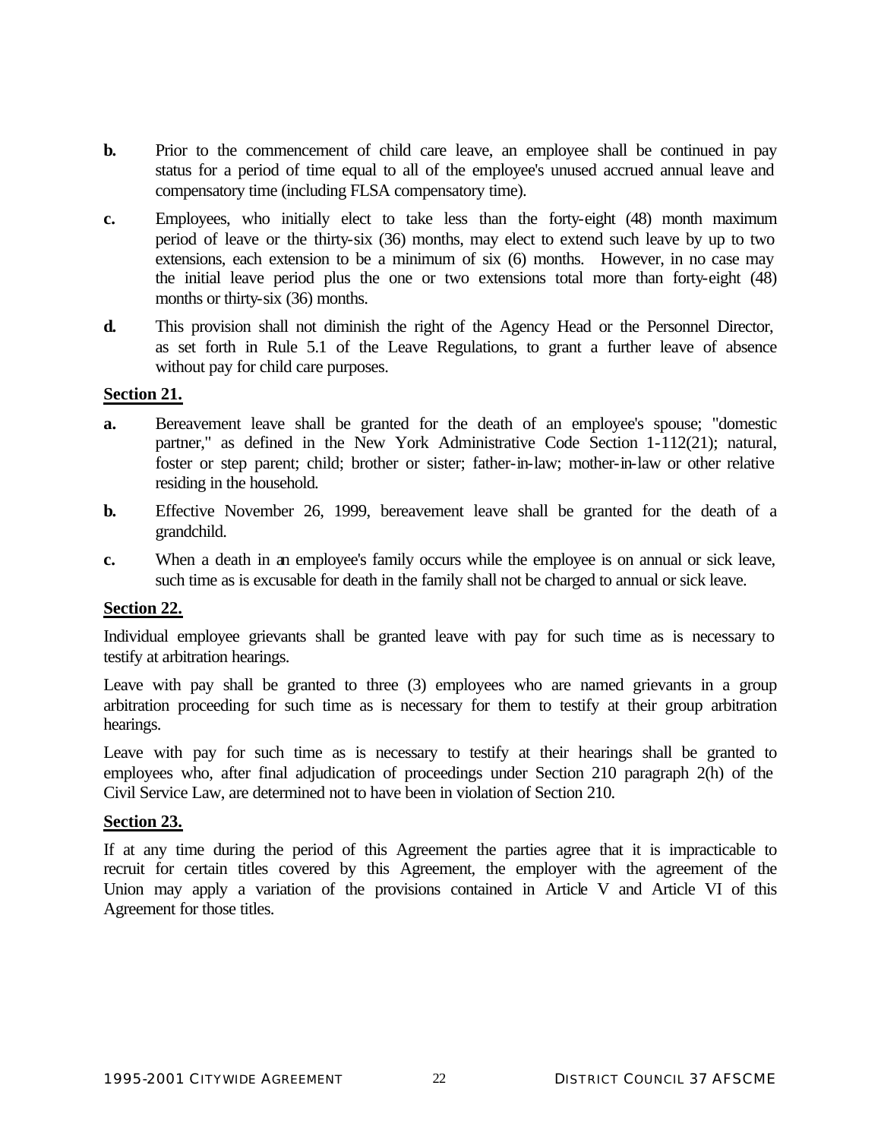- **b.** Prior to the commencement of child care leave, an employee shall be continued in pay status for a period of time equal to all of the employee's unused accrued annual leave and compensatory time (including FLSA compensatory time).
- **c.** Employees, who initially elect to take less than the forty-eight (48) month maximum period of leave or the thirty-six (36) months, may elect to extend such leave by up to two extensions, each extension to be a minimum of six (6) months. However, in no case may the initial leave period plus the one or two extensions total more than forty-eight (48) months or thirty-six (36) months.
- **d.** This provision shall not diminish the right of the Agency Head or the Personnel Director, as set forth in Rule 5.1 of the Leave Regulations, to grant a further leave of absence without pay for child care purposes.

## **Section 21.**

- **a.** Bereavement leave shall be granted for the death of an employee's spouse; "domestic partner," as defined in the New York Administrative Code Section 1-112(21); natural, foster or step parent; child; brother or sister; father-in-law; mother-in-law or other relative residing in the household.
- **b.** Effective November 26, 1999, bereavement leave shall be granted for the death of a grandchild.
- **c.** When a death in an employee's family occurs while the employee is on annual or sick leave, such time as is excusable for death in the family shall not be charged to annual or sick leave.

#### **Section 22.**

Individual employee grievants shall be granted leave with pay for such time as is necessary to testify at arbitration hearings.

Leave with pay shall be granted to three (3) employees who are named grievants in a group arbitration proceeding for such time as is necessary for them to testify at their group arbitration hearings.

Leave with pay for such time as is necessary to testify at their hearings shall be granted to employees who, after final adjudication of proceedings under Section 210 paragraph 2(h) of the Civil Service Law, are determined not to have been in violation of Section 210.

#### **Section 23.**

If at any time during the period of this Agreement the parties agree that it is impracticable to recruit for certain titles covered by this Agreement, the employer with the agreement of the Union may apply a variation of the provisions contained in Article V and Article VI of this Agreement for those titles.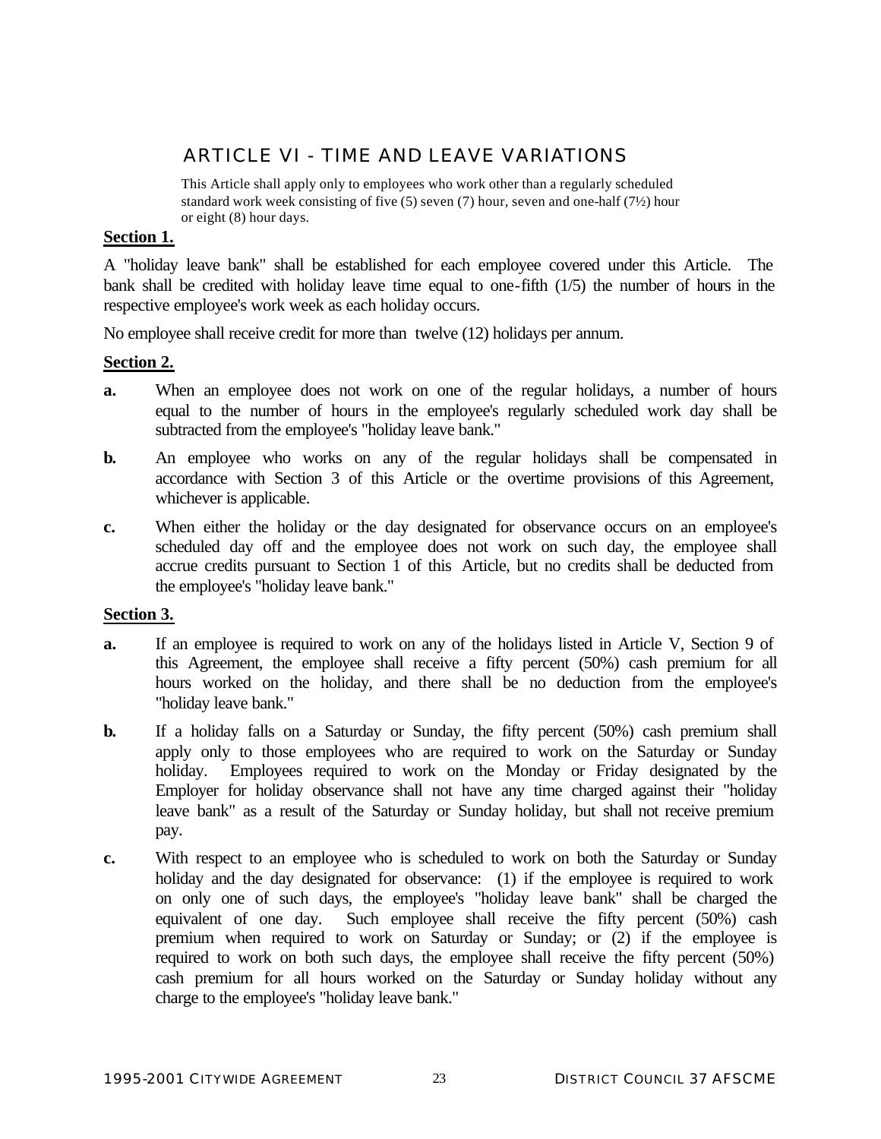# ARTICLE VI - TIME AND LEAVE VARIATIONS

This Article shall apply only to employees who work other than a regularly scheduled standard work week consisting of five (5) seven (7) hour, seven and one-half (7½) hour or eight (8) hour days.

# **Section 1.**

A "holiday leave bank" shall be established for each employee covered under this Article. The bank shall be credited with holiday leave time equal to one-fifth (1/5) the number of hours in the respective employee's work week as each holiday occurs.

No employee shall receive credit for more than twelve (12) holidays per annum.

## **Section 2.**

- **a.** When an employee does not work on one of the regular holidays, a number of hours equal to the number of hours in the employee's regularly scheduled work day shall be subtracted from the employee's "holiday leave bank."
- **b.** An employee who works on any of the regular holidays shall be compensated in accordance with Section 3 of this Article or the overtime provisions of this Agreement, whichever is applicable.
- **c.** When either the holiday or the day designated for observance occurs on an employee's scheduled day off and the employee does not work on such day, the employee shall accrue credits pursuant to Section 1 of this Article, but no credits shall be deducted from the employee's "holiday leave bank."

## **Section 3.**

- **a.** If an employee is required to work on any of the holidays listed in Article V, Section 9 of this Agreement, the employee shall receive a fifty percent (50%) cash premium for all hours worked on the holiday, and there shall be no deduction from the employee's "holiday leave bank."
- **b.** If a holiday falls on a Saturday or Sunday, the fifty percent (50%) cash premium shall apply only to those employees who are required to work on the Saturday or Sunday holiday. Employees required to work on the Monday or Friday designated by the Employer for holiday observance shall not have any time charged against their "holiday leave bank" as a result of the Saturday or Sunday holiday, but shall not receive premium pay.
- **c.** With respect to an employee who is scheduled to work on both the Saturday or Sunday holiday and the day designated for observance: (1) if the employee is required to work on only one of such days, the employee's "holiday leave bank" shall be charged the equivalent of one day. Such employee shall receive the fifty percent (50%) cash premium when required to work on Saturday or Sunday; or (2) if the employee is required to work on both such days, the employee shall receive the fifty percent (50%) cash premium for all hours worked on the Saturday or Sunday holiday without any charge to the employee's "holiday leave bank."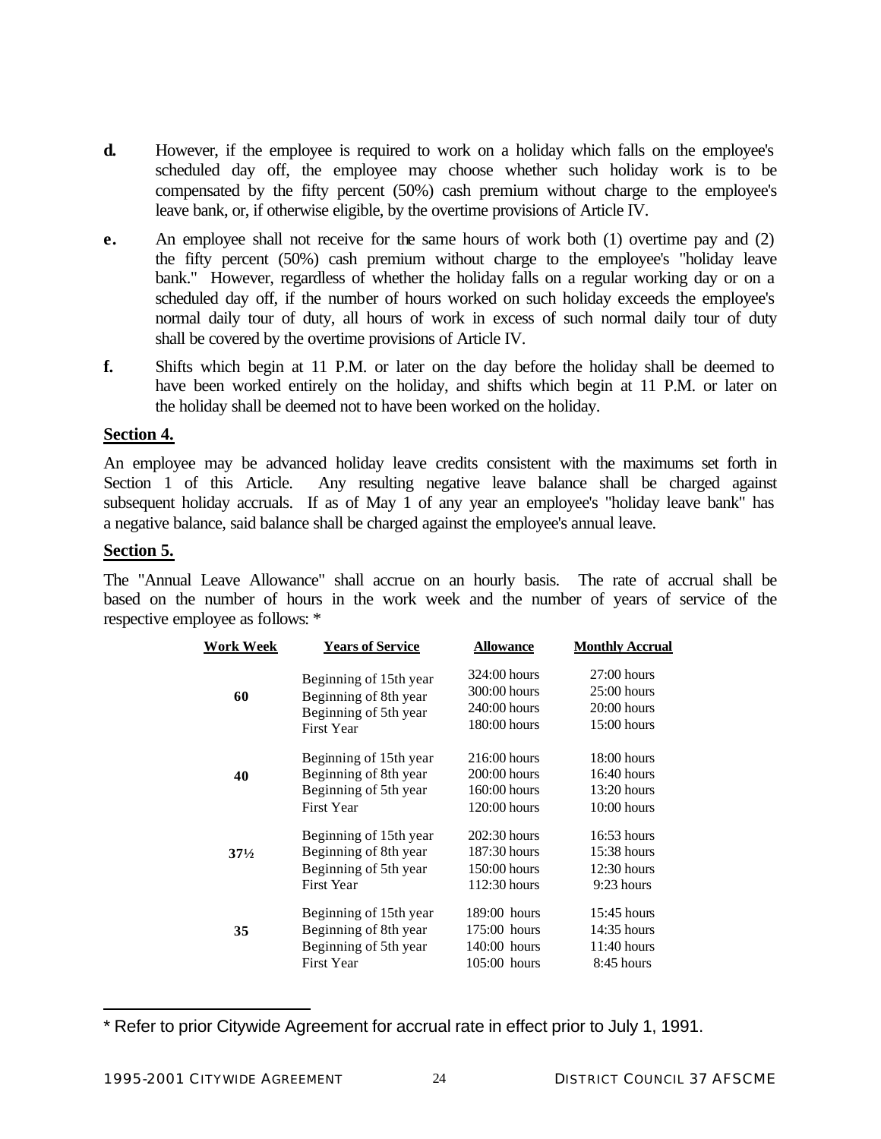- **d.** However, if the employee is required to work on a holiday which falls on the employee's scheduled day off, the employee may choose whether such holiday work is to be compensated by the fifty percent (50%) cash premium without charge to the employee's leave bank, or, if otherwise eligible, by the overtime provisions of Article IV.
- **e.** An employee shall not receive for the same hours of work both (1) overtime pay and (2) the fifty percent (50%) cash premium without charge to the employee's "holiday leave bank." However, regardless of whether the holiday falls on a regular working day or on a scheduled day off, if the number of hours worked on such holiday exceeds the employee's normal daily tour of duty, all hours of work in excess of such normal daily tour of duty shall be covered by the overtime provisions of Article IV.
- **f.** Shifts which begin at 11 P.M. or later on the day before the holiday shall be deemed to have been worked entirely on the holiday, and shifts which begin at 11 P.M. or later on the holiday shall be deemed not to have been worked on the holiday.

# **Section 4.**

An employee may be advanced holiday leave credits consistent with the maximums set forth in Section 1 of this Article. Any resulting negative leave balance shall be charged against subsequent holiday accruals. If as of May 1 of any year an employee's "holiday leave bank" has a negative balance, said balance shall be charged against the employee's annual leave.

## **Section 5.**

l

The "Annual Leave Allowance" shall accrue on an hourly basis. The rate of accrual shall be based on the number of hours in the work week and the number of years of service of the respective employee as follows: \*

| Work Week       | <b>Years of Service</b>                    | <b>Allowance</b> | <b>Monthly Accrual</b> |
|-----------------|--------------------------------------------|------------------|------------------------|
|                 | Beginning of 15th year                     | 324:00 hours     | $27:00$ hours          |
| 60              | Beginning of 8th year                      | 300:00 hours     | $25:00$ hours          |
|                 | Beginning of 5th year<br><b>First Year</b> | 240:00 hours     | $20:00$ hours          |
|                 |                                            | $180:00$ hours   | $15:00$ hours          |
|                 | Beginning of 15th year                     | $216:00$ hours   | $18:00$ hours          |
| 40              | Beginning of 8th year                      | $200:00$ hours   | $16:40$ hours          |
|                 | Beginning of 5th year                      | $160:00$ hours   | $13:20$ hours          |
|                 | <b>First Year</b>                          | 120:00 hours     | $10:00$ hours          |
|                 | Beginning of 15th year                     | $202:30$ hours   | $16:53$ hours          |
| $37\frac{1}{2}$ | Beginning of 8th year                      | 187:30 hours     | $15:38$ hours          |
|                 | Beginning of 5th year                      | $150:00$ hours   | $12:30$ hours          |
|                 | <b>First Year</b>                          | $112:30$ hours   | $9:23$ hours           |
|                 | Beginning of 15th year                     | $189:00$ hours   | $15:45$ hours          |
| 35              | Beginning of 8th year                      | $175:00$ hours   | 14:35 hours            |
|                 | Beginning of 5th year                      | $140:00$ hours   | $11:40$ hours          |
|                 | <b>First Year</b>                          | $105:00$ hours   | 8:45 hours             |

<sup>\*</sup> Refer to prior Citywide Agreement for accrual rate in effect prior to July 1, 1991.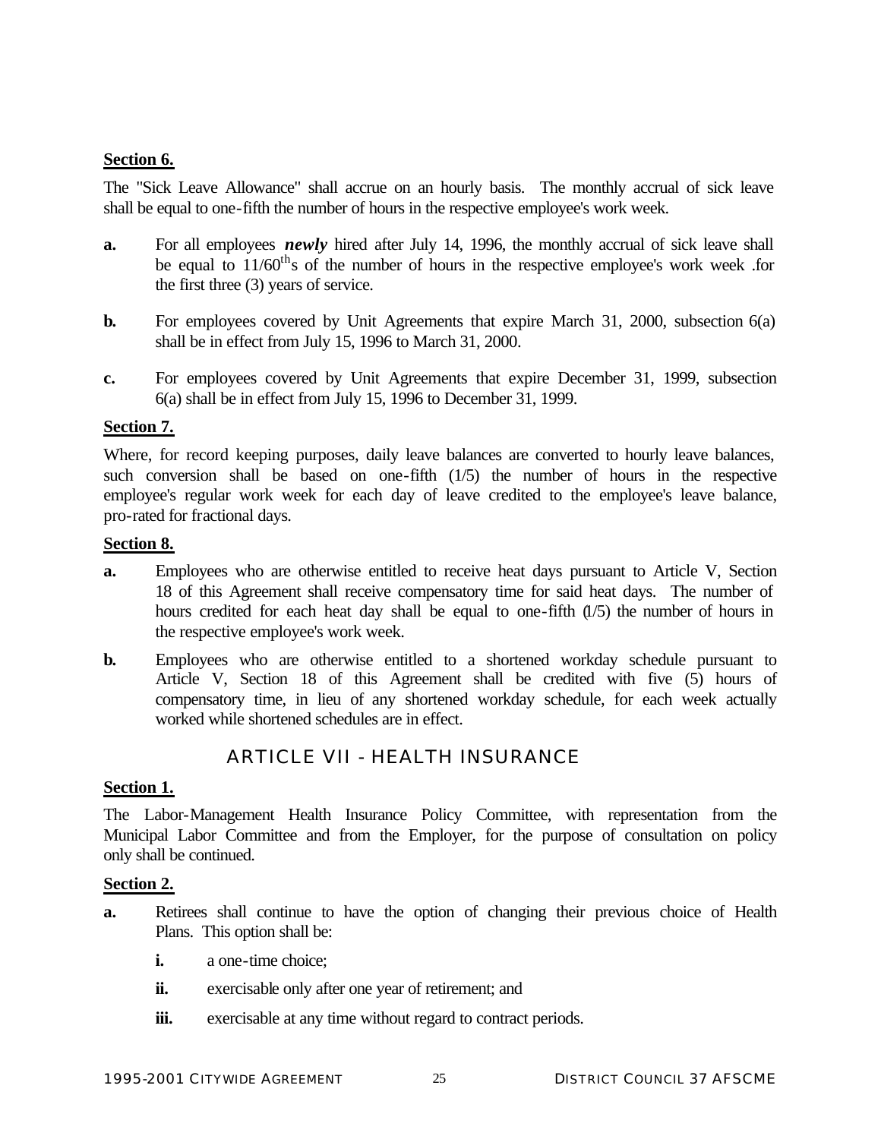# **Section 6.**

The "Sick Leave Allowance" shall accrue on an hourly basis. The monthly accrual of sick leave shall be equal to one-fifth the number of hours in the respective employee's work week.

- **a.** For all employees *newly* hired after July 14, 1996, the monthly accrual of sick leave shall be equal to  $11/60^{th}$ s of the number of hours in the respective employee's work week .for the first three (3) years of service.
- **b.** For employees covered by Unit Agreements that expire March 31, 2000, subsection 6(a) shall be in effect from July 15, 1996 to March 31, 2000.
- **c.** For employees covered by Unit Agreements that expire December 31, 1999, subsection 6(a) shall be in effect from July 15, 1996 to December 31, 1999.

## **Section 7.**

Where, for record keeping purposes, daily leave balances are converted to hourly leave balances, such conversion shall be based on one-fifth (1/5) the number of hours in the respective employee's regular work week for each day of leave credited to the employee's leave balance, pro-rated for fractional days.

## **Section 8.**

- **a.** Employees who are otherwise entitled to receive heat days pursuant to Article V, Section 18 of this Agreement shall receive compensatory time for said heat days. The number of hours credited for each heat day shall be equal to one-fifth (1/5) the number of hours in the respective employee's work week.
- **b.** Employees who are otherwise entitled to a shortened workday schedule pursuant to Article V, Section 18 of this Agreement shall be credited with five (5) hours of compensatory time, in lieu of any shortened workday schedule, for each week actually worked while shortened schedules are in effect.

# ARTICLE VII - HEALTH INSURANCE

## **Section 1.**

The Labor-Management Health Insurance Policy Committee, with representation from the Municipal Labor Committee and from the Employer, for the purpose of consultation on policy only shall be continued.

#### **Section 2.**

- **a.** Retirees shall continue to have the option of changing their previous choice of Health Plans. This option shall be:
	- **i.** a one-time choice;
	- **ii.** exercisable only after one year of retirement; and
	- **iii.** exercisable at any time without regard to contract periods.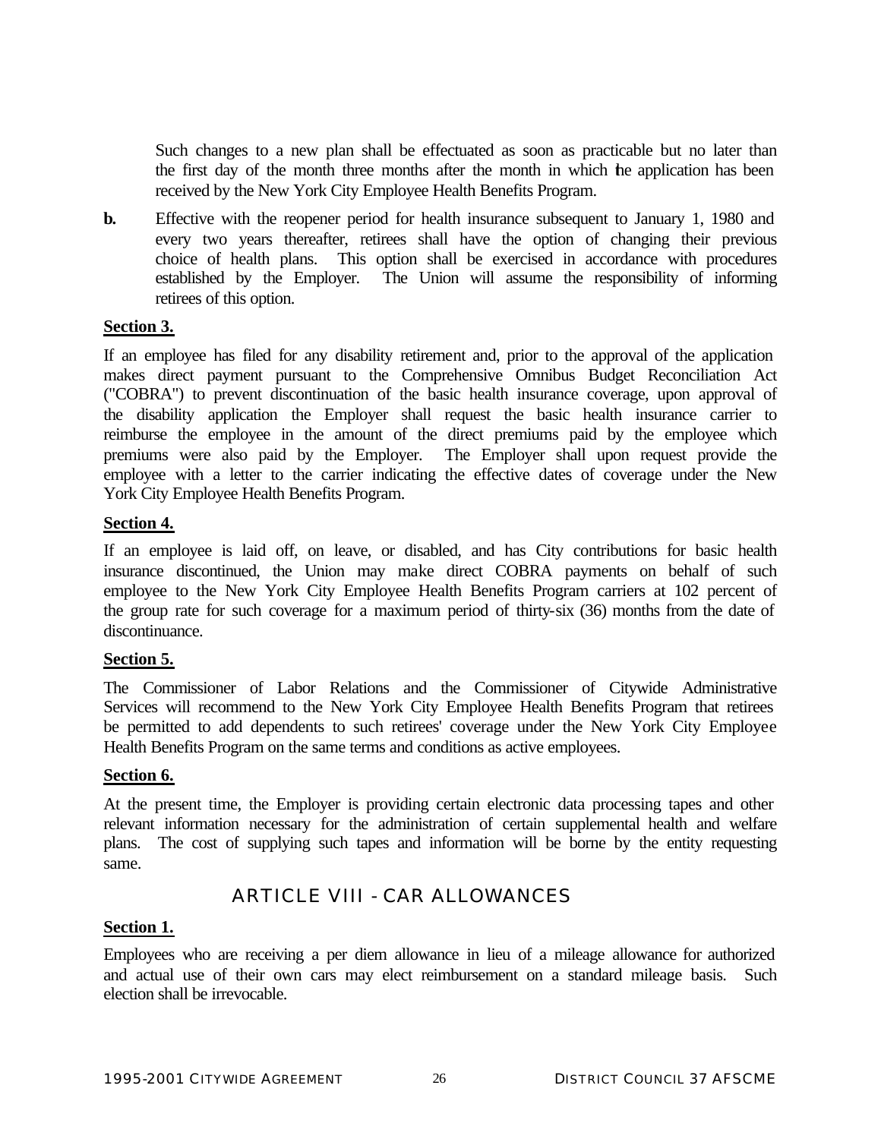Such changes to a new plan shall be effectuated as soon as practicable but no later than the first day of the month three months after the month in which the application has been received by the New York City Employee Health Benefits Program.

**b.** Effective with the reopener period for health insurance subsequent to January 1, 1980 and every two years thereafter, retirees shall have the option of changing their previous choice of health plans. This option shall be exercised in accordance with procedures established by the Employer. The Union will assume the responsibility of informing retirees of this option.

## **Section 3.**

If an employee has filed for any disability retirement and, prior to the approval of the application makes direct payment pursuant to the Comprehensive Omnibus Budget Reconciliation Act ("COBRA") to prevent discontinuation of the basic health insurance coverage, upon approval of the disability application the Employer shall request the basic health insurance carrier to reimburse the employee in the amount of the direct premiums paid by the employee which premiums were also paid by the Employer. The Employer shall upon request provide the employee with a letter to the carrier indicating the effective dates of coverage under the New York City Employee Health Benefits Program.

#### **Section 4.**

If an employee is laid off, on leave, or disabled, and has City contributions for basic health insurance discontinued, the Union may make direct COBRA payments on behalf of such employee to the New York City Employee Health Benefits Program carriers at 102 percent of the group rate for such coverage for a maximum period of thirty-six (36) months from the date of discontinuance.

#### **Section 5.**

The Commissioner of Labor Relations and the Commissioner of Citywide Administrative Services will recommend to the New York City Employee Health Benefits Program that retirees be permitted to add dependents to such retirees' coverage under the New York City Employee Health Benefits Program on the same terms and conditions as active employees.

#### **Section 6.**

At the present time, the Employer is providing certain electronic data processing tapes and other relevant information necessary for the administration of certain supplemental health and welfare plans. The cost of supplying such tapes and information will be borne by the entity requesting same.

# ARTICLE VIII - CAR ALLOWANCES

## **Section 1.**

Employees who are receiving a per diem allowance in lieu of a mileage allowance for authorized and actual use of their own cars may elect reimbursement on a standard mileage basis. Such election shall be irrevocable.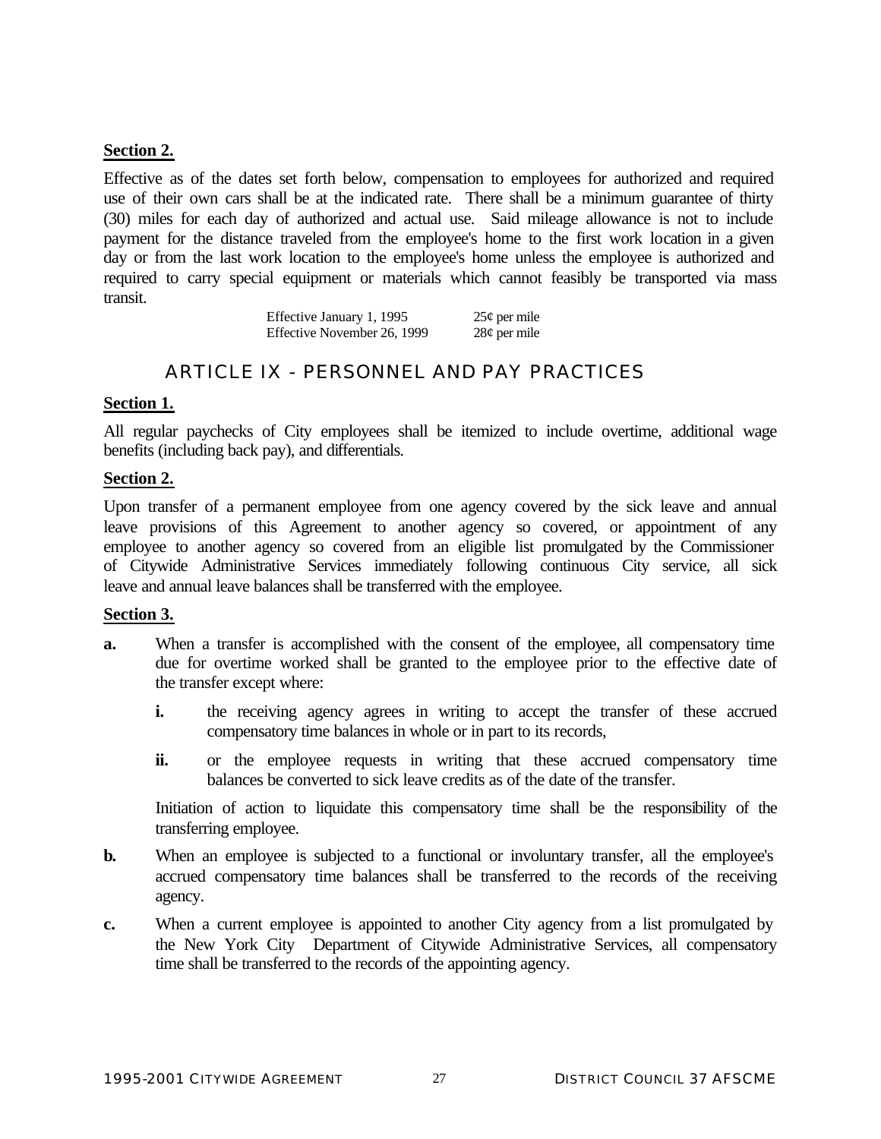## **Section 2.**

Effective as of the dates set forth below, compensation to employees for authorized and required use of their own cars shall be at the indicated rate. There shall be a minimum guarantee of thirty (30) miles for each day of authorized and actual use. Said mileage allowance is not to include payment for the distance traveled from the employee's home to the first work location in a given day or from the last work location to the employee's home unless the employee is authorized and required to carry special equipment or materials which cannot feasibly be transported via mass transit.

> Effective January 1, 1995  $25¢$  per mile Effective November 26, 1999 28¢ per mile

# ARTICLE IX - PERSONNEL AND PAY PRACTICES

## **Section 1.**

All regular paychecks of City employees shall be itemized to include overtime, additional wage benefits (including back pay), and differentials.

#### **Section 2.**

Upon transfer of a permanent employee from one agency covered by the sick leave and annual leave provisions of this Agreement to another agency so covered, or appointment of any employee to another agency so covered from an eligible list promulgated by the Commissioner of Citywide Administrative Services immediately following continuous City service, all sick leave and annual leave balances shall be transferred with the employee.

#### **Section 3.**

- **a.** When a transfer is accomplished with the consent of the employee, all compensatory time due for overtime worked shall be granted to the employee prior to the effective date of the transfer except where:
	- **i.** the receiving agency agrees in writing to accept the transfer of these accrued compensatory time balances in whole or in part to its records,
	- **ii.** or the employee requests in writing that these accrued compensatory time balances be converted to sick leave credits as of the date of the transfer.

Initiation of action to liquidate this compensatory time shall be the responsibility of the transferring employee.

- **b.** When an employee is subjected to a functional or involuntary transfer, all the employee's accrued compensatory time balances shall be transferred to the records of the receiving agency.
- **c.** When a current employee is appointed to another City agency from a list promulgated by the New York City Department of Citywide Administrative Services, all compensatory time shall be transferred to the records of the appointing agency.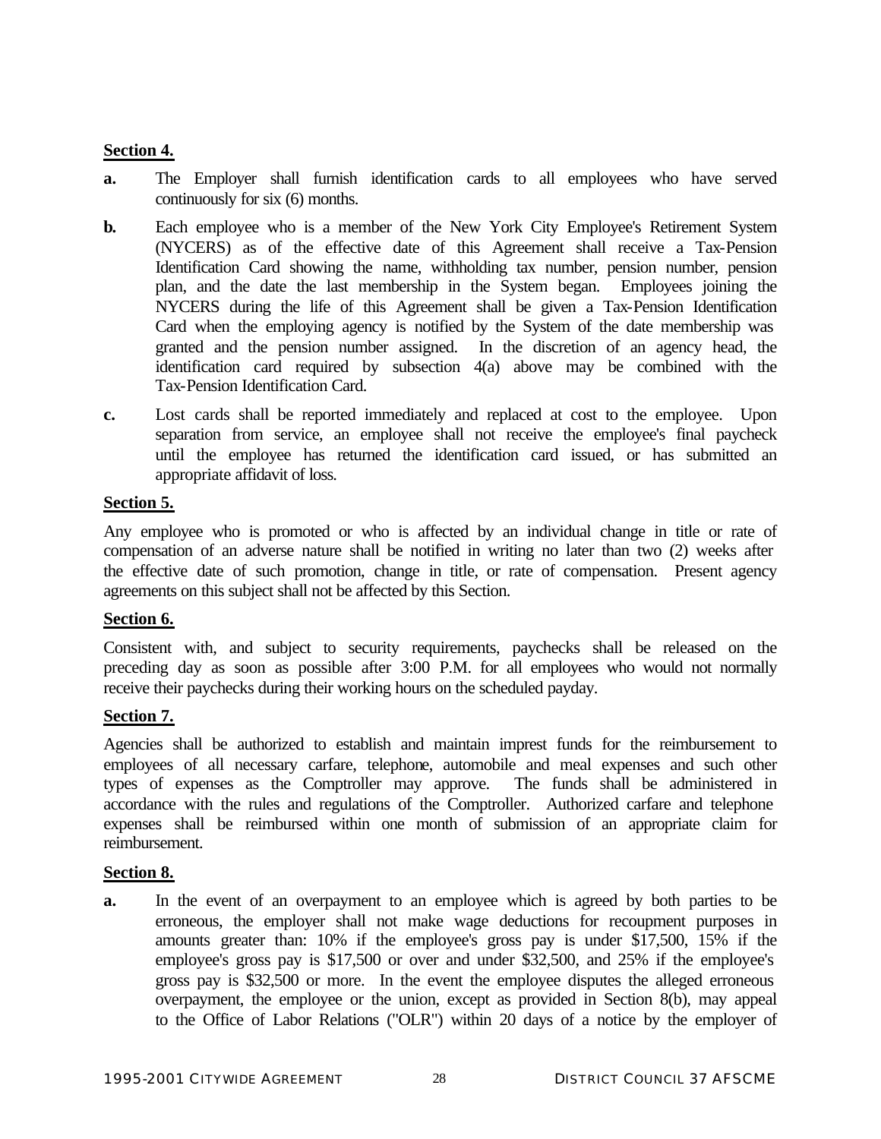# **Section 4.**

- **a.** The Employer shall furnish identification cards to all employees who have served continuously for six (6) months.
- **b.** Each employee who is a member of the New York City Employee's Retirement System (NYCERS) as of the effective date of this Agreement shall receive a Tax-Pension Identification Card showing the name, withholding tax number, pension number, pension plan, and the date the last membership in the System began. Employees joining the NYCERS during the life of this Agreement shall be given a Tax-Pension Identification Card when the employing agency is notified by the System of the date membership was granted and the pension number assigned. In the discretion of an agency head, the identification card required by subsection 4(a) above may be combined with the Tax-Pension Identification Card.
- **c.** Lost cards shall be reported immediately and replaced at cost to the employee. Upon separation from service, an employee shall not receive the employee's final paycheck until the employee has returned the identification card issued, or has submitted an appropriate affidavit of loss.

## **Section 5.**

Any employee who is promoted or who is affected by an individual change in title or rate of compensation of an adverse nature shall be notified in writing no later than two (2) weeks after the effective date of such promotion, change in title, or rate of compensation. Present agency agreements on this subject shall not be affected by this Section.

## **Section 6.**

Consistent with, and subject to security requirements, paychecks shall be released on the preceding day as soon as possible after 3:00 P.M. for all employees who would not normally receive their paychecks during their working hours on the scheduled payday.

# **Section 7.**

Agencies shall be authorized to establish and maintain imprest funds for the reimbursement to employees of all necessary carfare, telephone, automobile and meal expenses and such other types of expenses as the Comptroller may approve. The funds shall be administered in accordance with the rules and regulations of the Comptroller. Authorized carfare and telephone expenses shall be reimbursed within one month of submission of an appropriate claim for reimbursement.

## **Section 8.**

**a.** In the event of an overpayment to an employee which is agreed by both parties to be erroneous, the employer shall not make wage deductions for recoupment purposes in amounts greater than: 10% if the employee's gross pay is under \$17,500, 15% if the employee's gross pay is \$17,500 or over and under \$32,500, and 25% if the employee's gross pay is \$32,500 or more. In the event the employee disputes the alleged erroneous overpayment, the employee or the union, except as provided in Section 8(b), may appeal to the Office of Labor Relations ("OLR") within 20 days of a notice by the employer of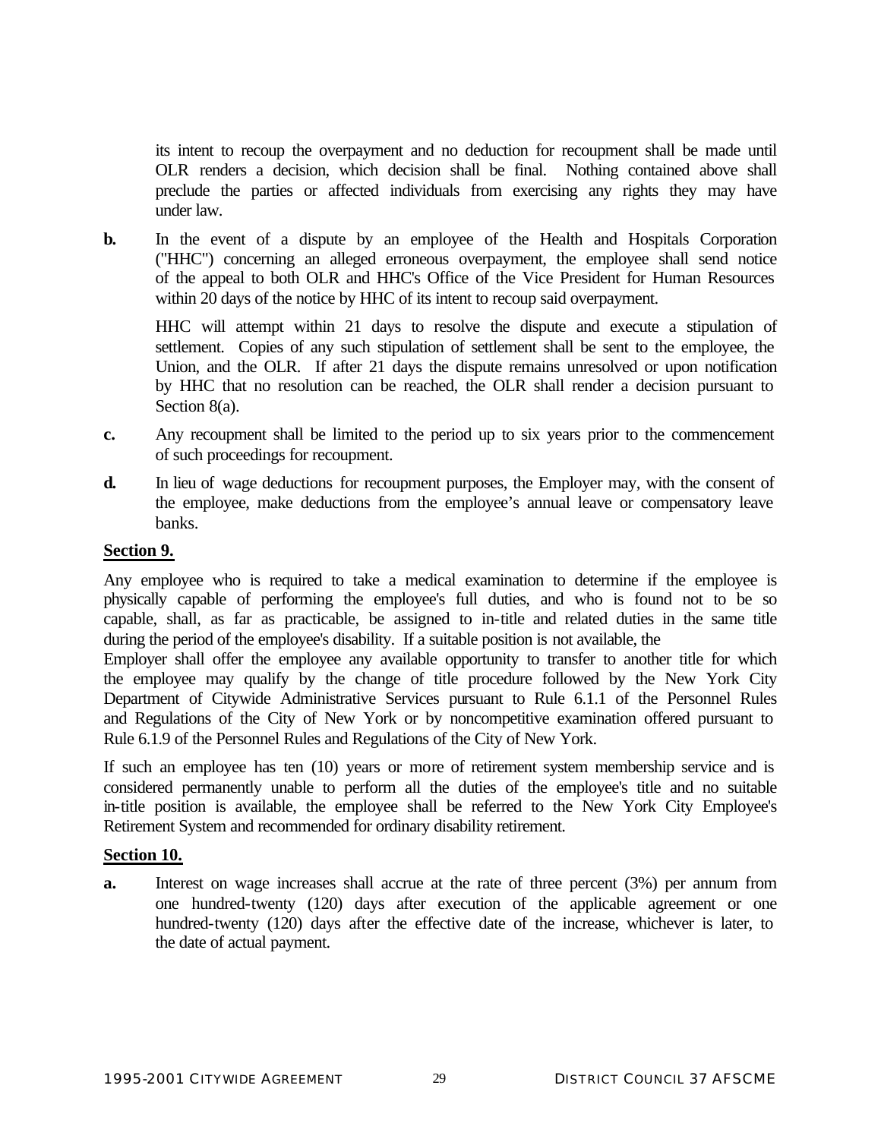its intent to recoup the overpayment and no deduction for recoupment shall be made until OLR renders a decision, which decision shall be final. Nothing contained above shall preclude the parties or affected individuals from exercising any rights they may have under law.

**b.** In the event of a dispute by an employee of the Health and Hospitals Corporation ("HHC") concerning an alleged erroneous overpayment, the employee shall send notice of the appeal to both OLR and HHC's Office of the Vice President for Human Resources within 20 days of the notice by HHC of its intent to recoup said overpayment.

HHC will attempt within 21 days to resolve the dispute and execute a stipulation of settlement. Copies of any such stipulation of settlement shall be sent to the employee, the Union, and the OLR. If after 21 days the dispute remains unresolved or upon notification by HHC that no resolution can be reached, the OLR shall render a decision pursuant to Section 8(a).

- **c.** Any recoupment shall be limited to the period up to six years prior to the commencement of such proceedings for recoupment.
- **d.** In lieu of wage deductions for recoupment purposes, the Employer may, with the consent of the employee, make deductions from the employee's annual leave or compensatory leave banks.

# **Section 9.**

Any employee who is required to take a medical examination to determine if the employee is physically capable of performing the employee's full duties, and who is found not to be so capable, shall, as far as practicable, be assigned to in-title and related duties in the same title during the period of the employee's disability. If a suitable position is not available, the

Employer shall offer the employee any available opportunity to transfer to another title for which the employee may qualify by the change of title procedure followed by the New York City Department of Citywide Administrative Services pursuant to Rule 6.1.1 of the Personnel Rules and Regulations of the City of New York or by noncompetitive examination offered pursuant to Rule 6.1.9 of the Personnel Rules and Regulations of the City of New York.

If such an employee has ten (10) years or more of retirement system membership service and is considered permanently unable to perform all the duties of the employee's title and no suitable in-title position is available, the employee shall be referred to the New York City Employee's Retirement System and recommended for ordinary disability retirement.

## **Section 10.**

**a.** Interest on wage increases shall accrue at the rate of three percent (3%) per annum from one hundred-twenty (120) days after execution of the applicable agreement or one hundred-twenty (120) days after the effective date of the increase, whichever is later, to the date of actual payment.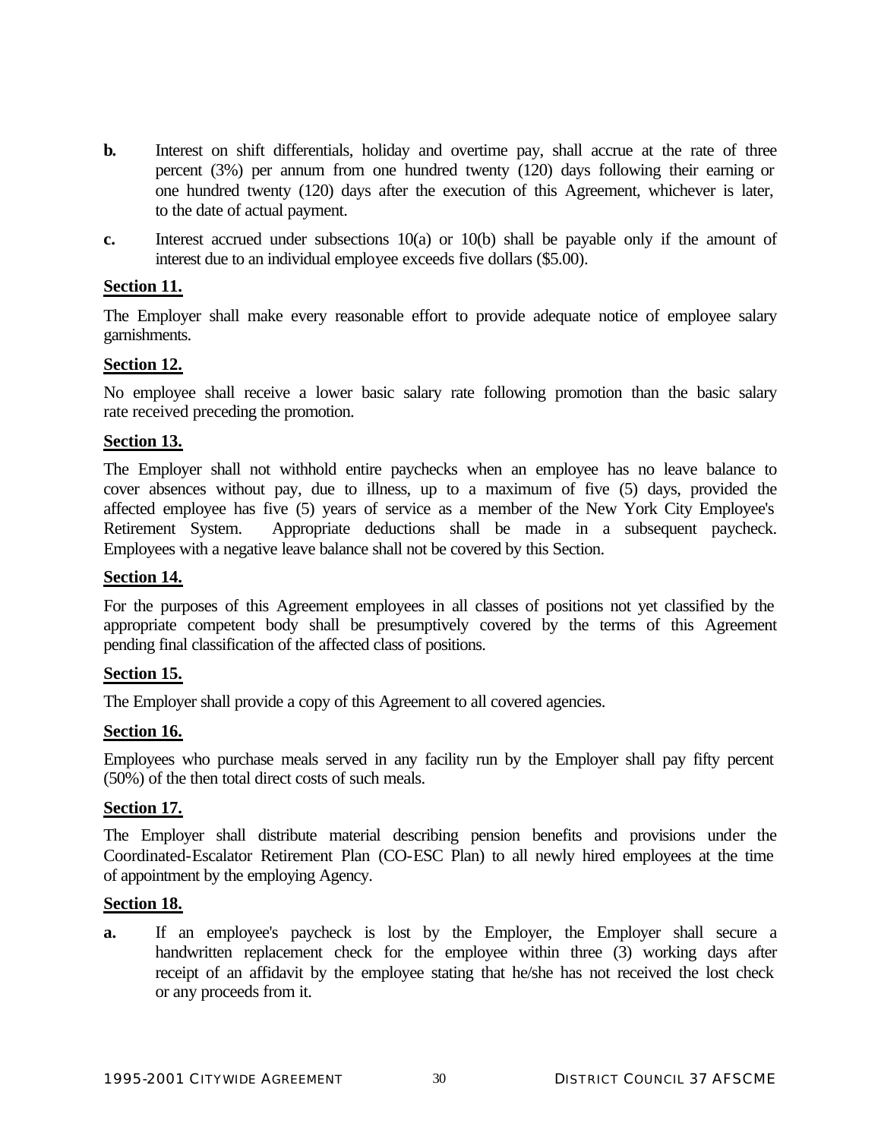- **b.** Interest on shift differentials, holiday and overtime pay, shall accrue at the rate of three percent (3%) per annum from one hundred twenty (120) days following their earning or one hundred twenty (120) days after the execution of this Agreement, whichever is later, to the date of actual payment.
- **c.** Interest accrued under subsections 10(a) or 10(b) shall be payable only if the amount of interest due to an individual employee exceeds five dollars (\$5.00).

## **Section 11.**

The Employer shall make every reasonable effort to provide adequate notice of employee salary garnishments.

#### **Section 12.**

No employee shall receive a lower basic salary rate following promotion than the basic salary rate received preceding the promotion.

#### **Section 13.**

The Employer shall not withhold entire paychecks when an employee has no leave balance to cover absences without pay, due to illness, up to a maximum of five (5) days, provided the affected employee has five (5) years of service as a member of the New York City Employee's Retirement System. Appropriate deductions shall be made in a subsequent paycheck. Employees with a negative leave balance shall not be covered by this Section.

#### **Section 14.**

For the purposes of this Agreement employees in all classes of positions not yet classified by the appropriate competent body shall be presumptively covered by the terms of this Agreement pending final classification of the affected class of positions.

#### **Section 15.**

The Employer shall provide a copy of this Agreement to all covered agencies.

## **Section 16.**

Employees who purchase meals served in any facility run by the Employer shall pay fifty percent (50%) of the then total direct costs of such meals.

#### **Section 17.**

The Employer shall distribute material describing pension benefits and provisions under the Coordinated-Escalator Retirement Plan (CO-ESC Plan) to all newly hired employees at the time of appointment by the employing Agency.

#### **Section 18.**

**a.** If an employee's paycheck is lost by the Employer, the Employer shall secure a handwritten replacement check for the employee within three (3) working days after receipt of an affidavit by the employee stating that he/she has not received the lost check or any proceeds from it.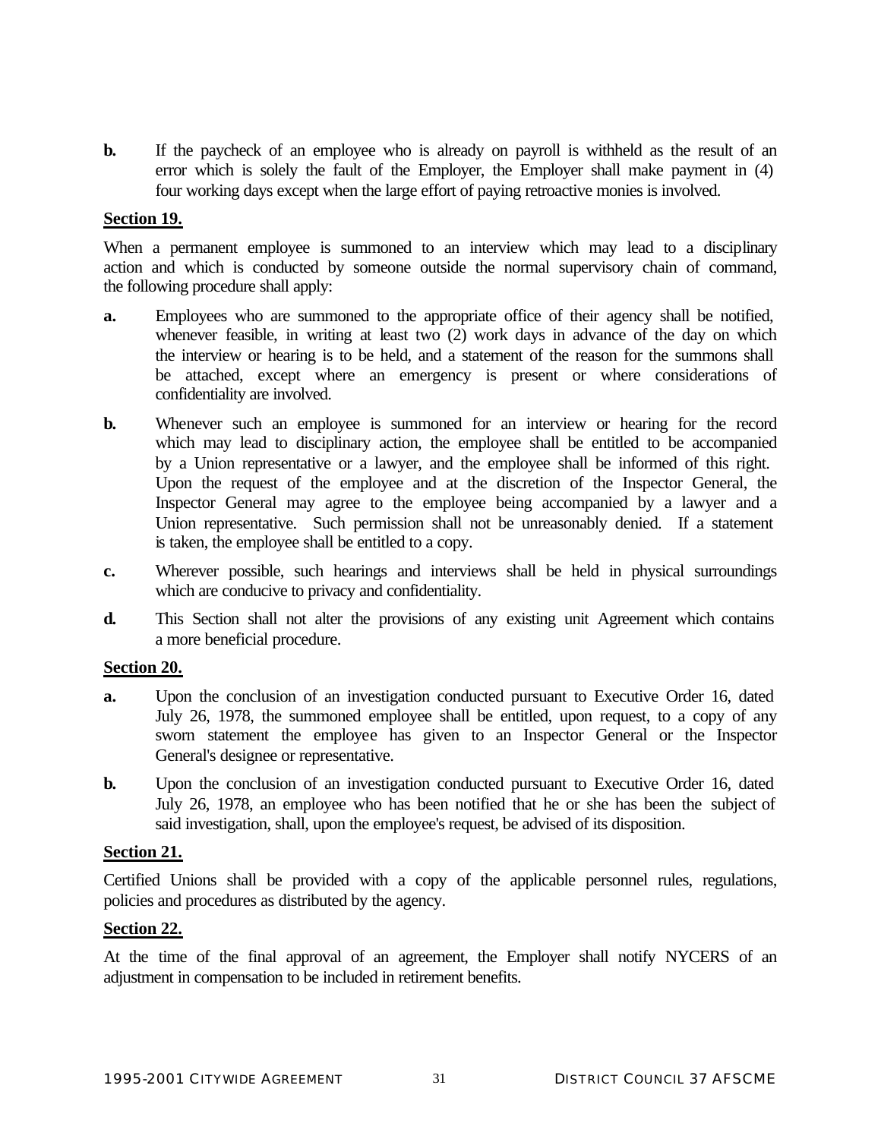**b.** If the paycheck of an employee who is already on payroll is withheld as the result of an error which is solely the fault of the Employer, the Employer shall make payment in (4) four working days except when the large effort of paying retroactive monies is involved.

#### **Section 19.**

When a permanent employee is summoned to an interview which may lead to a disciplinary action and which is conducted by someone outside the normal supervisory chain of command, the following procedure shall apply:

- **a.** Employees who are summoned to the appropriate office of their agency shall be notified, whenever feasible, in writing at least two (2) work days in advance of the day on which the interview or hearing is to be held, and a statement of the reason for the summons shall be attached, except where an emergency is present or where considerations of confidentiality are involved.
- **b.** Whenever such an employee is summoned for an interview or hearing for the record which may lead to disciplinary action, the employee shall be entitled to be accompanied by a Union representative or a lawyer, and the employee shall be informed of this right. Upon the request of the employee and at the discretion of the Inspector General, the Inspector General may agree to the employee being accompanied by a lawyer and a Union representative. Such permission shall not be unreasonably denied. If a statement is taken, the employee shall be entitled to a copy.
- **c.** Wherever possible, such hearings and interviews shall be held in physical surroundings which are conducive to privacy and confidentiality.
- **d.** This Section shall not alter the provisions of any existing unit Agreement which contains a more beneficial procedure.

#### **Section 20.**

- **a.** Upon the conclusion of an investigation conducted pursuant to Executive Order 16, dated July 26, 1978, the summoned employee shall be entitled, upon request, to a copy of any sworn statement the employee has given to an Inspector General or the Inspector General's designee or representative.
- **b.** Upon the conclusion of an investigation conducted pursuant to Executive Order 16, dated July 26, 1978, an employee who has been notified that he or she has been the subject of said investigation, shall, upon the employee's request, be advised of its disposition.

#### **Section 21.**

Certified Unions shall be provided with a copy of the applicable personnel rules, regulations, policies and procedures as distributed by the agency.

## **Section 22.**

At the time of the final approval of an agreement, the Employer shall notify NYCERS of an adjustment in compensation to be included in retirement benefits.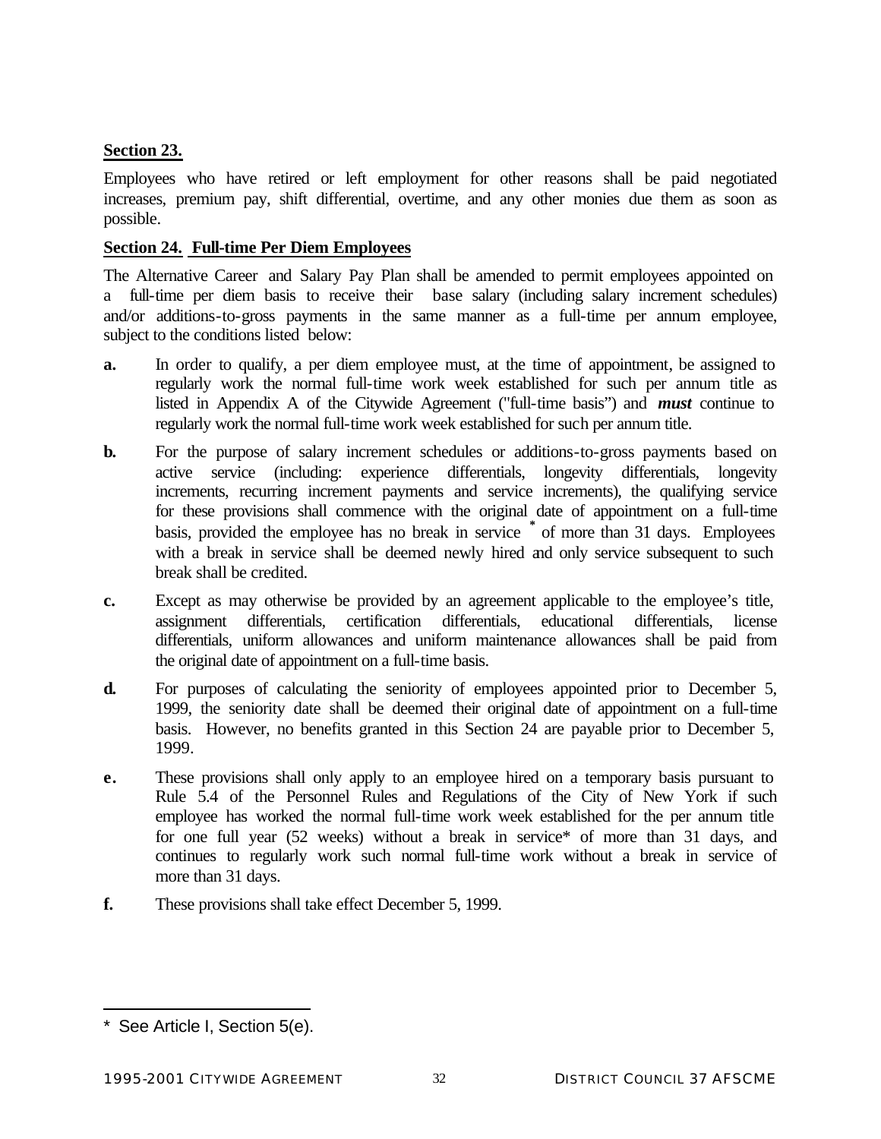# **Section 23.**

Employees who have retired or left employment for other reasons shall be paid negotiated increases, premium pay, shift differential, overtime, and any other monies due them as soon as possible.

## **Section 24. Full-time Per Diem Employees**

The Alternative Career and Salary Pay Plan shall be amended to permit employees appointed on a full-time per diem basis to receive their base salary (including salary increment schedules) and/or additions-to-gross payments in the same manner as a full-time per annum employee, subject to the conditions listed below:

- **a.** In order to qualify, a per diem employee must, at the time of appointment, be assigned to regularly work the normal full-time work week established for such per annum title as listed in Appendix A of the Citywide Agreement ("full-time basis") and *must* continue to regularly work the normal full-time work week established for such per annum title.
- **b.** For the purpose of salary increment schedules or additions-to-gross payments based on active service (including: experience differentials, longevity differentials, longevity increments, recurring increment payments and service increments), the qualifying service for these provisions shall commence with the original date of appointment on a full-time basis, provided the employee has no break in service **\*** of more than 31 days. Employees with a break in service shall be deemed newly hired and only service subsequent to such break shall be credited.
- **c.** Except as may otherwise be provided by an agreement applicable to the employee's title, assignment differentials, certification differentials, educational differentials, license differentials, uniform allowances and uniform maintenance allowances shall be paid from the original date of appointment on a full-time basis.
- **d.** For purposes of calculating the seniority of employees appointed prior to December 5, 1999, the seniority date shall be deemed their original date of appointment on a full-time basis. However, no benefits granted in this Section 24 are payable prior to December 5, 1999.
- **e.** These provisions shall only apply to an employee hired on a temporary basis pursuant to Rule 5.4 of the Personnel Rules and Regulations of the City of New York if such employee has worked the normal full-time work week established for the per annum title for one full year (52 weeks) without a break in service\* of more than 31 days, and continues to regularly work such normal full-time work without a break in service of more than 31 days.
- **f.** These provisions shall take effect December 5, 1999.

l

<sup>\*</sup> See Article I, Section 5(e).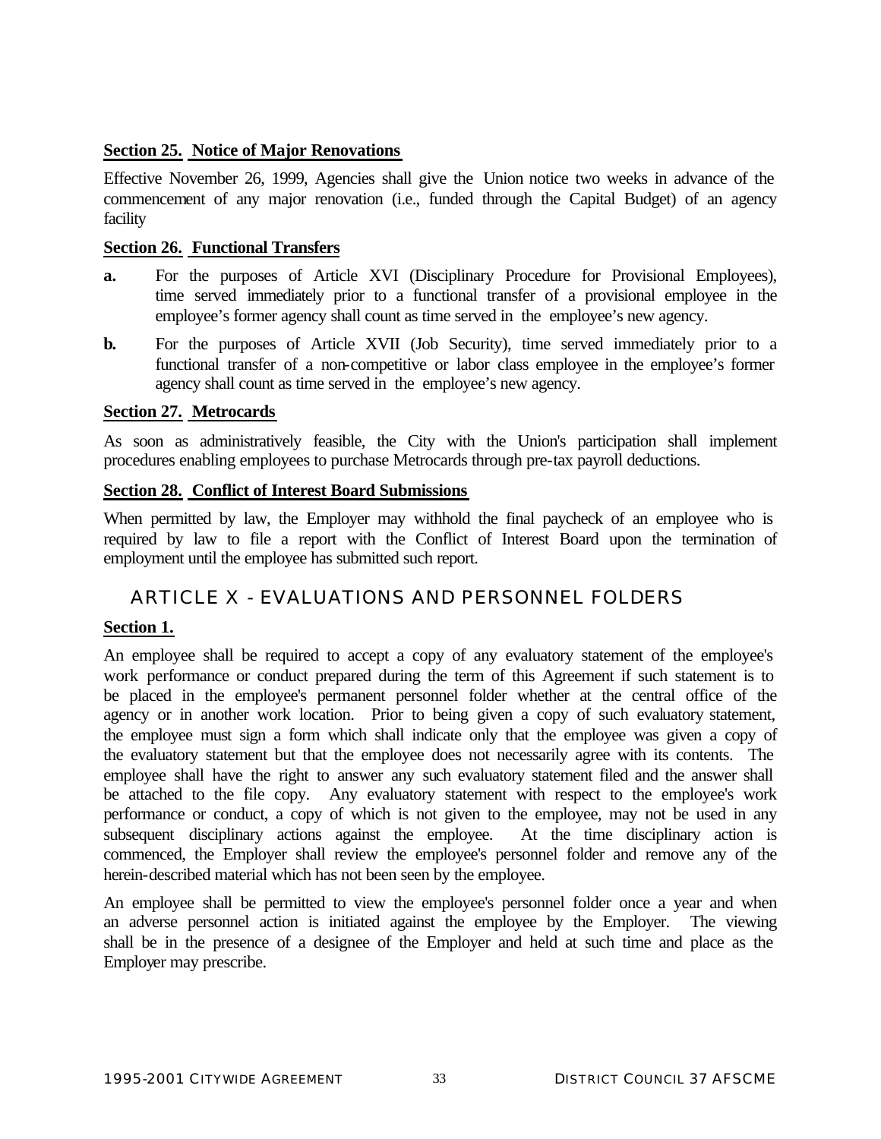## **Section 25. Notice of Major Renovations**

Effective November 26, 1999, Agencies shall give the Union notice two weeks in advance of the commencement of any major renovation (i.e., funded through the Capital Budget) of an agency facility

#### **Section 26. Functional Transfers**

- **a.** For the purposes of Article XVI (Disciplinary Procedure for Provisional Employees), time served immediately prior to a functional transfer of a provisional employee in the employee's former agency shall count as time served in the employee's new agency.
- **b.** For the purposes of Article XVII (Job Security), time served immediately prior to a functional transfer of a non-competitive or labor class employee in the employee's former agency shall count as time served in the employee's new agency.

#### **Section 27. Metrocards**

As soon as administratively feasible, the City with the Union's participation shall implement procedures enabling employees to purchase Metrocards through pre-tax payroll deductions.

#### **Section 28. Conflict of Interest Board Submissions**

When permitted by law, the Employer may withhold the final paycheck of an employee who is required by law to file a report with the Conflict of Interest Board upon the termination of employment until the employee has submitted such report.

# ARTICLE X - EVALUATIONS AND PERSONNEL FOLDERS

## **Section 1.**

An employee shall be required to accept a copy of any evaluatory statement of the employee's work performance or conduct prepared during the term of this Agreement if such statement is to be placed in the employee's permanent personnel folder whether at the central office of the agency or in another work location. Prior to being given a copy of such evaluatory statement, the employee must sign a form which shall indicate only that the employee was given a copy of the evaluatory statement but that the employee does not necessarily agree with its contents. The employee shall have the right to answer any such evaluatory statement filed and the answer shall be attached to the file copy. Any evaluatory statement with respect to the employee's work performance or conduct, a copy of which is not given to the employee, may not be used in any subsequent disciplinary actions against the employee. At the time disciplinary action is commenced, the Employer shall review the employee's personnel folder and remove any of the herein-described material which has not been seen by the employee.

An employee shall be permitted to view the employee's personnel folder once a year and when an adverse personnel action is initiated against the employee by the Employer. The viewing shall be in the presence of a designee of the Employer and held at such time and place as the Employer may prescribe.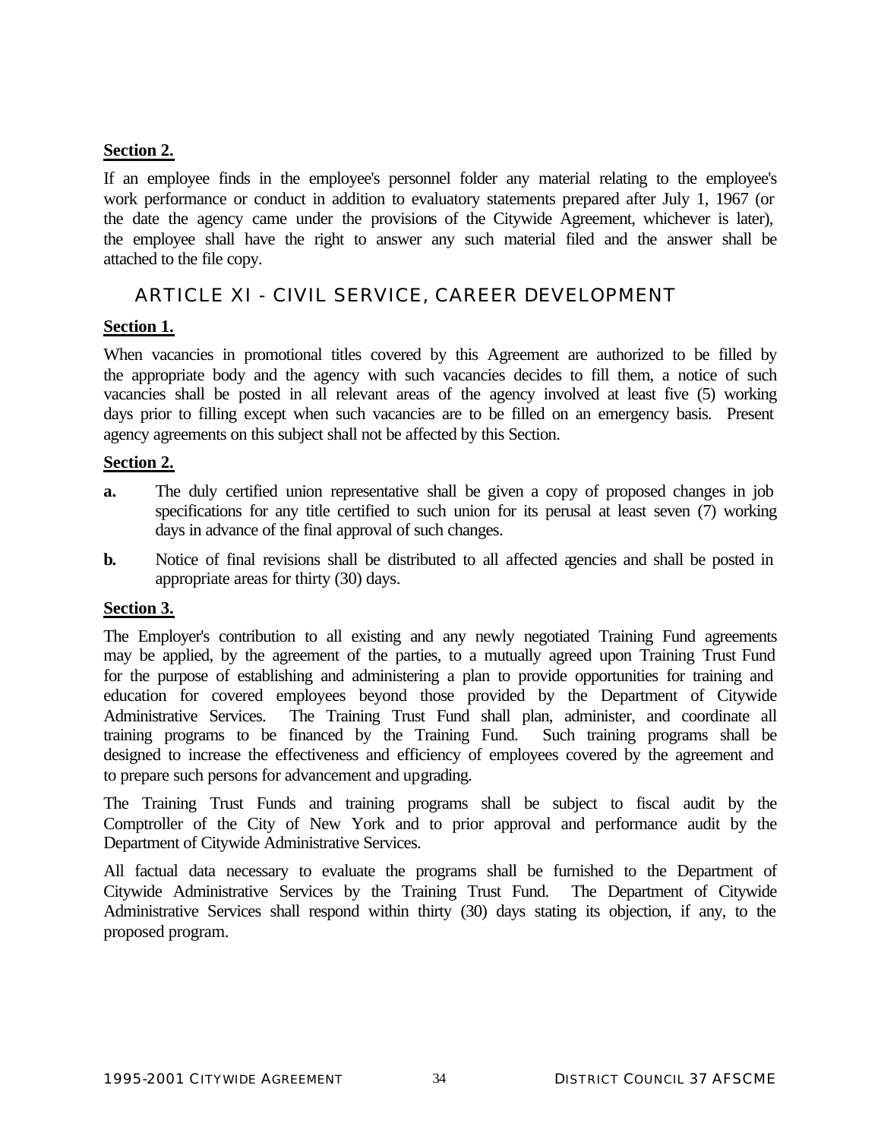# **Section 2.**

If an employee finds in the employee's personnel folder any material relating to the employee's work performance or conduct in addition to evaluatory statements prepared after July 1, 1967 (or the date the agency came under the provisions of the Citywide Agreement, whichever is later), the employee shall have the right to answer any such material filed and the answer shall be attached to the file copy.

# ARTICLE XI - CIVIL SERVICE, CAREER DEVELOPMENT

# **Section 1.**

When vacancies in promotional titles covered by this Agreement are authorized to be filled by the appropriate body and the agency with such vacancies decides to fill them, a notice of such vacancies shall be posted in all relevant areas of the agency involved at least five (5) working days prior to filling except when such vacancies are to be filled on an emergency basis. Present agency agreements on this subject shall not be affected by this Section.

# **Section 2.**

- **a.** The duly certified union representative shall be given a copy of proposed changes in job specifications for any title certified to such union for its perusal at least seven (7) working days in advance of the final approval of such changes.
- **b.** Notice of final revisions shall be distributed to all affected agencies and shall be posted in appropriate areas for thirty (30) days.

## **Section 3.**

The Employer's contribution to all existing and any newly negotiated Training Fund agreements may be applied, by the agreement of the parties, to a mutually agreed upon Training Trust Fund for the purpose of establishing and administering a plan to provide opportunities for training and education for covered employees beyond those provided by the Department of Citywide Administrative Services. The Training Trust Fund shall plan, administer, and coordinate all training programs to be financed by the Training Fund. Such training programs shall be designed to increase the effectiveness and efficiency of employees covered by the agreement and to prepare such persons for advancement and upgrading.

The Training Trust Funds and training programs shall be subject to fiscal audit by the Comptroller of the City of New York and to prior approval and performance audit by the Department of Citywide Administrative Services.

All factual data necessary to evaluate the programs shall be furnished to the Department of Citywide Administrative Services by the Training Trust Fund. The Department of Citywide Administrative Services shall respond within thirty (30) days stating its objection, if any, to the proposed program.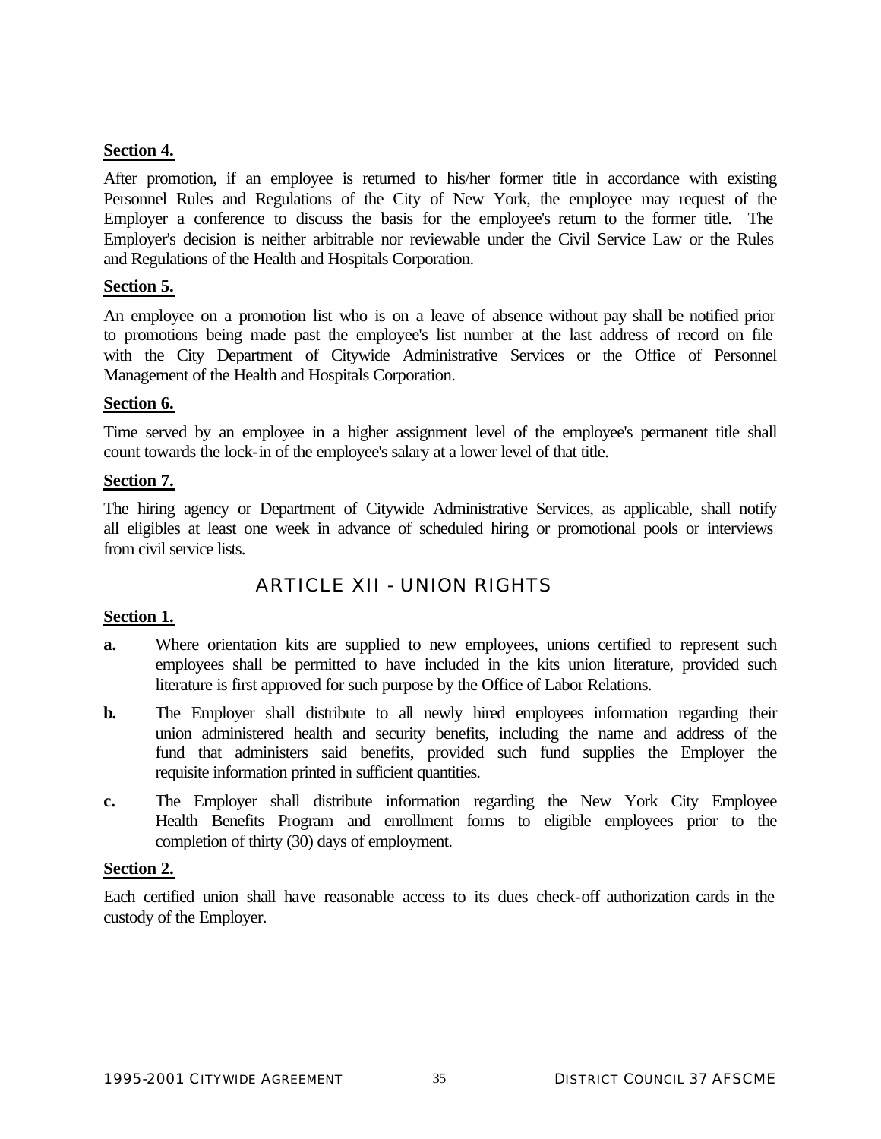# **Section 4.**

After promotion, if an employee is returned to his/her former title in accordance with existing Personnel Rules and Regulations of the City of New York, the employee may request of the Employer a conference to discuss the basis for the employee's return to the former title. The Employer's decision is neither arbitrable nor reviewable under the Civil Service Law or the Rules and Regulations of the Health and Hospitals Corporation.

## **Section 5.**

An employee on a promotion list who is on a leave of absence without pay shall be notified prior to promotions being made past the employee's list number at the last address of record on file with the City Department of Citywide Administrative Services or the Office of Personnel Management of the Health and Hospitals Corporation.

#### **Section 6.**

Time served by an employee in a higher assignment level of the employee's permanent title shall count towards the lock-in of the employee's salary at a lower level of that title.

#### **Section 7.**

The hiring agency or Department of Citywide Administrative Services, as applicable, shall notify all eligibles at least one week in advance of scheduled hiring or promotional pools or interviews from civil service lists.

# ARTICLE XII - UNION RIGHTS

## **Section 1.**

- **a.** Where orientation kits are supplied to new employees, unions certified to represent such employees shall be permitted to have included in the kits union literature, provided such literature is first approved for such purpose by the Office of Labor Relations.
- **b.** The Employer shall distribute to all newly hired employees information regarding their union administered health and security benefits, including the name and address of the fund that administers said benefits, provided such fund supplies the Employer the requisite information printed in sufficient quantities.
- **c.** The Employer shall distribute information regarding the New York City Employee Health Benefits Program and enrollment forms to eligible employees prior to the completion of thirty (30) days of employment.

## **Section 2.**

Each certified union shall have reasonable access to its dues check-off authorization cards in the custody of the Employer.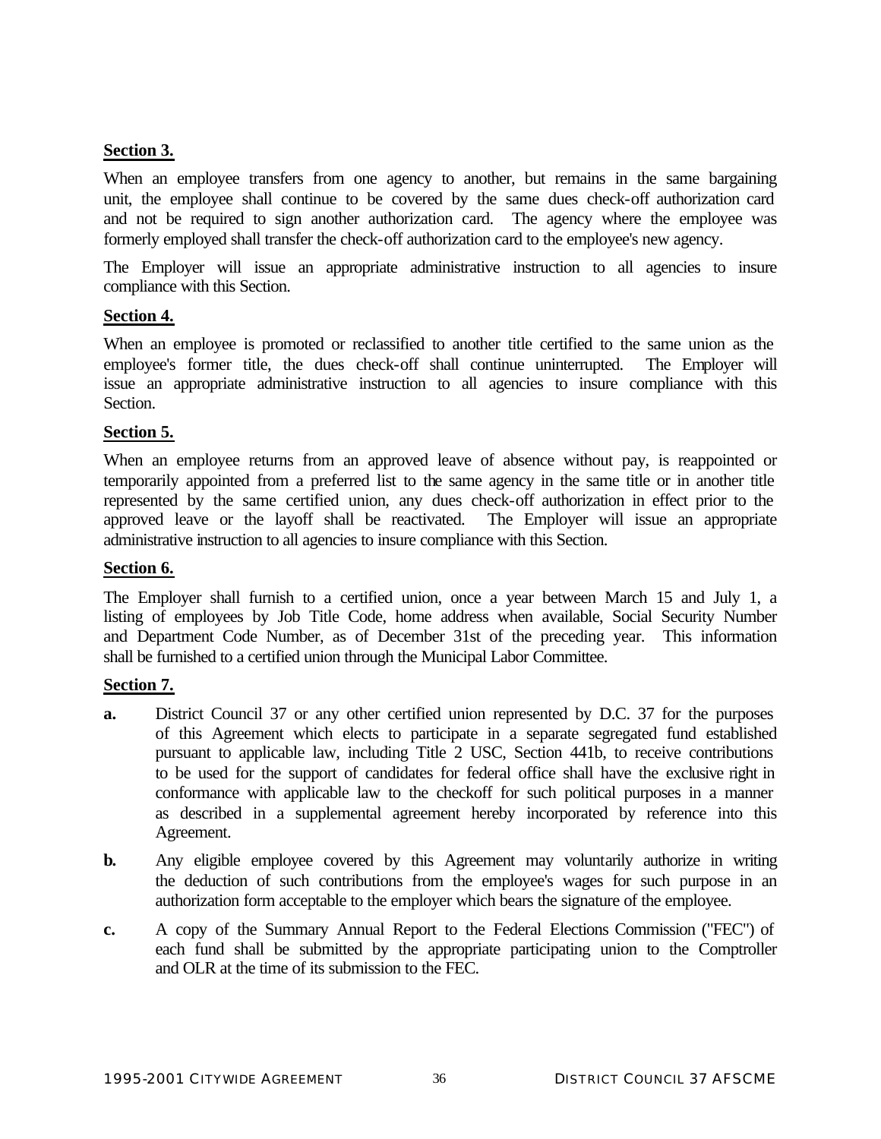## **Section 3.**

When an employee transfers from one agency to another, but remains in the same bargaining unit, the employee shall continue to be covered by the same dues check-off authorization card and not be required to sign another authorization card. The agency where the employee was formerly employed shall transfer the check-off authorization card to the employee's new agency.

The Employer will issue an appropriate administrative instruction to all agencies to insure compliance with this Section.

#### **Section 4.**

When an employee is promoted or reclassified to another title certified to the same union as the employee's former title, the dues check-off shall continue uninterrupted. The Employer will issue an appropriate administrative instruction to all agencies to insure compliance with this Section.

#### **Section 5.**

When an employee returns from an approved leave of absence without pay, is reappointed or temporarily appointed from a preferred list to the same agency in the same title or in another title represented by the same certified union, any dues check-off authorization in effect prior to the approved leave or the layoff shall be reactivated. The Employer will issue an appropriate administrative instruction to all agencies to insure compliance with this Section.

#### **Section 6.**

The Employer shall furnish to a certified union, once a year between March 15 and July 1, a listing of employees by Job Title Code, home address when available, Social Security Number and Department Code Number, as of December 31st of the preceding year. This information shall be furnished to a certified union through the Municipal Labor Committee.

#### **Section 7.**

- **a.** District Council 37 or any other certified union represented by D.C. 37 for the purposes of this Agreement which elects to participate in a separate segregated fund established pursuant to applicable law, including Title 2 USC, Section 441b, to receive contributions to be used for the support of candidates for federal office shall have the exclusive right in conformance with applicable law to the checkoff for such political purposes in a manner as described in a supplemental agreement hereby incorporated by reference into this Agreement.
- **b.** Any eligible employee covered by this Agreement may voluntarily authorize in writing the deduction of such contributions from the employee's wages for such purpose in an authorization form acceptable to the employer which bears the signature of the employee.
- **c.** A copy of the Summary Annual Report to the Federal Elections Commission ("FEC") of each fund shall be submitted by the appropriate participating union to the Comptroller and OLR at the time of its submission to the FEC.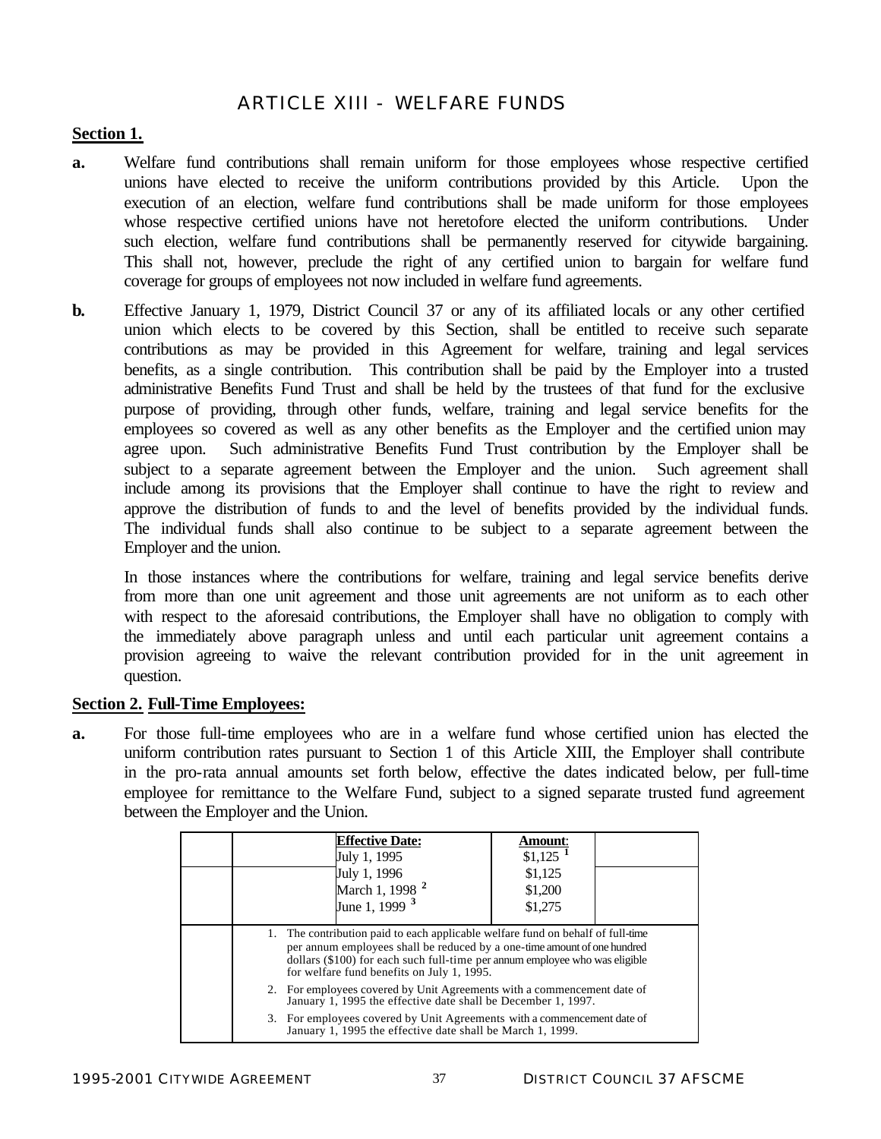## ARTICLE XIII - WELFARE FUNDS

#### **Section 1.**

- **a.** Welfare fund contributions shall remain uniform for those employees whose respective certified unions have elected to receive the uniform contributions provided by this Article. Upon the execution of an election, welfare fund contributions shall be made uniform for those employees whose respective certified unions have not heretofore elected the uniform contributions. Under such election, welfare fund contributions shall be permanently reserved for citywide bargaining. This shall not, however, preclude the right of any certified union to bargain for welfare fund coverage for groups of employees not now included in welfare fund agreements.
- **b.** Effective January 1, 1979, District Council 37 or any of its affiliated locals or any other certified union which elects to be covered by this Section, shall be entitled to receive such separate contributions as may be provided in this Agreement for welfare, training and legal services benefits, as a single contribution. This contribution shall be paid by the Employer into a trusted administrative Benefits Fund Trust and shall be held by the trustees of that fund for the exclusive purpose of providing, through other funds, welfare, training and legal service benefits for the employees so covered as well as any other benefits as the Employer and the certified union may agree upon. Such administrative Benefits Fund Trust contribution by the Employer shall be subject to a separate agreement between the Employer and the union. Such agreement shall include among its provisions that the Employer shall continue to have the right to review and approve the distribution of funds to and the level of benefits provided by the individual funds. The individual funds shall also continue to be subject to a separate agreement between the Employer and the union.

In those instances where the contributions for welfare, training and legal service benefits derive from more than one unit agreement and those unit agreements are not uniform as to each other with respect to the aforesaid contributions, the Employer shall have no obligation to comply with the immediately above paragraph unless and until each particular unit agreement contains a provision agreeing to waive the relevant contribution provided for in the unit agreement in question.

#### **Section 2. Full-Time Employees:**

**a.** For those full-time employees who are in a welfare fund whose certified union has elected the uniform contribution rates pursuant to Section 1 of this Article XIII, the Employer shall contribute in the pro-rata annual amounts set forth below, effective the dates indicated below, per full-time employee for remittance to the Welfare Fund, subject to a signed separate trusted fund agreement between the Employer and the Union.

|  | <b>Effective Date:</b><br>July 1, 1995                                                                                                                                                                                                                                                   | <b>Amount:</b><br>$$1,125$ <sup>1</sup> |  |
|--|------------------------------------------------------------------------------------------------------------------------------------------------------------------------------------------------------------------------------------------------------------------------------------------|-----------------------------------------|--|
|  | July 1, 1996                                                                                                                                                                                                                                                                             | \$1,125                                 |  |
|  | March 1, 1998 <sup>2</sup>                                                                                                                                                                                                                                                               | \$1,200                                 |  |
|  | June 1, 1999 <sup>3</sup>                                                                                                                                                                                                                                                                | \$1,275                                 |  |
|  | 1. The contribution paid to each applicable welfare fund on behalf of full-time<br>per annum employees shall be reduced by a one-time amount of one hundred<br>dollars (\$100) for each such full-time per annum employee who was eligible<br>for welfare fund benefits on July 1, 1995. |                                         |  |
|  | 2. For employees covered by Unit Agreements with a commencement date of<br>January 1, 1995 the effective date shall be December 1, 1997.                                                                                                                                                 |                                         |  |
|  | 3. For employees covered by Unit Agreements with a commencement date of<br>January 1, 1995 the effective date shall be March 1, 1999.                                                                                                                                                    |                                         |  |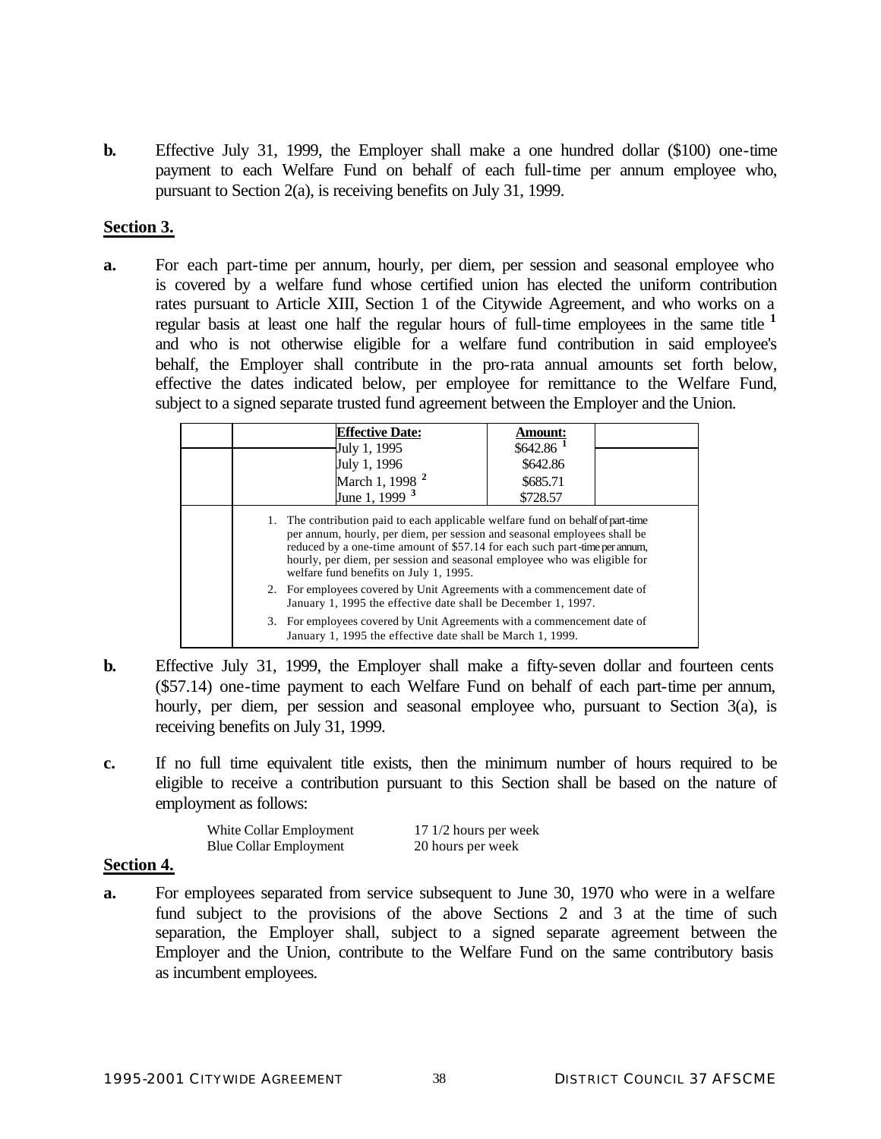**b.** Effective July 31, 1999, the Employer shall make a one hundred dollar (\$100) one-time payment to each Welfare Fund on behalf of each full-time per annum employee who, pursuant to Section 2(a), is receiving benefits on July 31, 1999.

#### **Section 3.**

**a.** For each part-time per annum, hourly, per diem, per session and seasonal employee who is covered by a welfare fund whose certified union has elected the uniform contribution rates pursuant to Article XIII, Section 1 of the Citywide Agreement, and who works on a regular basis at least one half the regular hours of full-time employees in the same title **<sup>1</sup>** and who is not otherwise eligible for a welfare fund contribution in said employee's behalf, the Employer shall contribute in the pro-rata annual amounts set forth below, effective the dates indicated below, per employee for remittance to the Welfare Fund, subject to a signed separate trusted fund agreement between the Employer and the Union.

|  | <b>Effective Date:</b>                                                                                                                                                                                                                                                                                                                                          | Amount:<br>$$642.86$ <sup>1</sup> |  |
|--|-----------------------------------------------------------------------------------------------------------------------------------------------------------------------------------------------------------------------------------------------------------------------------------------------------------------------------------------------------------------|-----------------------------------|--|
|  | July 1, 1995<br>July 1, 1996                                                                                                                                                                                                                                                                                                                                    | \$642.86                          |  |
|  | March 1, 1998 <sup>2</sup>                                                                                                                                                                                                                                                                                                                                      | \$685.71                          |  |
|  | June 1, 1999 <sup>3</sup>                                                                                                                                                                                                                                                                                                                                       | \$728.57                          |  |
|  | 1. The contribution paid to each applicable welfare fund on behalf of part-time<br>per annum, hourly, per diem, per session and seasonal employees shall be<br>reduced by a one-time amount of \$57.14 for each such part-time per annum.<br>hourly, per diem, per session and seasonal employee who was eligible for<br>welfare fund benefits on July 1, 1995. |                                   |  |
|  | 2. For employees covered by Unit Agreements with a commencement date of<br>January 1, 1995 the effective date shall be December 1, 1997.                                                                                                                                                                                                                        |                                   |  |
|  | 3. For employees covered by Unit Agreements with a commencement date of<br>January 1, 1995 the effective date shall be March 1, 1999.                                                                                                                                                                                                                           |                                   |  |

- **b.** Effective July 31, 1999, the Employer shall make a fifty-seven dollar and fourteen cents (\$57.14) one-time payment to each Welfare Fund on behalf of each part-time per annum, hourly, per diem, per session and seasonal employee who, pursuant to Section 3(a), is receiving benefits on July 31, 1999.
- **c.** If no full time equivalent title exists, then the minimum number of hours required to be eligible to receive a contribution pursuant to this Section shall be based on the nature of employment as follows:

White Collar Employment 17 1/2 hours per week Blue Collar Employment 20 hours per week

#### **Section 4.**

**a.** For employees separated from service subsequent to June 30, 1970 who were in a welfare fund subject to the provisions of the above Sections 2 and 3 at the time of such separation, the Employer shall, subject to a signed separate agreement between the Employer and the Union, contribute to the Welfare Fund on the same contributory basis as incumbent employees.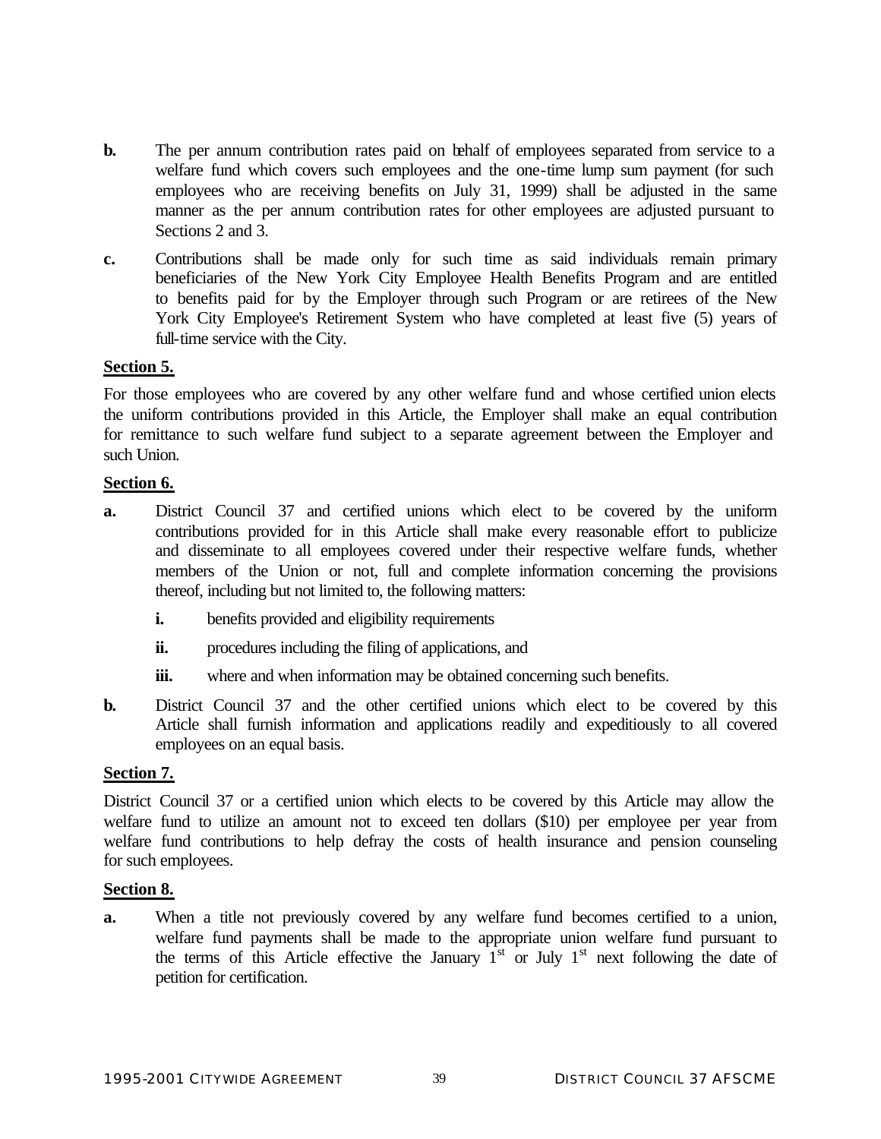- **b.** The per annum contribution rates paid on behalf of employees separated from service to a welfare fund which covers such employees and the one-time lump sum payment (for such employees who are receiving benefits on July 31, 1999) shall be adjusted in the same manner as the per annum contribution rates for other employees are adjusted pursuant to Sections 2 and 3.
- **c.** Contributions shall be made only for such time as said individuals remain primary beneficiaries of the New York City Employee Health Benefits Program and are entitled to benefits paid for by the Employer through such Program or are retirees of the New York City Employee's Retirement System who have completed at least five (5) years of full-time service with the City.

#### **Section 5.**

For those employees who are covered by any other welfare fund and whose certified union elects the uniform contributions provided in this Article, the Employer shall make an equal contribution for remittance to such welfare fund subject to a separate agreement between the Employer and such Union.

#### **Section 6.**

- **a.** District Council 37 and certified unions which elect to be covered by the uniform contributions provided for in this Article shall make every reasonable effort to publicize and disseminate to all employees covered under their respective welfare funds, whether members of the Union or not, full and complete information concerning the provisions thereof, including but not limited to, the following matters:
	- **i.** benefits provided and eligibility requirements
	- **ii.** procedures including the filing of applications, and
	- **iii.** where and when information may be obtained concerning such benefits.
- **b.** District Council 37 and the other certified unions which elect to be covered by this Article shall furnish information and applications readily and expeditiously to all covered employees on an equal basis.

#### **Section 7.**

District Council 37 or a certified union which elects to be covered by this Article may allow the welfare fund to utilize an amount not to exceed ten dollars (\$10) per employee per year from welfare fund contributions to help defray the costs of health insurance and pension counseling for such employees.

#### **Section 8.**

**a.** When a title not previously covered by any welfare fund becomes certified to a union, welfare fund payments shall be made to the appropriate union welfare fund pursuant to the terms of this Article effective the January  $1<sup>st</sup>$  or July  $1<sup>st</sup>$  next following the date of petition for certification.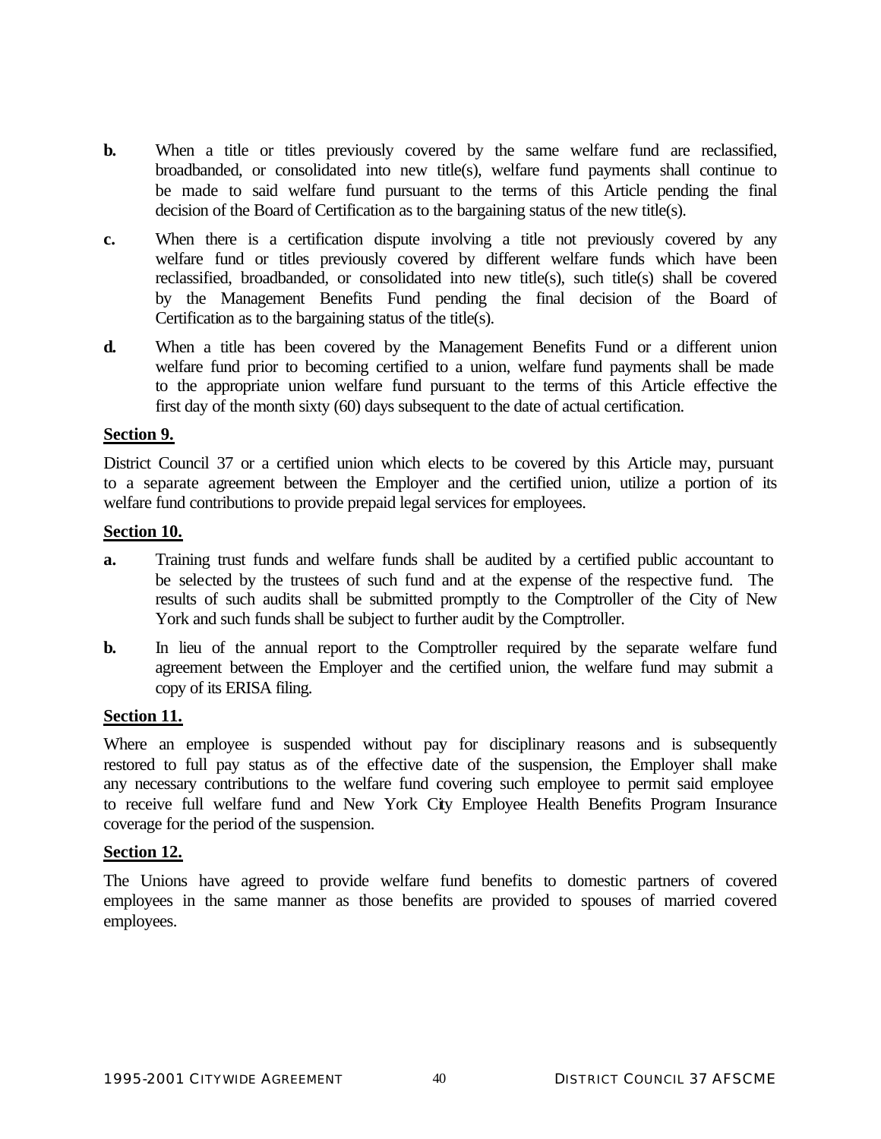- **b.** When a title or titles previously covered by the same welfare fund are reclassified, broadbanded, or consolidated into new title(s), welfare fund payments shall continue to be made to said welfare fund pursuant to the terms of this Article pending the final decision of the Board of Certification as to the bargaining status of the new title(s).
- **c.** When there is a certification dispute involving a title not previously covered by any welfare fund or titles previously covered by different welfare funds which have been reclassified, broadbanded, or consolidated into new title(s), such title(s) shall be covered by the Management Benefits Fund pending the final decision of the Board of Certification as to the bargaining status of the title(s).
- **d.** When a title has been covered by the Management Benefits Fund or a different union welfare fund prior to becoming certified to a union, welfare fund payments shall be made to the appropriate union welfare fund pursuant to the terms of this Article effective the first day of the month sixty (60) days subsequent to the date of actual certification.

#### **Section 9.**

District Council 37 or a certified union which elects to be covered by this Article may, pursuant to a separate agreement between the Employer and the certified union, utilize a portion of its welfare fund contributions to provide prepaid legal services for employees.

#### **Section 10.**

- **a.** Training trust funds and welfare funds shall be audited by a certified public accountant to be selected by the trustees of such fund and at the expense of the respective fund. The results of such audits shall be submitted promptly to the Comptroller of the City of New York and such funds shall be subject to further audit by the Comptroller.
- **b.** In lieu of the annual report to the Comptroller required by the separate welfare fund agreement between the Employer and the certified union, the welfare fund may submit a copy of its ERISA filing.

#### **Section 11.**

Where an employee is suspended without pay for disciplinary reasons and is subsequently restored to full pay status as of the effective date of the suspension, the Employer shall make any necessary contributions to the welfare fund covering such employee to permit said employee to receive full welfare fund and New York City Employee Health Benefits Program Insurance coverage for the period of the suspension.

#### **Section 12.**

The Unions have agreed to provide welfare fund benefits to domestic partners of covered employees in the same manner as those benefits are provided to spouses of married covered employees.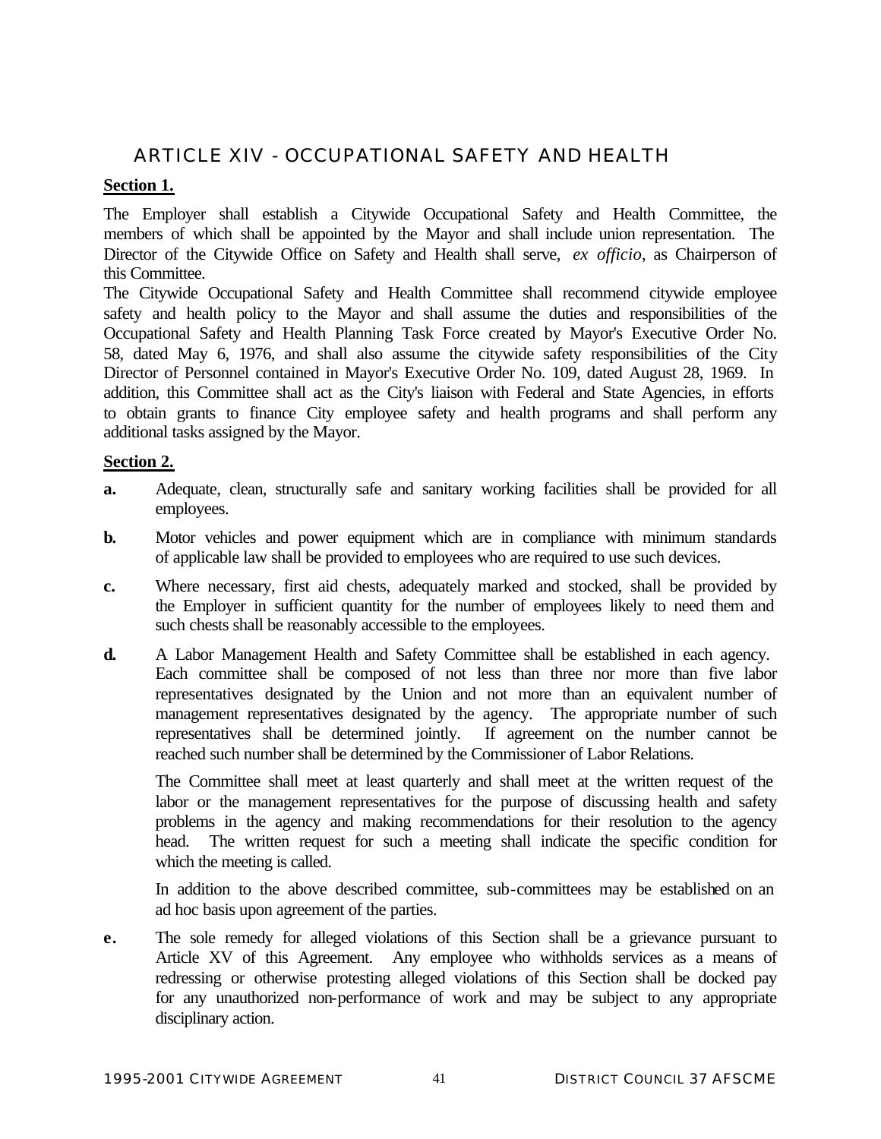## ARTICLE XIV - OCCUPATIONAL SAFETY AND HEALTH

## **Section 1.**

The Employer shall establish a Citywide Occupational Safety and Health Committee, the members of which shall be appointed by the Mayor and shall include union representation. The Director of the Citywide Office on Safety and Health shall serve, *ex officio*, as Chairperson of this Committee.

The Citywide Occupational Safety and Health Committee shall recommend citywide employee safety and health policy to the Mayor and shall assume the duties and responsibilities of the Occupational Safety and Health Planning Task Force created by Mayor's Executive Order No. 58, dated May 6, 1976, and shall also assume the citywide safety responsibilities of the City Director of Personnel contained in Mayor's Executive Order No. 109, dated August 28, 1969. In addition, this Committee shall act as the City's liaison with Federal and State Agencies, in efforts to obtain grants to finance City employee safety and health programs and shall perform any additional tasks assigned by the Mayor.

#### **Section 2.**

- **a.** Adequate, clean, structurally safe and sanitary working facilities shall be provided for all employees.
- **b.** Motor vehicles and power equipment which are in compliance with minimum standards of applicable law shall be provided to employees who are required to use such devices.
- **c.** Where necessary, first aid chests, adequately marked and stocked, shall be provided by the Employer in sufficient quantity for the number of employees likely to need them and such chests shall be reasonably accessible to the employees.
- **d.** A Labor Management Health and Safety Committee shall be established in each agency. Each committee shall be composed of not less than three nor more than five labor representatives designated by the Union and not more than an equivalent number of management representatives designated by the agency. The appropriate number of such representatives shall be determined jointly. If agreement on the number cannot be reached such number shall be determined by the Commissioner of Labor Relations.

The Committee shall meet at least quarterly and shall meet at the written request of the labor or the management representatives for the purpose of discussing health and safety problems in the agency and making recommendations for their resolution to the agency head. The written request for such a meeting shall indicate the specific condition for which the meeting is called.

In addition to the above described committee, sub-committees may be established on an ad hoc basis upon agreement of the parties.

**e.** The sole remedy for alleged violations of this Section shall be a grievance pursuant to Article XV of this Agreement. Any employee who withholds services as a means of redressing or otherwise protesting alleged violations of this Section shall be docked pay for any unauthorized non-performance of work and may be subject to any appropriate disciplinary action.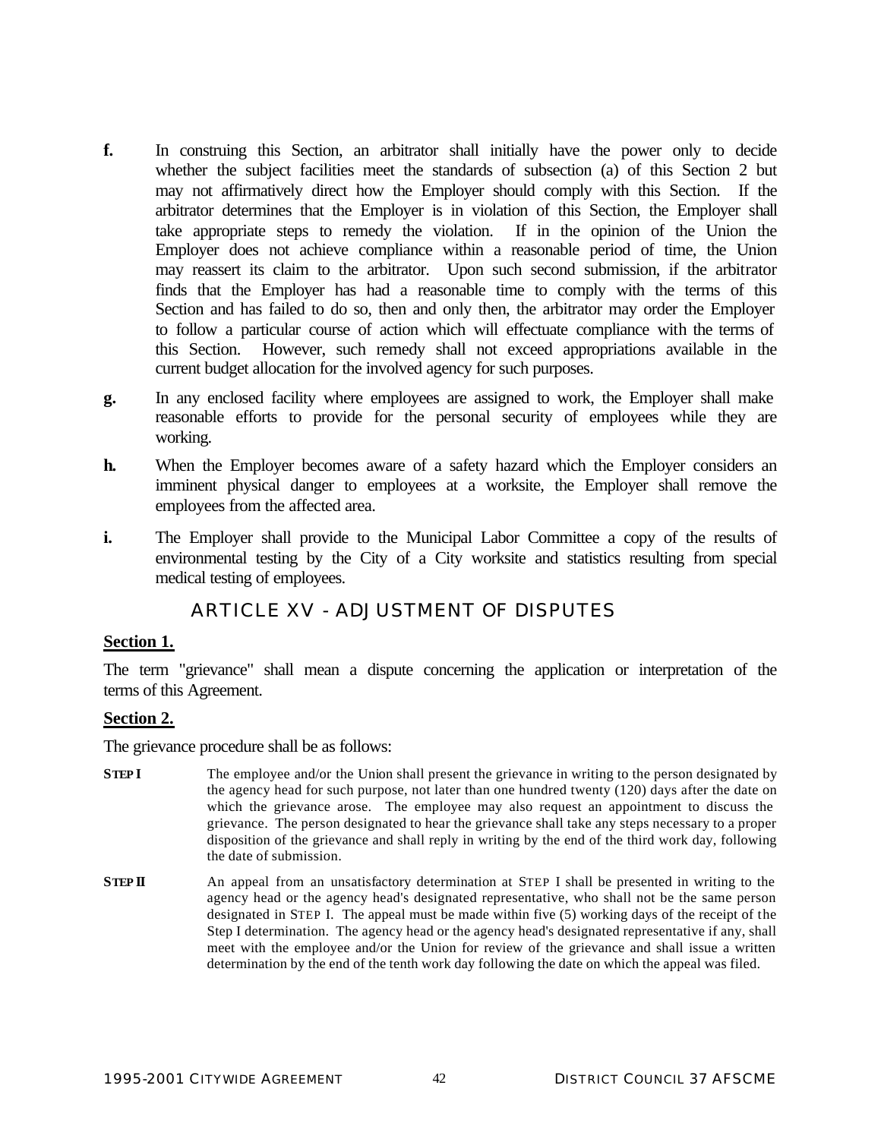- **f.** In construing this Section, an arbitrator shall initially have the power only to decide whether the subject facilities meet the standards of subsection (a) of this Section 2 but may not affirmatively direct how the Employer should comply with this Section. If the arbitrator determines that the Employer is in violation of this Section, the Employer shall take appropriate steps to remedy the violation. If in the opinion of the Union the Employer does not achieve compliance within a reasonable period of time, the Union may reassert its claim to the arbitrator. Upon such second submission, if the arbitrator finds that the Employer has had a reasonable time to comply with the terms of this Section and has failed to do so, then and only then, the arbitrator may order the Employer to follow a particular course of action which will effectuate compliance with the terms of this Section. However, such remedy shall not exceed appropriations available in the current budget allocation for the involved agency for such purposes.
- **g.** In any enclosed facility where employees are assigned to work, the Employer shall make reasonable efforts to provide for the personal security of employees while they are working.
- **h.** When the Employer becomes aware of a safety hazard which the Employer considers an imminent physical danger to employees at a worksite, the Employer shall remove the employees from the affected area.
- **i.** The Employer shall provide to the Municipal Labor Committee a copy of the results of environmental testing by the City of a City worksite and statistics resulting from special medical testing of employees.

## ARTICLE XV - ADJUSTMENT OF DISPUTES

#### **Section 1.**

The term "grievance" shall mean a dispute concerning the application or interpretation of the terms of this Agreement.

#### **Section 2.**

The grievance procedure shall be as follows:

- **STEP I** The employee and/or the Union shall present the grievance in writing to the person designated by the agency head for such purpose, not later than one hundred twenty (120) days after the date on which the grievance arose. The employee may also request an appointment to discuss the grievance. The person designated to hear the grievance shall take any steps necessary to a proper disposition of the grievance and shall reply in writing by the end of the third work day, following the date of submission.
- **STEP <b>II** An appeal from an unsatisfactory determination at STEP I shall be presented in writing to the agency head or the agency head's designated representative, who shall not be the same person designated in STEP I. The appeal must be made within five (5) working days of the receipt of the Step I determination. The agency head or the agency head's designated representative if any, shall meet with the employee and/or the Union for review of the grievance and shall issue a written determination by the end of the tenth work day following the date on which the appeal was filed.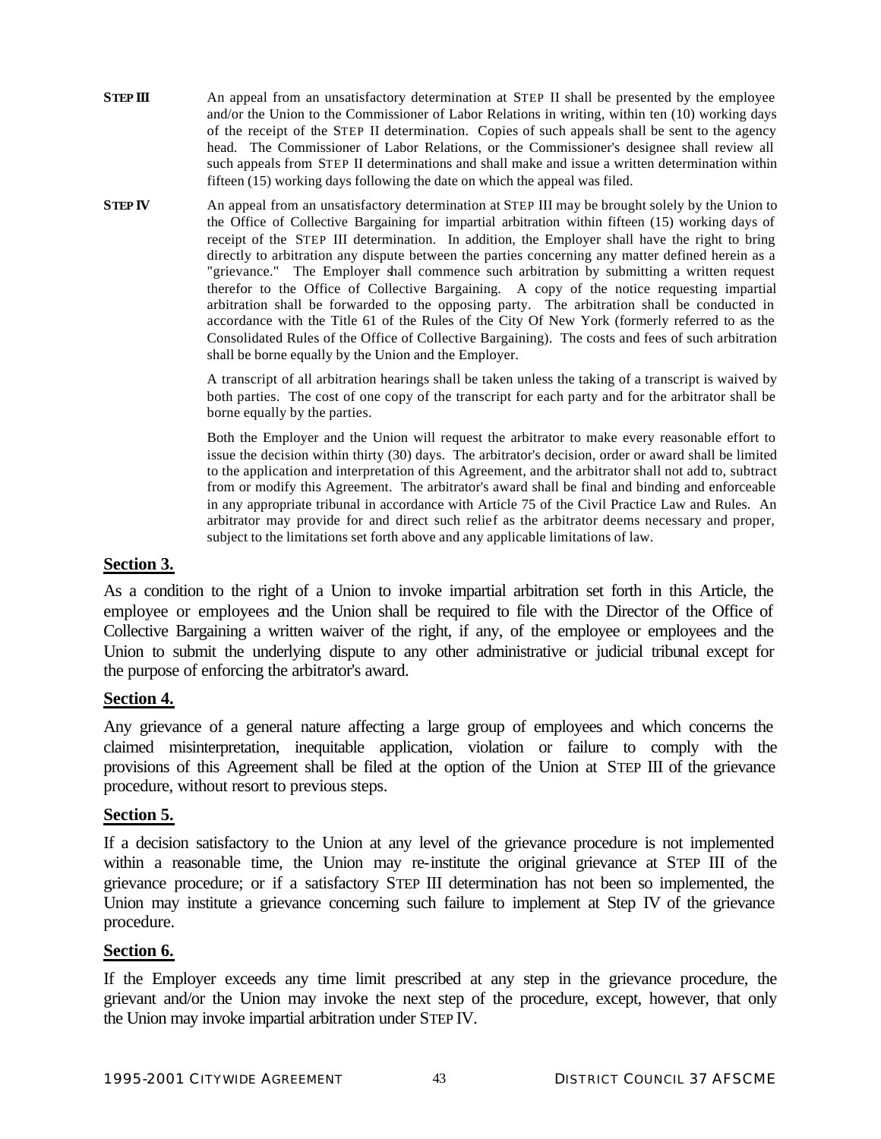- **STEP III** An appeal from an unsatisfactory determination at STEP II shall be presented by the employee and/or the Union to the Commissioner of Labor Relations in writing, within ten (10) working days of the receipt of the STEP II determination. Copies of such appeals shall be sent to the agency head. The Commissioner of Labor Relations, or the Commissioner's designee shall review all such appeals from STEP II determinations and shall make and issue a written determination within fifteen (15) working days following the date on which the appeal was filed.
- **STEP <b>IV** An appeal from an unsatisfactory determination at STEP III may be brought solely by the Union to the Office of Collective Bargaining for impartial arbitration within fifteen (15) working days of receipt of the STEP III determination. In addition, the Employer shall have the right to bring directly to arbitration any dispute between the parties concerning any matter defined herein as a "grievance." The Employer shall commence such arbitration by submitting a written request therefor to the Office of Collective Bargaining. A copy of the notice requesting impartial arbitration shall be forwarded to the opposing party. The arbitration shall be conducted in accordance with the Title 61 of the Rules of the City Of New York (formerly referred to as the Consolidated Rules of the Office of Collective Bargaining). The costs and fees of such arbitration shall be borne equally by the Union and the Employer.

A transcript of all arbitration hearings shall be taken unless the taking of a transcript is waived by both parties. The cost of one copy of the transcript for each party and for the arbitrator shall be borne equally by the parties.

Both the Employer and the Union will request the arbitrator to make every reasonable effort to issue the decision within thirty (30) days. The arbitrator's decision, order or award shall be limited to the application and interpretation of this Agreement, and the arbitrator shall not add to, subtract from or modify this Agreement. The arbitrator's award shall be final and binding and enforceable in any appropriate tribunal in accordance with Article 75 of the Civil Practice Law and Rules. An arbitrator may provide for and direct such relief as the arbitrator deems necessary and proper, subject to the limitations set forth above and any applicable limitations of law.

#### **Section 3.**

As a condition to the right of a Union to invoke impartial arbitration set forth in this Article, the employee or employees and the Union shall be required to file with the Director of the Office of Collective Bargaining a written waiver of the right, if any, of the employee or employees and the Union to submit the underlying dispute to any other administrative or judicial tribunal except for the purpose of enforcing the arbitrator's award.

#### **Section 4.**

Any grievance of a general nature affecting a large group of employees and which concerns the claimed misinterpretation, inequitable application, violation or failure to comply with the provisions of this Agreement shall be filed at the option of the Union at STEP III of the grievance procedure, without resort to previous steps.

#### **Section 5.**

If a decision satisfactory to the Union at any level of the grievance procedure is not implemented within a reasonable time, the Union may re-institute the original grievance at STEP III of the grievance procedure; or if a satisfactory STEP III determination has not been so implemented, the Union may institute a grievance concerning such failure to implement at Step IV of the grievance procedure.

#### **Section 6.**

If the Employer exceeds any time limit prescribed at any step in the grievance procedure, the grievant and/or the Union may invoke the next step of the procedure, except, however, that only the Union may invoke impartial arbitration under STEP IV.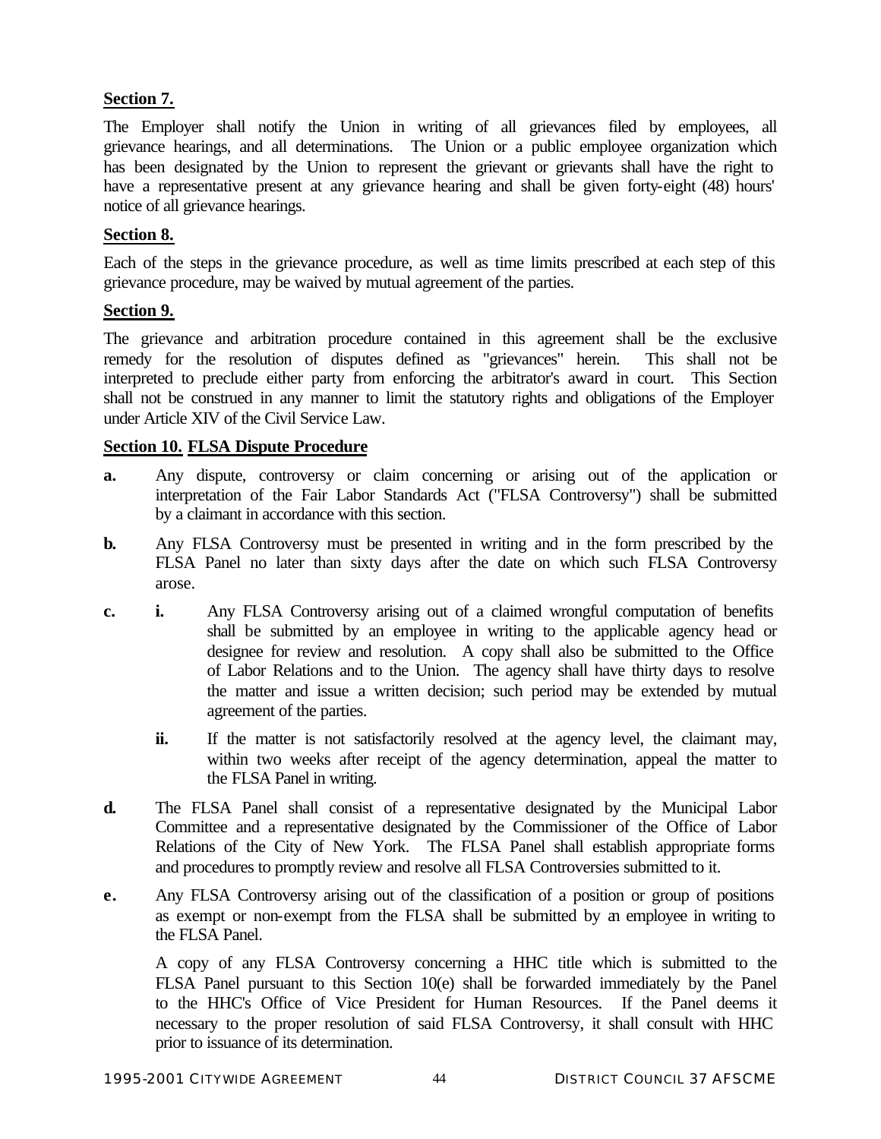## **Section 7.**

The Employer shall notify the Union in writing of all grievances filed by employees, all grievance hearings, and all determinations. The Union or a public employee organization which has been designated by the Union to represent the grievant or grievants shall have the right to have a representative present at any grievance hearing and shall be given forty-eight (48) hours' notice of all grievance hearings.

## **Section 8.**

Each of the steps in the grievance procedure, as well as time limits prescribed at each step of this grievance procedure, may be waived by mutual agreement of the parties.

#### **Section 9.**

The grievance and arbitration procedure contained in this agreement shall be the exclusive remedy for the resolution of disputes defined as "grievances" herein. This shall not be interpreted to preclude either party from enforcing the arbitrator's award in court. This Section shall not be construed in any manner to limit the statutory rights and obligations of the Employer under Article XIV of the Civil Service Law.

## **Section 10. FLSA Dispute Procedure**

- **a.** Any dispute, controversy or claim concerning or arising out of the application or interpretation of the Fair Labor Standards Act ("FLSA Controversy") shall be submitted by a claimant in accordance with this section.
- **b.** Any FLSA Controversy must be presented in writing and in the form prescribed by the FLSA Panel no later than sixty days after the date on which such FLSA Controversy arose.
- **c. i.** Any FLSA Controversy arising out of a claimed wrongful computation of benefits shall be submitted by an employee in writing to the applicable agency head or designee for review and resolution. A copy shall also be submitted to the Office of Labor Relations and to the Union. The agency shall have thirty days to resolve the matter and issue a written decision; such period may be extended by mutual agreement of the parties.
	- **ii.** If the matter is not satisfactorily resolved at the agency level, the claimant may, within two weeks after receipt of the agency determination, appeal the matter to the FLSA Panel in writing.
- **d.** The FLSA Panel shall consist of a representative designated by the Municipal Labor Committee and a representative designated by the Commissioner of the Office of Labor Relations of the City of New York. The FLSA Panel shall establish appropriate forms and procedures to promptly review and resolve all FLSA Controversies submitted to it.
- **e.** Any FLSA Controversy arising out of the classification of a position or group of positions as exempt or non-exempt from the FLSA shall be submitted by an employee in writing to the FLSA Panel.

A copy of any FLSA Controversy concerning a HHC title which is submitted to the FLSA Panel pursuant to this Section 10(e) shall be forwarded immediately by the Panel to the HHC's Office of Vice President for Human Resources. If the Panel deems it necessary to the proper resolution of said FLSA Controversy, it shall consult with HHC prior to issuance of its determination.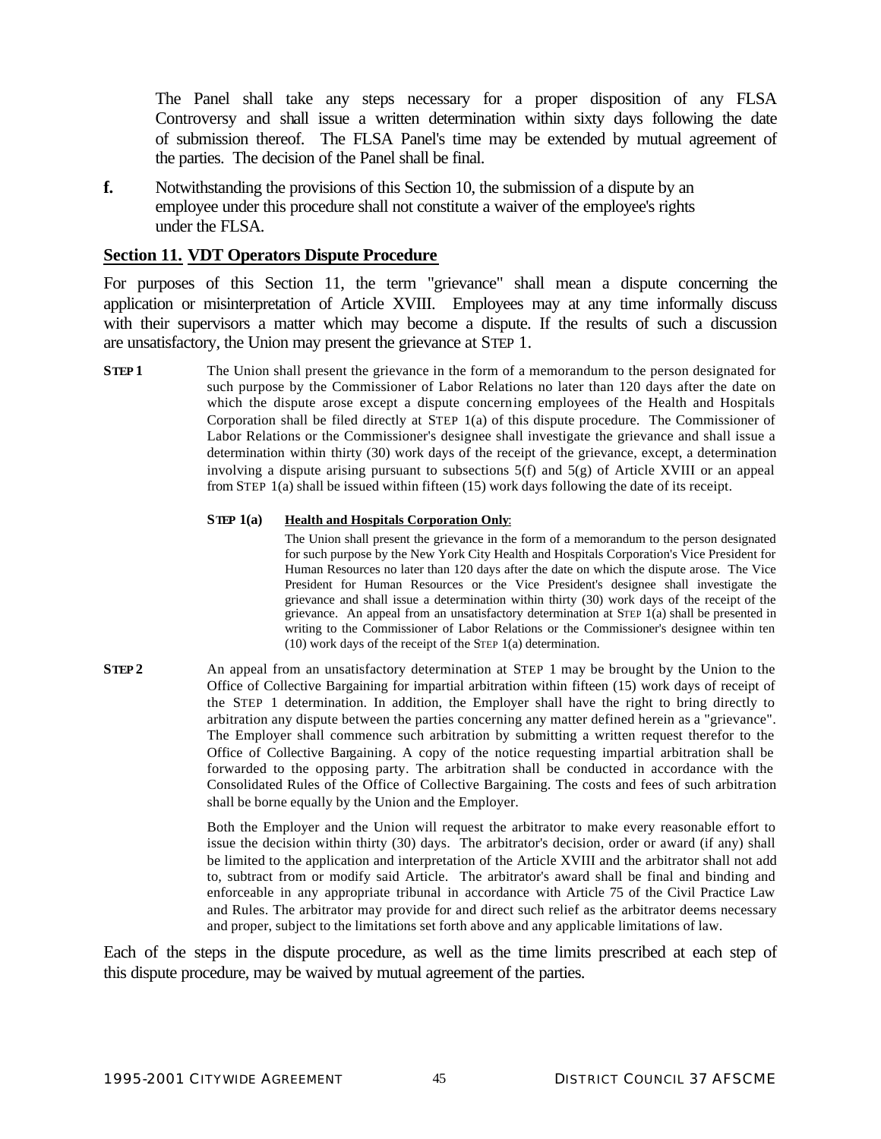The Panel shall take any steps necessary for a proper disposition of any FLSA Controversy and shall issue a written determination within sixty days following the date of submission thereof. The FLSA Panel's time may be extended by mutual agreement of the parties. The decision of the Panel shall be final.

**f.** Notwithstanding the provisions of this Section 10, the submission of a dispute by an employee under this procedure shall not constitute a waiver of the employee's rights under the FLSA.

#### **Section 11. VDT Operators Dispute Procedure**

For purposes of this Section 11, the term "grievance" shall mean a dispute concerning the application or misinterpretation of Article XVIII. Employees may at any time informally discuss with their supervisors a matter which may become a dispute. If the results of such a discussion are unsatisfactory, the Union may present the grievance at STEP 1.

**STEP 1** The Union shall present the grievance in the form of a memorandum to the person designated for such purpose by the Commissioner of Labor Relations no later than 120 days after the date on which the dispute arose except a dispute concerning employees of the Health and Hospitals Corporation shall be filed directly at STEP 1(a) of this dispute procedure. The Commissioner of Labor Relations or the Commissioner's designee shall investigate the grievance and shall issue a determination within thirty (30) work days of the receipt of the grievance, except, a determination involving a dispute arising pursuant to subsections  $5(f)$  and  $5(g)$  of Article XVIII or an appeal from STEP 1(a) shall be issued within fifteen (15) work days following the date of its receipt.

#### **STEP 1(a) Health and Hospitals Corporation Only**:

The Union shall present the grievance in the form of a memorandum to the person designated for such purpose by the New York City Health and Hospitals Corporation's Vice President for Human Resources no later than 120 days after the date on which the dispute arose. The Vice President for Human Resources or the Vice President's designee shall investigate the grievance and shall issue a determination within thirty (30) work days of the receipt of the grievance. An appeal from an unsatisfactory determination at STEP 1(a) shall be presented in writing to the Commissioner of Labor Relations or the Commissioner's designee within ten (10) work days of the receipt of the STEP 1(a) determination.

**STEP 2** An appeal from an unsatisfactory determination at STEP 1 may be brought by the Union to the Office of Collective Bargaining for impartial arbitration within fifteen (15) work days of receipt of the STEP 1 determination. In addition, the Employer shall have the right to bring directly to arbitration any dispute between the parties concerning any matter defined herein as a "grievance". The Employer shall commence such arbitration by submitting a written request therefor to the Office of Collective Bargaining. A copy of the notice requesting impartial arbitration shall be forwarded to the opposing party. The arbitration shall be conducted in accordance with the Consolidated Rules of the Office of Collective Bargaining. The costs and fees of such arbitration shall be borne equally by the Union and the Employer.

> Both the Employer and the Union will request the arbitrator to make every reasonable effort to issue the decision within thirty (30) days. The arbitrator's decision, order or award (if any) shall be limited to the application and interpretation of the Article XVIII and the arbitrator shall not add to, subtract from or modify said Article. The arbitrator's award shall be final and binding and enforceable in any appropriate tribunal in accordance with Article 75 of the Civil Practice Law and Rules. The arbitrator may provide for and direct such relief as the arbitrator deems necessary and proper, subject to the limitations set forth above and any applicable limitations of law.

Each of the steps in the dispute procedure, as well as the time limits prescribed at each step of this dispute procedure, may be waived by mutual agreement of the parties.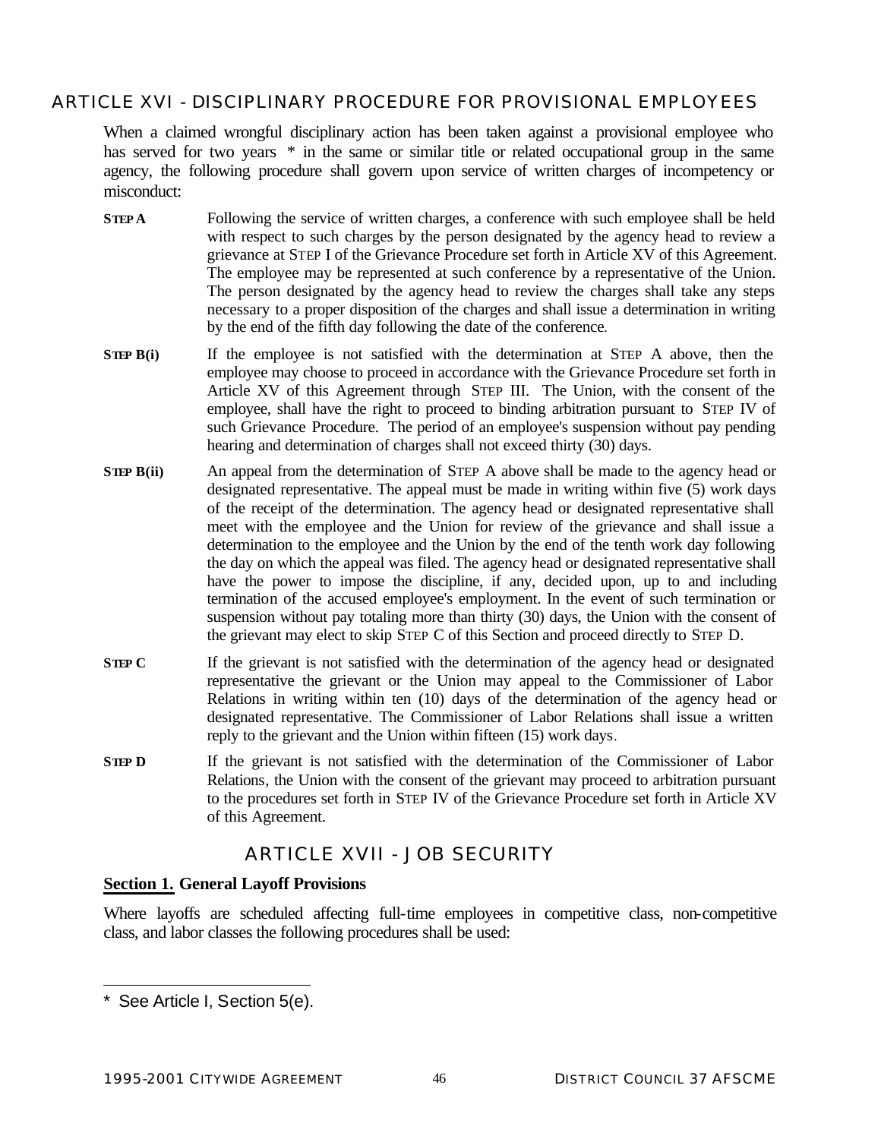## ARTICLE XVI - DISCIPLINARY PROCEDURE FOR PROVISIONAL EMPLOYEES

When a claimed wrongful disciplinary action has been taken against a provisional employee who has served for two years  $*$  in the same or similar title or related occupational group in the same agency, the following procedure shall govern upon service of written charges of incompetency or misconduct:

- **STEP A** Following the service of written charges, a conference with such employee shall be held with respect to such charges by the person designated by the agency head to review a grievance at STEP I of the Grievance Procedure set forth in Article XV of this Agreement. The employee may be represented at such conference by a representative of the Union. The person designated by the agency head to review the charges shall take any steps necessary to a proper disposition of the charges and shall issue a determination in writing by the end of the fifth day following the date of the conference.
- **STEP** B(i) If the employee is not satisfied with the determination at STEP A above, then the employee may choose to proceed in accordance with the Grievance Procedure set forth in Article XV of this Agreement through STEP III. The Union, with the consent of the employee, shall have the right to proceed to binding arbitration pursuant to STEP IV of such Grievance Procedure. The period of an employee's suspension without pay pending hearing and determination of charges shall not exceed thirty (30) days.
- **STEP** B(ii) An appeal from the determination of STEP A above shall be made to the agency head or designated representative. The appeal must be made in writing within five (5) work days of the receipt of the determination. The agency head or designated representative shall meet with the employee and the Union for review of the grievance and shall issue a determination to the employee and the Union by the end of the tenth work day following the day on which the appeal was filed. The agency head or designated representative shall have the power to impose the discipline, if any, decided upon, up to and including termination of the accused employee's employment. In the event of such termination or suspension without pay totaling more than thirty (30) days, the Union with the consent of the grievant may elect to skip STEP C of this Section and proceed directly to STEP D.
- **STEP C** If the grievant is not satisfied with the determination of the agency head or designated representative the grievant or the Union may appeal to the Commissioner of Labor Relations in writing within ten (10) days of the determination of the agency head or designated representative. The Commissioner of Labor Relations shall issue a written reply to the grievant and the Union within fifteen (15) work days.
- **STEP** D If the grievant is not satisfied with the determination of the Commissioner of Labor Relations, the Union with the consent of the grievant may proceed to arbitration pursuant to the procedures set forth in STEP IV of the Grievance Procedure set forth in Article XV of this Agreement.

## ARTICLE XVII - JOB SECURITY

#### **Section 1. General Layoff Provisions**

Where layoffs are scheduled affecting full-time employees in competitive class, non-competitive class, and labor classes the following procedures shall be used:

l

<sup>\*</sup> See Article I, Section 5(e).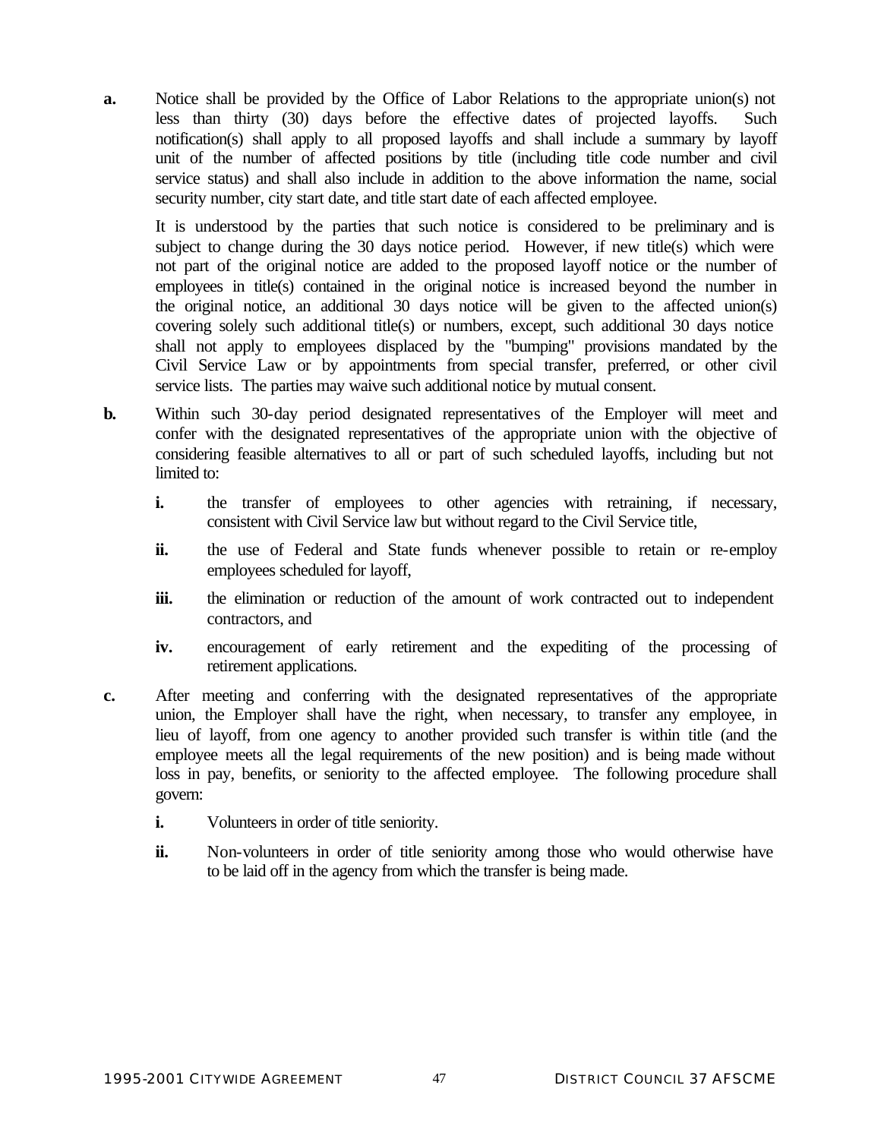**a.** Notice shall be provided by the Office of Labor Relations to the appropriate union(s) not less than thirty (30) days before the effective dates of projected layoffs. Such notification(s) shall apply to all proposed layoffs and shall include a summary by layoff unit of the number of affected positions by title (including title code number and civil service status) and shall also include in addition to the above information the name, social security number, city start date, and title start date of each affected employee.

It is understood by the parties that such notice is considered to be preliminary and is subject to change during the 30 days notice period. However, if new title(s) which were not part of the original notice are added to the proposed layoff notice or the number of employees in title(s) contained in the original notice is increased beyond the number in the original notice, an additional 30 days notice will be given to the affected union(s) covering solely such additional title(s) or numbers, except, such additional 30 days notice shall not apply to employees displaced by the "bumping" provisions mandated by the Civil Service Law or by appointments from special transfer, preferred, or other civil service lists. The parties may waive such additional notice by mutual consent.

- **b.** Within such 30-day period designated representatives of the Employer will meet and confer with the designated representatives of the appropriate union with the objective of considering feasible alternatives to all or part of such scheduled layoffs, including but not limited to:
	- **i.** the transfer of employees to other agencies with retraining, if necessary, consistent with Civil Service law but without regard to the Civil Service title,
	- **ii.** the use of Federal and State funds whenever possible to retain or re-employ employees scheduled for layoff,
	- **iii.** the elimination or reduction of the amount of work contracted out to independent contractors, and
	- **iv.** encouragement of early retirement and the expediting of the processing of retirement applications.
- **c.** After meeting and conferring with the designated representatives of the appropriate union, the Employer shall have the right, when necessary, to transfer any employee, in lieu of layoff, from one agency to another provided such transfer is within title (and the employee meets all the legal requirements of the new position) and is being made without loss in pay, benefits, or seniority to the affected employee. The following procedure shall govern:
	- **i.** Volunteers in order of title seniority.
	- **ii.** Non-volunteers in order of title seniority among those who would otherwise have to be laid off in the agency from which the transfer is being made.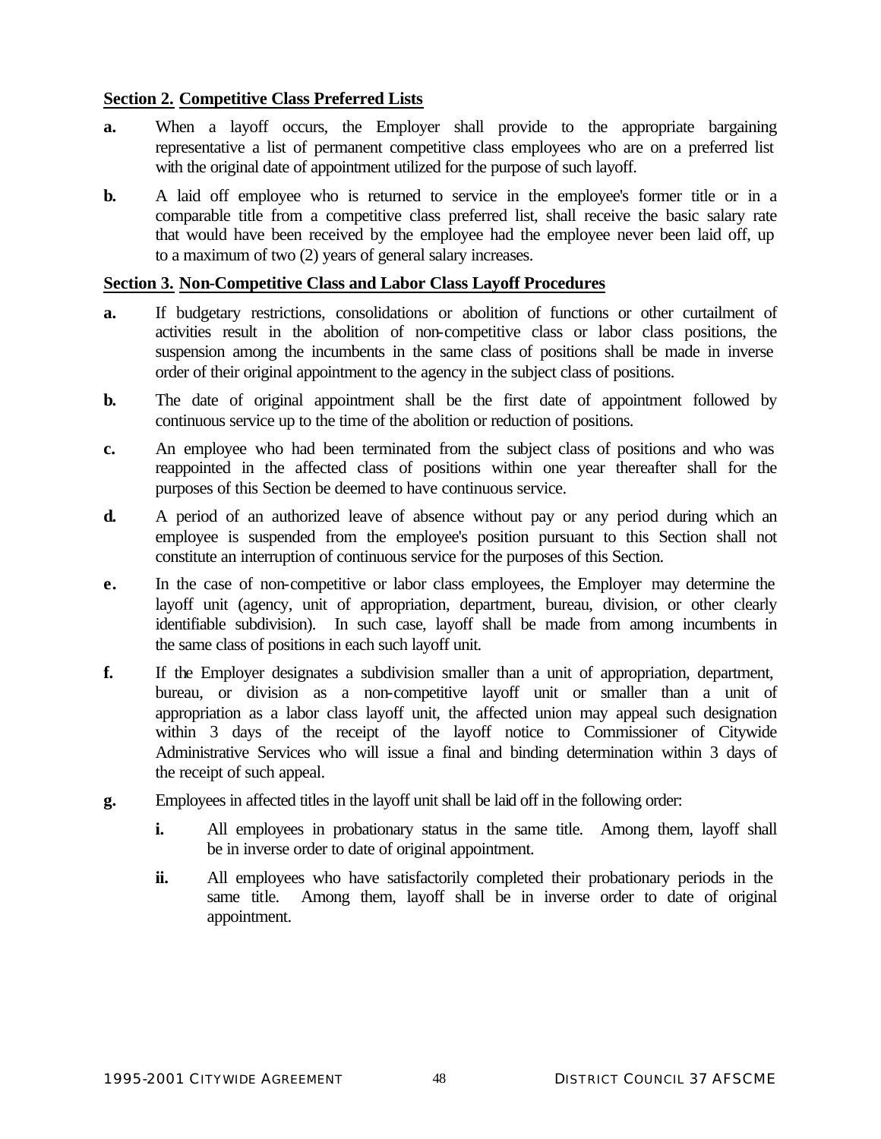## **Section 2. Competitive Class Preferred Lists**

- **a.** When a layoff occurs, the Employer shall provide to the appropriate bargaining representative a list of permanent competitive class employees who are on a preferred list with the original date of appointment utilized for the purpose of such layoff.
- **b.** A laid off employee who is returned to service in the employee's former title or in a comparable title from a competitive class preferred list, shall receive the basic salary rate that would have been received by the employee had the employee never been laid off, up to a maximum of two (2) years of general salary increases.

#### **Section 3. Non-Competitive Class and Labor Class Layoff Procedures**

- **a.** If budgetary restrictions, consolidations or abolition of functions or other curtailment of activities result in the abolition of non-competitive class or labor class positions, the suspension among the incumbents in the same class of positions shall be made in inverse order of their original appointment to the agency in the subject class of positions.
- **b.** The date of original appointment shall be the first date of appointment followed by continuous service up to the time of the abolition or reduction of positions.
- **c.** An employee who had been terminated from the subject class of positions and who was reappointed in the affected class of positions within one year thereafter shall for the purposes of this Section be deemed to have continuous service.
- **d.** A period of an authorized leave of absence without pay or any period during which an employee is suspended from the employee's position pursuant to this Section shall not constitute an interruption of continuous service for the purposes of this Section.
- **e.** In the case of non-competitive or labor class employees, the Employer may determine the layoff unit (agency, unit of appropriation, department, bureau, division, or other clearly identifiable subdivision). In such case, layoff shall be made from among incumbents in the same class of positions in each such layoff unit.
- **f.** If the Employer designates a subdivision smaller than a unit of appropriation, department, bureau, or division as a non-competitive layoff unit or smaller than a unit of appropriation as a labor class layoff unit, the affected union may appeal such designation within 3 days of the receipt of the layoff notice to Commissioner of Citywide Administrative Services who will issue a final and binding determination within 3 days of the receipt of such appeal.
- **g.** Employees in affected titles in the layoff unit shall be laid off in the following order:
	- **i.** All employees in probationary status in the same title. Among them, layoff shall be in inverse order to date of original appointment.
	- **ii.** All employees who have satisfactorily completed their probationary periods in the same title. Among them, layoff shall be in inverse order to date of original appointment.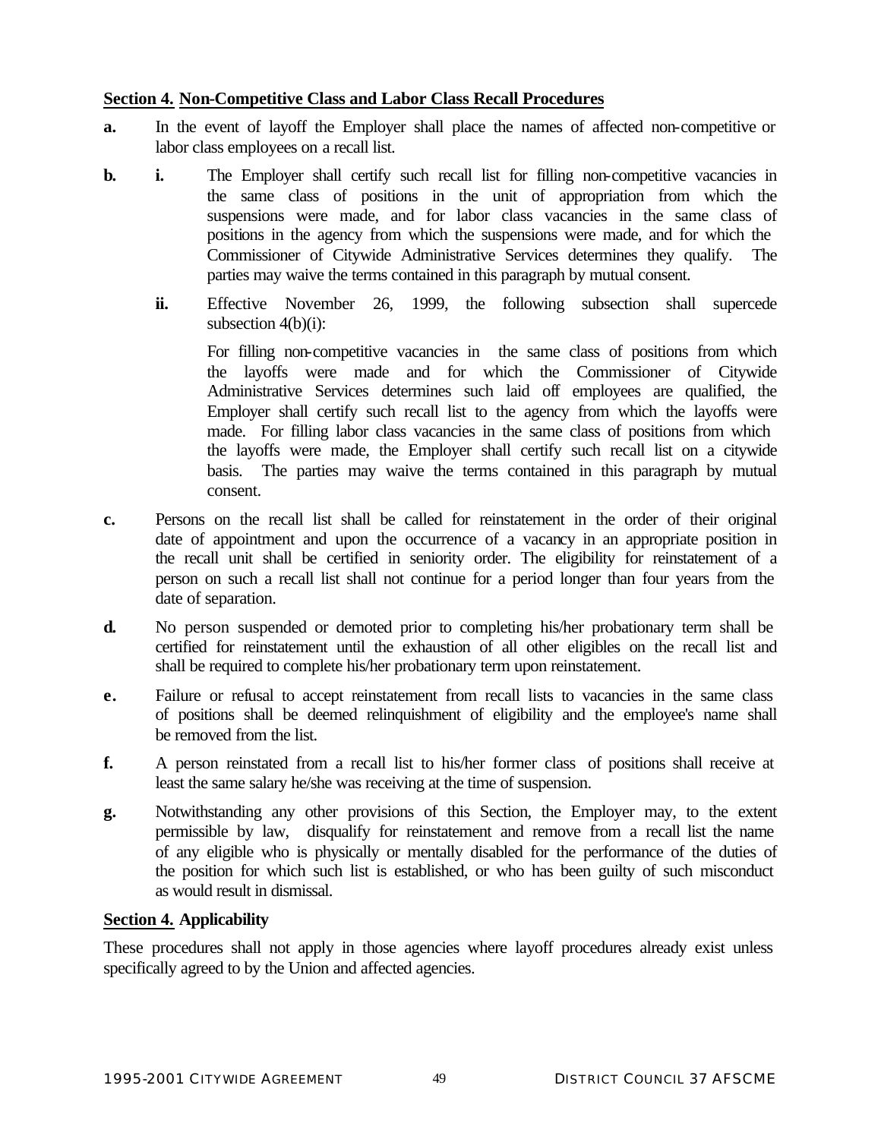## **Section 4. Non-Competitive Class and Labor Class Recall Procedures**

- **a.** In the event of layoff the Employer shall place the names of affected non-competitive or labor class employees on a recall list.
- **b. i.** The Employer shall certify such recall list for filling non-competitive vacancies in the same class of positions in the unit of appropriation from which the suspensions were made, and for labor class vacancies in the same class of positions in the agency from which the suspensions were made, and for which the Commissioner of Citywide Administrative Services determines they qualify. The parties may waive the terms contained in this paragraph by mutual consent.
	- **ii.** Effective November 26, 1999, the following subsection shall supercede subsection 4(b)(i):

For filling non-competitive vacancies in the same class of positions from which the layoffs were made and for which the Commissioner of Citywide Administrative Services determines such laid off employees are qualified, the Employer shall certify such recall list to the agency from which the layoffs were made. For filling labor class vacancies in the same class of positions from which the layoffs were made, the Employer shall certify such recall list on a citywide basis. The parties may waive the terms contained in this paragraph by mutual consent.

- **c.** Persons on the recall list shall be called for reinstatement in the order of their original date of appointment and upon the occurrence of a vacancy in an appropriate position in the recall unit shall be certified in seniority order. The eligibility for reinstatement of a person on such a recall list shall not continue for a period longer than four years from the date of separation.
- **d.** No person suspended or demoted prior to completing his/her probationary term shall be certified for reinstatement until the exhaustion of all other eligibles on the recall list and shall be required to complete his/her probationary term upon reinstatement.
- **e.** Failure or refusal to accept reinstatement from recall lists to vacancies in the same class of positions shall be deemed relinquishment of eligibility and the employee's name shall be removed from the list.
- **f.** A person reinstated from a recall list to his/her former class of positions shall receive at least the same salary he/she was receiving at the time of suspension.
- **g.** Notwithstanding any other provisions of this Section, the Employer may, to the extent permissible by law, disqualify for reinstatement and remove from a recall list the name of any eligible who is physically or mentally disabled for the performance of the duties of the position for which such list is established, or who has been guilty of such misconduct as would result in dismissal.

#### **Section 4. Applicability**

These procedures shall not apply in those agencies where layoff procedures already exist unless specifically agreed to by the Union and affected agencies.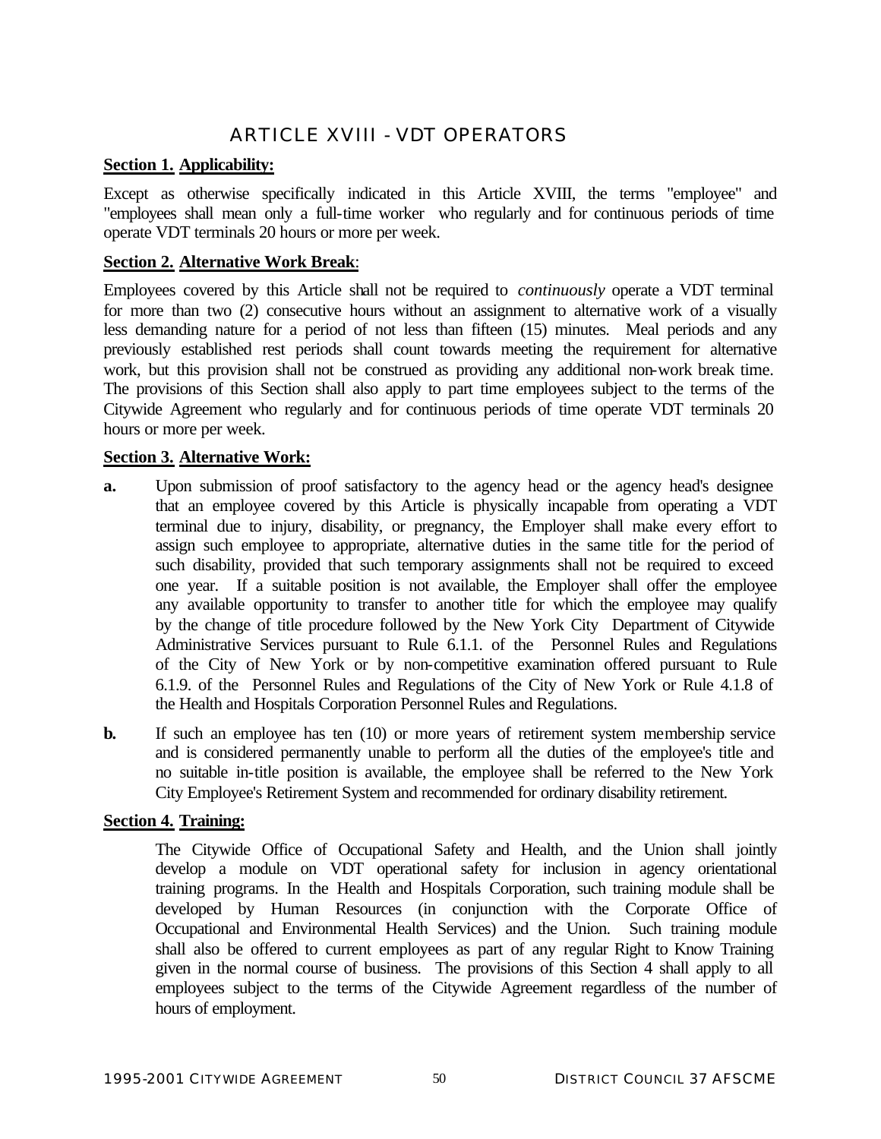## ARTICLE XVIII - VDT OPERATORS

## **Section 1. Applicability:**

Except as otherwise specifically indicated in this Article XVIII, the terms "employee" and "employees shall mean only a full-time worker who regularly and for continuous periods of time operate VDT terminals 20 hours or more per week.

## **Section 2. Alternative Work Break**:

Employees covered by this Article shall not be required to *continuously* operate a VDT terminal for more than two (2) consecutive hours without an assignment to alternative work of a visually less demanding nature for a period of not less than fifteen (15) minutes. Meal periods and any previously established rest periods shall count towards meeting the requirement for alternative work, but this provision shall not be construed as providing any additional non-work break time. The provisions of this Section shall also apply to part time employees subject to the terms of the Citywide Agreement who regularly and for continuous periods of time operate VDT terminals 20 hours or more per week.

## **Section 3. Alternative Work:**

- **a.** Upon submission of proof satisfactory to the agency head or the agency head's designee that an employee covered by this Article is physically incapable from operating a VDT terminal due to injury, disability, or pregnancy, the Employer shall make every effort to assign such employee to appropriate, alternative duties in the same title for the period of such disability, provided that such temporary assignments shall not be required to exceed one year. If a suitable position is not available, the Employer shall offer the employee any available opportunity to transfer to another title for which the employee may qualify by the change of title procedure followed by the New York City Department of Citywide Administrative Services pursuant to Rule 6.1.1. of the Personnel Rules and Regulations of the City of New York or by non-competitive examination offered pursuant to Rule 6.1.9. of the Personnel Rules and Regulations of the City of New York or Rule 4.1.8 of the Health and Hospitals Corporation Personnel Rules and Regulations.
- **b.** If such an employee has ten (10) or more years of retirement system membership service and is considered permanently unable to perform all the duties of the employee's title and no suitable in-title position is available, the employee shall be referred to the New York City Employee's Retirement System and recommended for ordinary disability retirement.

#### **Section 4. Training:**

The Citywide Office of Occupational Safety and Health, and the Union shall jointly develop a module on VDT operational safety for inclusion in agency orientational training programs. In the Health and Hospitals Corporation, such training module shall be developed by Human Resources (in conjunction with the Corporate Office of Occupational and Environmental Health Services) and the Union. Such training module shall also be offered to current employees as part of any regular Right to Know Training given in the normal course of business. The provisions of this Section 4 shall apply to all employees subject to the terms of the Citywide Agreement regardless of the number of hours of employment.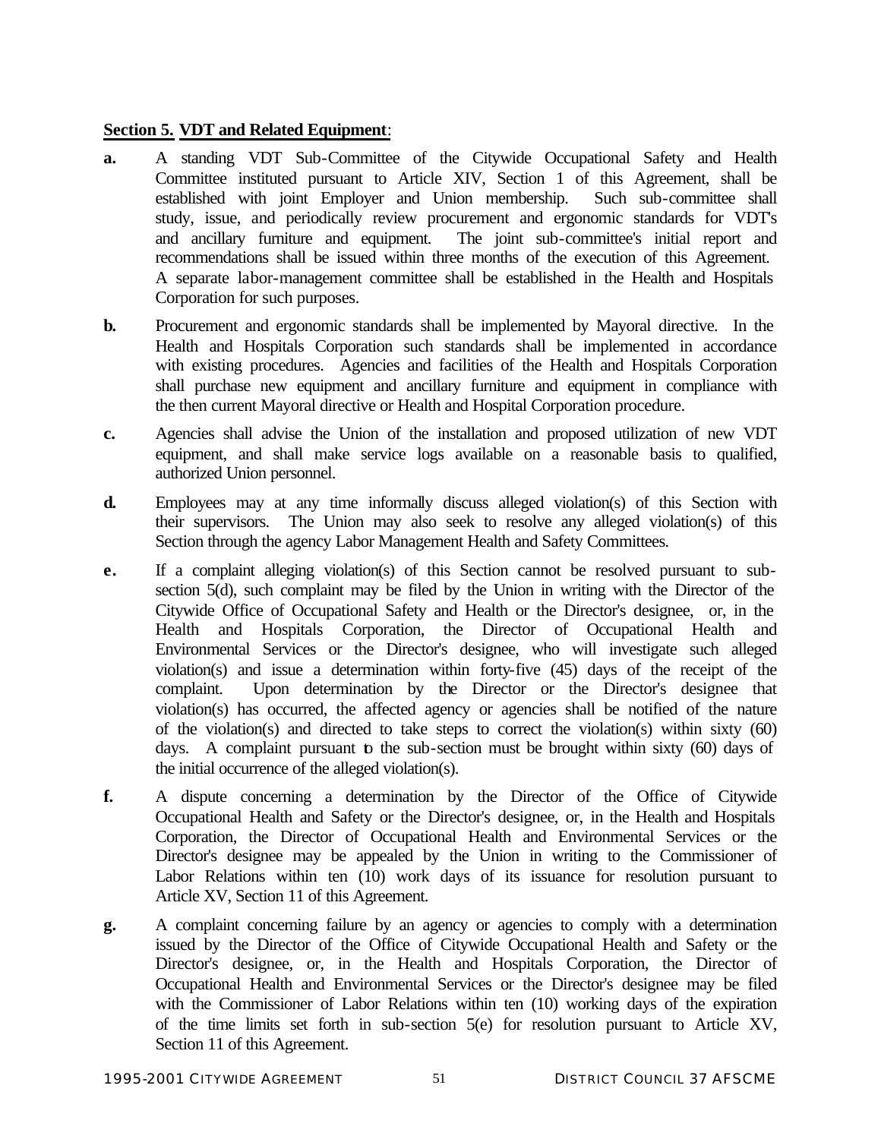## **Section 5. VDT and Related Equipment**:

- **a.** A standing VDT Sub-Committee of the Citywide Occupational Safety and Health Committee instituted pursuant to Article XIV, Section 1 of this Agreement, shall be established with joint Employer and Union membership. Such sub-committee shall study, issue, and periodically review procurement and ergonomic standards for VDT's and ancillary furniture and equipment. The joint sub-committee's initial report and recommendations shall be issued within three months of the execution of this Agreement. A separate labor-management committee shall be established in the Health and Hospitals Corporation for such purposes.
- **b.** Procurement and ergonomic standards shall be implemented by Mayoral directive. In the Health and Hospitals Corporation such standards shall be implemented in accordance with existing procedures. Agencies and facilities of the Health and Hospitals Corporation shall purchase new equipment and ancillary furniture and equipment in compliance with the then current Mayoral directive or Health and Hospital Corporation procedure.
- **c.** Agencies shall advise the Union of the installation and proposed utilization of new VDT equipment, and shall make service logs available on a reasonable basis to qualified, authorized Union personnel.
- **d.** Employees may at any time informally discuss alleged violation(s) of this Section with their supervisors. The Union may also seek to resolve any alleged violation(s) of this Section through the agency Labor Management Health and Safety Committees.
- **e.** If a complaint alleging violation(s) of this Section cannot be resolved pursuant to subsection 5(d), such complaint may be filed by the Union in writing with the Director of the Citywide Office of Occupational Safety and Health or the Director's designee, or, in the Health and Hospitals Corporation, the Director of Occupational Health and Environmental Services or the Director's designee, who will investigate such alleged violation(s) and issue a determination within forty-five (45) days of the receipt of the complaint. Upon determination by the Director or the Director's designee that violation(s) has occurred, the affected agency or agencies shall be notified of the nature of the violation(s) and directed to take steps to correct the violation(s) within sixty (60) days. A complaint pursuant to the sub-section must be brought within sixty (60) days of the initial occurrence of the alleged violation(s).
- **f.** A dispute concerning a determination by the Director of the Office of Citywide Occupational Health and Safety or the Director's designee, or, in the Health and Hospitals Corporation, the Director of Occupational Health and Environmental Services or the Director's designee may be appealed by the Union in writing to the Commissioner of Labor Relations within ten (10) work days of its issuance for resolution pursuant to Article XV, Section 11 of this Agreement.
- **g.** A complaint concerning failure by an agency or agencies to comply with a determination issued by the Director of the Office of Citywide Occupational Health and Safety or the Director's designee, or, in the Health and Hospitals Corporation, the Director of Occupational Health and Environmental Services or the Director's designee may be filed with the Commissioner of Labor Relations within ten (10) working days of the expiration of the time limits set forth in sub-section 5(e) for resolution pursuant to Article XV, Section 11 of this Agreement.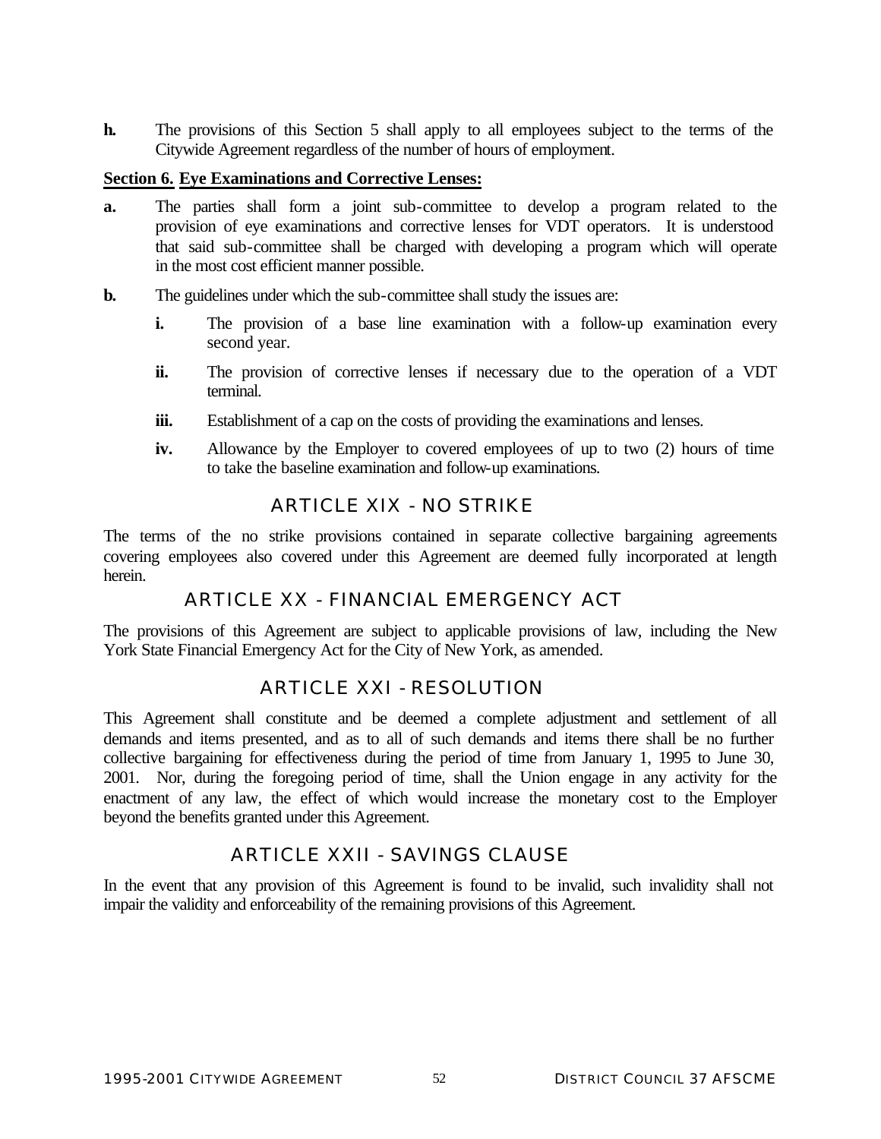**h.** The provisions of this Section 5 shall apply to all employees subject to the terms of the Citywide Agreement regardless of the number of hours of employment.

#### **Section 6. Eye Examinations and Corrective Lenses:**

- **a.** The parties shall form a joint sub-committee to develop a program related to the provision of eye examinations and corrective lenses for VDT operators. It is understood that said sub-committee shall be charged with developing a program which will operate in the most cost efficient manner possible.
- **b.** The guidelines under which the sub-committee shall study the issues are:
	- **i.** The provision of a base line examination with a follow-up examination every second year.
	- **ii.** The provision of corrective lenses if necessary due to the operation of a VDT terminal.
	- **iii.** Establishment of a cap on the costs of providing the examinations and lenses.
	- **iv.** Allowance by the Employer to covered employees of up to two (2) hours of time to take the baseline examination and follow-up examinations.

## ARTICLE XIX - NO STRIKE

The terms of the no strike provisions contained in separate collective bargaining agreements covering employees also covered under this Agreement are deemed fully incorporated at length herein.

## ARTICLE XX - FINANCIAL EMERGENCY ACT

The provisions of this Agreement are subject to applicable provisions of law, including the New York State Financial Emergency Act for the City of New York, as amended.

## ARTICLE XXI - RESOLUTION

This Agreement shall constitute and be deemed a complete adjustment and settlement of all demands and items presented, and as to all of such demands and items there shall be no further collective bargaining for effectiveness during the period of time from January 1, 1995 to June 30, 2001. Nor, during the foregoing period of time, shall the Union engage in any activity for the enactment of any law, the effect of which would increase the monetary cost to the Employer beyond the benefits granted under this Agreement.

## ARTICLE XXII - SAVINGS CLAUSE

In the event that any provision of this Agreement is found to be invalid, such invalidity shall not impair the validity and enforceability of the remaining provisions of this Agreement.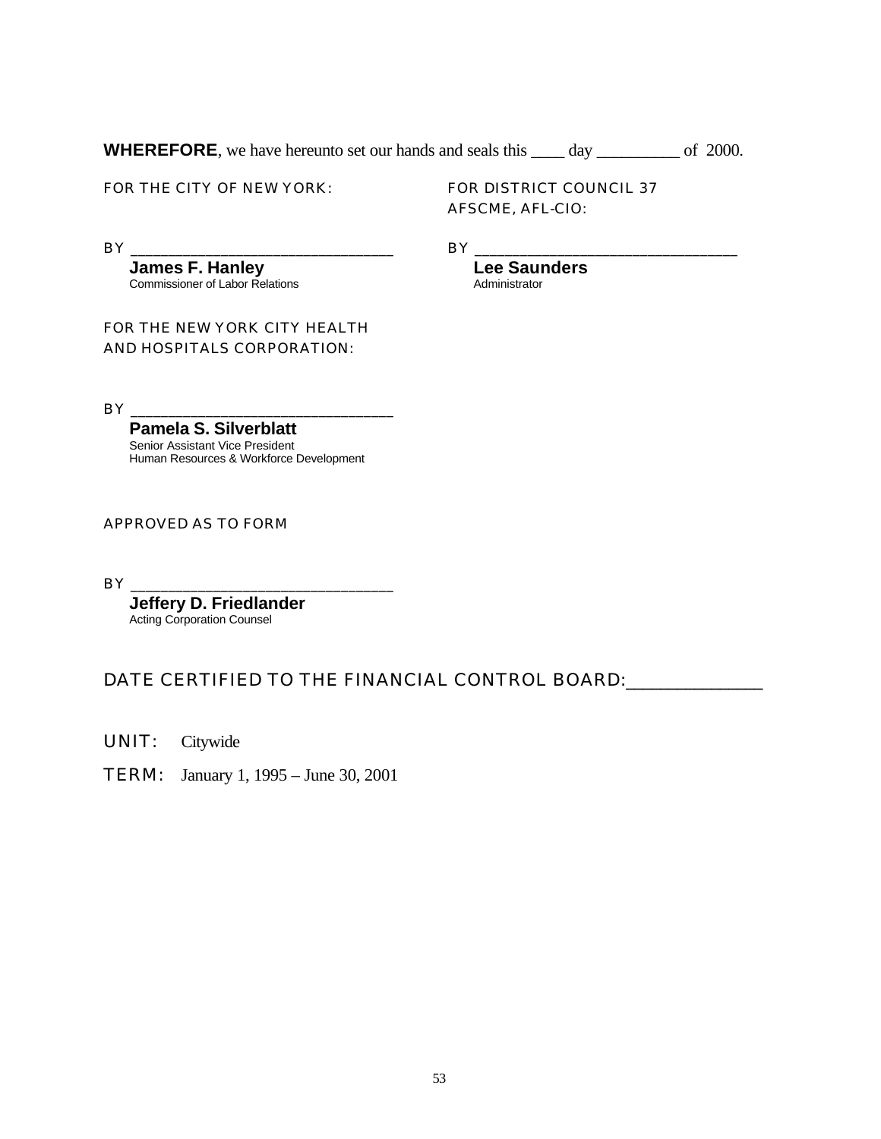**WHEREFORE**, we have hereunto set our hands and seals this day of 2000.

FOR THE CITY OF NEW YORK:

FOR DISTRICT COUNCIL 37 AFSCME, AFL-CIO:

> **Lee Saunders** Administrator

BY \_\_\_\_\_\_\_\_\_\_\_\_\_\_\_\_\_\_\_\_\_\_\_\_\_\_\_\_\_\_\_\_\_\_\_

BY \_\_\_\_\_\_\_\_\_\_\_\_\_\_\_\_\_\_\_\_\_\_\_\_\_\_\_\_\_\_\_\_\_\_\_

**James F. Hanley** Commissioner of Labor Relations

FOR THE NEW YORK CITY HEALTH AND HOSPITALS CORPORATION:

BY \_\_\_\_\_\_\_\_\_\_\_\_\_\_\_\_\_\_\_\_\_\_\_\_\_\_\_\_\_\_\_\_\_\_\_

**Pamela S. Silverblatt** Senior Assistant Vice President Human Resources & Workforce Development

APPROVED AS TO FORM

BY \_\_\_\_\_\_\_\_\_\_\_\_\_\_\_\_\_\_\_\_\_\_\_\_\_\_\_\_\_\_\_\_\_\_\_

**Jeffery D. Friedlander** Acting Corporation Counsel

DATE CERTIFIED TO THE FINANCIAL CONTROL BOARD: \_\_\_\_\_\_\_\_\_\_\_\_\_\_\_

UNIT: Citywide

TERM: January 1, 1995 – June 30, 2001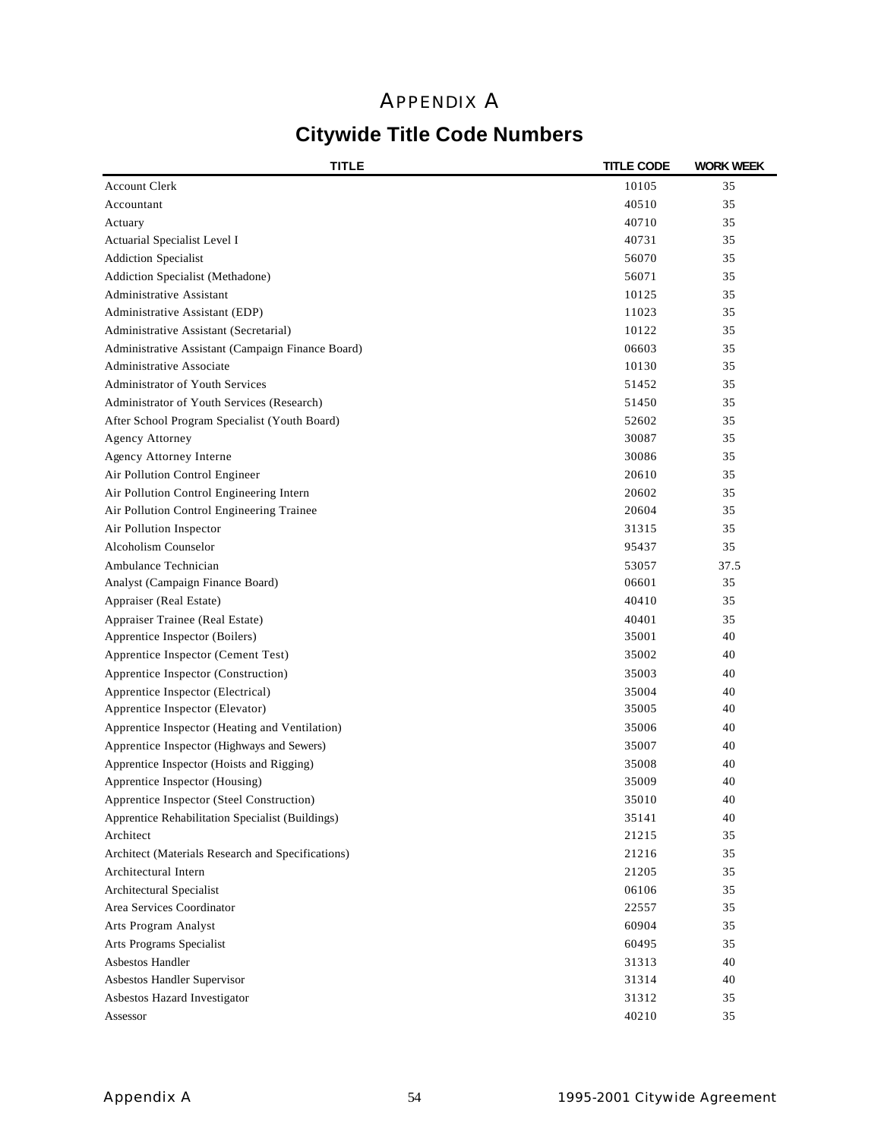## APPENDIX A

# **Citywide Title Code Numbers**

| <b>Account Clerk</b><br>10105<br>35<br>Accountant<br>40510<br>35<br>40710<br>35<br>Actuary<br>35<br>Actuarial Specialist Level I<br>40731<br><b>Addiction Specialist</b><br>35<br>56070<br>Addiction Specialist (Methadone)<br>35<br>56071<br>Administrative Assistant<br>35<br>10125<br>Administrative Assistant (EDP)<br>35<br>11023<br>10122<br>35<br>Administrative Assistant (Secretarial)<br>Administrative Assistant (Campaign Finance Board)<br>06603<br>35<br>Administrative Associate<br>10130<br>35<br>Administrator of Youth Services<br>35<br>51452<br>Administrator of Youth Services (Research)<br>51450<br>35<br>After School Program Specialist (Youth Board)<br>52602<br>35<br>30087<br>35<br>Agency Attorney<br>Agency Attorney Interne<br>30086<br>35<br>Air Pollution Control Engineer<br>35<br>20610<br>Air Pollution Control Engineering Intern<br>20602<br>35<br>Air Pollution Control Engineering Trainee<br>20604<br>35<br>Air Pollution Inspector<br>31315<br>35<br>Alcoholism Counselor<br>95437<br>35<br>Ambulance Technician<br>53057<br>37.5<br>Analyst (Campaign Finance Board)<br>06601<br>35<br>Appraiser (Real Estate)<br>40410<br>35<br>Appraiser Trainee (Real Estate)<br>40401<br>35<br>Apprentice Inspector (Boilers)<br>35001<br>40<br>Apprentice Inspector (Cement Test)<br>35002<br>40<br>Apprentice Inspector (Construction)<br>40<br>35003<br>Apprentice Inspector (Electrical)<br>35004<br>40<br>Apprentice Inspector (Elevator)<br>40<br>35005<br>35006<br>40<br>Apprentice Inspector (Heating and Ventilation)<br>Apprentice Inspector (Highways and Sewers)<br>35007<br>40<br>Apprentice Inspector (Hoists and Rigging)<br>35008<br>40<br>35009<br>40<br>Apprentice Inspector (Housing)<br>35010<br>Apprentice Inspector (Steel Construction)<br>40<br>Apprentice Rehabilitation Specialist (Buildings)<br>40<br>35141<br>21215<br>35<br>Architect<br>Architect (Materials Research and Specifications)<br>21216<br>35<br>Architectural Intern<br>35<br>21205<br>Architectural Specialist<br>06106<br>35<br>Area Services Coordinator<br>22557<br>35<br>Arts Program Analyst<br>60904<br>35<br>Arts Programs Specialist<br>60495<br>35<br>Asbestos Handler<br>31313<br>40<br>Asbestos Handler Supervisor<br>40<br>31314<br>Asbestos Hazard Investigator<br>31312<br>35 | <b>TITLE</b> | <b>TITLE CODE</b> | <b>WORK WEEK</b> |
|------------------------------------------------------------------------------------------------------------------------------------------------------------------------------------------------------------------------------------------------------------------------------------------------------------------------------------------------------------------------------------------------------------------------------------------------------------------------------------------------------------------------------------------------------------------------------------------------------------------------------------------------------------------------------------------------------------------------------------------------------------------------------------------------------------------------------------------------------------------------------------------------------------------------------------------------------------------------------------------------------------------------------------------------------------------------------------------------------------------------------------------------------------------------------------------------------------------------------------------------------------------------------------------------------------------------------------------------------------------------------------------------------------------------------------------------------------------------------------------------------------------------------------------------------------------------------------------------------------------------------------------------------------------------------------------------------------------------------------------------------------------------------------------------------------------------------------------------------------------------------------------------------------------------------------------------------------------------------------------------------------------------------------------------------------------------------------------------------------------------------------------------------------------------------------------------------------------------------------------------------------------------------------------------------------------------|--------------|-------------------|------------------|
|                                                                                                                                                                                                                                                                                                                                                                                                                                                                                                                                                                                                                                                                                                                                                                                                                                                                                                                                                                                                                                                                                                                                                                                                                                                                                                                                                                                                                                                                                                                                                                                                                                                                                                                                                                                                                                                                                                                                                                                                                                                                                                                                                                                                                                                                                                                        |              |                   |                  |
|                                                                                                                                                                                                                                                                                                                                                                                                                                                                                                                                                                                                                                                                                                                                                                                                                                                                                                                                                                                                                                                                                                                                                                                                                                                                                                                                                                                                                                                                                                                                                                                                                                                                                                                                                                                                                                                                                                                                                                                                                                                                                                                                                                                                                                                                                                                        |              |                   |                  |
|                                                                                                                                                                                                                                                                                                                                                                                                                                                                                                                                                                                                                                                                                                                                                                                                                                                                                                                                                                                                                                                                                                                                                                                                                                                                                                                                                                                                                                                                                                                                                                                                                                                                                                                                                                                                                                                                                                                                                                                                                                                                                                                                                                                                                                                                                                                        |              |                   |                  |
|                                                                                                                                                                                                                                                                                                                                                                                                                                                                                                                                                                                                                                                                                                                                                                                                                                                                                                                                                                                                                                                                                                                                                                                                                                                                                                                                                                                                                                                                                                                                                                                                                                                                                                                                                                                                                                                                                                                                                                                                                                                                                                                                                                                                                                                                                                                        |              |                   |                  |
|                                                                                                                                                                                                                                                                                                                                                                                                                                                                                                                                                                                                                                                                                                                                                                                                                                                                                                                                                                                                                                                                                                                                                                                                                                                                                                                                                                                                                                                                                                                                                                                                                                                                                                                                                                                                                                                                                                                                                                                                                                                                                                                                                                                                                                                                                                                        |              |                   |                  |
|                                                                                                                                                                                                                                                                                                                                                                                                                                                                                                                                                                                                                                                                                                                                                                                                                                                                                                                                                                                                                                                                                                                                                                                                                                                                                                                                                                                                                                                                                                                                                                                                                                                                                                                                                                                                                                                                                                                                                                                                                                                                                                                                                                                                                                                                                                                        |              |                   |                  |
|                                                                                                                                                                                                                                                                                                                                                                                                                                                                                                                                                                                                                                                                                                                                                                                                                                                                                                                                                                                                                                                                                                                                                                                                                                                                                                                                                                                                                                                                                                                                                                                                                                                                                                                                                                                                                                                                                                                                                                                                                                                                                                                                                                                                                                                                                                                        |              |                   |                  |
|                                                                                                                                                                                                                                                                                                                                                                                                                                                                                                                                                                                                                                                                                                                                                                                                                                                                                                                                                                                                                                                                                                                                                                                                                                                                                                                                                                                                                                                                                                                                                                                                                                                                                                                                                                                                                                                                                                                                                                                                                                                                                                                                                                                                                                                                                                                        |              |                   |                  |
|                                                                                                                                                                                                                                                                                                                                                                                                                                                                                                                                                                                                                                                                                                                                                                                                                                                                                                                                                                                                                                                                                                                                                                                                                                                                                                                                                                                                                                                                                                                                                                                                                                                                                                                                                                                                                                                                                                                                                                                                                                                                                                                                                                                                                                                                                                                        |              |                   |                  |
|                                                                                                                                                                                                                                                                                                                                                                                                                                                                                                                                                                                                                                                                                                                                                                                                                                                                                                                                                                                                                                                                                                                                                                                                                                                                                                                                                                                                                                                                                                                                                                                                                                                                                                                                                                                                                                                                                                                                                                                                                                                                                                                                                                                                                                                                                                                        |              |                   |                  |
|                                                                                                                                                                                                                                                                                                                                                                                                                                                                                                                                                                                                                                                                                                                                                                                                                                                                                                                                                                                                                                                                                                                                                                                                                                                                                                                                                                                                                                                                                                                                                                                                                                                                                                                                                                                                                                                                                                                                                                                                                                                                                                                                                                                                                                                                                                                        |              |                   |                  |
|                                                                                                                                                                                                                                                                                                                                                                                                                                                                                                                                                                                                                                                                                                                                                                                                                                                                                                                                                                                                                                                                                                                                                                                                                                                                                                                                                                                                                                                                                                                                                                                                                                                                                                                                                                                                                                                                                                                                                                                                                                                                                                                                                                                                                                                                                                                        |              |                   |                  |
|                                                                                                                                                                                                                                                                                                                                                                                                                                                                                                                                                                                                                                                                                                                                                                                                                                                                                                                                                                                                                                                                                                                                                                                                                                                                                                                                                                                                                                                                                                                                                                                                                                                                                                                                                                                                                                                                                                                                                                                                                                                                                                                                                                                                                                                                                                                        |              |                   |                  |
|                                                                                                                                                                                                                                                                                                                                                                                                                                                                                                                                                                                                                                                                                                                                                                                                                                                                                                                                                                                                                                                                                                                                                                                                                                                                                                                                                                                                                                                                                                                                                                                                                                                                                                                                                                                                                                                                                                                                                                                                                                                                                                                                                                                                                                                                                                                        |              |                   |                  |
|                                                                                                                                                                                                                                                                                                                                                                                                                                                                                                                                                                                                                                                                                                                                                                                                                                                                                                                                                                                                                                                                                                                                                                                                                                                                                                                                                                                                                                                                                                                                                                                                                                                                                                                                                                                                                                                                                                                                                                                                                                                                                                                                                                                                                                                                                                                        |              |                   |                  |
|                                                                                                                                                                                                                                                                                                                                                                                                                                                                                                                                                                                                                                                                                                                                                                                                                                                                                                                                                                                                                                                                                                                                                                                                                                                                                                                                                                                                                                                                                                                                                                                                                                                                                                                                                                                                                                                                                                                                                                                                                                                                                                                                                                                                                                                                                                                        |              |                   |                  |
|                                                                                                                                                                                                                                                                                                                                                                                                                                                                                                                                                                                                                                                                                                                                                                                                                                                                                                                                                                                                                                                                                                                                                                                                                                                                                                                                                                                                                                                                                                                                                                                                                                                                                                                                                                                                                                                                                                                                                                                                                                                                                                                                                                                                                                                                                                                        |              |                   |                  |
|                                                                                                                                                                                                                                                                                                                                                                                                                                                                                                                                                                                                                                                                                                                                                                                                                                                                                                                                                                                                                                                                                                                                                                                                                                                                                                                                                                                                                                                                                                                                                                                                                                                                                                                                                                                                                                                                                                                                                                                                                                                                                                                                                                                                                                                                                                                        |              |                   |                  |
|                                                                                                                                                                                                                                                                                                                                                                                                                                                                                                                                                                                                                                                                                                                                                                                                                                                                                                                                                                                                                                                                                                                                                                                                                                                                                                                                                                                                                                                                                                                                                                                                                                                                                                                                                                                                                                                                                                                                                                                                                                                                                                                                                                                                                                                                                                                        |              |                   |                  |
|                                                                                                                                                                                                                                                                                                                                                                                                                                                                                                                                                                                                                                                                                                                                                                                                                                                                                                                                                                                                                                                                                                                                                                                                                                                                                                                                                                                                                                                                                                                                                                                                                                                                                                                                                                                                                                                                                                                                                                                                                                                                                                                                                                                                                                                                                                                        |              |                   |                  |
|                                                                                                                                                                                                                                                                                                                                                                                                                                                                                                                                                                                                                                                                                                                                                                                                                                                                                                                                                                                                                                                                                                                                                                                                                                                                                                                                                                                                                                                                                                                                                                                                                                                                                                                                                                                                                                                                                                                                                                                                                                                                                                                                                                                                                                                                                                                        |              |                   |                  |
|                                                                                                                                                                                                                                                                                                                                                                                                                                                                                                                                                                                                                                                                                                                                                                                                                                                                                                                                                                                                                                                                                                                                                                                                                                                                                                                                                                                                                                                                                                                                                                                                                                                                                                                                                                                                                                                                                                                                                                                                                                                                                                                                                                                                                                                                                                                        |              |                   |                  |
|                                                                                                                                                                                                                                                                                                                                                                                                                                                                                                                                                                                                                                                                                                                                                                                                                                                                                                                                                                                                                                                                                                                                                                                                                                                                                                                                                                                                                                                                                                                                                                                                                                                                                                                                                                                                                                                                                                                                                                                                                                                                                                                                                                                                                                                                                                                        |              |                   |                  |
|                                                                                                                                                                                                                                                                                                                                                                                                                                                                                                                                                                                                                                                                                                                                                                                                                                                                                                                                                                                                                                                                                                                                                                                                                                                                                                                                                                                                                                                                                                                                                                                                                                                                                                                                                                                                                                                                                                                                                                                                                                                                                                                                                                                                                                                                                                                        |              |                   |                  |
|                                                                                                                                                                                                                                                                                                                                                                                                                                                                                                                                                                                                                                                                                                                                                                                                                                                                                                                                                                                                                                                                                                                                                                                                                                                                                                                                                                                                                                                                                                                                                                                                                                                                                                                                                                                                                                                                                                                                                                                                                                                                                                                                                                                                                                                                                                                        |              |                   |                  |
|                                                                                                                                                                                                                                                                                                                                                                                                                                                                                                                                                                                                                                                                                                                                                                                                                                                                                                                                                                                                                                                                                                                                                                                                                                                                                                                                                                                                                                                                                                                                                                                                                                                                                                                                                                                                                                                                                                                                                                                                                                                                                                                                                                                                                                                                                                                        |              |                   |                  |
|                                                                                                                                                                                                                                                                                                                                                                                                                                                                                                                                                                                                                                                                                                                                                                                                                                                                                                                                                                                                                                                                                                                                                                                                                                                                                                                                                                                                                                                                                                                                                                                                                                                                                                                                                                                                                                                                                                                                                                                                                                                                                                                                                                                                                                                                                                                        |              |                   |                  |
|                                                                                                                                                                                                                                                                                                                                                                                                                                                                                                                                                                                                                                                                                                                                                                                                                                                                                                                                                                                                                                                                                                                                                                                                                                                                                                                                                                                                                                                                                                                                                                                                                                                                                                                                                                                                                                                                                                                                                                                                                                                                                                                                                                                                                                                                                                                        |              |                   |                  |
|                                                                                                                                                                                                                                                                                                                                                                                                                                                                                                                                                                                                                                                                                                                                                                                                                                                                                                                                                                                                                                                                                                                                                                                                                                                                                                                                                                                                                                                                                                                                                                                                                                                                                                                                                                                                                                                                                                                                                                                                                                                                                                                                                                                                                                                                                                                        |              |                   |                  |
|                                                                                                                                                                                                                                                                                                                                                                                                                                                                                                                                                                                                                                                                                                                                                                                                                                                                                                                                                                                                                                                                                                                                                                                                                                                                                                                                                                                                                                                                                                                                                                                                                                                                                                                                                                                                                                                                                                                                                                                                                                                                                                                                                                                                                                                                                                                        |              |                   |                  |
|                                                                                                                                                                                                                                                                                                                                                                                                                                                                                                                                                                                                                                                                                                                                                                                                                                                                                                                                                                                                                                                                                                                                                                                                                                                                                                                                                                                                                                                                                                                                                                                                                                                                                                                                                                                                                                                                                                                                                                                                                                                                                                                                                                                                                                                                                                                        |              |                   |                  |
|                                                                                                                                                                                                                                                                                                                                                                                                                                                                                                                                                                                                                                                                                                                                                                                                                                                                                                                                                                                                                                                                                                                                                                                                                                                                                                                                                                                                                                                                                                                                                                                                                                                                                                                                                                                                                                                                                                                                                                                                                                                                                                                                                                                                                                                                                                                        |              |                   |                  |
|                                                                                                                                                                                                                                                                                                                                                                                                                                                                                                                                                                                                                                                                                                                                                                                                                                                                                                                                                                                                                                                                                                                                                                                                                                                                                                                                                                                                                                                                                                                                                                                                                                                                                                                                                                                                                                                                                                                                                                                                                                                                                                                                                                                                                                                                                                                        |              |                   |                  |
|                                                                                                                                                                                                                                                                                                                                                                                                                                                                                                                                                                                                                                                                                                                                                                                                                                                                                                                                                                                                                                                                                                                                                                                                                                                                                                                                                                                                                                                                                                                                                                                                                                                                                                                                                                                                                                                                                                                                                                                                                                                                                                                                                                                                                                                                                                                        |              |                   |                  |
|                                                                                                                                                                                                                                                                                                                                                                                                                                                                                                                                                                                                                                                                                                                                                                                                                                                                                                                                                                                                                                                                                                                                                                                                                                                                                                                                                                                                                                                                                                                                                                                                                                                                                                                                                                                                                                                                                                                                                                                                                                                                                                                                                                                                                                                                                                                        |              |                   |                  |
|                                                                                                                                                                                                                                                                                                                                                                                                                                                                                                                                                                                                                                                                                                                                                                                                                                                                                                                                                                                                                                                                                                                                                                                                                                                                                                                                                                                                                                                                                                                                                                                                                                                                                                                                                                                                                                                                                                                                                                                                                                                                                                                                                                                                                                                                                                                        |              |                   |                  |
|                                                                                                                                                                                                                                                                                                                                                                                                                                                                                                                                                                                                                                                                                                                                                                                                                                                                                                                                                                                                                                                                                                                                                                                                                                                                                                                                                                                                                                                                                                                                                                                                                                                                                                                                                                                                                                                                                                                                                                                                                                                                                                                                                                                                                                                                                                                        |              |                   |                  |
|                                                                                                                                                                                                                                                                                                                                                                                                                                                                                                                                                                                                                                                                                                                                                                                                                                                                                                                                                                                                                                                                                                                                                                                                                                                                                                                                                                                                                                                                                                                                                                                                                                                                                                                                                                                                                                                                                                                                                                                                                                                                                                                                                                                                                                                                                                                        |              |                   |                  |
|                                                                                                                                                                                                                                                                                                                                                                                                                                                                                                                                                                                                                                                                                                                                                                                                                                                                                                                                                                                                                                                                                                                                                                                                                                                                                                                                                                                                                                                                                                                                                                                                                                                                                                                                                                                                                                                                                                                                                                                                                                                                                                                                                                                                                                                                                                                        |              |                   |                  |
|                                                                                                                                                                                                                                                                                                                                                                                                                                                                                                                                                                                                                                                                                                                                                                                                                                                                                                                                                                                                                                                                                                                                                                                                                                                                                                                                                                                                                                                                                                                                                                                                                                                                                                                                                                                                                                                                                                                                                                                                                                                                                                                                                                                                                                                                                                                        |              |                   |                  |
|                                                                                                                                                                                                                                                                                                                                                                                                                                                                                                                                                                                                                                                                                                                                                                                                                                                                                                                                                                                                                                                                                                                                                                                                                                                                                                                                                                                                                                                                                                                                                                                                                                                                                                                                                                                                                                                                                                                                                                                                                                                                                                                                                                                                                                                                                                                        |              |                   |                  |
|                                                                                                                                                                                                                                                                                                                                                                                                                                                                                                                                                                                                                                                                                                                                                                                                                                                                                                                                                                                                                                                                                                                                                                                                                                                                                                                                                                                                                                                                                                                                                                                                                                                                                                                                                                                                                                                                                                                                                                                                                                                                                                                                                                                                                                                                                                                        |              |                   |                  |
|                                                                                                                                                                                                                                                                                                                                                                                                                                                                                                                                                                                                                                                                                                                                                                                                                                                                                                                                                                                                                                                                                                                                                                                                                                                                                                                                                                                                                                                                                                                                                                                                                                                                                                                                                                                                                                                                                                                                                                                                                                                                                                                                                                                                                                                                                                                        |              |                   |                  |
|                                                                                                                                                                                                                                                                                                                                                                                                                                                                                                                                                                                                                                                                                                                                                                                                                                                                                                                                                                                                                                                                                                                                                                                                                                                                                                                                                                                                                                                                                                                                                                                                                                                                                                                                                                                                                                                                                                                                                                                                                                                                                                                                                                                                                                                                                                                        |              |                   |                  |
|                                                                                                                                                                                                                                                                                                                                                                                                                                                                                                                                                                                                                                                                                                                                                                                                                                                                                                                                                                                                                                                                                                                                                                                                                                                                                                                                                                                                                                                                                                                                                                                                                                                                                                                                                                                                                                                                                                                                                                                                                                                                                                                                                                                                                                                                                                                        |              |                   |                  |
|                                                                                                                                                                                                                                                                                                                                                                                                                                                                                                                                                                                                                                                                                                                                                                                                                                                                                                                                                                                                                                                                                                                                                                                                                                                                                                                                                                                                                                                                                                                                                                                                                                                                                                                                                                                                                                                                                                                                                                                                                                                                                                                                                                                                                                                                                                                        |              |                   |                  |
| 40210<br>35<br>Assessor                                                                                                                                                                                                                                                                                                                                                                                                                                                                                                                                                                                                                                                                                                                                                                                                                                                                                                                                                                                                                                                                                                                                                                                                                                                                                                                                                                                                                                                                                                                                                                                                                                                                                                                                                                                                                                                                                                                                                                                                                                                                                                                                                                                                                                                                                                |              |                   |                  |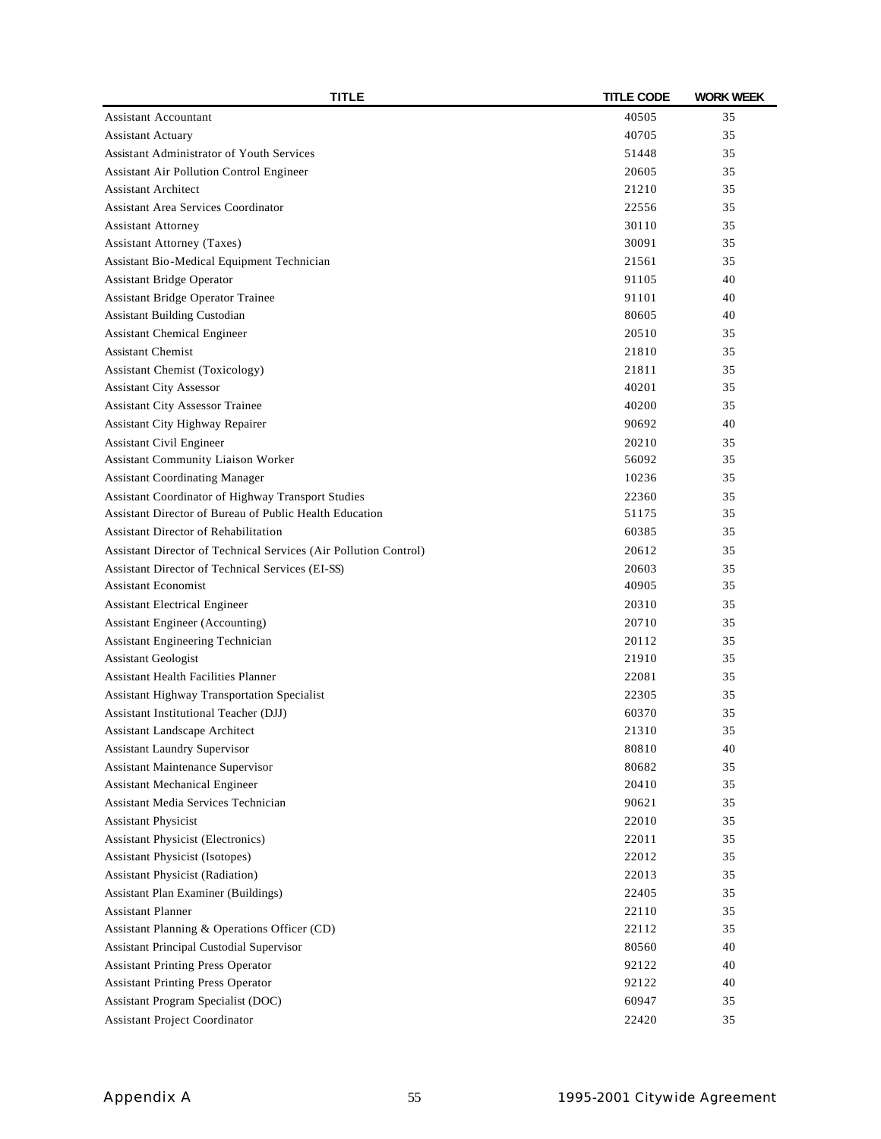| TITLE                                                                   | <b>TITLE CODE</b> | <b>WORK WEEK</b> |
|-------------------------------------------------------------------------|-------------------|------------------|
| <b>Assistant Accountant</b>                                             | 40505             | 35               |
| <b>Assistant Actuary</b>                                                | 40705             | 35               |
| Assistant Administrator of Youth Services                               | 51448             | 35               |
| <b>Assistant Air Pollution Control Engineer</b>                         | 20605             | 35               |
| <b>Assistant Architect</b>                                              | 21210             | 35               |
| <b>Assistant Area Services Coordinator</b>                              | 22556             | 35               |
| <b>Assistant Attorney</b>                                               | 30110             | 35               |
| <b>Assistant Attorney (Taxes)</b>                                       | 30091             | 35               |
| Assistant Bio-Medical Equipment Technician                              | 21561             | 35               |
| <b>Assistant Bridge Operator</b>                                        | 91105             | 40               |
| <b>Assistant Bridge Operator Trainee</b>                                | 91101             | 40               |
| Assistant Building Custodian                                            | 80605             | 40               |
| <b>Assistant Chemical Engineer</b>                                      | 20510             | 35               |
| <b>Assistant Chemist</b>                                                | 21810             | 35               |
| <b>Assistant Chemist (Toxicology)</b>                                   | 21811             | 35               |
| <b>Assistant City Assessor</b>                                          | 40201             | 35               |
| <b>Assistant City Assessor Trainee</b>                                  | 40200             | 35               |
| Assistant City Highway Repairer                                         | 90692             | 40               |
| Assistant Civil Engineer                                                | 20210             | 35               |
| Assistant Community Liaison Worker                                      | 56092             | 35               |
| <b>Assistant Coordinating Manager</b>                                   | 10236             | 35               |
| Assistant Coordinator of Highway Transport Studies                      | 22360             | 35               |
| Assistant Director of Bureau of Public Health Education                 | 51175             | 35               |
| Assistant Director of Rehabilitation                                    | 60385             | 35               |
| Assistant Director of Technical Services (Air Pollution Control)        | 20612             | 35               |
| Assistant Director of Technical Services (EI-SS)                        | 20603             | 35               |
| <b>Assistant Economist</b>                                              | 40905             | 35               |
| <b>Assistant Electrical Engineer</b>                                    | 20310             | 35               |
| Assistant Engineer (Accounting)                                         | 20710             | 35               |
| Assistant Engineering Technician                                        | 20112             | 35               |
| <b>Assistant Geologist</b>                                              | 21910             | 35               |
| <b>Assistant Health Facilities Planner</b>                              | 22081             | 35               |
| <b>Assistant Highway Transportation Specialist</b>                      | 22305             | 35               |
| Assistant Institutional Teacher (DJJ)                                   |                   | 35               |
| Assistant Landscape Architect                                           | 60370<br>21310    | 35               |
|                                                                         | 80810             | 40               |
| <b>Assistant Laundry Supervisor</b><br>Assistant Maintenance Supervisor | 80682             |                  |
| <b>Assistant Mechanical Engineer</b>                                    | 20410             | 35<br>35         |
| Assistant Media Services Technician                                     | 90621             | 35               |
|                                                                         | 22010             |                  |
| <b>Assistant Physicist</b>                                              |                   | 35               |
| <b>Assistant Physicist (Electronics)</b>                                | 22011<br>22012    | 35<br>35         |
| Assistant Physicist (Isotopes)                                          |                   |                  |
| <b>Assistant Physicist (Radiation)</b>                                  | 22013             | 35               |
| Assistant Plan Examiner (Buildings)                                     | 22405             | 35               |
| <b>Assistant Planner</b>                                                | 22110             | 35               |
| Assistant Planning & Operations Officer (CD)                            | 22112             | 35               |
| Assistant Principal Custodial Supervisor                                | 80560             | 40               |
| <b>Assistant Printing Press Operator</b>                                | 92122             | 40               |
| <b>Assistant Printing Press Operator</b>                                | 92122             | 40               |
| Assistant Program Specialist (DOC)                                      | 60947             | 35               |
| <b>Assistant Project Coordinator</b>                                    | 22420             | 35               |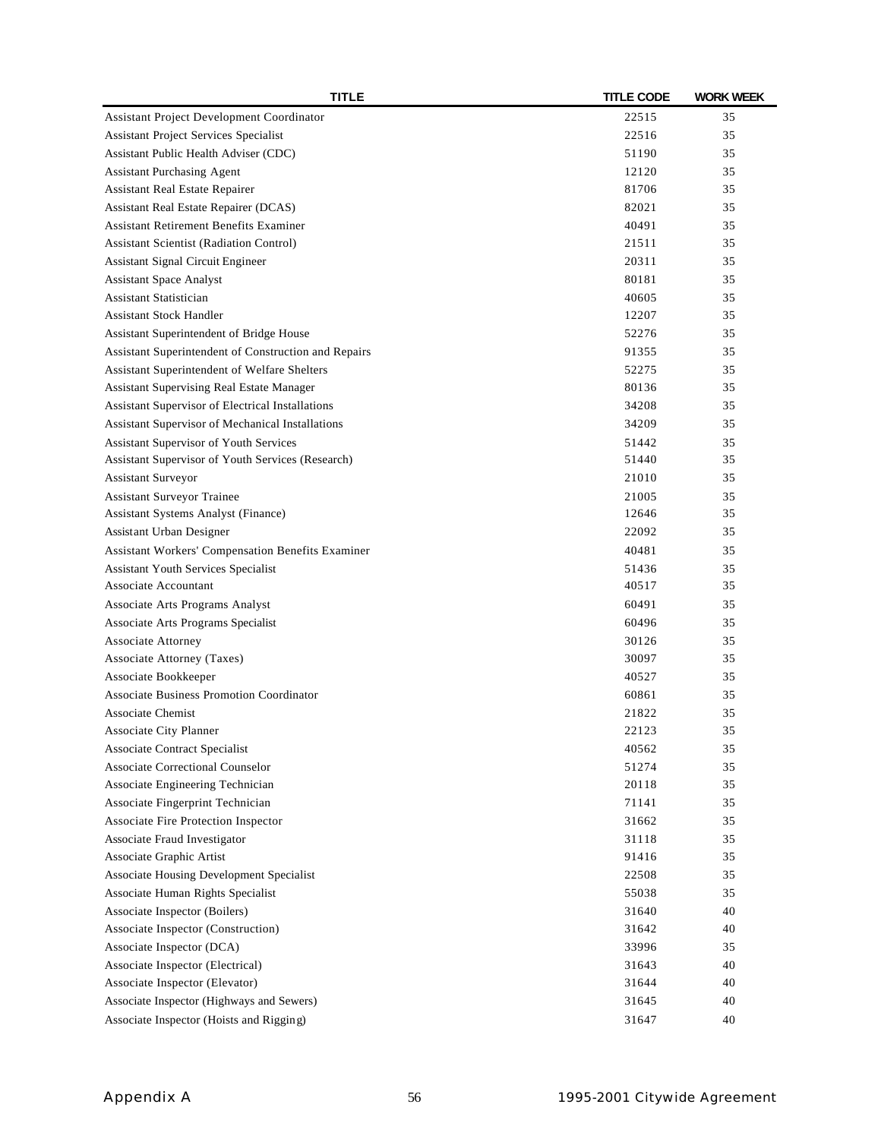| <b>TITLE</b>                                         | <b>TITLE CODE</b> | <b>WORK WEEK</b> |
|------------------------------------------------------|-------------------|------------------|
| Assistant Project Development Coordinator            | 22515             | 35               |
| Assistant Project Services Specialist                | 22516             | 35               |
| Assistant Public Health Adviser (CDC)                | 51190             | 35               |
| <b>Assistant Purchasing Agent</b>                    | 12120             | 35               |
| Assistant Real Estate Repairer                       | 81706             | 35               |
| Assistant Real Estate Repairer (DCAS)                | 82021             | 35               |
| <b>Assistant Retirement Benefits Examiner</b>        | 40491             | 35               |
| <b>Assistant Scientist (Radiation Control)</b>       | 21511             | 35               |
| Assistant Signal Circuit Engineer                    | 20311             | 35               |
| <b>Assistant Space Analyst</b>                       | 80181             | 35               |
| <b>Assistant Statistician</b>                        | 40605             | 35               |
| <b>Assistant Stock Handler</b>                       | 12207             | 35               |
| Assistant Superintendent of Bridge House             | 52276             | 35               |
| Assistant Superintendent of Construction and Repairs | 91355             | 35               |
| Assistant Superintendent of Welfare Shelters         | 52275             | 35               |
| Assistant Supervising Real Estate Manager            | 80136             | 35               |
| Assistant Supervisor of Electrical Installations     | 34208             | 35               |
| Assistant Supervisor of Mechanical Installations     | 34209             | 35               |
| Assistant Supervisor of Youth Services               | 51442             | 35               |
| Assistant Supervisor of Youth Services (Research)    | 51440             | 35               |
| Assistant Surveyor                                   | 21010             | 35               |
| Assistant Surveyor Trainee                           | 21005             | 35               |
| Assistant Systems Analyst (Finance)                  | 12646             | 35               |
| Assistant Urban Designer                             | 22092             | 35               |
| Assistant Workers' Compensation Benefits Examiner    | 40481             | 35               |
| Assistant Youth Services Specialist                  | 51436             | 35               |
| Associate Accountant                                 | 40517             | 35               |
| Associate Arts Programs Analyst                      | 60491             | 35               |
| Associate Arts Programs Specialist                   | 60496             | 35               |
| <b>Associate Attorney</b>                            | 30126             | 35               |
| Associate Attorney (Taxes)                           | 30097             | 35               |
| Associate Bookkeeper                                 | 40527             | 35               |
| <b>Associate Business Promotion Coordinator</b>      | 60861             | 35               |
| <b>Associate Chemist</b>                             | 21822             | 35               |
| <b>Associate City Planner</b>                        | 22123             | 35               |
| <b>Associate Contract Specialist</b>                 | 40562             | 35               |
| <b>Associate Correctional Counselor</b>              | 51274             | 35               |
| Associate Engineering Technician                     | 20118             | 35               |
| Associate Fingerprint Technician                     | 71141             | 35               |
| Associate Fire Protection Inspector                  | 31662             | 35               |
| Associate Fraud Investigator                         | 31118             | 35               |
| Associate Graphic Artist                             | 91416             | 35               |
| Associate Housing Development Specialist             | 22508             | 35               |
| Associate Human Rights Specialist                    | 55038             | 35               |
| Associate Inspector (Boilers)                        | 31640             | 40               |
| Associate Inspector (Construction)                   | 31642             | 40               |
| Associate Inspector (DCA)                            | 33996             | 35               |
| Associate Inspector (Electrical)                     | 31643             | 40               |
| Associate Inspector (Elevator)                       | 31644             | 40               |
| Associate Inspector (Highways and Sewers)            | 31645             | 40               |
| Associate Inspector (Hoists and Rigging)             | 31647             | 40               |
|                                                      |                   |                  |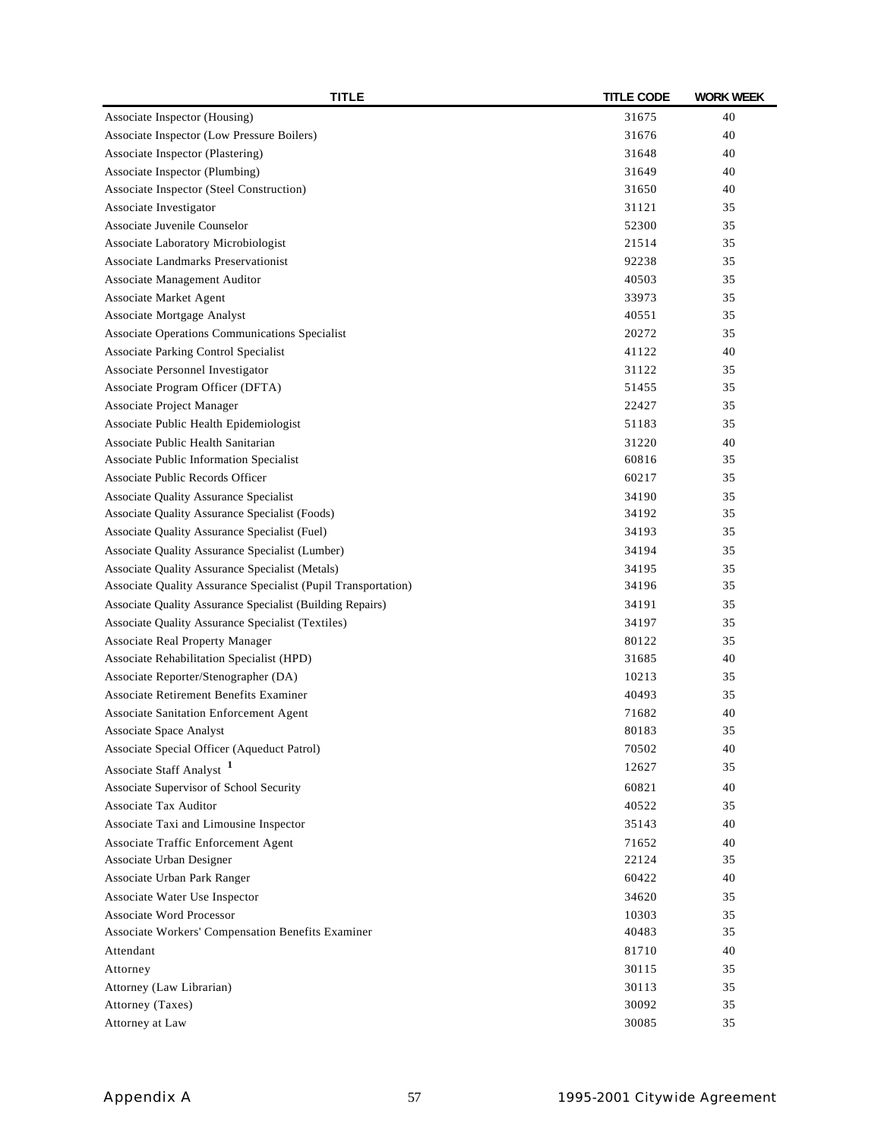| Associate Inspector (Housing)<br>31675<br>40<br>40<br>Associate Inspector (Low Pressure Boilers)<br>31676<br>Associate Inspector (Plastering)<br>40<br>31648<br>Associate Inspector (Plumbing)<br>40<br>31649<br>Associate Inspector (Steel Construction)<br>31650<br>40<br>Associate Investigator<br>31121<br>35<br>Associate Juvenile Counselor<br>52300<br>35<br>Associate Laboratory Microbiologist<br>35<br>21514<br><b>Associate Landmarks Preservationist</b><br>35<br>92238<br>Associate Management Auditor<br>40503<br>35<br>35<br>Associate Market Agent<br>33973<br>Associate Mortgage Analyst<br>35<br>40551<br>Associate Operations Communications Specialist<br>35<br>20272<br>Associate Parking Control Specialist<br>41122<br>40<br>Associate Personnel Investigator<br>31122<br>35<br>Associate Program Officer (DFTA)<br>35<br>51455<br>Associate Project Manager<br>22427<br>35<br>Associate Public Health Epidemiologist<br>51183<br>35<br>Associate Public Health Sanitarian<br>31220<br>40<br>60816<br>Associate Public Information Specialist<br>35<br>Associate Public Records Officer<br>60217<br>35<br>Associate Quality Assurance Specialist<br>35<br>34190<br>Associate Quality Assurance Specialist (Foods)<br>35<br>34192<br>Associate Quality Assurance Specialist (Fuel)<br>34193<br>35<br>Associate Quality Assurance Specialist (Lumber)<br>34194<br>35<br>Associate Quality Assurance Specialist (Metals)<br>34195<br>35<br>Associate Quality Assurance Specialist (Pupil Transportation)<br>35<br>34196<br>Associate Quality Assurance Specialist (Building Repairs)<br>34191<br>35<br>Associate Quality Assurance Specialist (Textiles)<br>34197<br>35<br>Associate Real Property Manager<br>35<br>80122<br>Associate Rehabilitation Specialist (HPD)<br>31685<br>40<br>Associate Reporter/Stenographer (DA)<br>35<br>10213<br><b>Associate Retirement Benefits Examiner</b><br>35<br>40493<br>Associate Sanitation Enforcement Agent<br>71682<br>40<br>35<br>Associate Space Analyst<br>80183<br>Associate Special Officer (Aqueduct Patrol)<br>70502<br>40<br>12627<br>Associate Staff Analyst <sup>1</sup><br>35<br>Associate Supervisor of School Security<br>60821<br>40<br>Associate Tax Auditor<br>40522<br>35<br>Associate Taxi and Limousine Inspector<br>35143<br>40<br>Associate Traffic Enforcement Agent<br>40<br>71652<br>22124<br>Associate Urban Designer<br>35<br>Associate Urban Park Ranger<br>60422<br>40<br>Associate Water Use Inspector<br>34620<br>35<br><b>Associate Word Processor</b><br>10303<br>35<br>Associate Workers' Compensation Benefits Examiner<br>40483<br>35<br>Attendant<br>81710<br>40<br>30115<br>35<br>Attorney<br>30113<br>35<br>Attorney (Law Librarian)<br>Attorney (Taxes)<br>35<br>30092<br>Attorney at Law<br>35<br>30085 | <b>TITLE</b> | <b>TITLE CODE</b> | <b>WORK WEEK</b> |
|-----------------------------------------------------------------------------------------------------------------------------------------------------------------------------------------------------------------------------------------------------------------------------------------------------------------------------------------------------------------------------------------------------------------------------------------------------------------------------------------------------------------------------------------------------------------------------------------------------------------------------------------------------------------------------------------------------------------------------------------------------------------------------------------------------------------------------------------------------------------------------------------------------------------------------------------------------------------------------------------------------------------------------------------------------------------------------------------------------------------------------------------------------------------------------------------------------------------------------------------------------------------------------------------------------------------------------------------------------------------------------------------------------------------------------------------------------------------------------------------------------------------------------------------------------------------------------------------------------------------------------------------------------------------------------------------------------------------------------------------------------------------------------------------------------------------------------------------------------------------------------------------------------------------------------------------------------------------------------------------------------------------------------------------------------------------------------------------------------------------------------------------------------------------------------------------------------------------------------------------------------------------------------------------------------------------------------------------------------------------------------------------------------------------------------------------------------------------------------------------------------------------------------------------------------------------------------------------------------------------------------------------------------------------------------------------------------------------------------------------------------------------------------------------------------------------|--------------|-------------------|------------------|
|                                                                                                                                                                                                                                                                                                                                                                                                                                                                                                                                                                                                                                                                                                                                                                                                                                                                                                                                                                                                                                                                                                                                                                                                                                                                                                                                                                                                                                                                                                                                                                                                                                                                                                                                                                                                                                                                                                                                                                                                                                                                                                                                                                                                                                                                                                                                                                                                                                                                                                                                                                                                                                                                                                                                                                                                                 |              |                   |                  |
|                                                                                                                                                                                                                                                                                                                                                                                                                                                                                                                                                                                                                                                                                                                                                                                                                                                                                                                                                                                                                                                                                                                                                                                                                                                                                                                                                                                                                                                                                                                                                                                                                                                                                                                                                                                                                                                                                                                                                                                                                                                                                                                                                                                                                                                                                                                                                                                                                                                                                                                                                                                                                                                                                                                                                                                                                 |              |                   |                  |
|                                                                                                                                                                                                                                                                                                                                                                                                                                                                                                                                                                                                                                                                                                                                                                                                                                                                                                                                                                                                                                                                                                                                                                                                                                                                                                                                                                                                                                                                                                                                                                                                                                                                                                                                                                                                                                                                                                                                                                                                                                                                                                                                                                                                                                                                                                                                                                                                                                                                                                                                                                                                                                                                                                                                                                                                                 |              |                   |                  |
|                                                                                                                                                                                                                                                                                                                                                                                                                                                                                                                                                                                                                                                                                                                                                                                                                                                                                                                                                                                                                                                                                                                                                                                                                                                                                                                                                                                                                                                                                                                                                                                                                                                                                                                                                                                                                                                                                                                                                                                                                                                                                                                                                                                                                                                                                                                                                                                                                                                                                                                                                                                                                                                                                                                                                                                                                 |              |                   |                  |
|                                                                                                                                                                                                                                                                                                                                                                                                                                                                                                                                                                                                                                                                                                                                                                                                                                                                                                                                                                                                                                                                                                                                                                                                                                                                                                                                                                                                                                                                                                                                                                                                                                                                                                                                                                                                                                                                                                                                                                                                                                                                                                                                                                                                                                                                                                                                                                                                                                                                                                                                                                                                                                                                                                                                                                                                                 |              |                   |                  |
|                                                                                                                                                                                                                                                                                                                                                                                                                                                                                                                                                                                                                                                                                                                                                                                                                                                                                                                                                                                                                                                                                                                                                                                                                                                                                                                                                                                                                                                                                                                                                                                                                                                                                                                                                                                                                                                                                                                                                                                                                                                                                                                                                                                                                                                                                                                                                                                                                                                                                                                                                                                                                                                                                                                                                                                                                 |              |                   |                  |
|                                                                                                                                                                                                                                                                                                                                                                                                                                                                                                                                                                                                                                                                                                                                                                                                                                                                                                                                                                                                                                                                                                                                                                                                                                                                                                                                                                                                                                                                                                                                                                                                                                                                                                                                                                                                                                                                                                                                                                                                                                                                                                                                                                                                                                                                                                                                                                                                                                                                                                                                                                                                                                                                                                                                                                                                                 |              |                   |                  |
|                                                                                                                                                                                                                                                                                                                                                                                                                                                                                                                                                                                                                                                                                                                                                                                                                                                                                                                                                                                                                                                                                                                                                                                                                                                                                                                                                                                                                                                                                                                                                                                                                                                                                                                                                                                                                                                                                                                                                                                                                                                                                                                                                                                                                                                                                                                                                                                                                                                                                                                                                                                                                                                                                                                                                                                                                 |              |                   |                  |
|                                                                                                                                                                                                                                                                                                                                                                                                                                                                                                                                                                                                                                                                                                                                                                                                                                                                                                                                                                                                                                                                                                                                                                                                                                                                                                                                                                                                                                                                                                                                                                                                                                                                                                                                                                                                                                                                                                                                                                                                                                                                                                                                                                                                                                                                                                                                                                                                                                                                                                                                                                                                                                                                                                                                                                                                                 |              |                   |                  |
|                                                                                                                                                                                                                                                                                                                                                                                                                                                                                                                                                                                                                                                                                                                                                                                                                                                                                                                                                                                                                                                                                                                                                                                                                                                                                                                                                                                                                                                                                                                                                                                                                                                                                                                                                                                                                                                                                                                                                                                                                                                                                                                                                                                                                                                                                                                                                                                                                                                                                                                                                                                                                                                                                                                                                                                                                 |              |                   |                  |
|                                                                                                                                                                                                                                                                                                                                                                                                                                                                                                                                                                                                                                                                                                                                                                                                                                                                                                                                                                                                                                                                                                                                                                                                                                                                                                                                                                                                                                                                                                                                                                                                                                                                                                                                                                                                                                                                                                                                                                                                                                                                                                                                                                                                                                                                                                                                                                                                                                                                                                                                                                                                                                                                                                                                                                                                                 |              |                   |                  |
|                                                                                                                                                                                                                                                                                                                                                                                                                                                                                                                                                                                                                                                                                                                                                                                                                                                                                                                                                                                                                                                                                                                                                                                                                                                                                                                                                                                                                                                                                                                                                                                                                                                                                                                                                                                                                                                                                                                                                                                                                                                                                                                                                                                                                                                                                                                                                                                                                                                                                                                                                                                                                                                                                                                                                                                                                 |              |                   |                  |
|                                                                                                                                                                                                                                                                                                                                                                                                                                                                                                                                                                                                                                                                                                                                                                                                                                                                                                                                                                                                                                                                                                                                                                                                                                                                                                                                                                                                                                                                                                                                                                                                                                                                                                                                                                                                                                                                                                                                                                                                                                                                                                                                                                                                                                                                                                                                                                                                                                                                                                                                                                                                                                                                                                                                                                                                                 |              |                   |                  |
|                                                                                                                                                                                                                                                                                                                                                                                                                                                                                                                                                                                                                                                                                                                                                                                                                                                                                                                                                                                                                                                                                                                                                                                                                                                                                                                                                                                                                                                                                                                                                                                                                                                                                                                                                                                                                                                                                                                                                                                                                                                                                                                                                                                                                                                                                                                                                                                                                                                                                                                                                                                                                                                                                                                                                                                                                 |              |                   |                  |
|                                                                                                                                                                                                                                                                                                                                                                                                                                                                                                                                                                                                                                                                                                                                                                                                                                                                                                                                                                                                                                                                                                                                                                                                                                                                                                                                                                                                                                                                                                                                                                                                                                                                                                                                                                                                                                                                                                                                                                                                                                                                                                                                                                                                                                                                                                                                                                                                                                                                                                                                                                                                                                                                                                                                                                                                                 |              |                   |                  |
|                                                                                                                                                                                                                                                                                                                                                                                                                                                                                                                                                                                                                                                                                                                                                                                                                                                                                                                                                                                                                                                                                                                                                                                                                                                                                                                                                                                                                                                                                                                                                                                                                                                                                                                                                                                                                                                                                                                                                                                                                                                                                                                                                                                                                                                                                                                                                                                                                                                                                                                                                                                                                                                                                                                                                                                                                 |              |                   |                  |
|                                                                                                                                                                                                                                                                                                                                                                                                                                                                                                                                                                                                                                                                                                                                                                                                                                                                                                                                                                                                                                                                                                                                                                                                                                                                                                                                                                                                                                                                                                                                                                                                                                                                                                                                                                                                                                                                                                                                                                                                                                                                                                                                                                                                                                                                                                                                                                                                                                                                                                                                                                                                                                                                                                                                                                                                                 |              |                   |                  |
|                                                                                                                                                                                                                                                                                                                                                                                                                                                                                                                                                                                                                                                                                                                                                                                                                                                                                                                                                                                                                                                                                                                                                                                                                                                                                                                                                                                                                                                                                                                                                                                                                                                                                                                                                                                                                                                                                                                                                                                                                                                                                                                                                                                                                                                                                                                                                                                                                                                                                                                                                                                                                                                                                                                                                                                                                 |              |                   |                  |
|                                                                                                                                                                                                                                                                                                                                                                                                                                                                                                                                                                                                                                                                                                                                                                                                                                                                                                                                                                                                                                                                                                                                                                                                                                                                                                                                                                                                                                                                                                                                                                                                                                                                                                                                                                                                                                                                                                                                                                                                                                                                                                                                                                                                                                                                                                                                                                                                                                                                                                                                                                                                                                                                                                                                                                                                                 |              |                   |                  |
|                                                                                                                                                                                                                                                                                                                                                                                                                                                                                                                                                                                                                                                                                                                                                                                                                                                                                                                                                                                                                                                                                                                                                                                                                                                                                                                                                                                                                                                                                                                                                                                                                                                                                                                                                                                                                                                                                                                                                                                                                                                                                                                                                                                                                                                                                                                                                                                                                                                                                                                                                                                                                                                                                                                                                                                                                 |              |                   |                  |
|                                                                                                                                                                                                                                                                                                                                                                                                                                                                                                                                                                                                                                                                                                                                                                                                                                                                                                                                                                                                                                                                                                                                                                                                                                                                                                                                                                                                                                                                                                                                                                                                                                                                                                                                                                                                                                                                                                                                                                                                                                                                                                                                                                                                                                                                                                                                                                                                                                                                                                                                                                                                                                                                                                                                                                                                                 |              |                   |                  |
|                                                                                                                                                                                                                                                                                                                                                                                                                                                                                                                                                                                                                                                                                                                                                                                                                                                                                                                                                                                                                                                                                                                                                                                                                                                                                                                                                                                                                                                                                                                                                                                                                                                                                                                                                                                                                                                                                                                                                                                                                                                                                                                                                                                                                                                                                                                                                                                                                                                                                                                                                                                                                                                                                                                                                                                                                 |              |                   |                  |
|                                                                                                                                                                                                                                                                                                                                                                                                                                                                                                                                                                                                                                                                                                                                                                                                                                                                                                                                                                                                                                                                                                                                                                                                                                                                                                                                                                                                                                                                                                                                                                                                                                                                                                                                                                                                                                                                                                                                                                                                                                                                                                                                                                                                                                                                                                                                                                                                                                                                                                                                                                                                                                                                                                                                                                                                                 |              |                   |                  |
|                                                                                                                                                                                                                                                                                                                                                                                                                                                                                                                                                                                                                                                                                                                                                                                                                                                                                                                                                                                                                                                                                                                                                                                                                                                                                                                                                                                                                                                                                                                                                                                                                                                                                                                                                                                                                                                                                                                                                                                                                                                                                                                                                                                                                                                                                                                                                                                                                                                                                                                                                                                                                                                                                                                                                                                                                 |              |                   |                  |
|                                                                                                                                                                                                                                                                                                                                                                                                                                                                                                                                                                                                                                                                                                                                                                                                                                                                                                                                                                                                                                                                                                                                                                                                                                                                                                                                                                                                                                                                                                                                                                                                                                                                                                                                                                                                                                                                                                                                                                                                                                                                                                                                                                                                                                                                                                                                                                                                                                                                                                                                                                                                                                                                                                                                                                                                                 |              |                   |                  |
|                                                                                                                                                                                                                                                                                                                                                                                                                                                                                                                                                                                                                                                                                                                                                                                                                                                                                                                                                                                                                                                                                                                                                                                                                                                                                                                                                                                                                                                                                                                                                                                                                                                                                                                                                                                                                                                                                                                                                                                                                                                                                                                                                                                                                                                                                                                                                                                                                                                                                                                                                                                                                                                                                                                                                                                                                 |              |                   |                  |
|                                                                                                                                                                                                                                                                                                                                                                                                                                                                                                                                                                                                                                                                                                                                                                                                                                                                                                                                                                                                                                                                                                                                                                                                                                                                                                                                                                                                                                                                                                                                                                                                                                                                                                                                                                                                                                                                                                                                                                                                                                                                                                                                                                                                                                                                                                                                                                                                                                                                                                                                                                                                                                                                                                                                                                                                                 |              |                   |                  |
|                                                                                                                                                                                                                                                                                                                                                                                                                                                                                                                                                                                                                                                                                                                                                                                                                                                                                                                                                                                                                                                                                                                                                                                                                                                                                                                                                                                                                                                                                                                                                                                                                                                                                                                                                                                                                                                                                                                                                                                                                                                                                                                                                                                                                                                                                                                                                                                                                                                                                                                                                                                                                                                                                                                                                                                                                 |              |                   |                  |
|                                                                                                                                                                                                                                                                                                                                                                                                                                                                                                                                                                                                                                                                                                                                                                                                                                                                                                                                                                                                                                                                                                                                                                                                                                                                                                                                                                                                                                                                                                                                                                                                                                                                                                                                                                                                                                                                                                                                                                                                                                                                                                                                                                                                                                                                                                                                                                                                                                                                                                                                                                                                                                                                                                                                                                                                                 |              |                   |                  |
|                                                                                                                                                                                                                                                                                                                                                                                                                                                                                                                                                                                                                                                                                                                                                                                                                                                                                                                                                                                                                                                                                                                                                                                                                                                                                                                                                                                                                                                                                                                                                                                                                                                                                                                                                                                                                                                                                                                                                                                                                                                                                                                                                                                                                                                                                                                                                                                                                                                                                                                                                                                                                                                                                                                                                                                                                 |              |                   |                  |
|                                                                                                                                                                                                                                                                                                                                                                                                                                                                                                                                                                                                                                                                                                                                                                                                                                                                                                                                                                                                                                                                                                                                                                                                                                                                                                                                                                                                                                                                                                                                                                                                                                                                                                                                                                                                                                                                                                                                                                                                                                                                                                                                                                                                                                                                                                                                                                                                                                                                                                                                                                                                                                                                                                                                                                                                                 |              |                   |                  |
|                                                                                                                                                                                                                                                                                                                                                                                                                                                                                                                                                                                                                                                                                                                                                                                                                                                                                                                                                                                                                                                                                                                                                                                                                                                                                                                                                                                                                                                                                                                                                                                                                                                                                                                                                                                                                                                                                                                                                                                                                                                                                                                                                                                                                                                                                                                                                                                                                                                                                                                                                                                                                                                                                                                                                                                                                 |              |                   |                  |
|                                                                                                                                                                                                                                                                                                                                                                                                                                                                                                                                                                                                                                                                                                                                                                                                                                                                                                                                                                                                                                                                                                                                                                                                                                                                                                                                                                                                                                                                                                                                                                                                                                                                                                                                                                                                                                                                                                                                                                                                                                                                                                                                                                                                                                                                                                                                                                                                                                                                                                                                                                                                                                                                                                                                                                                                                 |              |                   |                  |
|                                                                                                                                                                                                                                                                                                                                                                                                                                                                                                                                                                                                                                                                                                                                                                                                                                                                                                                                                                                                                                                                                                                                                                                                                                                                                                                                                                                                                                                                                                                                                                                                                                                                                                                                                                                                                                                                                                                                                                                                                                                                                                                                                                                                                                                                                                                                                                                                                                                                                                                                                                                                                                                                                                                                                                                                                 |              |                   |                  |
|                                                                                                                                                                                                                                                                                                                                                                                                                                                                                                                                                                                                                                                                                                                                                                                                                                                                                                                                                                                                                                                                                                                                                                                                                                                                                                                                                                                                                                                                                                                                                                                                                                                                                                                                                                                                                                                                                                                                                                                                                                                                                                                                                                                                                                                                                                                                                                                                                                                                                                                                                                                                                                                                                                                                                                                                                 |              |                   |                  |
|                                                                                                                                                                                                                                                                                                                                                                                                                                                                                                                                                                                                                                                                                                                                                                                                                                                                                                                                                                                                                                                                                                                                                                                                                                                                                                                                                                                                                                                                                                                                                                                                                                                                                                                                                                                                                                                                                                                                                                                                                                                                                                                                                                                                                                                                                                                                                                                                                                                                                                                                                                                                                                                                                                                                                                                                                 |              |                   |                  |
|                                                                                                                                                                                                                                                                                                                                                                                                                                                                                                                                                                                                                                                                                                                                                                                                                                                                                                                                                                                                                                                                                                                                                                                                                                                                                                                                                                                                                                                                                                                                                                                                                                                                                                                                                                                                                                                                                                                                                                                                                                                                                                                                                                                                                                                                                                                                                                                                                                                                                                                                                                                                                                                                                                                                                                                                                 |              |                   |                  |
|                                                                                                                                                                                                                                                                                                                                                                                                                                                                                                                                                                                                                                                                                                                                                                                                                                                                                                                                                                                                                                                                                                                                                                                                                                                                                                                                                                                                                                                                                                                                                                                                                                                                                                                                                                                                                                                                                                                                                                                                                                                                                                                                                                                                                                                                                                                                                                                                                                                                                                                                                                                                                                                                                                                                                                                                                 |              |                   |                  |
|                                                                                                                                                                                                                                                                                                                                                                                                                                                                                                                                                                                                                                                                                                                                                                                                                                                                                                                                                                                                                                                                                                                                                                                                                                                                                                                                                                                                                                                                                                                                                                                                                                                                                                                                                                                                                                                                                                                                                                                                                                                                                                                                                                                                                                                                                                                                                                                                                                                                                                                                                                                                                                                                                                                                                                                                                 |              |                   |                  |
|                                                                                                                                                                                                                                                                                                                                                                                                                                                                                                                                                                                                                                                                                                                                                                                                                                                                                                                                                                                                                                                                                                                                                                                                                                                                                                                                                                                                                                                                                                                                                                                                                                                                                                                                                                                                                                                                                                                                                                                                                                                                                                                                                                                                                                                                                                                                                                                                                                                                                                                                                                                                                                                                                                                                                                                                                 |              |                   |                  |
|                                                                                                                                                                                                                                                                                                                                                                                                                                                                                                                                                                                                                                                                                                                                                                                                                                                                                                                                                                                                                                                                                                                                                                                                                                                                                                                                                                                                                                                                                                                                                                                                                                                                                                                                                                                                                                                                                                                                                                                                                                                                                                                                                                                                                                                                                                                                                                                                                                                                                                                                                                                                                                                                                                                                                                                                                 |              |                   |                  |
|                                                                                                                                                                                                                                                                                                                                                                                                                                                                                                                                                                                                                                                                                                                                                                                                                                                                                                                                                                                                                                                                                                                                                                                                                                                                                                                                                                                                                                                                                                                                                                                                                                                                                                                                                                                                                                                                                                                                                                                                                                                                                                                                                                                                                                                                                                                                                                                                                                                                                                                                                                                                                                                                                                                                                                                                                 |              |                   |                  |
|                                                                                                                                                                                                                                                                                                                                                                                                                                                                                                                                                                                                                                                                                                                                                                                                                                                                                                                                                                                                                                                                                                                                                                                                                                                                                                                                                                                                                                                                                                                                                                                                                                                                                                                                                                                                                                                                                                                                                                                                                                                                                                                                                                                                                                                                                                                                                                                                                                                                                                                                                                                                                                                                                                                                                                                                                 |              |                   |                  |
|                                                                                                                                                                                                                                                                                                                                                                                                                                                                                                                                                                                                                                                                                                                                                                                                                                                                                                                                                                                                                                                                                                                                                                                                                                                                                                                                                                                                                                                                                                                                                                                                                                                                                                                                                                                                                                                                                                                                                                                                                                                                                                                                                                                                                                                                                                                                                                                                                                                                                                                                                                                                                                                                                                                                                                                                                 |              |                   |                  |
|                                                                                                                                                                                                                                                                                                                                                                                                                                                                                                                                                                                                                                                                                                                                                                                                                                                                                                                                                                                                                                                                                                                                                                                                                                                                                                                                                                                                                                                                                                                                                                                                                                                                                                                                                                                                                                                                                                                                                                                                                                                                                                                                                                                                                                                                                                                                                                                                                                                                                                                                                                                                                                                                                                                                                                                                                 |              |                   |                  |
|                                                                                                                                                                                                                                                                                                                                                                                                                                                                                                                                                                                                                                                                                                                                                                                                                                                                                                                                                                                                                                                                                                                                                                                                                                                                                                                                                                                                                                                                                                                                                                                                                                                                                                                                                                                                                                                                                                                                                                                                                                                                                                                                                                                                                                                                                                                                                                                                                                                                                                                                                                                                                                                                                                                                                                                                                 |              |                   |                  |
|                                                                                                                                                                                                                                                                                                                                                                                                                                                                                                                                                                                                                                                                                                                                                                                                                                                                                                                                                                                                                                                                                                                                                                                                                                                                                                                                                                                                                                                                                                                                                                                                                                                                                                                                                                                                                                                                                                                                                                                                                                                                                                                                                                                                                                                                                                                                                                                                                                                                                                                                                                                                                                                                                                                                                                                                                 |              |                   |                  |
|                                                                                                                                                                                                                                                                                                                                                                                                                                                                                                                                                                                                                                                                                                                                                                                                                                                                                                                                                                                                                                                                                                                                                                                                                                                                                                                                                                                                                                                                                                                                                                                                                                                                                                                                                                                                                                                                                                                                                                                                                                                                                                                                                                                                                                                                                                                                                                                                                                                                                                                                                                                                                                                                                                                                                                                                                 |              |                   |                  |
|                                                                                                                                                                                                                                                                                                                                                                                                                                                                                                                                                                                                                                                                                                                                                                                                                                                                                                                                                                                                                                                                                                                                                                                                                                                                                                                                                                                                                                                                                                                                                                                                                                                                                                                                                                                                                                                                                                                                                                                                                                                                                                                                                                                                                                                                                                                                                                                                                                                                                                                                                                                                                                                                                                                                                                                                                 |              |                   |                  |
|                                                                                                                                                                                                                                                                                                                                                                                                                                                                                                                                                                                                                                                                                                                                                                                                                                                                                                                                                                                                                                                                                                                                                                                                                                                                                                                                                                                                                                                                                                                                                                                                                                                                                                                                                                                                                                                                                                                                                                                                                                                                                                                                                                                                                                                                                                                                                                                                                                                                                                                                                                                                                                                                                                                                                                                                                 |              |                   |                  |
|                                                                                                                                                                                                                                                                                                                                                                                                                                                                                                                                                                                                                                                                                                                                                                                                                                                                                                                                                                                                                                                                                                                                                                                                                                                                                                                                                                                                                                                                                                                                                                                                                                                                                                                                                                                                                                                                                                                                                                                                                                                                                                                                                                                                                                                                                                                                                                                                                                                                                                                                                                                                                                                                                                                                                                                                                 |              |                   |                  |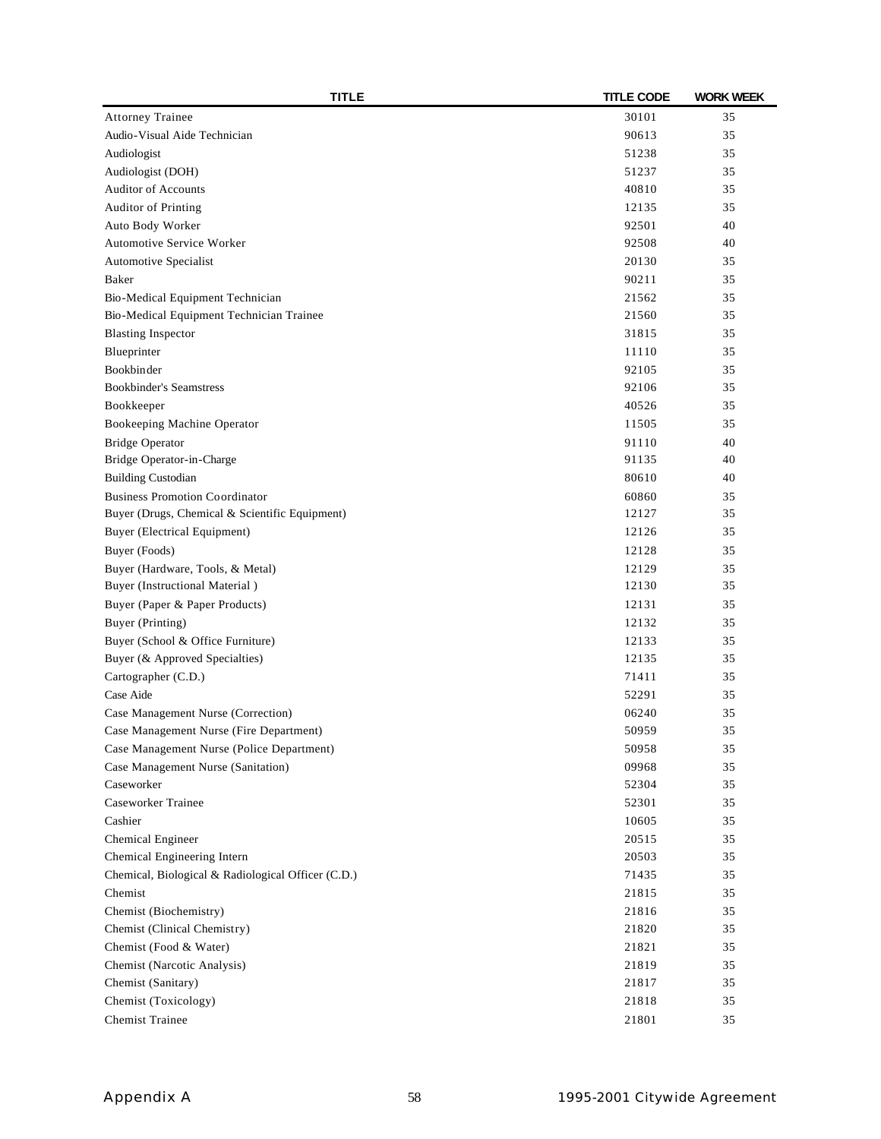| <b>TITLE</b>                                       | <b>TITLE CODE</b> | <b>WORK WEEK</b> |
|----------------------------------------------------|-------------------|------------------|
| <b>Attorney Trainee</b>                            | 30101             | 35               |
| Audio-Visual Aide Technician                       | 90613             | 35               |
| Audiologist                                        | 51238             | 35               |
| Audiologist (DOH)                                  | 51237             | 35               |
| <b>Auditor of Accounts</b>                         | 40810             | 35               |
| <b>Auditor of Printing</b>                         | 12135             | 35               |
| Auto Body Worker                                   | 92501             | 40               |
| Automotive Service Worker                          | 92508             | 40               |
| Automotive Specialist                              | 20130             | 35               |
| Baker                                              | 90211             | 35               |
| Bio-Medical Equipment Technician                   | 21562             | 35               |
| Bio-Medical Equipment Technician Trainee           | 21560             | 35               |
| <b>Blasting Inspector</b>                          | 31815             | 35               |
| Blueprinter                                        | 11110             | 35               |
| Bookbinder                                         | 92105             | 35               |
| <b>Bookbinder's Seamstress</b>                     | 92106             | 35               |
| Bookkeeper                                         | 40526             | 35               |
| Bookeeping Machine Operator                        | 11505             | 35               |
| <b>Bridge Operator</b>                             | 91110             | 40               |
| Bridge Operator-in-Charge                          | 91135             | 40               |
| <b>Building Custodian</b>                          | 80610             | 40               |
| <b>Business Promotion Coordinator</b>              | 60860             | 35               |
| Buyer (Drugs, Chemical & Scientific Equipment)     | 12127             | 35               |
| <b>Buyer</b> (Electrical Equipment)                | 12126             | 35               |
| Buyer (Foods)                                      | 12128             | 35               |
| Buyer (Hardware, Tools, & Metal)                   | 12129             | 35               |
| <b>Buyer</b> (Instructional Material)              | 12130             | 35               |
| Buyer (Paper & Paper Products)                     | 12131             | 35               |
| Buyer (Printing)                                   | 12132             | 35               |
| Buyer (School & Office Furniture)                  | 12133             | 35               |
| Buyer (& Approved Specialties)                     | 12135             | 35               |
| Cartographer (C.D.)                                | 71411             | 35               |
| Case Aide                                          | 52291             | 35               |
| Case Management Nurse (Correction)                 | 06240             | 35               |
| Case Management Nurse (Fire Department)            | 50959             | 35               |
| Case Management Nurse (Police Department)          | 50958             | 35               |
| Case Management Nurse (Sanitation)                 | 09968             | 35               |
| Caseworker                                         | 52304             | 35               |
| Caseworker Trainee                                 | 52301             | 35               |
| Cashier                                            | 10605             | 35               |
| Chemical Engineer                                  | 20515             | 35               |
| Chemical Engineering Intern                        | 20503             | 35               |
| Chemical, Biological & Radiological Officer (C.D.) | 71435             | 35               |
| Chemist                                            | 21815             | 35               |
| Chemist (Biochemistry)                             | 21816             | 35               |
| Chemist (Clinical Chemistry)                       | 21820             | 35               |
| Chemist (Food & Water)                             | 21821             | 35               |
|                                                    | 21819             | 35               |
| Chemist (Narcotic Analysis)<br>Chemist (Sanitary)  | 21817             | 35               |
| Chemist (Toxicology)                               | 21818             | 35               |
|                                                    |                   |                  |
| <b>Chemist Trainee</b>                             | 21801             | 35               |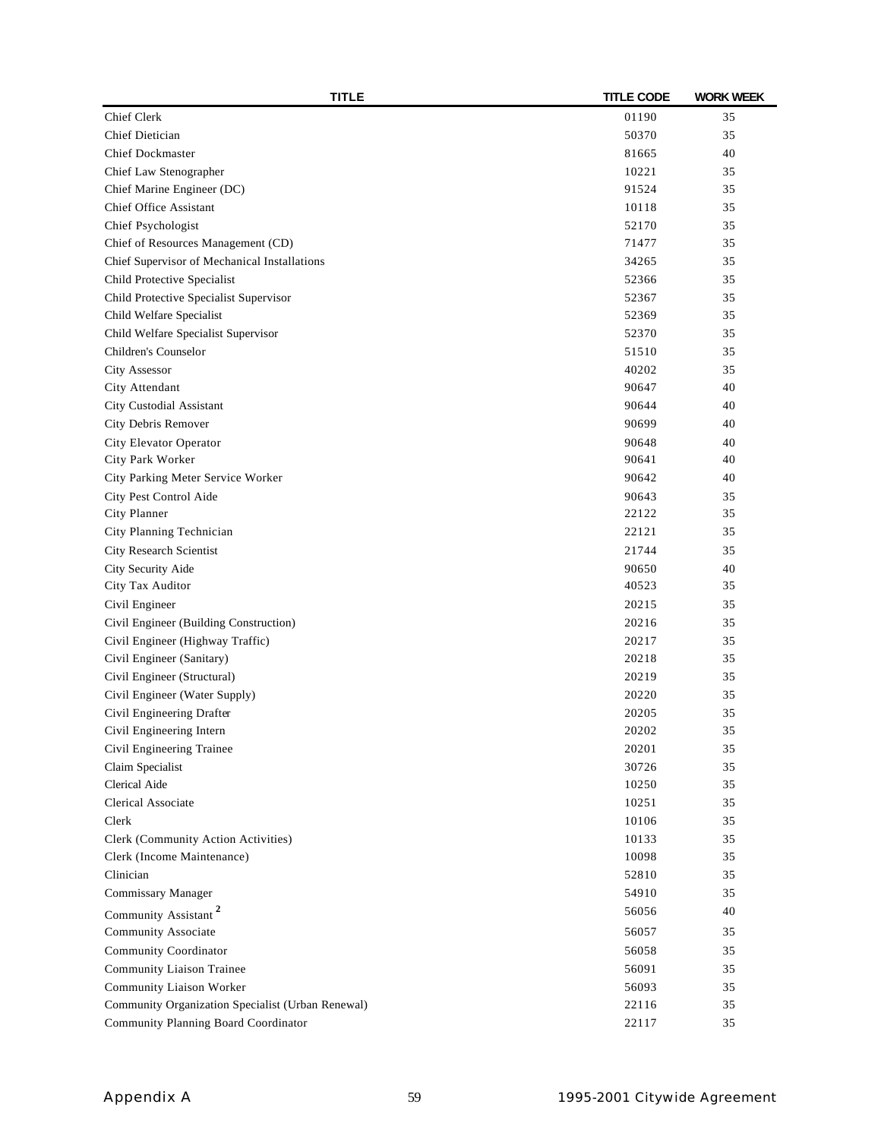| <b>TITLE</b>                                      | <b>TITLE CODE</b> | <b>WORK WEEK</b> |
|---------------------------------------------------|-------------------|------------------|
| Chief Clerk                                       | 01190             | 35               |
| Chief Dietician                                   | 50370             | 35               |
| <b>Chief Dockmaster</b>                           | 81665             | 40               |
| Chief Law Stenographer                            | 10221             | 35               |
| Chief Marine Engineer (DC)                        | 91524             | 35               |
| Chief Office Assistant                            | 10118             | 35               |
| Chief Psychologist                                | 52170             | 35               |
| Chief of Resources Management (CD)                | 71477             | 35               |
| Chief Supervisor of Mechanical Installations      | 34265             | 35               |
| Child Protective Specialist                       | 52366             | 35               |
| Child Protective Specialist Supervisor            | 52367             | 35               |
| Child Welfare Specialist                          | 52369             | 35               |
| Child Welfare Specialist Supervisor               | 52370             | 35               |
| Children's Counselor                              | 51510             | 35               |
| City Assessor                                     | 40202             | 35               |
| City Attendant                                    | 90647             | 40               |
| City Custodial Assistant                          | 90644             | 40               |
| City Debris Remover                               | 90699             | 40               |
| City Elevator Operator                            | 90648             | 40               |
| City Park Worker                                  | 90641             | 40               |
| City Parking Meter Service Worker                 | 90642             | 40               |
| City Pest Control Aide                            | 90643             | 35               |
| City Planner                                      | 22122             | 35               |
| City Planning Technician                          | 22121             | 35               |
| City Research Scientist                           | 21744             | 35               |
| City Security Aide                                | 90650             | 40               |
| City Tax Auditor                                  | 40523             | 35               |
| Civil Engineer                                    | 20215             | 35               |
| Civil Engineer (Building Construction)            | 20216             | 35               |
| Civil Engineer (Highway Traffic)                  | 20217             | 35               |
| Civil Engineer (Sanitary)                         | 20218             | 35               |
| Civil Engineer (Structural)                       | 20219             | 35               |
| Civil Engineer (Water Supply)                     | 20220             | 35               |
| Civil Engineering Drafter                         | 20205             | 35               |
| Civil Engineering Intern                          | 20202             | 35               |
| Civil Engineering Trainee                         | 20201             | 35               |
| Claim Specialist                                  | 30726             | 35               |
| Clerical Aide                                     | 10250             | 35               |
| Clerical Associate                                | 10251             | 35               |
| Clerk                                             | 10106             | 35               |
| Clerk (Community Action Activities)               | 10133             | 35               |
| Clerk (Income Maintenance)                        | 10098             | 35               |
| Clinician                                         | 52810             | 35               |
| Commissary Manager                                | 54910             | 35               |
|                                                   | 56056             | 40               |
| Community Assistant <sup>2</sup>                  |                   |                  |
| Community Associate                               | 56057             | 35               |
| Community Coordinator                             | 56058             | 35               |
| Community Liaison Trainee                         | 56091             | 35               |
| Community Liaison Worker                          | 56093             | 35               |
| Community Organization Specialist (Urban Renewal) | 22116             | 35               |
| Community Planning Board Coordinator              | 22117             | 35               |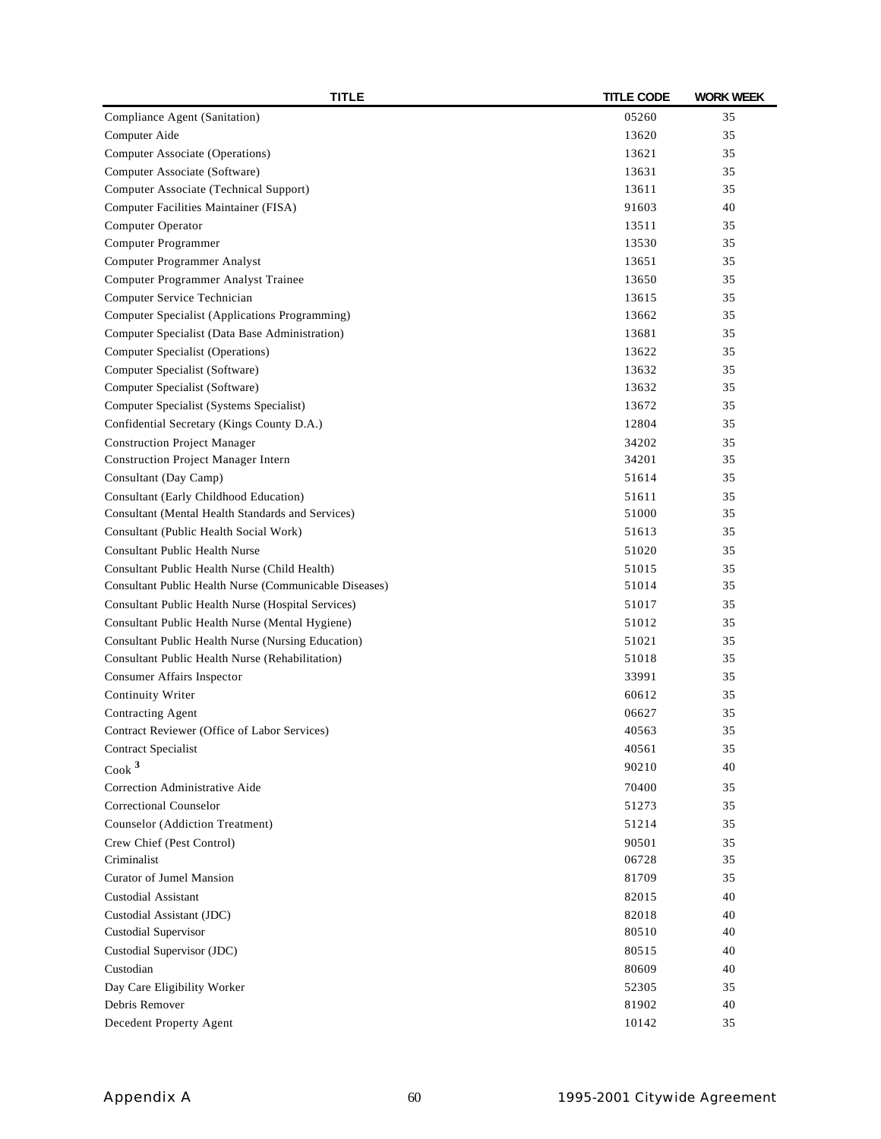| <b>TITLE</b>                                           | <b>TITLE CODE</b> | <b>WORK WEEK</b> |
|--------------------------------------------------------|-------------------|------------------|
| Compliance Agent (Sanitation)                          | 05260             | 35               |
| Computer Aide                                          | 13620             | 35               |
| Computer Associate (Operations)                        | 13621             | 35               |
| Computer Associate (Software)                          | 13631             | 35               |
| Computer Associate (Technical Support)                 | 13611             | 35               |
| Computer Facilities Maintainer (FISA)                  | 91603             | 40               |
| Computer Operator                                      | 13511             | 35               |
| Computer Programmer                                    | 13530             | 35               |
| Computer Programmer Analyst                            | 13651             | 35               |
| Computer Programmer Analyst Trainee                    | 13650             | 35               |
| Computer Service Technician                            | 13615             | 35               |
| Computer Specialist (Applications Programming)         | 13662             | 35               |
| Computer Specialist (Data Base Administration)         | 13681             | 35               |
| Computer Specialist (Operations)                       | 13622             | 35               |
| Computer Specialist (Software)                         | 13632             | 35               |
| Computer Specialist (Software)                         | 13632             | 35               |
| Computer Specialist (Systems Specialist)               | 13672             | 35               |
| Confidential Secretary (Kings County D.A.)             | 12804             | 35               |
| <b>Construction Project Manager</b>                    | 34202             | 35               |
| <b>Construction Project Manager Intern</b>             | 34201             | 35               |
| Consultant (Day Camp)                                  | 51614             | 35               |
| Consultant (Early Childhood Education)                 | 51611             | 35               |
| Consultant (Mental Health Standards and Services)      | 51000             | 35               |
| Consultant (Public Health Social Work)                 | 51613             | 35               |
| <b>Consultant Public Health Nurse</b>                  | 51020             | 35               |
| Consultant Public Health Nurse (Child Health)          | 51015             | 35               |
| Consultant Public Health Nurse (Communicable Diseases) | 51014             | 35               |
| Consultant Public Health Nurse (Hospital Services)     | 51017             | 35               |
| Consultant Public Health Nurse (Mental Hygiene)        | 51012             | 35               |
| Consultant Public Health Nurse (Nursing Education)     | 51021             | 35               |
| Consultant Public Health Nurse (Rehabilitation)        | 51018             | 35               |
| <b>Consumer Affairs Inspector</b>                      | 33991             | 35               |
| <b>Continuity Writer</b>                               | 60612             | 35               |
| Contracting Agent                                      | 06627             | 35               |
| Contract Reviewer (Office of Labor Services)           | 40563             | 35               |
| Contract Specialist                                    | 40561             | 35               |
| Cook <sup>3</sup>                                      | 90210             | 40               |
| Correction Administrative Aide                         | 70400             | 35               |
| Correctional Counselor                                 | 51273             | 35               |
| Counselor (Addiction Treatment)                        | 51214             | 35               |
| Crew Chief (Pest Control)                              | 90501             | 35               |
| Criminalist                                            | 06728             | 35               |
| <b>Curator of Jumel Mansion</b>                        | 81709             | 35               |
| <b>Custodial Assistant</b>                             | 82015             | 40               |
| Custodial Assistant (JDC)                              | 82018             | 40               |
| Custodial Supervisor                                   | 80510             | 40               |
| Custodial Supervisor (JDC)                             | 80515             | 40               |
| Custodian                                              | 80609             | 40               |
| Day Care Eligibility Worker                            | 52305             | 35               |
| Debris Remover                                         | 81902             | 40               |
| Decedent Property Agent                                | 10142             | 35               |
|                                                        |                   |                  |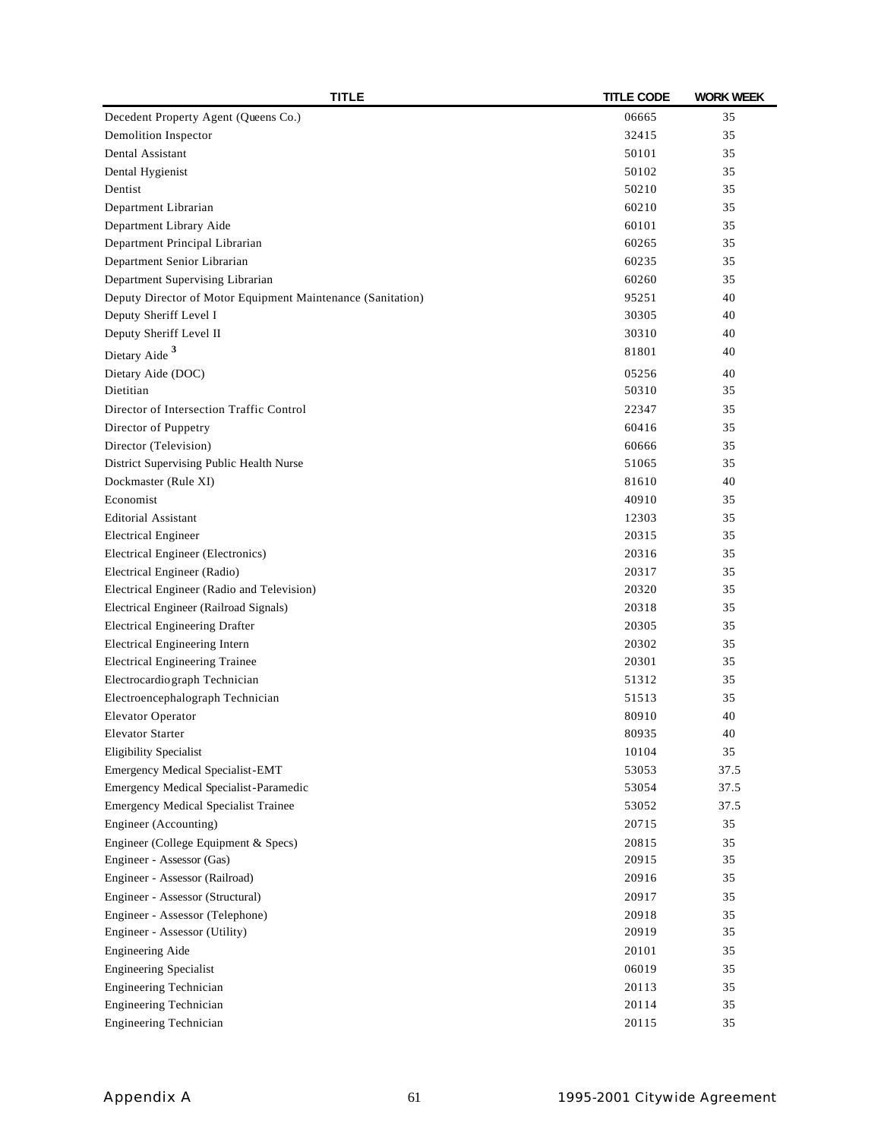| <b>TITLE</b>                                                | <b>TITLE CODE</b> | <b>WORK WEEK</b> |
|-------------------------------------------------------------|-------------------|------------------|
| Decedent Property Agent (Queens Co.)                        | 06665             | 35               |
| Demolition Inspector                                        | 32415             | 35               |
| Dental Assistant                                            | 50101             | 35               |
| Dental Hygienist                                            | 50102             | 35               |
| Dentist                                                     | 50210             | 35               |
| Department Librarian                                        | 60210             | 35               |
| Department Library Aide                                     | 60101             | 35               |
| Department Principal Librarian                              | 60265             | 35               |
| Department Senior Librarian                                 | 60235             | 35               |
| Department Supervising Librarian                            | 60260             | 35               |
| Deputy Director of Motor Equipment Maintenance (Sanitation) | 95251             | 40               |
| Deputy Sheriff Level I                                      | 30305             | 40               |
| Deputy Sheriff Level II                                     | 30310             | 40               |
| Dietary Aide <sup>3</sup>                                   | 81801             | 40               |
| Dietary Aide (DOC)                                          | 05256             | 40               |
| Dietitian                                                   | 50310             | 35               |
| Director of Intersection Traffic Control                    | 22347             | 35               |
| Director of Puppetry                                        | 60416             | 35               |
| Director (Television)                                       | 60666             | 35               |
| District Supervising Public Health Nurse                    | 51065             | 35               |
| Dockmaster (Rule XI)                                        | 81610             | 40               |
| Economist                                                   | 40910             | 35               |
| <b>Editorial Assistant</b>                                  | 12303             | 35               |
| <b>Electrical Engineer</b>                                  | 20315             | 35               |
| Electrical Engineer (Electronics)                           | 20316             | 35               |
| Electrical Engineer (Radio)                                 | 20317             | 35               |
| Electrical Engineer (Radio and Television)                  | 20320             | 35               |
| Electrical Engineer (Railroad Signals)                      | 20318             | 35               |
| <b>Electrical Engineering Drafter</b>                       | 20305             | 35               |
| <b>Electrical Engineering Intern</b>                        | 20302             | 35               |
| <b>Electrical Engineering Trainee</b>                       | 20301             | 35               |
| Electrocardio graph Technician                              | 51312             | 35               |
| Electroencephalograph Technician                            | 51513             | 35               |
| <b>Elevator Operator</b>                                    | 80910             | 40               |
| Elevator Starter                                            | 80935             | 40               |
| <b>Eligibility Specialist</b>                               | 10104             | 35               |
| <b>Emergency Medical Specialist-EMT</b>                     | 53053             | 37.5             |
| Emergency Medical Specialist-Paramedic                      | 53054             | 37.5             |
| <b>Emergency Medical Specialist Trainee</b>                 | 53052             | 37.5             |
| Engineer (Accounting)                                       | 20715             | 35               |
| Engineer (College Equipment & Specs)                        | 20815             | 35               |
| Engineer - Assessor (Gas)                                   | 20915             | 35               |
| Engineer - Assessor (Railroad)                              | 20916             | 35               |
| Engineer - Assessor (Structural)                            | 20917             | 35               |
| Engineer - Assessor (Telephone)                             | 20918             | 35               |
| Engineer - Assessor (Utility)                               | 20919             | 35               |
| <b>Engineering Aide</b>                                     | 20101             | 35               |
| <b>Engineering Specialist</b>                               | 06019             | 35               |
| <b>Engineering Technician</b>                               | 20113             | 35               |
| <b>Engineering Technician</b>                               | 20114             | 35               |
| Engineering Technician                                      | 20115             | 35               |
|                                                             |                   |                  |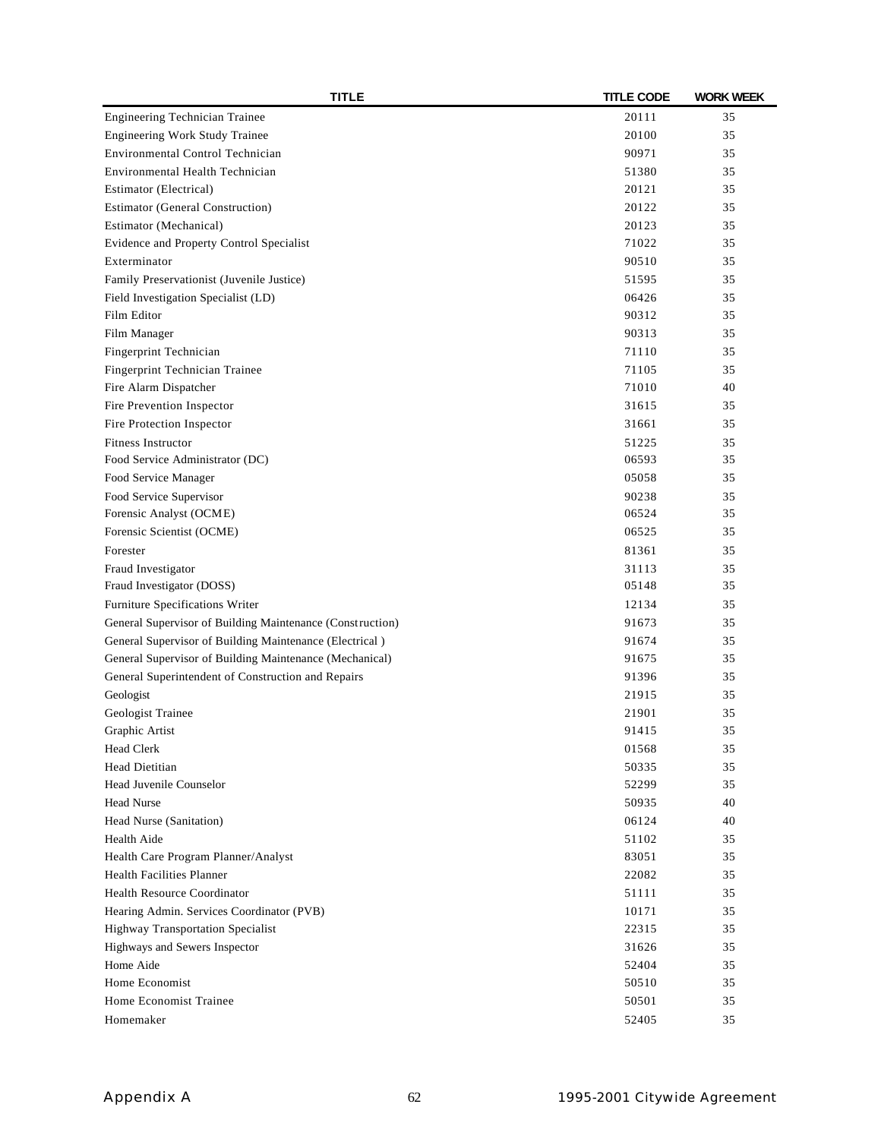| <b>TITLE</b>                                              | <b>TITLE CODE</b> | <b>WORK WEEK</b> |
|-----------------------------------------------------------|-------------------|------------------|
| <b>Engineering Technician Trainee</b>                     | 20111             | 35               |
| <b>Engineering Work Study Trainee</b>                     | 20100             | 35               |
| Environmental Control Technician                          | 90971             | 35               |
| Environmental Health Technician                           | 51380             | 35               |
| Estimator (Electrical)                                    | 20121             | 35               |
| <b>Estimator (General Construction)</b>                   | 20122             | 35               |
| Estimator (Mechanical)                                    | 20123             | 35               |
| Evidence and Property Control Specialist                  | 71022             | 35               |
| Exterminator                                              | 90510             | 35               |
| Family Preservationist (Juvenile Justice)                 | 51595             | 35               |
| Field Investigation Specialist (LD)                       | 06426             | 35               |
| Film Editor                                               | 90312             | 35               |
| Film Manager                                              | 90313             | 35               |
| Fingerprint Technician                                    | 71110             | 35               |
| Fingerprint Technician Trainee                            | 71105             | 35               |
| Fire Alarm Dispatcher                                     | 71010             | 40               |
| Fire Prevention Inspector                                 | 31615             | 35               |
| Fire Protection Inspector                                 | 31661             | 35               |
| <b>Fitness Instructor</b>                                 | 51225             | 35               |
| Food Service Administrator (DC)                           | 06593             | 35               |
| Food Service Manager                                      | 05058             | 35               |
| Food Service Supervisor                                   | 90238             | 35               |
| Forensic Analyst (OCME)                                   | 06524             | 35               |
| Forensic Scientist (OCME)                                 | 06525             | 35               |
| Forester                                                  | 81361             | 35               |
| Fraud Investigator                                        | 31113             | 35               |
| Fraud Investigator (DOSS)                                 | 05148             | 35               |
| Furniture Specifications Writer                           | 12134             | 35               |
|                                                           | 91673             | 35               |
| General Supervisor of Building Maintenance (Construction) |                   |                  |
| General Supervisor of Building Maintenance (Electrical)   | 91674<br>91675    | 35<br>35         |
| General Supervisor of Building Maintenance (Mechanical)   |                   | 35               |
| General Superintendent of Construction and Repairs        | 91396             |                  |
| Geologist                                                 | 21915             | 35               |
| Geologist Trainee                                         | 21901             | 35               |
| Graphic Artist                                            | 91415             | 35               |
| <b>Head Clerk</b>                                         | 01568             | 35               |
| <b>Head Dietitian</b>                                     | 50335             | 35               |
| Head Juvenile Counselor                                   | 52299             | 35               |
| <b>Head Nurse</b>                                         | 50935             | 40               |
| Head Nurse (Sanitation)                                   | 06124             | 40               |
| Health Aide                                               | 51102             | 35               |
| Health Care Program Planner/Analyst                       | 83051             | 35               |
| <b>Health Facilities Planner</b>                          | 22082             | 35               |
| <b>Health Resource Coordinator</b>                        | 51111             | 35               |
| Hearing Admin. Services Coordinator (PVB)                 | 10171             | 35               |
| Highway Transportation Specialist                         | 22315             | 35               |
| Highways and Sewers Inspector                             | 31626             | 35               |
| Home Aide                                                 | 52404             | 35               |
| Home Economist                                            | 50510             | 35               |
| Home Economist Trainee                                    | 50501             | 35               |
| Homemaker                                                 | 52405             | 35               |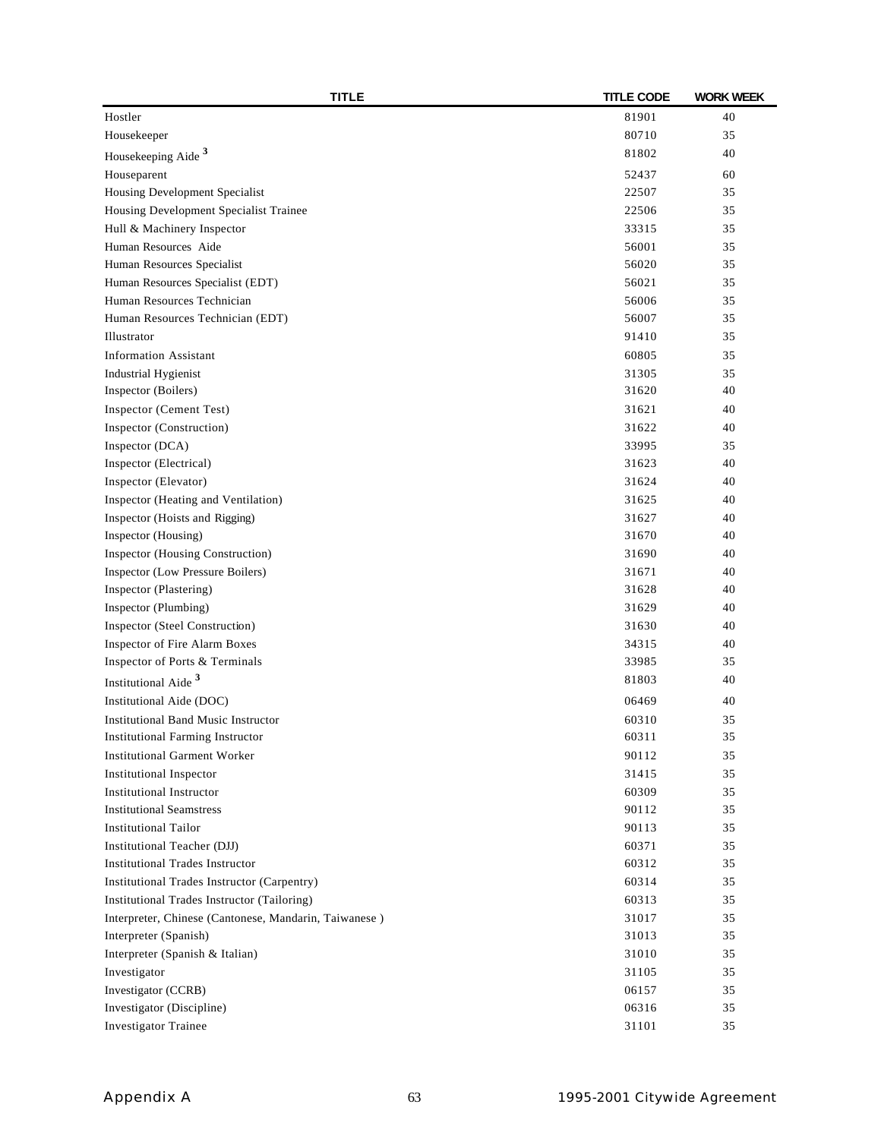| <b>TITLE</b>                                          | <b>TITLE CODE</b> | <b>WORK WEEK</b> |
|-------------------------------------------------------|-------------------|------------------|
| Hostler                                               | 81901             | 40               |
| Housekeeper                                           | 80710             | 35               |
| Housekeeping Aide <sup>3</sup>                        | 81802             | 40               |
| Houseparent                                           | 52437             | 60               |
| Housing Development Specialist                        | 22507             | 35               |
| Housing Development Specialist Trainee                | 22506             | 35               |
| Hull & Machinery Inspector                            | 33315             | 35               |
| Human Resources Aide                                  | 56001             | 35               |
| Human Resources Specialist                            | 56020             | 35               |
| Human Resources Specialist (EDT)                      | 56021             | 35               |
| Human Resources Technician                            | 56006             | 35               |
| Human Resources Technician (EDT)                      | 56007             | 35               |
| Illustrator                                           | 91410             | 35               |
| <b>Information Assistant</b>                          | 60805             | 35               |
| <b>Industrial Hygienist</b>                           | 31305             | 35               |
| Inspector (Boilers)                                   | 31620             | 40               |
| Inspector (Cement Test)                               | 31621             | 40               |
| Inspector (Construction)                              | 31622             | 40               |
| Inspector (DCA)                                       | 33995             | 35               |
| Inspector (Electrical)                                | 31623             | 40               |
| Inspector (Elevator)                                  | 31624             | 40               |
| Inspector (Heating and Ventilation)                   | 31625             | 40               |
| Inspector (Hoists and Rigging)                        | 31627             | 40               |
| Inspector (Housing)                                   | 31670             | 40               |
| <b>Inspector (Housing Construction)</b>               | 31690             | 40               |
| Inspector (Low Pressure Boilers)                      | 31671             | 40               |
| Inspector (Plastering)                                | 31628             | 40               |
| Inspector (Plumbing)                                  | 31629             | 40               |
| Inspector (Steel Construction)                        | 31630             | 40               |
| Inspector of Fire Alarm Boxes                         | 34315             | 40               |
| Inspector of Ports & Terminals                        | 33985             | 35               |
| Institutional Aide <sup>3</sup>                       | 81803             | 40               |
| Institutional Aide (DOC)                              | 06469             | 40               |
| <b>Institutional Band Music Instructor</b>            | 60310             | 35               |
| <b>Institutional Farming Instructor</b>               | 60311             | 35               |
| <b>Institutional Garment Worker</b>                   | 90112             | 35               |
| Institutional Inspector                               | 31415             | 35               |
| <b>Institutional Instructor</b>                       | 60309             | 35               |
| <b>Institutional Seamstress</b>                       | 90112             | 35               |
| <b>Institutional Tailor</b>                           | 90113             | 35               |
| Institutional Teacher (DJJ)                           | 60371             | 35               |
| <b>Institutional Trades Instructor</b>                | 60312             | 35               |
| Institutional Trades Instructor (Carpentry)           | 60314             | 35               |
| Institutional Trades Instructor (Tailoring)           | 60313             | 35               |
| Interpreter, Chinese (Cantonese, Mandarin, Taiwanese) | 31017             | 35               |
| Interpreter (Spanish)                                 | 31013             | 35               |
| Interpreter (Spanish & Italian)                       | 31010             | 35               |
| Investigator                                          | 31105             | 35               |
| Investigator (CCRB)                                   | 06157             | 35               |
| Investigator (Discipline)                             | 06316             | 35               |
| <b>Investigator Trainee</b>                           | 31101             | 35               |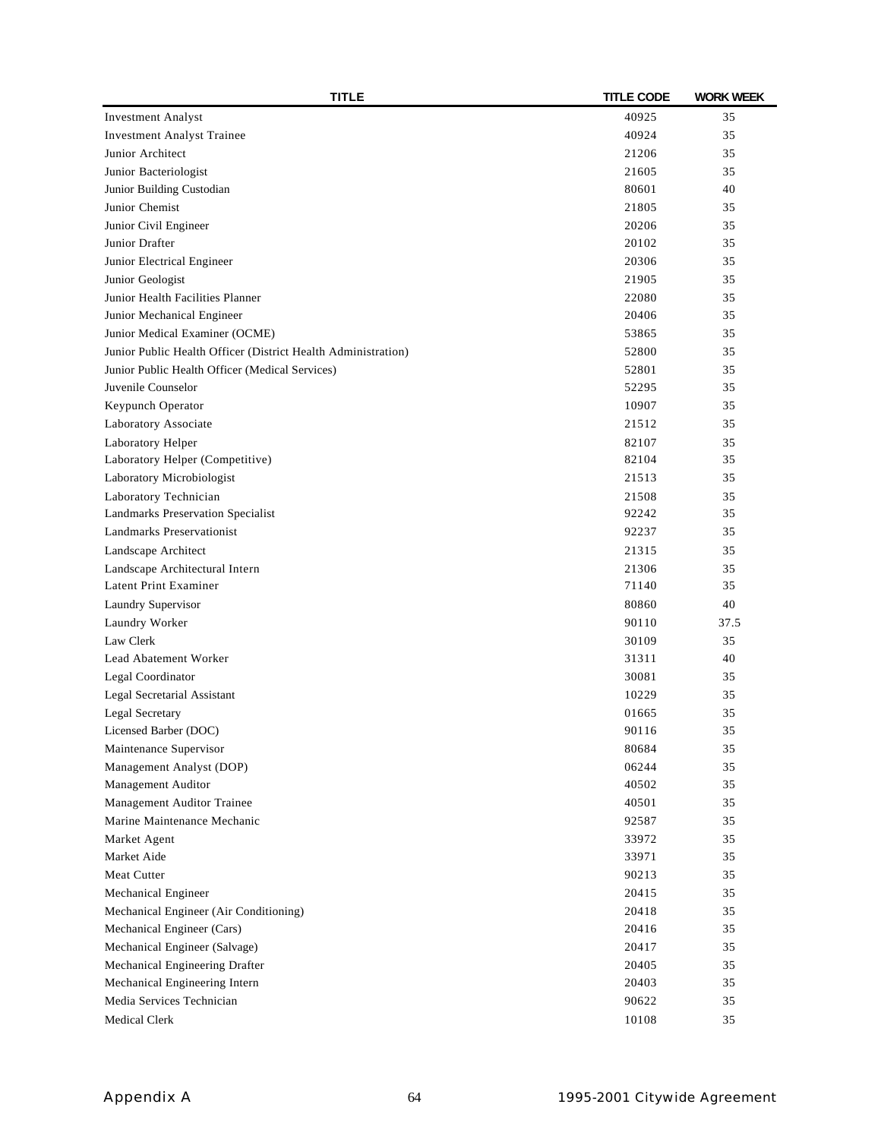| <b>TITLE</b>                                                  | <b>TITLE CODE</b> | <b>WORK WEEK</b> |
|---------------------------------------------------------------|-------------------|------------------|
| <b>Investment Analyst</b>                                     | 40925             | 35               |
| <b>Investment Analyst Trainee</b>                             | 40924             | 35               |
| Junior Architect                                              | 21206             | 35               |
| Junior Bacteriologist                                         | 21605             | 35               |
| Junior Building Custodian                                     | 80601             | 40               |
| Junior Chemist                                                | 21805             | 35               |
| Junior Civil Engineer                                         | 20206             | 35               |
| Junior Drafter                                                | 20102             | 35               |
| Junior Electrical Engineer                                    | 20306             | 35               |
| Junior Geologist                                              | 21905             | 35               |
| Junior Health Facilities Planner                              | 22080             | 35               |
| Junior Mechanical Engineer                                    | 20406             | 35               |
| Junior Medical Examiner (OCME)                                | 53865             | 35               |
| Junior Public Health Officer (District Health Administration) | 52800             | 35               |
| Junior Public Health Officer (Medical Services)               | 52801             | 35               |
| Juvenile Counselor                                            | 52295             | 35               |
| Keypunch Operator                                             | 10907             | 35               |
| Laboratory Associate                                          | 21512             | 35               |
| Laboratory Helper                                             | 82107             | 35               |
| Laboratory Helper (Competitive)                               | 82104             | 35               |
| Laboratory Microbiologist                                     | 21513             | 35               |
| Laboratory Technician                                         | 21508             | 35               |
| Landmarks Preservation Specialist                             | 92242             | 35               |
| Landmarks Preservationist                                     | 92237             | 35               |
| Landscape Architect                                           | 21315             | 35               |
| Landscape Architectural Intern                                | 21306             | 35               |
| Latent Print Examiner                                         | 71140             | 35               |
| Laundry Supervisor                                            | 80860             | 40               |
| Laundry Worker                                                | 90110             | 37.5             |
| Law Clerk                                                     | 30109             | 35               |
| Lead Abatement Worker                                         | 31311             | 40               |
| Legal Coordinator                                             | 30081             | 35               |
| Legal Secretarial Assistant                                   | 10229             | 35               |
| Legal Secretary                                               | 01665             | 35               |
| Licensed Barber (DOC)                                         | 90116             | 35               |
| Maintenance Supervisor                                        | 80684             | 35               |
| Management Analyst (DOP)                                      | 06244             | 35               |
| Management Auditor                                            | 40502             | 35               |
| Management Auditor Trainee                                    | 40501             | 35               |
| Marine Maintenance Mechanic                                   | 92587             | 35               |
| Market Agent                                                  | 33972             | 35               |
| Market Aide                                                   | 33971             | 35               |
| <b>Meat Cutter</b>                                            | 90213             | 35               |
| Mechanical Engineer                                           | 20415             | 35               |
| Mechanical Engineer (Air Conditioning)                        | 20418             | 35               |
| Mechanical Engineer (Cars)                                    | 20416             | 35               |
| Mechanical Engineer (Salvage)                                 | 20417             | 35               |
| Mechanical Engineering Drafter                                | 20405             | 35               |
| Mechanical Engineering Intern                                 | 20403             | 35               |
| Media Services Technician                                     | 90622             | 35               |
| Medical Clerk                                                 |                   | 35               |
|                                                               | 10108             |                  |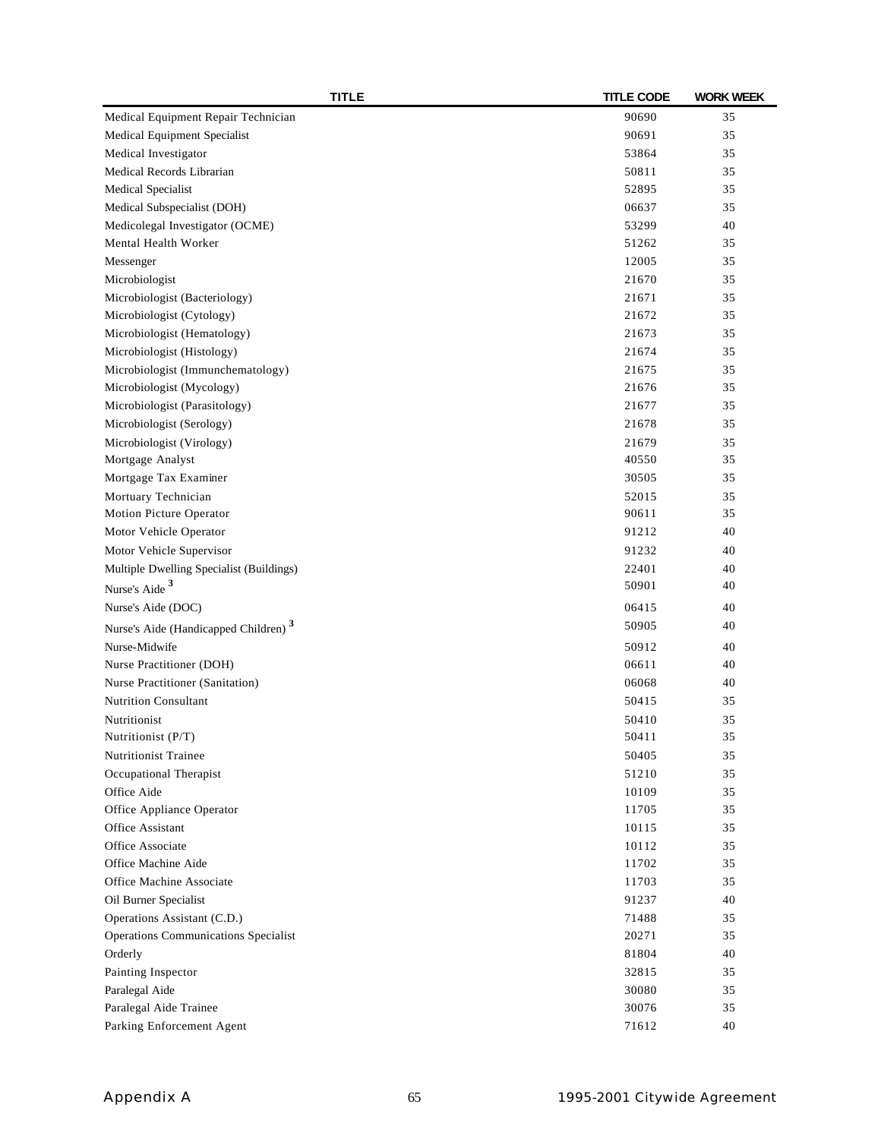| <b>TITLE</b>                                     | <b>TITLE CODE</b> | <b>WORK WEEK</b> |
|--------------------------------------------------|-------------------|------------------|
| Medical Equipment Repair Technician              | 90690             | 35               |
| Medical Equipment Specialist                     | 90691             | 35               |
| Medical Investigator                             | 53864             | 35               |
| Medical Records Librarian                        | 50811             | 35               |
| Medical Specialist                               | 52895             | 35               |
| Medical Subspecialist (DOH)                      | 06637             | 35               |
| Medicolegal Investigator (OCME)                  | 53299             | 40               |
| Mental Health Worker                             | 51262             | 35               |
| Messenger                                        | 12005             | 35               |
| Microbiologist                                   | 21670             | 35               |
| Microbiologist (Bacteriology)                    | 21671             | 35               |
| Microbiologist (Cytology)                        | 21672             | 35               |
| Microbiologist (Hematology)                      | 21673             | 35               |
| Microbiologist (Histology)                       | 21674             | 35               |
| Microbiologist (Immunchematology)                | 21675             | 35               |
| Microbiologist (Mycology)                        | 21676             | 35               |
| Microbiologist (Parasitology)                    | 21677             | 35               |
| Microbiologist (Serology)                        | 21678             | 35               |
| Microbiologist (Virology)                        | 21679             | 35               |
| Mortgage Analyst                                 | 40550             | 35               |
| Mortgage Tax Examiner                            | 30505             | 35               |
| Mortuary Technician                              | 52015             | 35               |
| Motion Picture Operator                          | 90611             | 35               |
| Motor Vehicle Operator                           | 91212             | 40               |
| Motor Vehicle Supervisor                         | 91232             | 40               |
| Multiple Dwelling Specialist (Buildings)         | 22401             | 40               |
| Nurse's Aide <sup>3</sup>                        | 50901             | 40               |
| Nurse's Aide (DOC)                               | 06415             | 40               |
| Nurse's Aide (Handicapped Children) <sup>3</sup> | 50905             | 40               |
| Nurse-Midwife                                    | 50912             | 40               |
| Nurse Practitioner (DOH)                         | 06611             | 40               |
| Nurse Practitioner (Sanitation)                  | 06068             | 40               |
| <b>Nutrition Consultant</b>                      | 50415             | 35               |
| Nutritionist                                     | 50410             | 35               |
| Nutritionist (P/T)                               | 50411             | 35               |
| <b>Nutritionist Trainee</b>                      | 50405             | 35               |
| Occupational Therapist                           | 51210             | 35               |
| Office Aide                                      | 10109             | 35               |
| Office Appliance Operator                        | 11705             | 35               |
| Office Assistant                                 | 10115             | 35               |
| Office Associate                                 | 10112             | 35               |
| Office Machine Aide                              | 11702             | 35               |
| Office Machine Associate                         | 11703             | 35               |
| Oil Burner Specialist                            | 91237             | 40               |
| Operations Assistant (C.D.)                      | 71488             | 35               |
| Operations Communications Specialist             | 20271             | 35               |
| Orderly                                          | 81804             | 40               |
| Painting Inspector                               | 32815             | 35               |
| Paralegal Aide                                   | 30080             | 35               |
| Paralegal Aide Trainee                           | 30076             | 35               |
| Parking Enforcement Agent                        | 71612             | 40               |
|                                                  |                   |                  |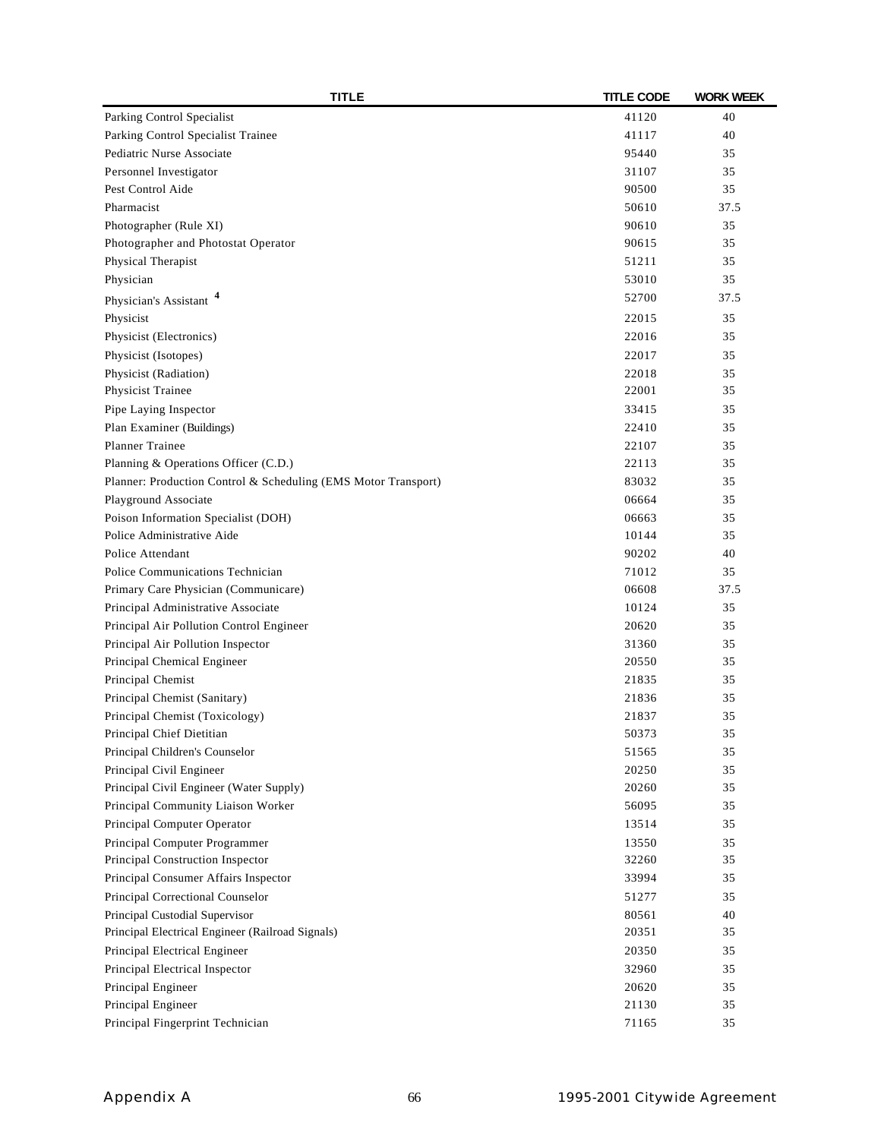| <b>TITLE</b>                                                   | <b>TITLE CODE</b> | <b>WORK WEEK</b> |
|----------------------------------------------------------------|-------------------|------------------|
| Parking Control Specialist                                     | 41120             | 40               |
| Parking Control Specialist Trainee                             | 41117             | 40               |
| Pediatric Nurse Associate                                      | 95440             | 35               |
| Personnel Investigator                                         | 31107             | 35               |
| Pest Control Aide                                              | 90500             | 35               |
| Pharmacist                                                     | 50610             | 37.5             |
| Photographer (Rule XI)                                         | 90610             | 35               |
| Photographer and Photostat Operator                            | 90615             | 35               |
| Physical Therapist                                             | 51211             | 35               |
| Physician                                                      | 53010             | 35               |
| Physician's Assistant <sup>4</sup>                             | 52700             | 37.5             |
| Physicist                                                      | 22015             | 35               |
| Physicist (Electronics)                                        | 22016             | 35               |
| Physicist (Isotopes)                                           | 22017             | 35               |
| Physicist (Radiation)                                          | 22018             | 35               |
| Physicist Trainee                                              | 22001             | 35               |
| Pipe Laying Inspector                                          | 33415             | 35               |
| Plan Examiner (Buildings)                                      | 22410             | 35               |
| <b>Planner Trainee</b>                                         | 22107             | 35               |
| Planning & Operations Officer (C.D.)                           | 22113             | 35               |
| Planner: Production Control & Scheduling (EMS Motor Transport) | 83032             | 35               |
| Playground Associate                                           | 06664             | 35               |
| Poison Information Specialist (DOH)                            | 06663             | 35               |
| Police Administrative Aide                                     | 10144             | 35               |
| Police Attendant                                               | 90202             | 40               |
|                                                                |                   |                  |
| Police Communications Technician                               | 71012<br>06608    | 35               |
| Primary Care Physician (Communicare)                           |                   | 37.5             |
| Principal Administrative Associate                             | 10124             | 35               |
| Principal Air Pollution Control Engineer                       | 20620             | 35               |
| Principal Air Pollution Inspector                              | 31360             | 35               |
| Principal Chemical Engineer                                    | 20550             | 35               |
| Principal Chemist                                              | 21835             | 35               |
| Principal Chemist (Sanitary)                                   | 21836             | 35               |
| Principal Chemist (Toxicology)                                 | 21837             | 35               |
| Principal Chief Dietitian                                      | 50373             | 35               |
| Principal Children's Counselor                                 | 51565             | 35               |
| Principal Civil Engineer                                       | 20250             | 35               |
| Principal Civil Engineer (Water Supply)                        | 20260             | 35               |
| Principal Community Liaison Worker                             | 56095             | 35               |
| Principal Computer Operator                                    | 13514             | 35               |
| Principal Computer Programmer                                  | 13550             | 35               |
| Principal Construction Inspector                               | 32260             | 35               |
| Principal Consumer Affairs Inspector                           | 33994             | 35               |
| Principal Correctional Counselor                               | 51277             | 35               |
| Principal Custodial Supervisor                                 | 80561             | 40               |
| Principal Electrical Engineer (Railroad Signals)               | 20351             | 35               |
| Principal Electrical Engineer                                  | 20350             | 35               |
| Principal Electrical Inspector                                 | 32960             | 35               |
| Principal Engineer                                             | 20620             | 35               |
| Principal Engineer                                             | 21130             | 35               |
| Principal Fingerprint Technician                               | 71165             | 35               |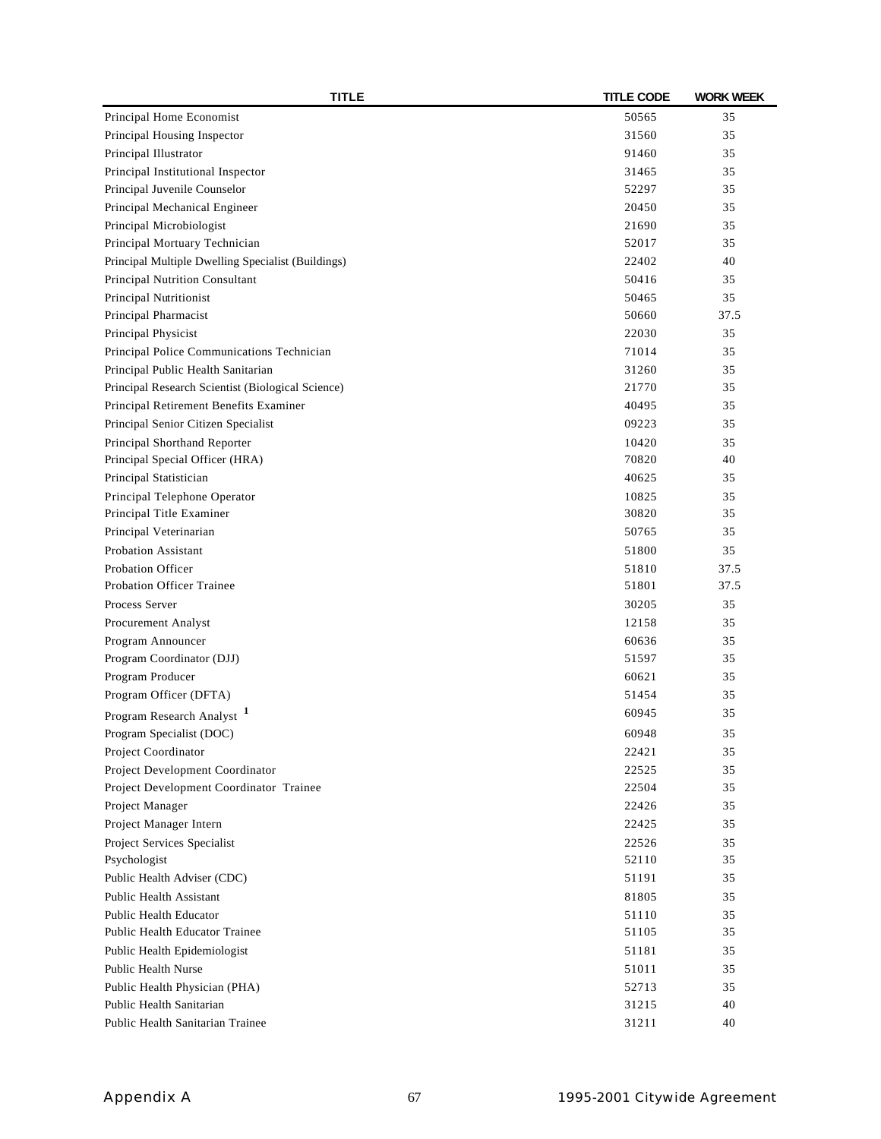| <b>TITLE</b>                                       | <b>TITLE CODE</b> | <b>WORK WEEK</b> |
|----------------------------------------------------|-------------------|------------------|
| Principal Home Economist                           | 50565             | 35               |
| Principal Housing Inspector                        | 31560             | 35               |
| Principal Illustrator                              | 91460             | 35               |
| Principal Institutional Inspector                  | 31465             | 35               |
| Principal Juvenile Counselor                       | 52297             | 35               |
| Principal Mechanical Engineer                      | 20450             | 35               |
| Principal Microbiologist                           | 21690             | 35               |
| Principal Mortuary Technician                      | 52017             | 35               |
| Principal Multiple Dwelling Specialist (Buildings) | 22402             | 40               |
| Principal Nutrition Consultant                     | 50416             | 35               |
| Principal Nutritionist                             | 50465             | 35               |
| Principal Pharmacist                               | 50660             | 37.5             |
| Principal Physicist                                | 22030             | 35               |
| Principal Police Communications Technician         | 71014             | 35               |
| Principal Public Health Sanitarian                 | 31260             | 35               |
| Principal Research Scientist (Biological Science)  | 21770             | 35               |
| Principal Retirement Benefits Examiner             | 40495             | 35               |
| Principal Senior Citizen Specialist                | 09223             | 35               |
| Principal Shorthand Reporter                       | 10420             | 35               |
| Principal Special Officer (HRA)                    | 70820             | 40               |
| Principal Statistician                             | 40625             | 35               |
| Principal Telephone Operator                       | 10825             | 35               |
| Principal Title Examiner                           | 30820             | 35               |
| Principal Veterinarian                             | 50765             | 35               |
| <b>Probation Assistant</b>                         | 51800             | 35               |
| <b>Probation Officer</b>                           | 51810             | 37.5             |
| <b>Probation Officer Trainee</b>                   | 51801             | 37.5             |
| Process Server                                     | 30205             | 35               |
| Procurement Analyst                                | 12158             | 35               |
| Program Announcer                                  | 60636             | 35               |
| Program Coordinator (DJJ)                          | 51597             | 35               |
| Program Producer                                   | 60621             | 35               |
| Program Officer (DFTA)                             | 51454             | 35               |
|                                                    | 60945             | 35               |
| Program Research Analyst                           |                   |                  |
| Program Specialist (DOC)                           | 60948             | 35               |
| Project Coordinator                                | 22421             | 35               |
| Project Development Coordinator                    | 22525             | 35               |
| Project Development Coordinator Trainee            | 22504             | 35               |
| Project Manager                                    | 22426             | 35               |
| Project Manager Intern                             | 22425             | 35               |
| Project Services Specialist                        | 22526             | 35               |
| Psychologist                                       | 52110             | 35               |
| Public Health Adviser (CDC)                        | 51191             | 35               |
| <b>Public Health Assistant</b>                     | 81805             | 35               |
| Public Health Educator                             | 51110             | 35               |
| Public Health Educator Trainee                     | 51105             | 35               |
| Public Health Epidemiologist                       | 51181             | 35               |
| <b>Public Health Nurse</b>                         | 51011             | 35               |
| Public Health Physician (PHA)                      | 52713             | 35               |
| Public Health Sanitarian                           | 31215             | 40               |
| Public Health Sanitarian Trainee                   | 31211             | 40               |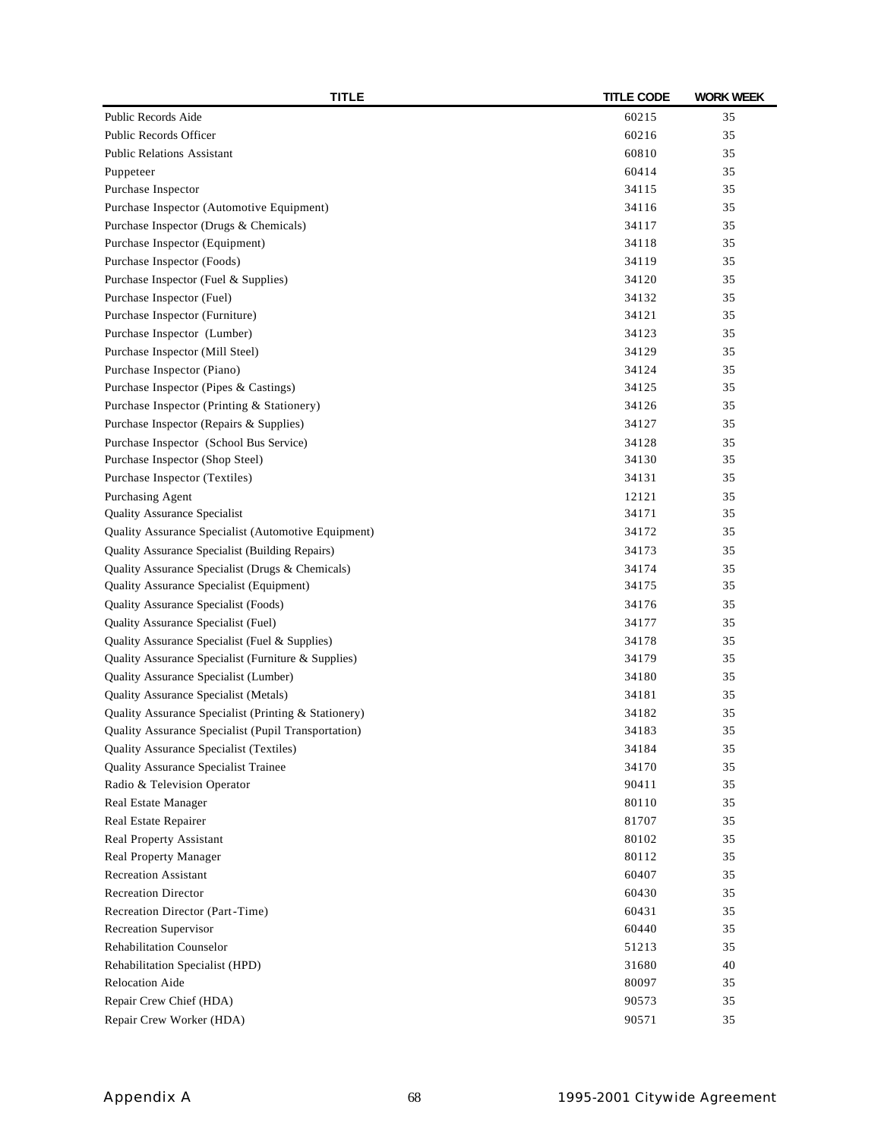| <b>TITLE</b>                                         | <b>TITLE CODE</b> | <b>WORK WEEK</b> |
|------------------------------------------------------|-------------------|------------------|
| Public Records Aide                                  | 60215             | 35               |
| Public Records Officer                               | 60216             | 35               |
| <b>Public Relations Assistant</b>                    | 60810             | 35               |
| Puppeteer                                            | 60414             | 35               |
| Purchase Inspector                                   | 34115             | 35               |
| Purchase Inspector (Automotive Equipment)            | 34116             | 35               |
| Purchase Inspector (Drugs & Chemicals)               | 34117             | 35               |
| Purchase Inspector (Equipment)                       | 34118             | 35               |
| Purchase Inspector (Foods)                           | 34119             | 35               |
| Purchase Inspector (Fuel & Supplies)                 | 34120             | 35               |
| Purchase Inspector (Fuel)                            | 34132             | 35               |
| Purchase Inspector (Furniture)                       | 34121             | 35               |
| Purchase Inspector (Lumber)                          | 34123             | 35               |
| Purchase Inspector (Mill Steel)                      | 34129             | 35               |
| Purchase Inspector (Piano)                           | 34124             | 35               |
| Purchase Inspector (Pipes & Castings)                | 34125             | 35               |
| Purchase Inspector (Printing & Stationery)           | 34126             | 35               |
| Purchase Inspector (Repairs & Supplies)              | 34127             | 35               |
| Purchase Inspector (School Bus Service)              | 34128             | 35               |
| Purchase Inspector (Shop Steel)                      | 34130             | 35               |
| Purchase Inspector (Textiles)                        | 34131             | 35               |
| Purchasing Agent                                     | 12121             | 35               |
| <b>Quality Assurance Specialist</b>                  | 34171             | 35               |
| Quality Assurance Specialist (Automotive Equipment)  | 34172             | 35               |
| Quality Assurance Specialist (Building Repairs)      | 34173             | 35               |
| Quality Assurance Specialist (Drugs & Chemicals)     | 34174             | 35               |
| Quality Assurance Specialist (Equipment)             | 34175             | 35               |
| Quality Assurance Specialist (Foods)                 | 34176             | 35               |
| Quality Assurance Specialist (Fuel)                  | 34177             | 35               |
| Quality Assurance Specialist (Fuel & Supplies)       | 34178             | 35               |
| Quality Assurance Specialist (Furniture & Supplies)  | 34179             | 35               |
| Quality Assurance Specialist (Lumber)                | 34180             | 35               |
| Quality Assurance Specialist (Metals)                | 34181             | 35               |
| Quality Assurance Specialist (Printing & Stationery) | 34182             | 35               |
| Quality Assurance Specialist (Pupil Transportation)  | 34183             | 35               |
| Quality Assurance Specialist (Textiles)              | 34184             | 35               |
| Quality Assurance Specialist Trainee                 | 34170             | 35               |
| Radio & Television Operator                          | 90411             | 35               |
| Real Estate Manager                                  | 80110             | 35               |
|                                                      | 81707             | 35               |
| Real Estate Repairer                                 |                   |                  |
| Real Property Assistant                              | 80102<br>80112    | 35<br>35         |
| Real Property Manager                                |                   |                  |
| <b>Recreation Assistant</b>                          | 60407             | 35               |
| <b>Recreation Director</b>                           | 60430             | 35               |
| Recreation Director (Part-Time)                      | 60431             | 35               |
| Recreation Supervisor                                | 60440             | 35               |
| <b>Rehabilitation Counselor</b>                      | 51213             | 35               |
| Rehabilitation Specialist (HPD)                      | 31680             | 40               |
| Relocation Aide                                      | 80097             | 35               |
| Repair Crew Chief (HDA)                              | 90573             | 35               |
| Repair Crew Worker (HDA)                             | 90571             | 35               |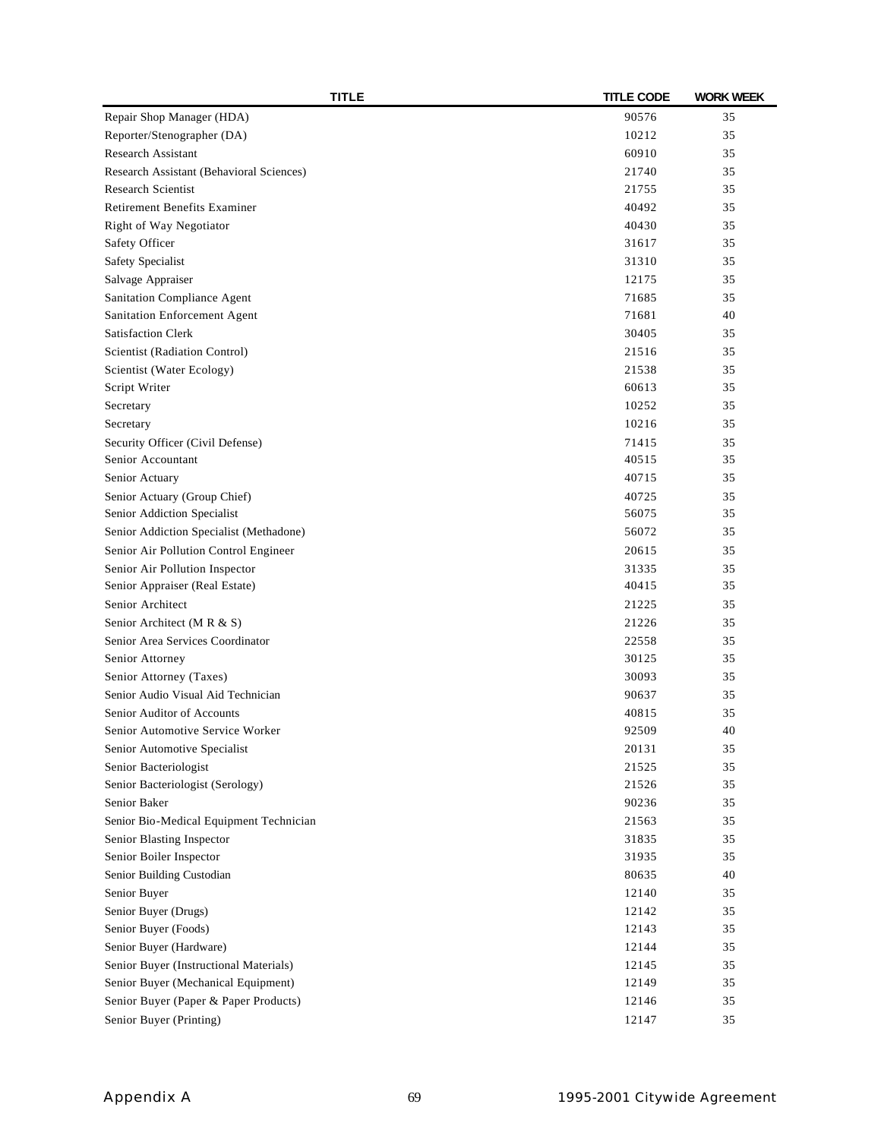| <b>TITLE</b>                             | <b>TITLE CODE</b> | <b>WORK WEEK</b> |
|------------------------------------------|-------------------|------------------|
| Repair Shop Manager (HDA)                | 90576             | 35               |
| Reporter/Stenographer (DA)               | 10212             | 35               |
| Research Assistant                       | 60910             | 35               |
| Research Assistant (Behavioral Sciences) | 21740             | 35               |
| <b>Research Scientist</b>                | 21755             | 35               |
| <b>Retirement Benefits Examiner</b>      | 40492             | 35               |
| Right of Way Negotiator                  | 40430             | 35               |
| Safety Officer                           | 31617             | 35               |
| Safety Specialist                        | 31310             | 35               |
| Salvage Appraiser                        | 12175             | 35               |
| Sanitation Compliance Agent              | 71685             | 35               |
| Sanitation Enforcement Agent             | 71681             | 40               |
| <b>Satisfaction Clerk</b>                | 30405             | 35               |
| Scientist (Radiation Control)            | 21516             | 35               |
| Scientist (Water Ecology)                | 21538             | 35               |
| Script Writer                            | 60613             | 35               |
| Secretary                                | 10252             | 35               |
| Secretary                                | 10216             | 35               |
| Security Officer (Civil Defense)         | 71415             | 35               |
| Senior Accountant                        | 40515             | 35               |
| Senior Actuary                           | 40715             | 35               |
| Senior Actuary (Group Chief)             | 40725             | 35               |
| Senior Addiction Specialist              | 56075             | 35               |
| Senior Addiction Specialist (Methadone)  | 56072             | 35               |
| Senior Air Pollution Control Engineer    | 20615             | 35               |
| Senior Air Pollution Inspector           | 31335             | 35               |
| Senior Appraiser (Real Estate)           | 40415             | 35               |
| Senior Architect                         | 21225             | 35               |
|                                          |                   |                  |
| Senior Architect (M R & S)               | 21226             | 35               |
| Senior Area Services Coordinator         | 22558             | 35               |
| Senior Attorney                          | 30125             | 35               |
| Senior Attorney (Taxes)                  | 30093             | 35               |
| Senior Audio Visual Aid Technician       | 90637             | 35               |
| Senior Auditor of Accounts               | 40815             | 35               |
| Senior Automotive Service Worker         | 92509             | 40               |
| Senior Automotive Specialist             | 20131             | 35               |
| Senior Bacteriologist                    | 21525             | 35               |
| Senior Bacteriologist (Serology)         | 21526             | 35               |
| Senior Baker                             | 90236             | 35               |
| Senior Bio-Medical Equipment Technician  | 21563             | 35               |
| Senior Blasting Inspector                | 31835             | 35               |
| Senior Boiler Inspector                  | 31935             | 35               |
| Senior Building Custodian                | 80635             | 40               |
| Senior Buyer                             | 12140             | 35               |
| Senior Buyer (Drugs)                     | 12142             | 35               |
| Senior Buyer (Foods)                     | 12143             | 35               |
| Senior Buyer (Hardware)                  | 12144             | 35               |
| Senior Buyer (Instructional Materials)   | 12145             | 35               |
| Senior Buyer (Mechanical Equipment)      | 12149             | 35               |
| Senior Buyer (Paper & Paper Products)    | 12146             | 35               |
| Senior Buyer (Printing)                  | 12147             | 35               |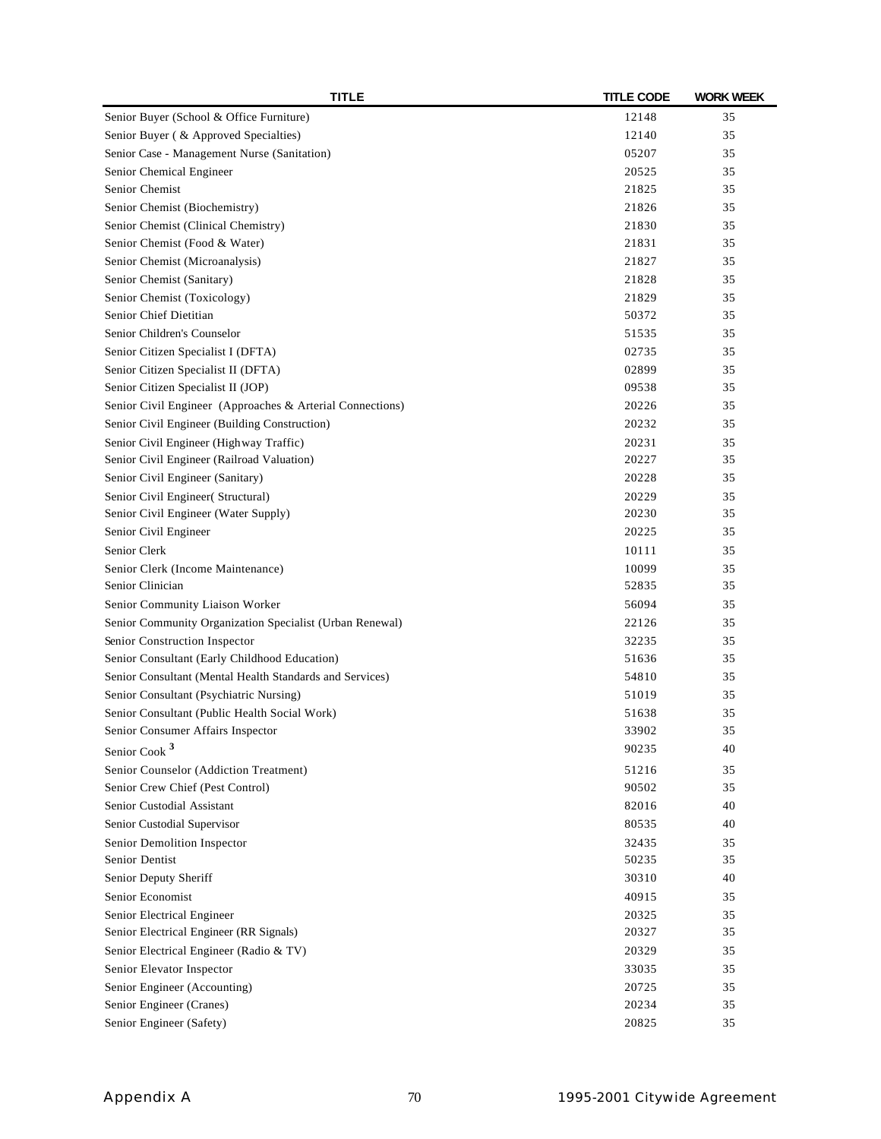| <b>TITLE</b>                                              | <b>TITLE CODE</b> | <b>WORK WEEK</b> |
|-----------------------------------------------------------|-------------------|------------------|
| Senior Buyer (School & Office Furniture)                  | 12148             | 35               |
| Senior Buyer ( & Approved Specialties)                    | 12140             | 35               |
| Senior Case - Management Nurse (Sanitation)               | 05207             | 35               |
| Senior Chemical Engineer                                  | 20525             | 35               |
| Senior Chemist                                            | 21825             | 35               |
| Senior Chemist (Biochemistry)                             | 21826             | 35               |
| Senior Chemist (Clinical Chemistry)                       | 21830             | 35               |
| Senior Chemist (Food & Water)                             | 21831             | 35               |
| Senior Chemist (Microanalysis)                            | 21827             | 35               |
| Senior Chemist (Sanitary)                                 | 21828             | 35               |
| Senior Chemist (Toxicology)                               | 21829             | 35               |
| Senior Chief Dietitian                                    | 50372             | 35               |
| Senior Children's Counselor                               | 51535             | 35               |
| Senior Citizen Specialist I (DFTA)                        | 02735             | 35               |
| Senior Citizen Specialist II (DFTA)                       | 02899             | 35               |
| Senior Citizen Specialist II (JOP)                        | 09538             | 35               |
| Senior Civil Engineer (Approaches & Arterial Connections) | 20226             | 35               |
| Senior Civil Engineer (Building Construction)             | 20232             | 35               |
| Senior Civil Engineer (Highway Traffic)                   | 20231             | 35               |
| Senior Civil Engineer (Railroad Valuation)                | 20227             | 35               |
| Senior Civil Engineer (Sanitary)                          | 20228             | 35               |
| Senior Civil Engineer(Structural)                         | 20229             | 35               |
| Senior Civil Engineer (Water Supply)                      | 20230             | 35               |
| Senior Civil Engineer                                     | 20225             | 35               |
| Senior Clerk                                              | 10111             | 35               |
| Senior Clerk (Income Maintenance)                         | 10099             | 35               |
| Senior Clinician                                          | 52835             | 35               |
| Senior Community Liaison Worker                           | 56094             | 35               |
| Senior Community Organization Specialist (Urban Renewal)  | 22126             | 35               |
| Senior Construction Inspector                             | 32235             | 35               |
| Senior Consultant (Early Childhood Education)             | 51636             | 35               |
| Senior Consultant (Mental Health Standards and Services)  | 54810             | 35               |
| Senior Consultant (Psychiatric Nursing)                   | 51019             | 35               |
| Senior Consultant (Public Health Social Work)             | 51638             | 35               |
| Senior Consumer Affairs Inspector                         | 33902             | 35               |
|                                                           | 90235             | 40               |
| Senior Cook <sup>3</sup>                                  |                   |                  |
| Senior Counselor (Addiction Treatment)                    | 51216             | 35               |
| Senior Crew Chief (Pest Control)                          | 90502             | 35               |
| Senior Custodial Assistant                                | 82016             | 40               |
| Senior Custodial Supervisor                               | 80535             | 40               |
| Senior Demolition Inspector                               | 32435             | 35               |
| Senior Dentist                                            | 50235             | 35               |
| Senior Deputy Sheriff                                     | 30310             | 40               |
| Senior Economist                                          | 40915             | 35               |
| Senior Electrical Engineer                                | 20325             | 35               |
| Senior Electrical Engineer (RR Signals)                   | 20327             | 35               |
| Senior Electrical Engineer (Radio & TV)                   | 20329             | 35               |
| Senior Elevator Inspector                                 | 33035             | 35               |
| Senior Engineer (Accounting)                              | 20725             | 35               |
| Senior Engineer (Cranes)                                  | 20234             | 35               |
| Senior Engineer (Safety)                                  | 20825             | 35               |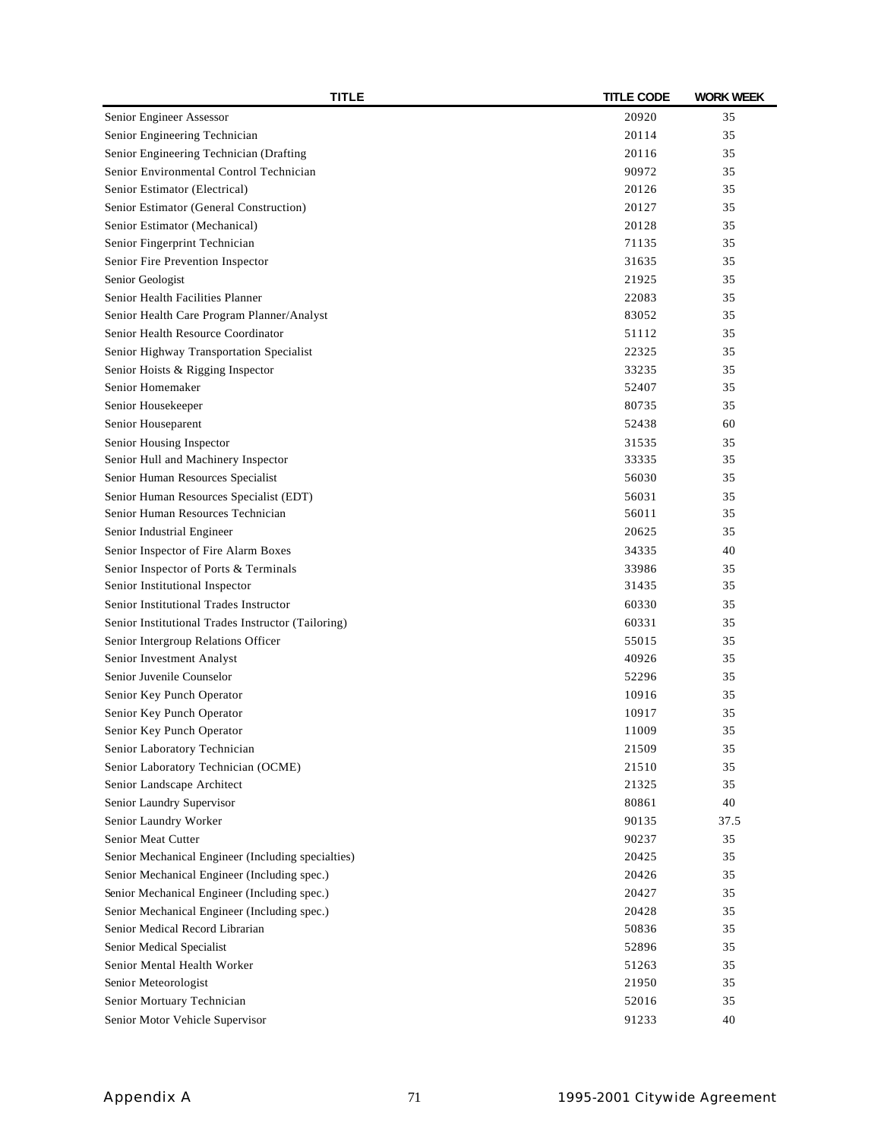| TITLE                                                  | <b>TITLE CODE</b> | <b>WORK WEEK</b> |
|--------------------------------------------------------|-------------------|------------------|
| Senior Engineer Assessor                               | 20920             | 35               |
| Senior Engineering Technician                          | 20114             | 35               |
| Senior Engineering Technician (Drafting                | 20116             | 35               |
| Senior Environmental Control Technician                | 90972             | 35               |
| Senior Estimator (Electrical)                          | 20126             | 35               |
| Senior Estimator (General Construction)                | 20127             | 35               |
| Senior Estimator (Mechanical)                          | 20128             | 35               |
| Senior Fingerprint Technician                          | 71135             | 35               |
| Senior Fire Prevention Inspector                       | 31635             | 35               |
| Senior Geologist                                       | 21925             | 35               |
| Senior Health Facilities Planner                       | 22083             | 35               |
| Senior Health Care Program Planner/Analyst             | 83052             | 35               |
| Senior Health Resource Coordinator                     | 51112             | 35               |
| Senior Highway Transportation Specialist               | 22325             | 35               |
| Senior Hoists & Rigging Inspector                      | 33235             | 35               |
| Senior Homemaker                                       | 52407             | 35               |
| Senior Housekeeper                                     | 80735             | 35               |
| Senior Houseparent                                     | 52438             | 60               |
| Senior Housing Inspector                               | 31535             | 35               |
| Senior Hull and Machinery Inspector                    | 33335             | 35               |
| Senior Human Resources Specialist                      | 56030             | 35               |
| Senior Human Resources Specialist (EDT)                | 56031             | 35               |
| Senior Human Resources Technician                      | 56011             | 35               |
| Senior Industrial Engineer                             | 20625             | 35               |
| Senior Inspector of Fire Alarm Boxes                   | 34335             | 40               |
| Senior Inspector of Ports & Terminals                  | 33986             | 35               |
| Senior Institutional Inspector                         | 31435             | 35               |
| Senior Institutional Trades Instructor                 | 60330             | 35               |
| Senior Institutional Trades Instructor (Tailoring)     | 60331             | 35               |
| Senior Intergroup Relations Officer                    | 55015             | 35               |
| Senior Investment Analyst                              | 40926             | 35               |
| Senior Juvenile Counselor                              | 52296             | 35               |
| Senior Key Punch Operator                              | 10916             | 35               |
|                                                        |                   | 35               |
| Senior Key Punch Operator<br>Senior Key Punch Operator | 10917<br>11009    | 35               |
| Senior Laboratory Technician                           |                   | 35               |
|                                                        | 21509<br>21510    |                  |
| Senior Laboratory Technician (OCME)                    | 21325             | 35<br>35         |
| Senior Landscape Architect                             |                   |                  |
| Senior Laundry Supervisor                              | 80861             | 40               |
| Senior Laundry Worker                                  | 90135             | 37.5             |
| Senior Meat Cutter                                     | 90237             | 35               |
| Senior Mechanical Engineer (Including specialties)     | 20425             | 35               |
| Senior Mechanical Engineer (Including spec.)           | 20426             | 35               |
| Senior Mechanical Engineer (Including spec.)           | 20427             | 35               |
| Senior Mechanical Engineer (Including spec.)           | 20428             | 35               |
| Senior Medical Record Librarian                        | 50836             | 35               |
| Senior Medical Specialist                              | 52896             | 35               |
| Senior Mental Health Worker                            | 51263             | 35               |
| Senior Meteorologist                                   | 21950             | 35               |
| Senior Mortuary Technician                             | 52016             | 35               |
| Senior Motor Vehicle Supervisor                        | 91233             | 40               |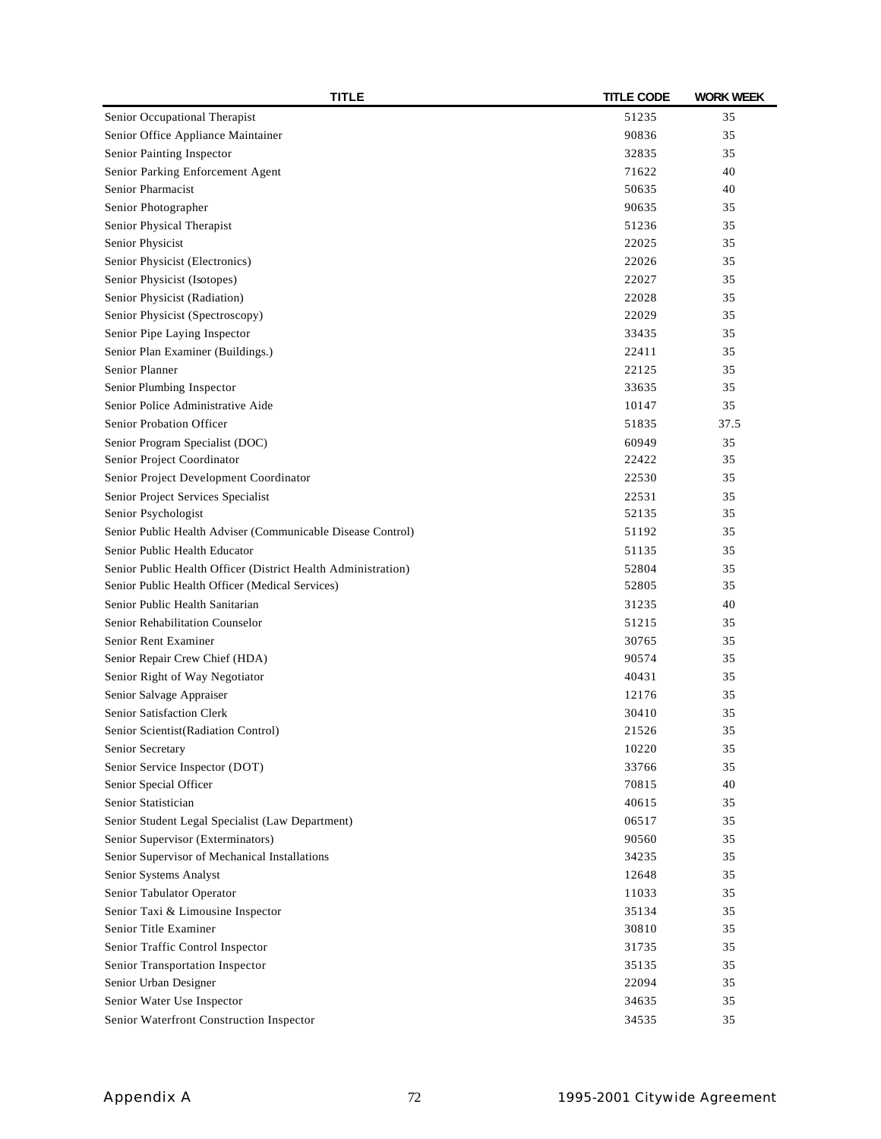| <b>TITLE</b>                                                                       | <b>TITLE CODE</b> | <b>WORK WEEK</b> |
|------------------------------------------------------------------------------------|-------------------|------------------|
| Senior Occupational Therapist                                                      | 51235             | 35               |
| Senior Office Appliance Maintainer                                                 | 90836             | 35               |
| Senior Painting Inspector                                                          | 32835             | 35               |
| Senior Parking Enforcement Agent                                                   | 71622             | 40               |
| Senior Pharmacist                                                                  | 50635             | 40               |
| Senior Photographer                                                                | 90635             | 35               |
| Senior Physical Therapist                                                          | 51236             | 35               |
| Senior Physicist                                                                   | 22025             | 35               |
| Senior Physicist (Electronics)                                                     | 22026             | 35               |
| Senior Physicist (Isotopes)                                                        | 22027             | 35               |
| Senior Physicist (Radiation)                                                       | 22028             | 35               |
| Senior Physicist (Spectroscopy)                                                    | 22029             | 35               |
| Senior Pipe Laying Inspector                                                       | 33435             | 35               |
| Senior Plan Examiner (Buildings.)                                                  | 22411             | 35               |
| Senior Planner                                                                     | 22125             | 35               |
| Senior Plumbing Inspector                                                          | 33635             | 35               |
| Senior Police Administrative Aide                                                  | 10147             | 35               |
| Senior Probation Officer                                                           | 51835             | 37.5             |
| Senior Program Specialist (DOC)                                                    | 60949             | 35               |
| Senior Project Coordinator                                                         | 22422             | 35               |
| Senior Project Development Coordinator                                             | 22530             | 35               |
| Senior Project Services Specialist                                                 | 22531             | 35               |
| Senior Psychologist                                                                | 52135             | 35               |
| Senior Public Health Adviser (Communicable Disease Control)                        | 51192             | 35               |
| Senior Public Health Educator                                                      | 51135             | 35               |
| Senior Public Health Officer (District Health Administration)                      | 52804             | 35               |
| Senior Public Health Officer (Medical Services)                                    | 52805             | 35               |
| Senior Public Health Sanitarian                                                    | 31235             | 40               |
| Senior Rehabilitation Counselor                                                    | 51215             | 35               |
| Senior Rent Examiner                                                               | 30765             | 35               |
| Senior Repair Crew Chief (HDA)                                                     | 90574             | 35               |
| Senior Right of Way Negotiator                                                     | 40431             | 35               |
| Senior Salvage Appraiser                                                           | 12176             | 35               |
| Senior Satisfaction Clerk                                                          | 30410             | 35               |
| Senior Scientist (Radiation Control)                                               | 21526             | 35               |
| Senior Secretary                                                                   | 10220             | 35               |
| Senior Service Inspector (DOT)                                                     | 33766             | 35               |
| Senior Special Officer                                                             | 70815             | 40               |
| Senior Statistician                                                                | 40615             | 35               |
| Senior Student Legal Specialist (Law Department)                                   | 06517             | 35               |
|                                                                                    | 90560             | 35               |
| Senior Supervisor (Exterminators)<br>Senior Supervisor of Mechanical Installations | 34235             | 35               |
|                                                                                    |                   |                  |
| Senior Systems Analyst                                                             | 12648             | 35               |
| Senior Tabulator Operator                                                          | 11033             | 35               |
| Senior Taxi & Limousine Inspector                                                  | 35134             | 35               |
| Senior Title Examiner                                                              | 30810             | 35               |
| Senior Traffic Control Inspector                                                   | 31735             | 35               |
| Senior Transportation Inspector                                                    | 35135             | 35               |
| Senior Urban Designer                                                              | 22094             | 35               |
| Senior Water Use Inspector                                                         | 34635             | 35               |
| Senior Waterfront Construction Inspector                                           | 34535             | 35               |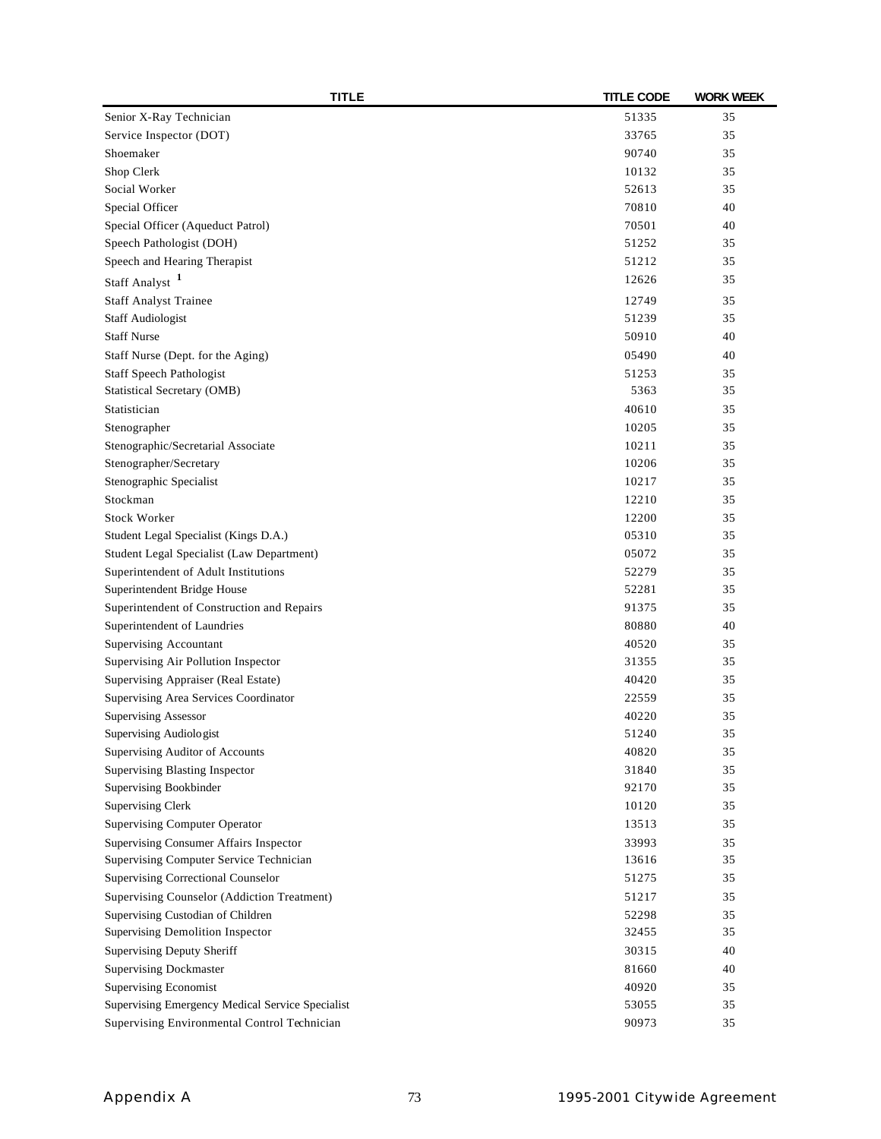| <b>TITLE</b>                                     | <b>TITLE CODE</b> | <b>WORK WEEK</b> |
|--------------------------------------------------|-------------------|------------------|
| Senior X-Ray Technician                          | 51335             | 35               |
| Service Inspector (DOT)                          | 33765             | 35               |
| Shoemaker                                        | 90740             | 35               |
| Shop Clerk                                       | 10132             | 35               |
| Social Worker                                    | 52613             | 35               |
| Special Officer                                  | 70810             | 40               |
| Special Officer (Aqueduct Patrol)                | 70501             | 40               |
| Speech Pathologist (DOH)                         | 51252             | 35               |
| Speech and Hearing Therapist                     | 51212             | 35               |
| Staff Analyst <sup>1</sup>                       | 12626             | 35               |
| <b>Staff Analyst Trainee</b>                     | 12749             | 35               |
| <b>Staff Audiologist</b>                         | 51239             | 35               |
| <b>Staff Nurse</b>                               | 50910             | 40               |
| Staff Nurse (Dept. for the Aging)                | 05490             | 40               |
| <b>Staff Speech Pathologist</b>                  | 51253             | 35               |
| Statistical Secretary (OMB)                      | 5363              | 35               |
| Statistician                                     | 40610             | 35               |
| Stenographer                                     | 10205             | 35               |
| Stenographic/Secretarial Associate               | 10211             | 35               |
| Stenographer/Secretary                           | 10206             | 35               |
| Stenographic Specialist                          | 10217             | 35               |
| Stockman                                         | 12210             | 35               |
| <b>Stock Worker</b>                              | 12200             | 35               |
| Student Legal Specialist (Kings D.A.)            | 05310             | 35               |
| Student Legal Specialist (Law Department)        | 05072             | 35               |
| Superintendent of Adult Institutions             | 52279             | 35               |
| Superintendent Bridge House                      | 52281             | 35               |
| Superintendent of Construction and Repairs       | 91375             | 35               |
| Superintendent of Laundries                      | 80880             | 40               |
| Supervising Accountant                           | 40520             | 35               |
| Supervising Air Pollution Inspector              | 31355             | 35               |
| Supervising Appraiser (Real Estate)              | 40420             | 35               |
| Supervising Area Services Coordinator            | 22559             | 35               |
| <b>Supervising Assessor</b>                      | 40220             | 35               |
| Supervising Audiologist                          | 51240             | 35               |
| Supervising Auditor of Accounts                  | 40820             | 35               |
| Supervising Blasting Inspector                   | 31840             | 35               |
| Supervising Bookbinder                           | 92170             | 35               |
| <b>Supervising Clerk</b>                         | 10120             | 35               |
| <b>Supervising Computer Operator</b>             | 13513             | 35               |
| Supervising Consumer Affairs Inspector           | 33993             | 35               |
| Supervising Computer Service Technician          | 13616             | 35               |
| Supervising Correctional Counselor               | 51275             | 35               |
| Supervising Counselor (Addiction Treatment)      | 51217             | 35               |
| Supervising Custodian of Children                | 52298             | 35               |
| Supervising Demolition Inspector                 | 32455             | 35               |
| Supervising Deputy Sheriff                       | 30315             | 40               |
| <b>Supervising Dockmaster</b>                    | 81660             | 40               |
| Supervising Economist                            | 40920             | 35               |
| Supervising Emergency Medical Service Specialist | 53055             | 35               |
| Supervising Environmental Control Technician     | 90973             | 35               |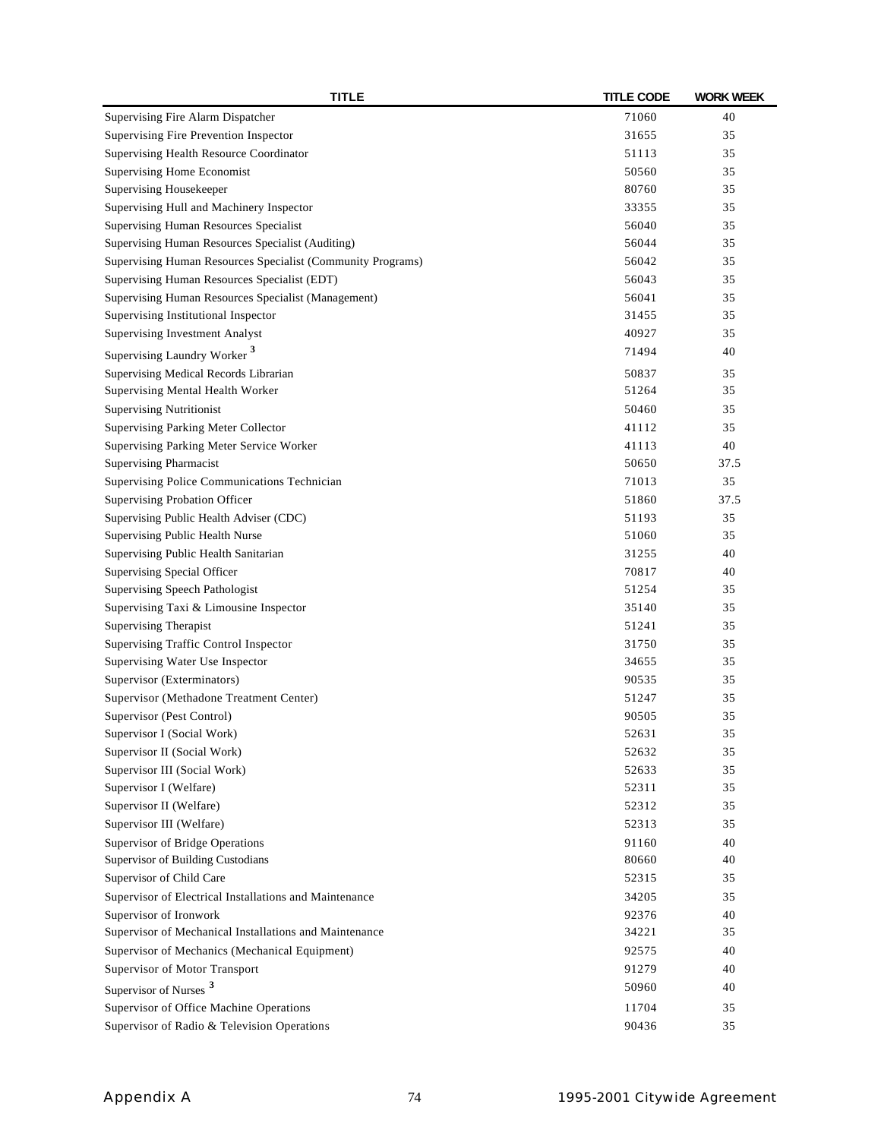| <b>TITLE</b>                                                | <b>TITLE CODE</b> | <b>WORK WEEK</b> |
|-------------------------------------------------------------|-------------------|------------------|
| Supervising Fire Alarm Dispatcher                           | 71060             | 40               |
| Supervising Fire Prevention Inspector                       | 31655             | 35               |
| Supervising Health Resource Coordinator                     | 51113             | 35               |
| Supervising Home Economist                                  | 50560             | 35               |
| Supervising Housekeeper                                     | 80760             | 35               |
| Supervising Hull and Machinery Inspector                    | 33355             | 35               |
| Supervising Human Resources Specialist                      | 56040             | 35               |
| Supervising Human Resources Specialist (Auditing)           | 56044             | 35               |
| Supervising Human Resources Specialist (Community Programs) | 56042             | 35               |
| Supervising Human Resources Specialist (EDT)                | 56043             | 35               |
| Supervising Human Resources Specialist (Management)         | 56041             | 35               |
| Supervising Institutional Inspector                         | 31455             | 35               |
| <b>Supervising Investment Analyst</b>                       | 40927             | 35               |
| Supervising Laundry Worker <sup>3</sup>                     | 71494             | 40               |
| Supervising Medical Records Librarian                       | 50837             | 35               |
| Supervising Mental Health Worker                            | 51264             | 35               |
| <b>Supervising Nutritionist</b>                             | 50460             | 35               |
| Supervising Parking Meter Collector                         | 41112             | 35               |
| Supervising Parking Meter Service Worker                    | 41113             | 40               |
| <b>Supervising Pharmacist</b>                               | 50650             | 37.5             |
| Supervising Police Communications Technician                | 71013             | 35               |
| Supervising Probation Officer                               | 51860             | 37.5             |
| Supervising Public Health Adviser (CDC)                     | 51193             | 35               |
| Supervising Public Health Nurse                             | 51060             | 35               |
| Supervising Public Health Sanitarian                        | 31255             | 40               |
| Supervising Special Officer                                 | 70817             | 40               |
| Supervising Speech Pathologist                              | 51254             | 35               |
| Supervising Taxi & Limousine Inspector                      | 35140             | 35               |
| <b>Supervising Therapist</b>                                | 51241             | 35               |
| Supervising Traffic Control Inspector                       | 31750             | 35               |
| Supervising Water Use Inspector                             | 34655             | 35               |
| Supervisor (Exterminators)                                  | 90535             | 35               |
| Supervisor (Methadone Treatment Center)                     | 51247             | 35               |
| Supervisor (Pest Control)                                   | 90505             | 35               |
| Supervisor I (Social Work)                                  | 52631             | 35               |
| Supervisor II (Social Work)                                 | 52632             | 35               |
| Supervisor III (Social Work)                                | 52633             | 35               |
| Supervisor I (Welfare)                                      | 52311             | 35               |
| Supervisor II (Welfare)                                     | 52312             | 35               |
| Supervisor III (Welfare)                                    | 52313             | 35               |
| Supervisor of Bridge Operations                             | 91160             | 40               |
| Supervisor of Building Custodians                           | 80660             | 40               |
| Supervisor of Child Care                                    | 52315             | 35               |
| Supervisor of Electrical Installations and Maintenance      |                   | 35               |
| Supervisor of Ironwork                                      | 34205<br>92376    |                  |
| Supervisor of Mechanical Installations and Maintenance      | 34221             | 40<br>35         |
|                                                             |                   |                  |
| Supervisor of Mechanics (Mechanical Equipment)              | 92575             | 40               |
| Supervisor of Motor Transport                               | 91279             | 40               |
| Supervisor of Nurses <sup>3</sup>                           | 50960             | 40               |
| Supervisor of Office Machine Operations                     | 11704             | 35               |
| Supervisor of Radio & Television Operations                 | 90436             | 35               |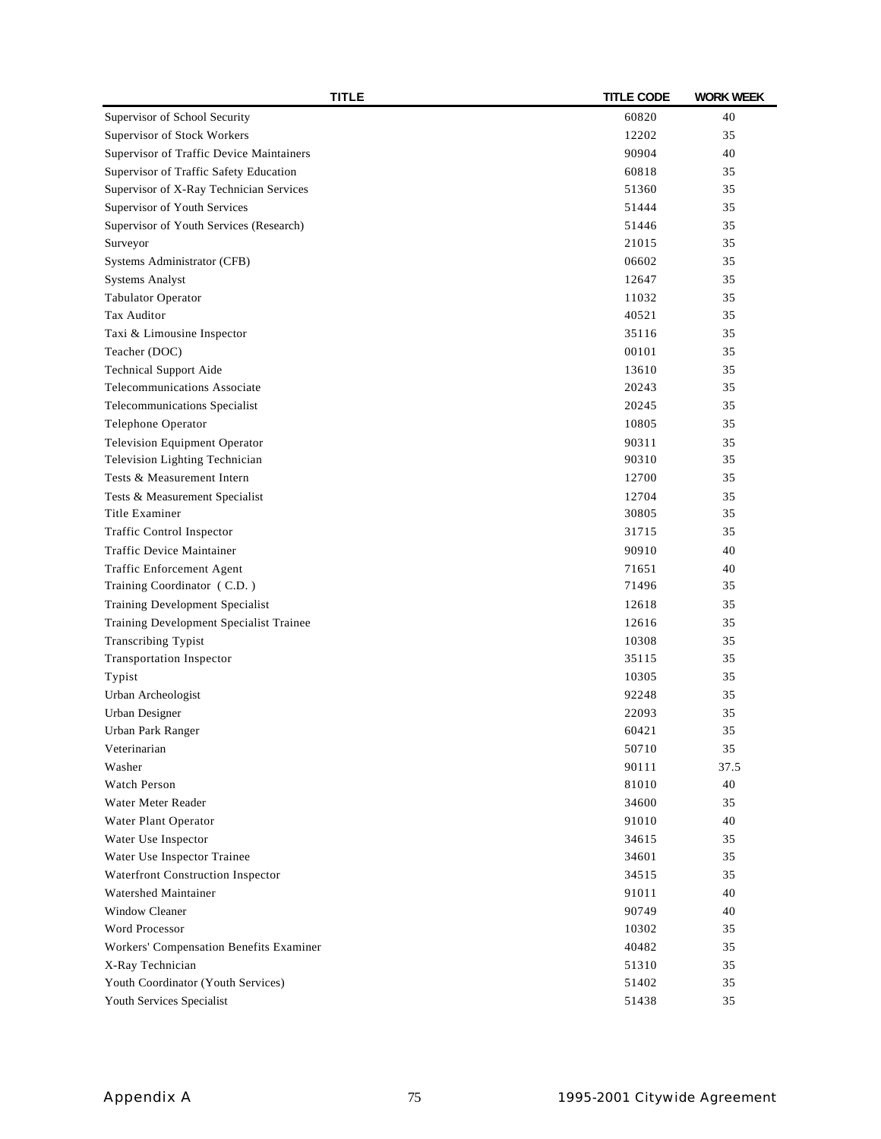| <b>TITLE</b>                                              | <b>TITLE CODE</b> | <b>WORK WEEK</b> |
|-----------------------------------------------------------|-------------------|------------------|
| Supervisor of School Security                             | 60820             | 40               |
| Supervisor of Stock Workers                               | 12202             | 35               |
| Supervisor of Traffic Device Maintainers                  | 90904             | 40               |
| Supervisor of Traffic Safety Education                    | 60818             | 35               |
| Supervisor of X-Ray Technician Services                   | 51360             | 35               |
| Supervisor of Youth Services                              | 51444             | 35               |
| Supervisor of Youth Services (Research)                   | 51446             | 35               |
| Surveyor                                                  | 21015             | 35               |
| Systems Administrator (CFB)                               | 06602             | 35               |
| <b>Systems Analyst</b>                                    | 12647             | 35               |
| <b>Tabulator Operator</b>                                 | 11032             | 35               |
| Tax Auditor                                               | 40521             | 35               |
| Taxi & Limousine Inspector                                | 35116             | 35               |
| Teacher (DOC)                                             | 00101             | 35               |
| <b>Technical Support Aide</b>                             | 13610             | 35               |
| <b>Telecommunications Associate</b>                       | 20243             | 35               |
| Telecommunications Specialist                             | 20245             | 35               |
| Telephone Operator                                        | 10805             | 35               |
| Television Equipment Operator                             | 90311             | 35               |
| Television Lighting Technician                            | 90310             | 35               |
| Tests & Measurement Intern                                | 12700             | 35               |
| Tests & Measurement Specialist                            | 12704             | 35               |
| Title Examiner                                            | 30805             | 35               |
| Traffic Control Inspector                                 | 31715             | 35               |
| <b>Traffic Device Maintainer</b>                          | 90910             | 40               |
| Traffic Enforcement Agent                                 | 71651             | 40               |
| Training Coordinator (C.D.)                               | 71496             | 35               |
| Training Development Specialist                           | 12618             | 35               |
| Training Development Specialist Trainee                   | 12616             | 35               |
| <b>Transcribing Typist</b>                                | 10308             | 35               |
| Transportation Inspector                                  | 35115             | 35               |
| Typist                                                    | 10305             | 35               |
| Urban Archeologist                                        | 92248             | 35               |
| <b>Urban Designer</b>                                     | 22093             | 35               |
| Urban Park Ranger                                         | 60421             | 35               |
| Veterinarian                                              | 50710             | 35               |
| Washer                                                    | 90111             | 37.5             |
| <b>Watch Person</b>                                       | 81010             | 40               |
| Water Meter Reader                                        | 34600             | 35               |
| Water Plant Operator                                      | 91010             | 40               |
|                                                           | 34615             | 35               |
| Water Use Inspector<br>Water Use Inspector Trainee        | 34601             | 35               |
|                                                           | 34515             | 35               |
| Waterfront Construction Inspector<br>Watershed Maintainer |                   | 40               |
| <b>Window Cleaner</b>                                     | 91011             |                  |
| <b>Word Processor</b>                                     | 90749<br>10302    | 40<br>35         |
|                                                           | 40482             | 35               |
| Workers' Compensation Benefits Examiner                   |                   |                  |
| X-Ray Technician<br>Youth Coordinator (Youth Services)    | 51310<br>51402    | 35<br>35         |
|                                                           | 51438             | 35               |
| Youth Services Specialist                                 |                   |                  |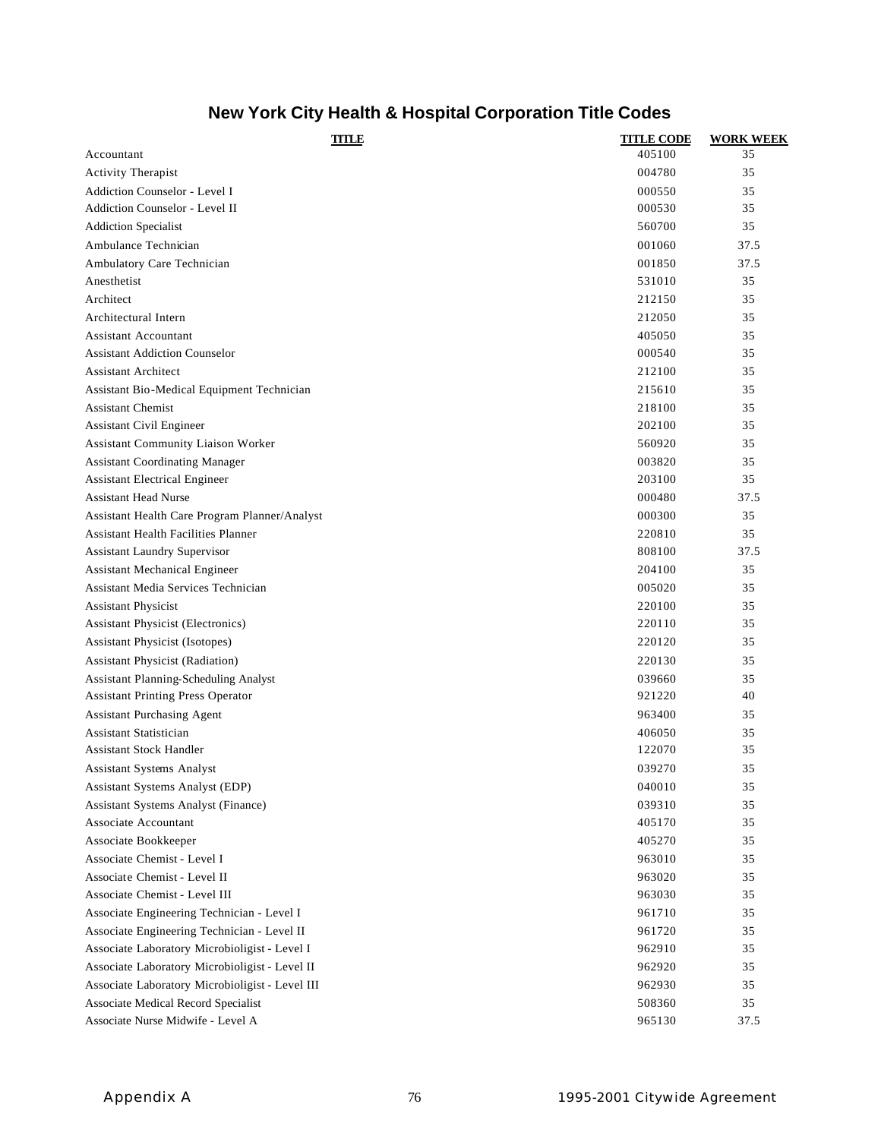## **New York City Health & Hospital Corporation Title Codes**

| TITLE                                           | <b>TITLE CODE</b> | <b>WORK WEEK</b> |
|-------------------------------------------------|-------------------|------------------|
| Accountant                                      | 405100            | 35               |
| Activity Therapist                              | 004780            | 35               |
| Addiction Counselor - Level I                   | 000550            | 35               |
| Addiction Counselor - Level II                  | 000530            | 35               |
| <b>Addiction Specialist</b>                     | 560700            | 35               |
| Ambulance Technician                            | 001060            | 37.5             |
| Ambulatory Care Technician                      | 001850            | 37.5             |
| Anesthetist                                     | 531010            | 35               |
| Architect                                       | 212150            | 35               |
| Architectural Intern                            | 212050            | 35               |
| <b>Assistant Accountant</b>                     | 405050            | 35               |
| <b>Assistant Addiction Counselor</b>            | 000540            | 35               |
| <b>Assistant Architect</b>                      | 212100            | 35               |
| Assistant Bio-Medical Equipment Technician      | 215610            | 35               |
| <b>Assistant Chemist</b>                        | 218100            | 35               |
| Assistant Civil Engineer                        | 202100            | 35               |
| Assistant Community Liaison Worker              | 560920            | 35               |
| <b>Assistant Coordinating Manager</b>           | 003820            | 35               |
| <b>Assistant Electrical Engineer</b>            | 203100            | 35               |
| <b>Assistant Head Nurse</b>                     | 000480            | 37.5             |
| Assistant Health Care Program Planner/Analyst   | 000300            | 35               |
| <b>Assistant Health Facilities Planner</b>      | 220810            | 35               |
| <b>Assistant Laundry Supervisor</b>             | 808100            | 37.5             |
| Assistant Mechanical Engineer                   | 204100            | 35               |
| Assistant Media Services Technician             | 005020            | 35               |
| <b>Assistant Physicist</b>                      | 220100            | 35               |
| <b>Assistant Physicist (Electronics)</b>        | 220110            | 35               |
| <b>Assistant Physicist (Isotopes)</b>           | 220120            | 35               |
| <b>Assistant Physicist (Radiation)</b>          | 220130            | 35               |
| Assistant Planning-Scheduling Analyst           | 039660            | 35               |
| <b>Assistant Printing Press Operator</b>        | 921220            | 40               |
| <b>Assistant Purchasing Agent</b>               | 963400            | 35               |
| <b>Assistant Statistician</b>                   | 406050            | 35               |
| <b>Assistant Stock Handler</b>                  | 122070            | 35               |
| <b>Assistant Systems Analyst</b>                | 039270            | 35               |
| Assistant Systems Analyst (EDP)                 | 040010            | 35               |
| Assistant Systems Analyst (Finance)             | 039310            | 35               |
| Associate Accountant                            | 405170            | 35               |
| Associate Bookkeeper                            | 405270            | 35               |
| Associate Chemist - Level I                     | 963010            | 35               |
| Associate Chemist - Level II                    | 963020            | 35               |
| Associate Chemist - Level III                   | 963030            | 35               |
| Associate Engineering Technician - Level I      | 961710            | 35               |
| Associate Engineering Technician - Level II     | 961720            | 35               |
| Associate Laboratory Microbioligist - Level I   | 962910            | 35               |
| Associate Laboratory Microbioligist - Level II  | 962920            | 35               |
| Associate Laboratory Microbioligist - Level III | 962930            | 35               |
| Associate Medical Record Specialist             | 508360            | 35               |
| Associate Nurse Midwife - Level A               | 965130            | 37.5             |
|                                                 |                   |                  |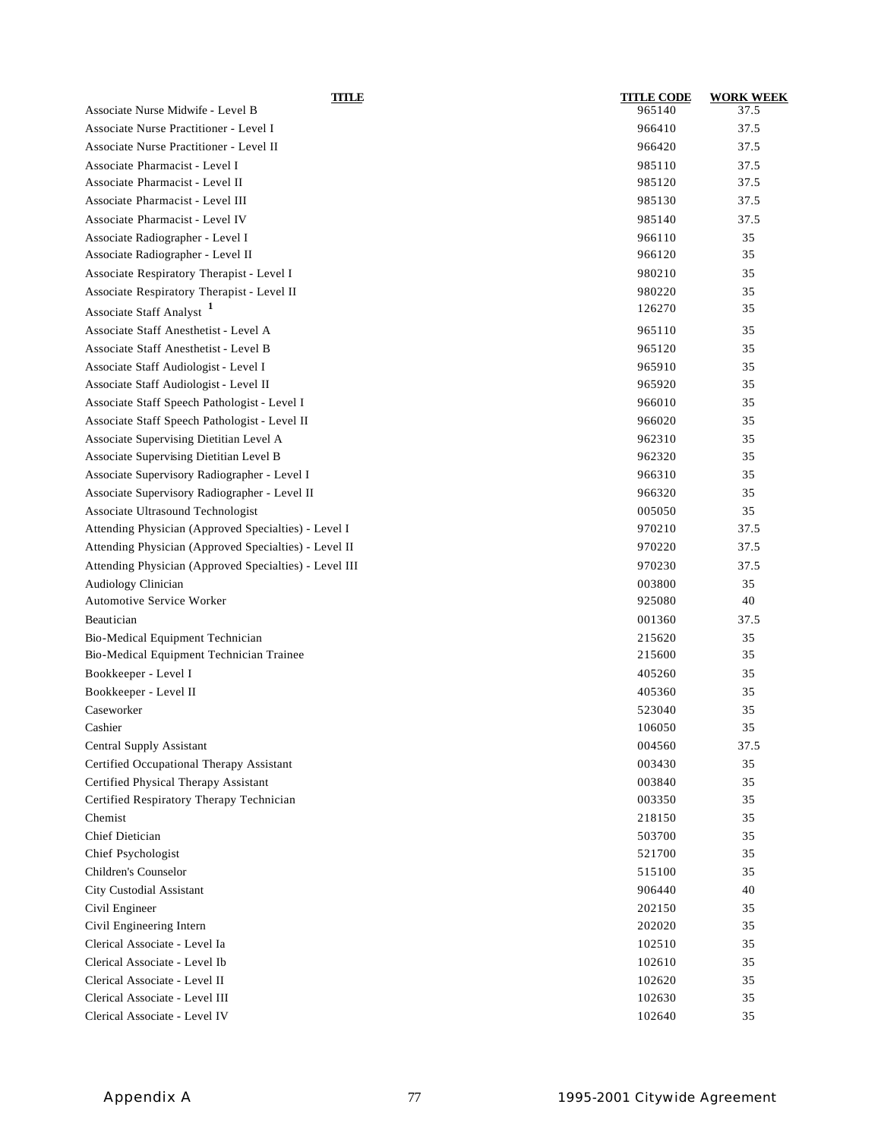| TITLE<br>Associate Nurse Midwife - Level B             | <b>TITLE CODE</b><br>965140 | <b>WORK WEEK</b><br>37.5 |
|--------------------------------------------------------|-----------------------------|--------------------------|
| Associate Nurse Practitioner - Level I                 | 966410                      | 37.5                     |
| Associate Nurse Practitioner - Level II                | 966420                      | 37.5                     |
| Associate Pharmacist - Level I                         | 985110                      | 37.5                     |
| Associate Pharmacist - Level II                        | 985120                      | 37.5                     |
| Associate Pharmacist - Level III                       | 985130                      | 37.5                     |
| Associate Pharmacist - Level IV                        | 985140                      | 37.5                     |
| Associate Radiographer - Level I                       | 966110                      | 35                       |
| Associate Radiographer - Level II                      | 966120                      | 35                       |
| Associate Respiratory Therapist - Level I              | 980210                      | 35                       |
| Associate Respiratory Therapist - Level II             | 980220                      | 35                       |
| Associate Staff Analyst <sup>1</sup>                   | 126270                      | 35                       |
|                                                        |                             |                          |
| Associate Staff Anesthetist - Level A                  | 965110                      | 35                       |
| Associate Staff Anesthetist - Level B                  | 965120                      | 35                       |
| Associate Staff Audiologist - Level I                  | 965910                      | 35                       |
| Associate Staff Audiologist - Level II                 | 965920                      | 35                       |
| Associate Staff Speech Pathologist - Level I           | 966010                      | 35                       |
| Associate Staff Speech Pathologist - Level II          | 966020                      | 35                       |
| Associate Supervising Dietitian Level A                | 962310                      | 35                       |
| Associate Supervising Dietitian Level B                | 962320                      | 35                       |
| Associate Supervisory Radiographer - Level I           | 966310                      | 35                       |
| Associate Supervisory Radiographer - Level II          | 966320                      | 35                       |
| Associate Ultrasound Technologist                      | 005050                      | 35                       |
| Attending Physician (Approved Specialties) - Level I   | 970210                      | 37.5                     |
| Attending Physician (Approved Specialties) - Level II  | 970220                      | 37.5                     |
| Attending Physician (Approved Specialties) - Level III | 970230                      | 37.5                     |
| Audiology Clinician                                    | 003800                      | 35                       |
| <b>Automotive Service Worker</b>                       | 925080                      | 40                       |
| Beautician                                             | 001360                      | 37.5                     |
| Bio-Medical Equipment Technician                       | 215620                      | 35                       |
| Bio-Medical Equipment Technician Trainee               | 215600                      | 35                       |
| Bookkeeper - Level I                                   | 405260                      | 35                       |
| Bookkeeper - Level II                                  | 405360                      | 35                       |
| Caseworker                                             | 523040                      | 35                       |
| Cashier                                                | 106050                      | 35                       |
| Central Supply Assistant                               | 004560                      | 37.5                     |
| Certified Occupational Therapy Assistant               | 003430                      | 35                       |
| Certified Physical Therapy Assistant                   | 003840                      | 35                       |
| Certified Respiratory Therapy Technician               | 003350                      | 35                       |
| Chemist                                                | 218150                      | 35                       |
| Chief Dietician                                        | 503700                      | 35                       |
| Chief Psychologist                                     | 521700                      | 35                       |
| Children's Counselor                                   | 515100                      | 35                       |
| <b>City Custodial Assistant</b>                        | 906440                      | 40                       |
| Civil Engineer                                         | 202150                      | 35                       |
| Civil Engineering Intern                               | 202020                      | 35                       |
| Clerical Associate - Level Ia                          | 102510                      | 35                       |
| Clerical Associate - Level Ib                          | 102610                      | 35                       |
| Clerical Associate - Level II                          | 102620                      | 35                       |
| Clerical Associate - Level III                         | 102630                      | 35                       |
| Clerical Associate - Level IV                          | 102640                      | 35                       |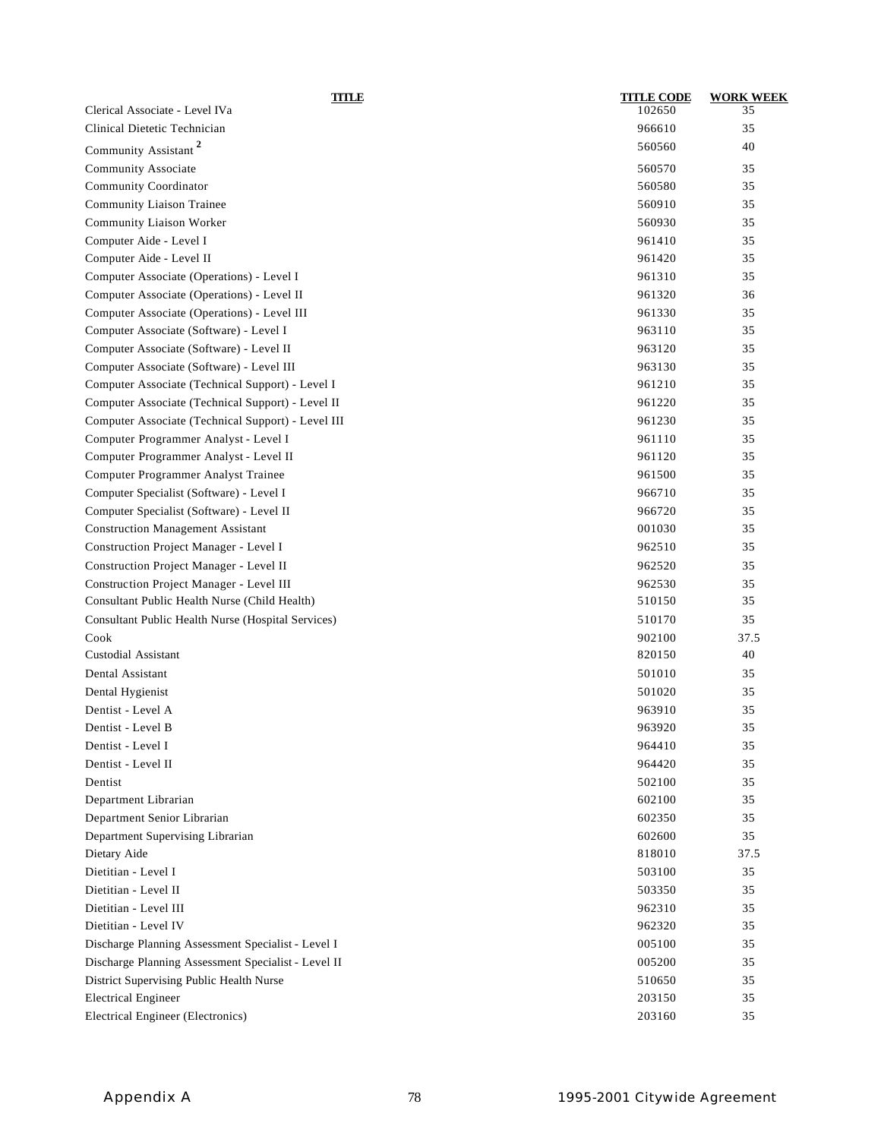| <b>TITLE</b>                                        | <b>TITLE CODE</b> | <b>WORK WEEK</b> |
|-----------------------------------------------------|-------------------|------------------|
| Clerical Associate - Level IVa                      | 102650            | 35               |
| Clinical Dietetic Technician                        | 966610            | 35               |
| Community Assistant <sup>2</sup>                    | 560560            | 40               |
| Community Associate                                 | 560570            | 35               |
| <b>Community Coordinator</b>                        | 560580            | 35               |
| Community Liaison Trainee                           | 560910            | 35               |
| <b>Community Liaison Worker</b>                     | 560930            | 35               |
| Computer Aide - Level I                             | 961410            | 35               |
| Computer Aide - Level II                            | 961420            | 35               |
| Computer Associate (Operations) - Level I           | 961310            | 35               |
| Computer Associate (Operations) - Level II          | 961320            | 36               |
| Computer Associate (Operations) - Level III         | 961330            | 35               |
| Computer Associate (Software) - Level I             | 963110            | 35               |
| Computer Associate (Software) - Level II            | 963120            | 35               |
| Computer Associate (Software) - Level III           | 963130            | 35               |
| Computer Associate (Technical Support) - Level I    | 961210            | 35               |
| Computer Associate (Technical Support) - Level II   | 961220            | 35               |
| Computer Associate (Technical Support) - Level III  | 961230            | 35               |
| Computer Programmer Analyst - Level I               | 961110            | 35               |
| Computer Programmer Analyst - Level II              | 961120            | 35               |
| Computer Programmer Analyst Trainee                 | 961500            | 35               |
| Computer Specialist (Software) - Level I            | 966710            | 35               |
| Computer Specialist (Software) - Level II           | 966720            | 35               |
| <b>Construction Management Assistant</b>            | 001030            | 35               |
| Construction Project Manager - Level I              | 962510            | 35               |
| Construction Project Manager - Level II             | 962520            | 35               |
| Construction Project Manager - Level III            | 962530            | 35               |
| Consultant Public Health Nurse (Child Health)       | 510150            | 35               |
| Consultant Public Health Nurse (Hospital Services)  | 510170            | 35               |
| Cook                                                | 902100            | 37.5             |
| <b>Custodial Assistant</b>                          | 820150            | 40               |
| Dental Assistant                                    | 501010            | 35               |
| Dental Hygienist                                    | 501020            | 35               |
| Dentist - Level A                                   | 963910            | 35               |
| Dentist - Level B                                   | 963920            | 35               |
| Dentist - Level I                                   | 964410            | 35               |
| Dentist - Level II                                  | 964420            | 35               |
| Dentist                                             | 502100            | 35               |
| Department Librarian                                | 602100            | 35               |
| Department Senior Librarian                         | 602350            | 35               |
| Department Supervising Librarian                    | 602600            | 35               |
| Dietary Aide                                        | 818010            | 37.5             |
| Dietitian - Level I                                 | 503100            | 35               |
| Dietitian - Level II                                | 503350            | 35               |
| Dietitian - Level III                               | 962310            | 35               |
| Dietitian - Level IV                                | 962320            | 35               |
| Discharge Planning Assessment Specialist - Level I  | 005100            | 35               |
| Discharge Planning Assessment Specialist - Level II | 005200            | 35               |
| District Supervising Public Health Nurse            | 510650            | 35               |
| <b>Electrical Engineer</b>                          | 203150            | 35               |
| Electrical Engineer (Electronics)                   | 203160            | 35               |
|                                                     |                   |                  |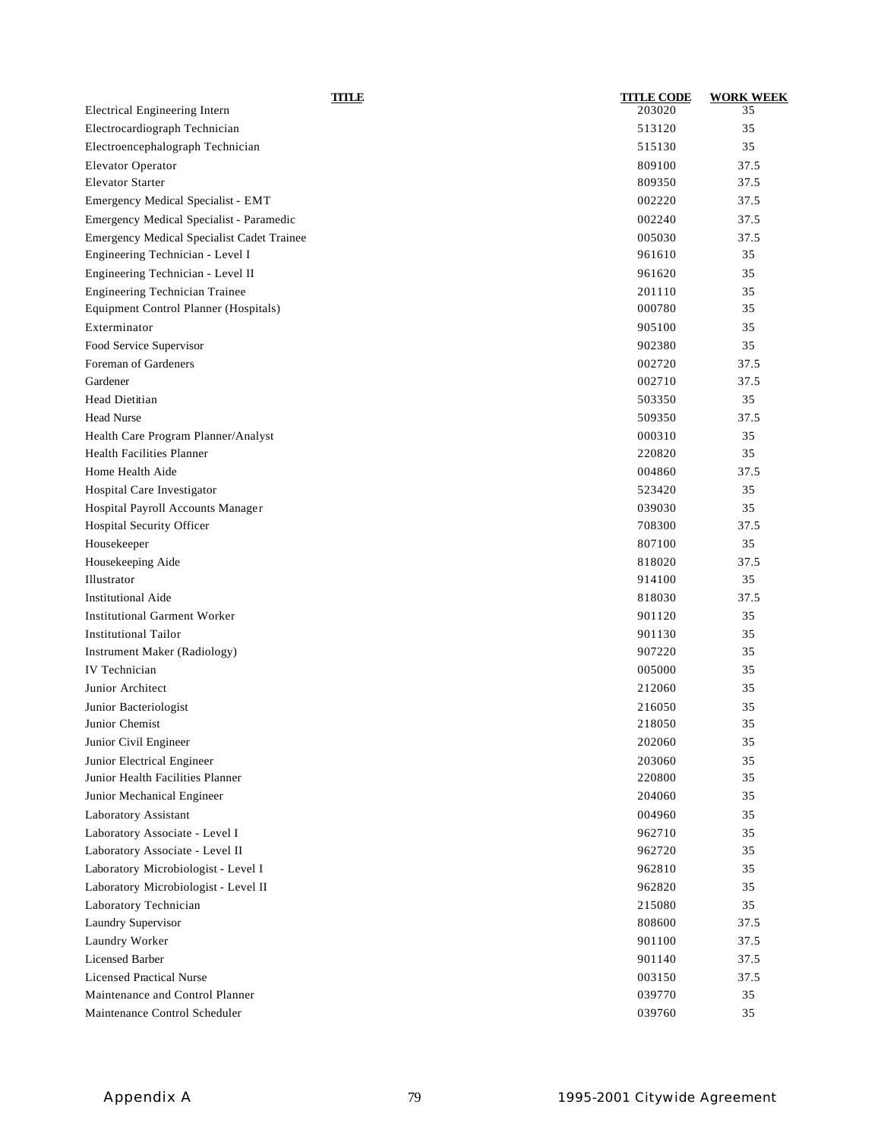| TITLE                                      | <b>TITLE CODE</b> | <b>WORK WEEK</b> |
|--------------------------------------------|-------------------|------------------|
| Electrical Engineering Intern              | 203020            | 35               |
| Electrocardiograph Technician              | 513120            | 35               |
| Electroencephalograph Technician           | 515130            | 35               |
| <b>Elevator Operator</b>                   | 809100            | 37.5             |
| <b>Elevator Starter</b>                    | 809350            | 37.5             |
| Emergency Medical Specialist - EMT         | 002220            | 37.5             |
| Emergency Medical Specialist - Paramedic   | 002240            | 37.5             |
| Emergency Medical Specialist Cadet Trainee | 005030            | 37.5             |
| Engineering Technician - Level I           | 961610            | 35               |
| Engineering Technician - Level II          | 961620            | 35               |
| Engineering Technician Trainee             | 201110            | 35               |
| Equipment Control Planner (Hospitals)      | 000780            | 35               |
| Exterminator                               | 905100            | 35               |
| Food Service Supervisor                    | 902380            | 35               |
| Foreman of Gardeners                       | 002720            | 37.5             |
| Gardener                                   | 002710            | 37.5             |
| Head Dietitian                             | 503350            | 35               |
| <b>Head Nurse</b>                          | 509350            | 37.5             |
| Health Care Program Planner/Analyst        | 000310            | 35               |
| <b>Health Facilities Planner</b>           | 220820            | 35               |
| Home Health Aide                           | 004860            | 37.5             |
| Hospital Care Investigator                 | 523420            | 35               |
| Hospital Payroll Accounts Manager          | 039030            | 35               |
| Hospital Security Officer                  | 708300            | 37.5             |
| Housekeeper                                | 807100            | 35               |
| Housekeeping Aide                          | 818020            | 37.5             |
| Illustrator                                | 914100            | 35               |
| <b>Institutional Aide</b>                  | 818030            | 37.5             |
| <b>Institutional Garment Worker</b>        | 901120            | 35               |
| <b>Institutional Tailor</b>                | 901130            | 35               |
| Instrument Maker (Radiology)               | 907220            | 35               |
| <b>IV</b> Technician                       | 005000            | 35               |
| Junior Architect                           | 212060            | 35               |
| Junior Bacteriologist                      | 216050            | 35               |
| Junior Chemist                             | 218050            | 35               |
| Junior Civil Engineer                      | 202060            | 35               |
| Junior Electrical Engineer                 | 203060            | 35               |
| Junior Health Facilities Planner           | 220800            | 35               |
| Junior Mechanical Engineer                 | 204060            | 35               |
| Laboratory Assistant                       | 004960            | 35               |
| Laboratory Associate - Level I             | 962710            | 35               |
| Laboratory Associate - Level II            | 962720            | 35               |
| Laboratory Microbiologist - Level I        | 962810            | 35               |
| Laboratory Microbiologist - Level II       | 962820            | 35               |
| Laboratory Technician                      | 215080            | 35               |
| Laundry Supervisor                         | 808600            | 37.5             |
| Laundry Worker                             | 901100            | 37.5             |
| <b>Licensed Barber</b>                     | 901140            | 37.5             |
| <b>Licensed Practical Nurse</b>            | 003150            | 37.5             |
| Maintenance and Control Planner            | 039770            | 35               |
| Maintenance Control Scheduler              | 039760            | 35               |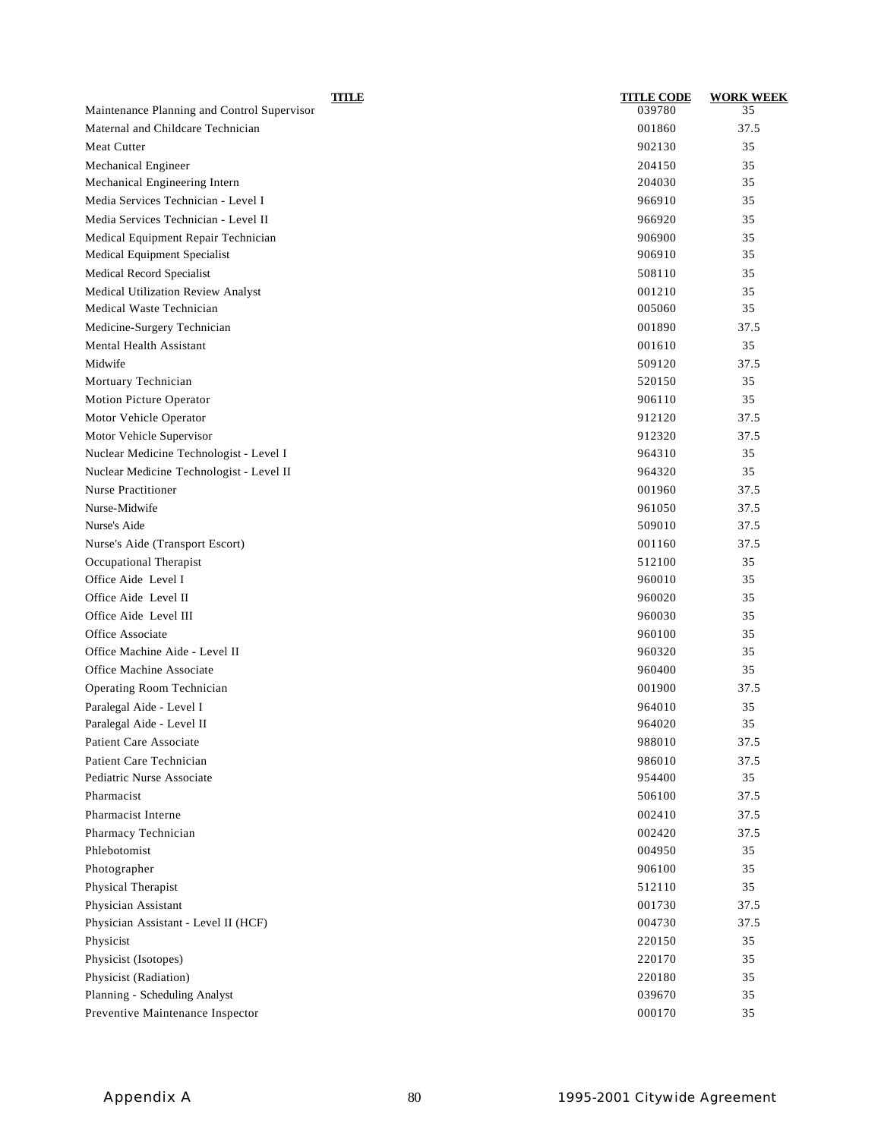| <b>TITLE</b>                                | <b>TITLE CODE</b> | <b>WORK WEEK</b> |
|---------------------------------------------|-------------------|------------------|
| Maintenance Planning and Control Supervisor | 039780            | 35               |
| Maternal and Childcare Technician           | 001860            | 37.5             |
| <b>Meat Cutter</b>                          | 902130            | 35               |
| Mechanical Engineer                         | 204150            | 35               |
| Mechanical Engineering Intern               | 204030            | 35               |
| Media Services Technician - Level I         | 966910            | 35               |
| Media Services Technician - Level II        | 966920            | 35               |
| Medical Equipment Repair Technician         | 906900            | 35               |
| Medical Equipment Specialist                | 906910            | 35               |
| Medical Record Specialist                   | 508110            | 35               |
| Medical Utilization Review Analyst          | 001210            | 35               |
| Medical Waste Technician                    | 005060            | 35               |
| Medicine-Surgery Technician                 | 001890            | 37.5             |
| Mental Health Assistant                     | 001610            | 35               |
| Midwife                                     | 509120            | 37.5             |
| Mortuary Technician                         | 520150            | 35               |
| Motion Picture Operator                     | 906110            | 35               |
| Motor Vehicle Operator                      | 912120            | 37.5             |
| Motor Vehicle Supervisor                    | 912320            | 37.5             |
| Nuclear Medicine Technologist - Level I     | 964310            | 35               |
| Nuclear Medicine Technologist - Level II    | 964320            | 35               |
| <b>Nurse Practitioner</b>                   | 001960            | 37.5             |
| Nurse-Midwife                               | 961050            | 37.5             |
| Nurse's Aide                                | 509010            | 37.5             |
| Nurse's Aide (Transport Escort)             | 001160            | 37.5             |
| Occupational Therapist                      | 512100            | 35               |
| Office Aide Level I                         | 960010            | 35               |
| Office Aide Level II                        | 960020            | 35               |
| Office Aide Level III                       | 960030            | 35               |
| Office Associate                            | 960100            | 35               |
| Office Machine Aide - Level II              | 960320            | 35               |
| Office Machine Associate                    | 960400            | 35               |
| Operating Room Technician                   | 001900            | 37.5             |
| Paralegal Aide - Level I                    | 964010            | 35               |
| Paralegal Aide - Level II                   | 964020            | 35               |
| Patient Care Associate                      | 988010            | 37.5             |
| Patient Care Technician                     | 986010            | 37.5             |
| Pediatric Nurse Associate                   | 954400            | 35               |
| Pharmacist                                  | 506100            | 37.5             |
| Pharmacist Interne                          | 002410            | 37.5             |
| Pharmacy Technician                         | 002420            | 37.5             |
| Phlebotomist                                | 004950            | 35               |
| Photographer                                | 906100            | 35               |
| Physical Therapist                          | 512110            | 35               |
| Physician Assistant                         | 001730            | 37.5             |
| Physician Assistant - Level II (HCF)        | 004730            | 37.5             |
| Physicist                                   | 220150            | 35               |
| Physicist (Isotopes)                        | 220170            | 35               |
| Physicist (Radiation)                       | 220180            | 35               |
| Planning - Scheduling Analyst               | 039670            | 35               |
| Preventive Maintenance Inspector            | 000170            | 35               |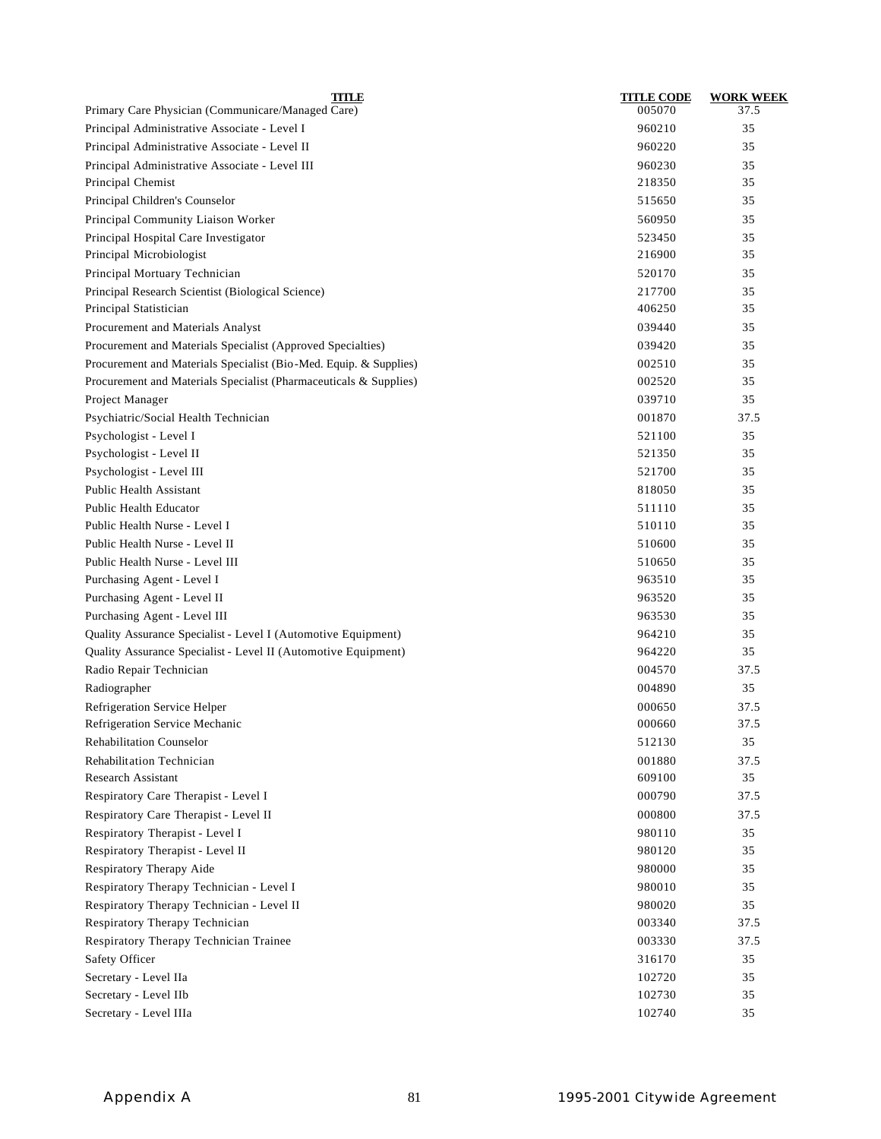| <b>TITLE</b>                                                      | <b>TITLE CODE</b> | <b>WORK WEEK</b> |
|-------------------------------------------------------------------|-------------------|------------------|
| Primary Care Physician (Communicare/Managed Care)                 | 005070            | 37.5             |
| Principal Administrative Associate - Level I                      | 960210            | 35               |
| Principal Administrative Associate - Level II                     | 960220            | 35               |
| Principal Administrative Associate - Level III                    | 960230            | 35               |
| Principal Chemist                                                 | 218350            | 35               |
| Principal Children's Counselor                                    | 515650            | 35               |
| Principal Community Liaison Worker                                | 560950            | 35               |
| Principal Hospital Care Investigator                              | 523450            | 35               |
| Principal Microbiologist                                          | 216900            | 35               |
| Principal Mortuary Technician                                     | 520170            | 35               |
| Principal Research Scientist (Biological Science)                 | 217700            | 35               |
| Principal Statistician                                            | 406250            | 35               |
| Procurement and Materials Analyst                                 | 039440            | 35               |
| Procurement and Materials Specialist (Approved Specialties)       | 039420            | 35               |
| Procurement and Materials Specialist (Bio-Med. Equip. & Supplies) | 002510            | 35               |
| Procurement and Materials Specialist (Pharmaceuticals & Supplies) | 002520            | 35               |
| Project Manager                                                   | 039710            | 35               |
| Psychiatric/Social Health Technician                              | 001870            | 37.5             |
| Psychologist - Level I                                            | 521100            | 35               |
| Psychologist - Level II                                           | 521350            | 35               |
| Psychologist - Level III                                          | 521700            | 35               |
| <b>Public Health Assistant</b>                                    | 818050            | 35               |
| Public Health Educator                                            | 511110            | 35               |
| Public Health Nurse - Level I                                     | 510110            | 35               |
| Public Health Nurse - Level II                                    | 510600            | 35               |
| Public Health Nurse - Level III                                   | 510650            | 35               |
| Purchasing Agent - Level I                                        | 963510            | 35               |
| Purchasing Agent - Level II                                       | 963520            | 35               |
| Purchasing Agent - Level III                                      | 963530            | 35               |
| Quality Assurance Specialist - Level I (Automotive Equipment)     | 964210            | 35               |
| Quality Assurance Specialist - Level II (Automotive Equipment)    | 964220            | 35               |
| Radio Repair Technician                                           | 004570            | 37.5             |
| Radiographer                                                      | 004890            | 35               |
| Refrigeration Service Helper                                      | 000650            | 37.5             |
| Refrigeration Service Mechanic                                    | 000660            | 37.5             |
| <b>Rehabilitation Counselor</b>                                   | 512130            | 35               |
| Rehabilitation Technician                                         | 001880            | 37.5             |
| <b>Research Assistant</b>                                         | 609100            | 35               |
| Respiratory Care Therapist - Level I                              | 000790            | 37.5             |
| Respiratory Care Therapist - Level II                             | 000800            | 37.5             |
| Respiratory Therapist - Level I                                   | 980110            | 35               |
| Respiratory Therapist - Level II                                  | 980120            | 35               |
| Respiratory Therapy Aide                                          | 980000            | 35               |
| Respiratory Therapy Technician - Level I                          | 980010            | 35               |
| Respiratory Therapy Technician - Level II                         | 980020            | 35               |
| Respiratory Therapy Technician                                    | 003340            | 37.5             |
| Respiratory Therapy Technician Trainee                            | 003330            | 37.5             |
| Safety Officer                                                    | 316170            | 35               |
| Secretary - Level IIa                                             | 102720            | 35               |
| Secretary - Level IIb                                             | 102730            | 35               |
| Secretary - Level IIIa                                            | 102740            | 35               |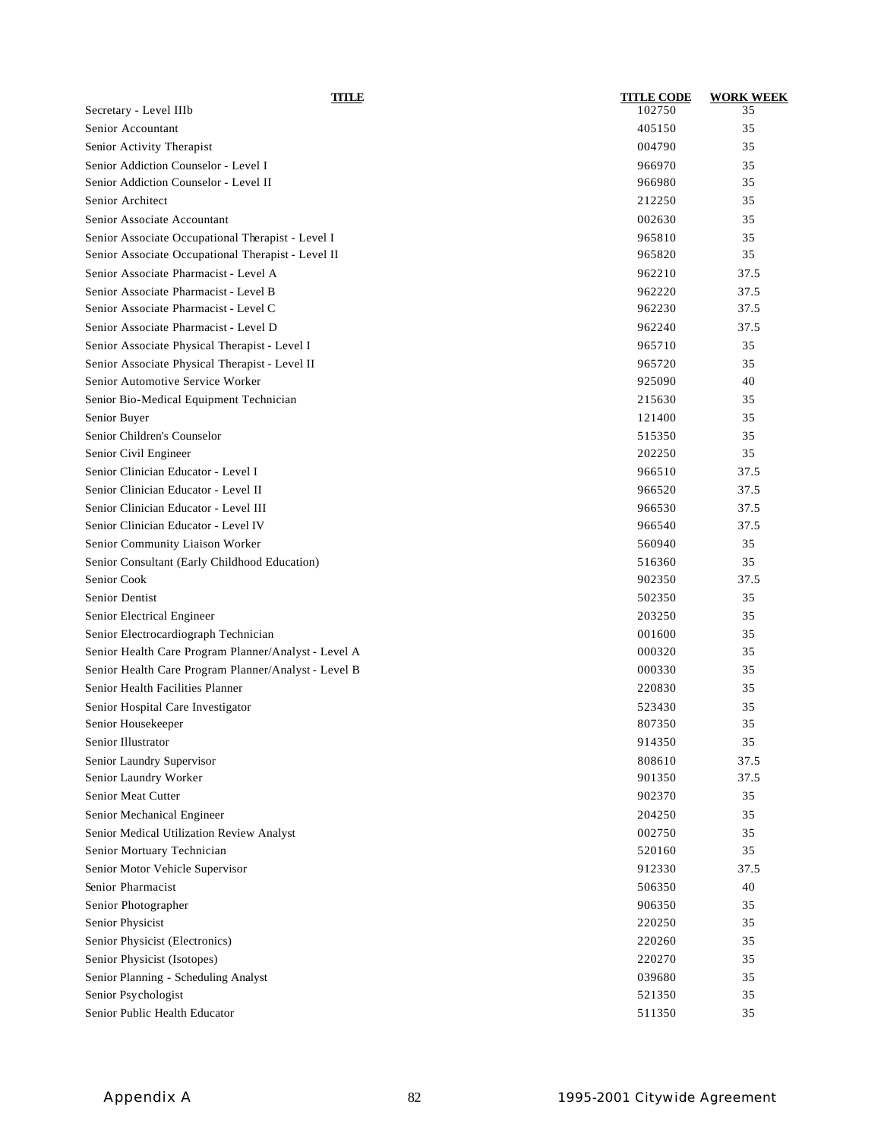| TITLE                                                | <b>TITLE CODE</b> | <b>WORK WEEK</b> |
|------------------------------------------------------|-------------------|------------------|
| Secretary - Level IIIb                               | 102750            | 35               |
| Senior Accountant                                    | 405150            | 35               |
| Senior Activity Therapist                            | 004790            | 35               |
| Senior Addiction Counselor - Level I                 | 966970            | 35               |
| Senior Addiction Counselor - Level II                | 966980            | 35               |
| Senior Architect                                     | 212250            | 35               |
| Senior Associate Accountant                          | 002630            | 35               |
| Senior Associate Occupational Therapist - Level I    | 965810            | 35               |
| Senior Associate Occupational Therapist - Level II   | 965820            | 35               |
| Senior Associate Pharmacist - Level A                | 962210            | 37.5             |
| Senior Associate Pharmacist - Level B                | 962220            | 37.5             |
| Senior Associate Pharmacist - Level C                | 962230            | 37.5             |
| Senior Associate Pharmacist - Level D                | 962240            | 37.5             |
| Senior Associate Physical Therapist - Level I        | 965710            | 35               |
| Senior Associate Physical Therapist - Level II       | 965720            | 35               |
| Senior Automotive Service Worker                     | 925090            | 40               |
| Senior Bio-Medical Equipment Technician              | 215630            | 35               |
| Senior Buyer                                         | 121400            | 35               |
| Senior Children's Counselor                          | 515350            | 35               |
| Senior Civil Engineer                                | 202250            | 35               |
| Senior Clinician Educator - Level I                  | 966510            | 37.5             |
| Senior Clinician Educator - Level II                 | 966520            | 37.5             |
| Senior Clinician Educator - Level III                | 966530            | 37.5             |
| Senior Clinician Educator - Level IV                 | 966540            | 37.5             |
| Senior Community Liaison Worker                      | 560940            | 35               |
| Senior Consultant (Early Childhood Education)        | 516360            | 35               |
| Senior Cook                                          | 902350            | 37.5             |
| Senior Dentist                                       | 502350            | 35               |
| Senior Electrical Engineer                           | 203250            | 35               |
| Senior Electrocardiograph Technician                 | 001600            | 35               |
| Senior Health Care Program Planner/Analyst - Level A | 000320            | 35               |
| Senior Health Care Program Planner/Analyst - Level B | 000330            | 35               |
| Senior Health Facilities Planner                     | 220830            | 35               |
| Senior Hospital Care Investigator                    | 523430            | 35               |
| Senior Housekeeper                                   | 807350            | 35               |
| Senior Illustrator                                   | 914350            | 35               |
| Senior Laundry Supervisor                            | 808610            | 37.5             |
| Senior Laundry Worker                                | 901350            | 37.5             |
| Senior Meat Cutter                                   | 902370            | 35               |
| Senior Mechanical Engineer                           | 204250            | 35               |
| Senior Medical Utilization Review Analyst            | 002750            | 35               |
| Senior Mortuary Technician                           | 520160            | 35               |
| Senior Motor Vehicle Supervisor                      | 912330            | 37.5             |
| Senior Pharmacist                                    | 506350            | 40               |
| Senior Photographer                                  | 906350            | 35               |
| Senior Physicist                                     | 220250            | 35               |
| Senior Physicist (Electronics)                       | 220260            | 35               |
| Senior Physicist (Isotopes)                          | 220270            | 35               |
| Senior Planning - Scheduling Analyst                 | 039680            | 35               |
| Senior Psychologist                                  | 521350            | 35               |
| Senior Public Health Educator                        | 511350            | 35               |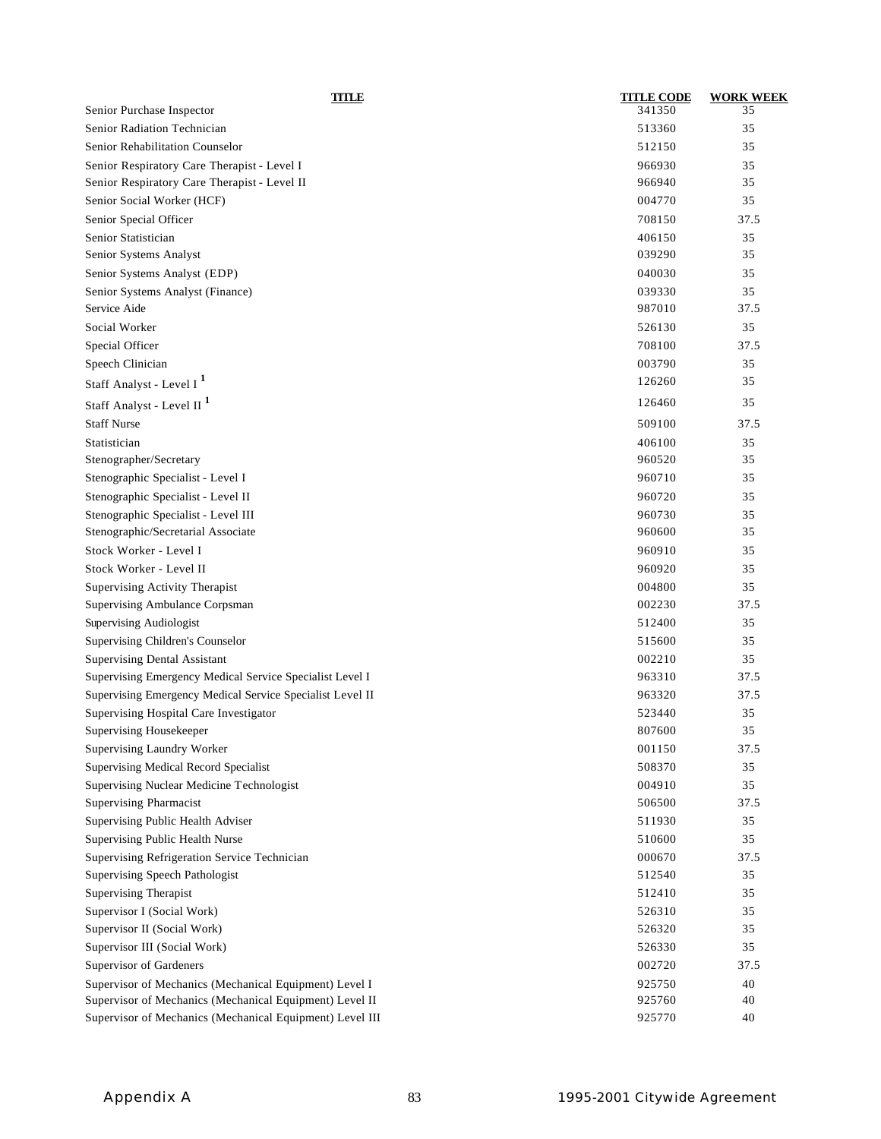| TITLE                                                     | <b>TITLE CODE</b> | <b>WORK WEEK</b> |
|-----------------------------------------------------------|-------------------|------------------|
| Senior Purchase Inspector                                 | 341350            | 35               |
| Senior Radiation Technician                               | 513360            | 35               |
| Senior Rehabilitation Counselor                           | 512150            | 35               |
| Senior Respiratory Care Therapist - Level I               | 966930            | 35               |
| Senior Respiratory Care Therapist - Level II              | 966940            | 35               |
| Senior Social Worker (HCF)                                | 004770            | 35               |
| Senior Special Officer                                    | 708150            | 37.5             |
| Senior Statistician                                       | 406150            | 35               |
| Senior Systems Analyst                                    | 039290            | 35               |
| Senior Systems Analyst (EDP)                              | 040030            | 35               |
| Senior Systems Analyst (Finance)                          | 039330            | 35               |
| Service Aide                                              | 987010            | 37.5             |
| Social Worker                                             | 526130            | 35               |
| Special Officer                                           | 708100            | 37.5             |
| Speech Clinician                                          | 003790            | 35               |
| Staff Analyst - Level I <sup>1</sup>                      | 126260            | 35               |
| Staff Analyst - Level II <sup>1</sup>                     | 126460            | 35               |
| <b>Staff Nurse</b>                                        | 509100            | 37.5             |
| Statistician                                              | 406100            | 35               |
| Stenographer/Secretary                                    | 960520            | 35               |
| Stenographic Specialist - Level I                         | 960710            | 35               |
| Stenographic Specialist - Level II                        | 960720            | 35               |
| Stenographic Specialist - Level III                       | 960730            | 35               |
| Stenographic/Secretarial Associate                        | 960600            | 35               |
| Stock Worker - Level I                                    | 960910            | 35               |
| Stock Worker - Level II                                   | 960920            | 35               |
| Supervising Activity Therapist                            | 004800            | 35               |
| Supervising Ambulance Corpsman                            | 002230            | 37.5             |
| Supervising Audiologist                                   | 512400            | 35               |
| Supervising Children's Counselor                          | 515600            | 35               |
| <b>Supervising Dental Assistant</b>                       | 002210            | 35               |
| Supervising Emergency Medical Service Specialist Level I  | 963310            | 37.5             |
| Supervising Emergency Medical Service Specialist Level II | 963320            | 37.5             |
| Supervising Hospital Care Investigator                    | 523440            | 35               |
| Supervising Housekeeper                                   | 807600            | 35               |
| Supervising Laundry Worker                                | 001150            | 37.5             |
| Supervising Medical Record Specialist                     | 508370            | 35               |
| Supervising Nuclear Medicine Technologist                 | 004910            | 35               |
| Supervising Pharmacist                                    | 506500            | 37.5             |
| Supervising Public Health Adviser                         | 511930            | 35               |
| Supervising Public Health Nurse                           | 510600            | 35               |
| Supervising Refrigeration Service Technician              | 000670            | 37.5             |
| Supervising Speech Pathologist                            | 512540            | 35               |
| <b>Supervising Therapist</b>                              | 512410            | 35               |
| Supervisor I (Social Work)                                | 526310            | 35               |
| Supervisor II (Social Work)                               | 526320            | 35               |
| Supervisor III (Social Work)                              | 526330            | 35               |
| Supervisor of Gardeners                                   | 002720            | 37.5             |
| Supervisor of Mechanics (Mechanical Equipment) Level I    | 925750            | 40               |
| Supervisor of Mechanics (Mechanical Equipment) Level II   | 925760            | 40               |
| Supervisor of Mechanics (Mechanical Equipment) Level III  | 925770            | 40               |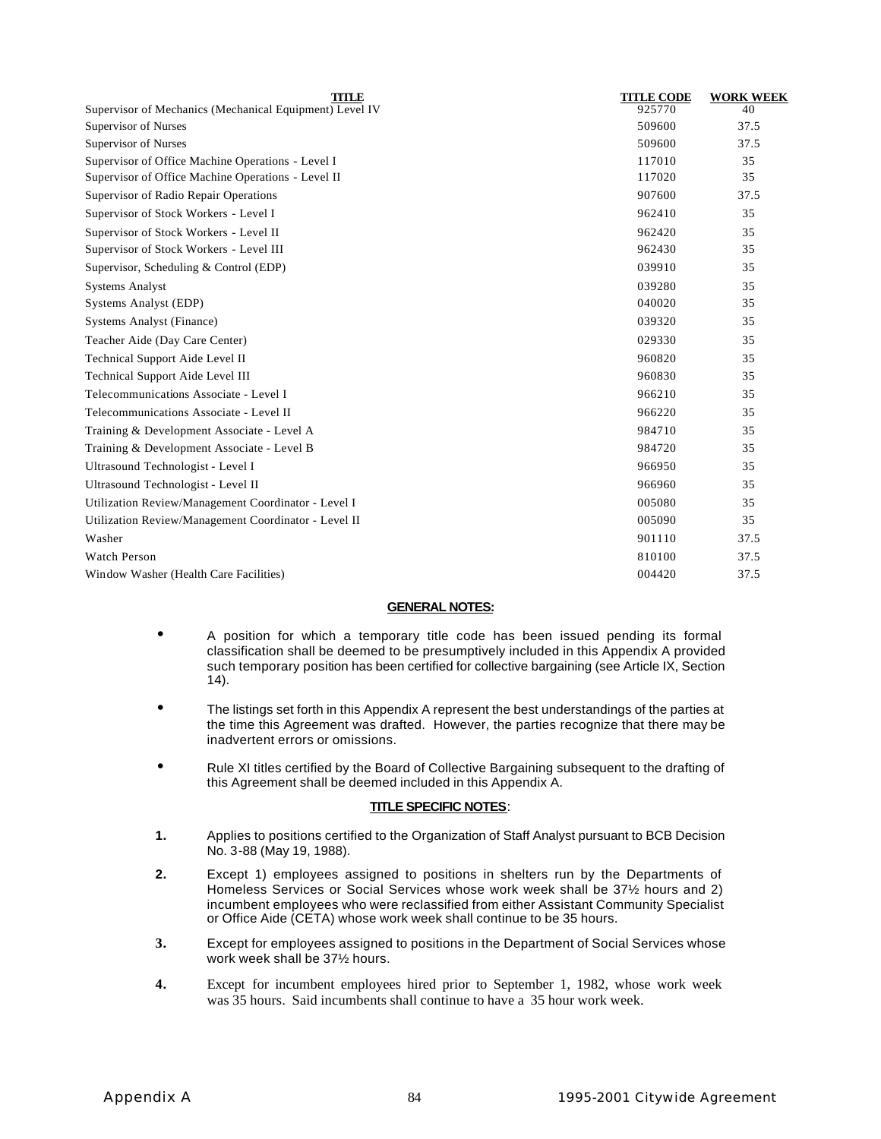| <b>TITLE</b>                                            | <b>TITLE CODE</b> | <b>WORK WEEK</b> |
|---------------------------------------------------------|-------------------|------------------|
| Supervisor of Mechanics (Mechanical Equipment) Level IV | 925770            | 40               |
| Supervisor of Nurses                                    | 509600            | 37.5             |
| Supervisor of Nurses                                    | 509600            | 37.5             |
| Supervisor of Office Machine Operations - Level I       | 117010            | 35               |
| Supervisor of Office Machine Operations - Level II      | 117020            | 35               |
| Supervisor of Radio Repair Operations                   | 907600            | 37.5             |
| Supervisor of Stock Workers - Level I                   | 962410            | 35               |
| Supervisor of Stock Workers - Level II                  | 962420            | 35               |
| Supervisor of Stock Workers - Level III                 | 962430            | 35               |
| Supervisor, Scheduling & Control (EDP)                  | 039910            | 35               |
| <b>Systems Analyst</b>                                  | 039280            | 35               |
| Systems Analyst (EDP)                                   | 040020            | 35               |
| <b>Systems Analyst (Finance)</b>                        | 039320            | 35               |
| Teacher Aide (Day Care Center)                          | 029330            | 35               |
| Technical Support Aide Level II                         | 960820            | 35               |
| Technical Support Aide Level III                        | 960830            | 35               |
| Telecommunications Associate - Level I                  | 966210            | 35               |
| Telecommunications Associate - Level II                 | 966220            | 35               |
| Training & Development Associate - Level A              | 984710            | 35               |
| Training & Development Associate - Level B              | 984720            | 35               |
| Ultrasound Technologist - Level I                       | 966950            | 35               |
| Ultrasound Technologist - Level II                      | 966960            | 35               |
| Utilization Review/Management Coordinator - Level I     | 005080            | 35               |
| Utilization Review/Management Coordinator - Level II    | 005090            | 35               |
| Washer                                                  | 901110            | 37.5             |
| Watch Person                                            | 810100            | 37.5             |
| Window Washer (Health Care Facilities)                  | 004420            | 37.5             |
|                                                         |                   |                  |

#### **GENERAL NOTES:**

- A position for which a temporary title code has been issued pending its formal classification shall be deemed to be presumptively included in this Appendix A provided such temporary position has been certified for collective bargaining (see Article IX, Section 14).
- The listings set forth in this Appendix A represent the best understandings of the parties at the time this Agreement was drafted. However, the parties recognize that there may be inadvertent errors or omissions.
- Rule XI titles certified by the Board of Collective Bargaining subsequent to the drafting of this Agreement shall be deemed included in this Appendix A.

#### **TITLE SPECIFIC NOTES**:

- **1.** Applies to positions certified to the Organization of Staff Analyst pursuant to BCB Decision No. 3-88 (May 19, 1988).
- **2.** Except 1) employees assigned to positions in shelters run by the Departments of Homeless Services or Social Services whose work week shall be 37½ hours and 2) incumbent employees who were reclassified from either Assistant Community Specialist or Office Aide (CETA) whose work week shall continue to be 35 hours.
- **3.** Except for employees assigned to positions in the Department of Social Services whose work week shall be 37½ hours.
- **4.** Except for incumbent employees hired prior to September 1, 1982, whose work week was 35 hours. Said incumbents shall continue to have a 35 hour work week.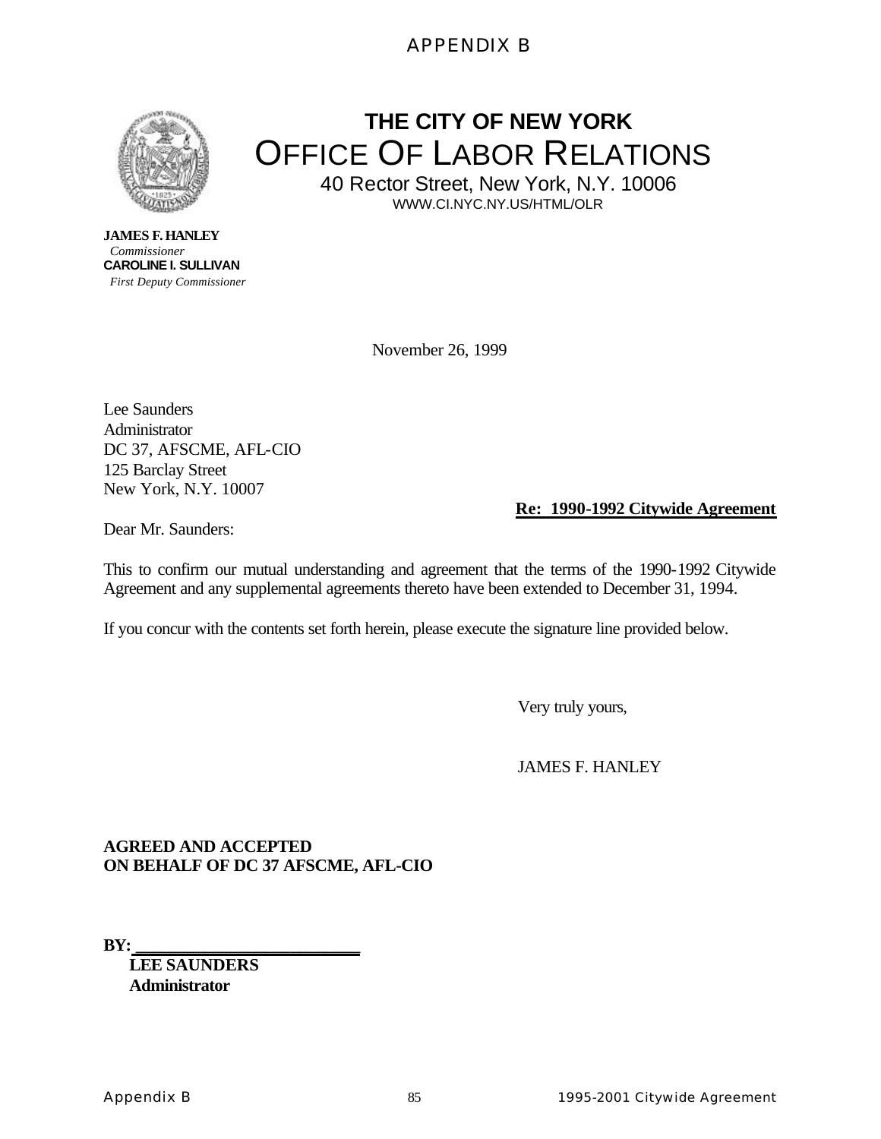## APPENDIX B



**THE CITY OF NEW YORK** OFFICE OF LABOR RELATIONS

40 Rector Street, New York, N.Y. 10006 WWW.CI.NYC.NY.US/HTML/OLR

**JAMES F. HANLEY** *Commissioner* **CAROLINE I. SULLIVAN**  *First Deputy Commissioner*

November 26, 1999

Lee Saunders Administrator DC 37, AFSCME, AFL-CIO 125 Barclay Street New York, N.Y. 10007

## **Re: 1990-1992 Citywide Agreement**

Dear Mr. Saunders:

This to confirm our mutual understanding and agreement that the terms of the 1990-1992 Citywide Agreement and any supplemental agreements thereto have been extended to December 31, 1994.

If you concur with the contents set forth herein, please execute the signature line provided below.

Very truly yours,

JAMES F. HANLEY

**AGREED AND ACCEPTED ON BEHALF OF DC 37 AFSCME, AFL-CIO**

**BY:\_\_\_\_\_\_\_\_\_\_\_\_\_\_\_\_\_\_\_\_\_\_\_\_\_\_\_\_\_** 

**LEE SAUNDERS Administrator**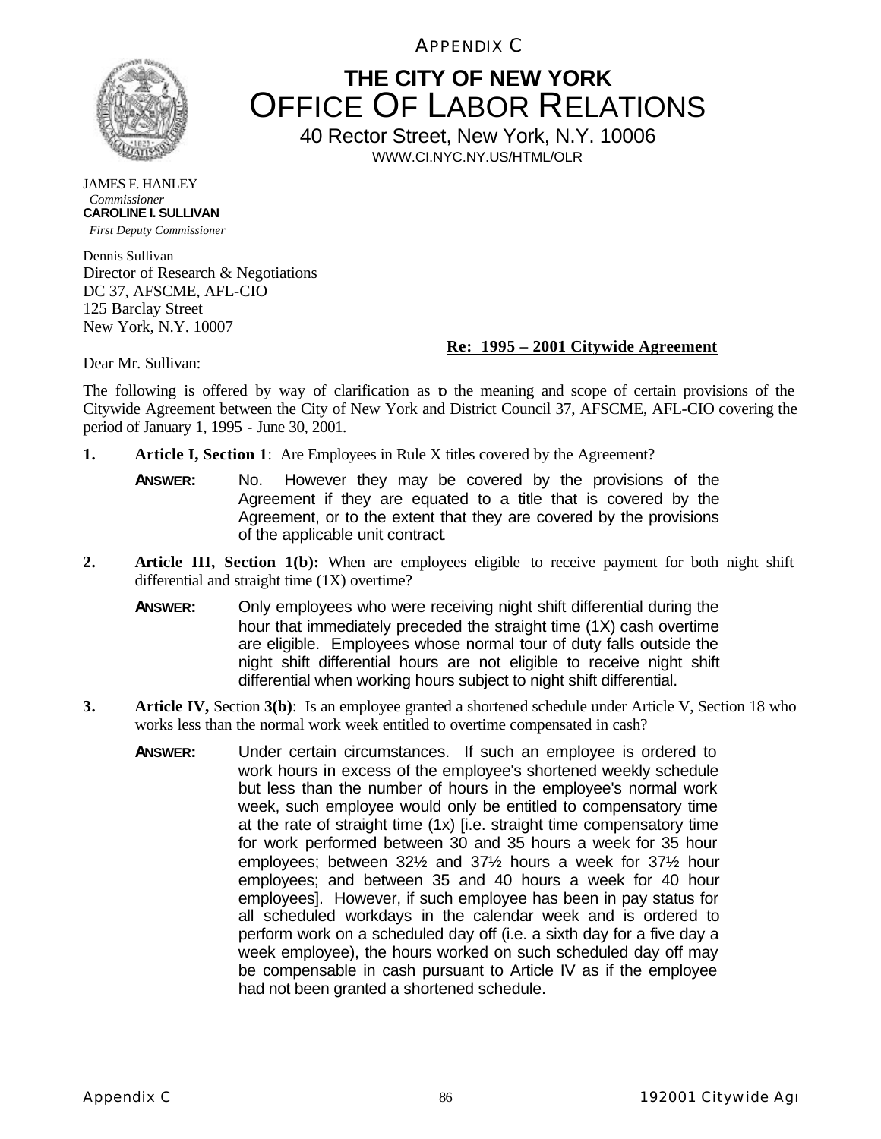APPENDIX C



## **THE CITY OF NEW YORK** OFFICE OF LABOR RELATIONS

40 Rector Street, New York, N.Y. 10006 WWW.CI.NYC.NY.US/HTML/OLR

JAMES F. HANLEY *Commissioner* **CAROLINE I. SULLIVAN**  *First Deputy Commissioner*

Dennis Sullivan Director of Research & Negotiations DC 37, AFSCME, AFL-CIO 125 Barclay Street New York, N.Y. 10007

#### **Re: 1995 – 2001 Citywide Agreement**

Dear Mr. Sullivan:

The following is offered by way of clarification as to the meaning and scope of certain provisions of the Citywide Agreement between the City of New York and District Council 37, AFSCME, AFL-CIO covering the period of January 1, 1995 - June 30, 2001.

- **1. Article I, Section 1**: Are Employees in Rule X titles covered by the Agreement?
	- **ANSWER:** No. However they may be covered by the provisions of the Agreement if they are equated to a title that is covered by the Agreement, or to the extent that they are covered by the provisions of the applicable unit contract*.*
- **2. Article III, Section 1(b):** When are employees eligible to receive payment for both night shift differential and straight time (1X) overtime?
	- **ANSWER:** Only employees who were receiving night shift differential during the hour that immediately preceded the straight time (1X) cash overtime are eligible. Employees whose normal tour of duty falls outside the night shift differential hours are not eligible to receive night shift differential when working hours subject to night shift differential.
- **3. Article IV,** Section **3(b)**: Is an employee granted a shortened schedule under Article V, Section 18 who works less than the normal work week entitled to overtime compensated in cash?
	- **ANSWER:** Under certain circumstances. If such an employee is ordered to work hours in excess of the employee's shortened weekly schedule but less than the number of hours in the employee's normal work week, such employee would only be entitled to compensatory time at the rate of straight time (1x) [i.e. straight time compensatory time for work performed between 30 and 35 hours a week for 35 hour employees; between 32½ and 37½ hours a week for 37½ hour employees; and between 35 and 40 hours a week for 40 hour employees]. However, if such employee has been in pay status for all scheduled workdays in the calendar week and is ordered to perform work on a scheduled day off (i.e. a sixth day for a five day a week employee), the hours worked on such scheduled day off may be compensable in cash pursuant to Article IV as if the employee had not been granted a shortened schedule.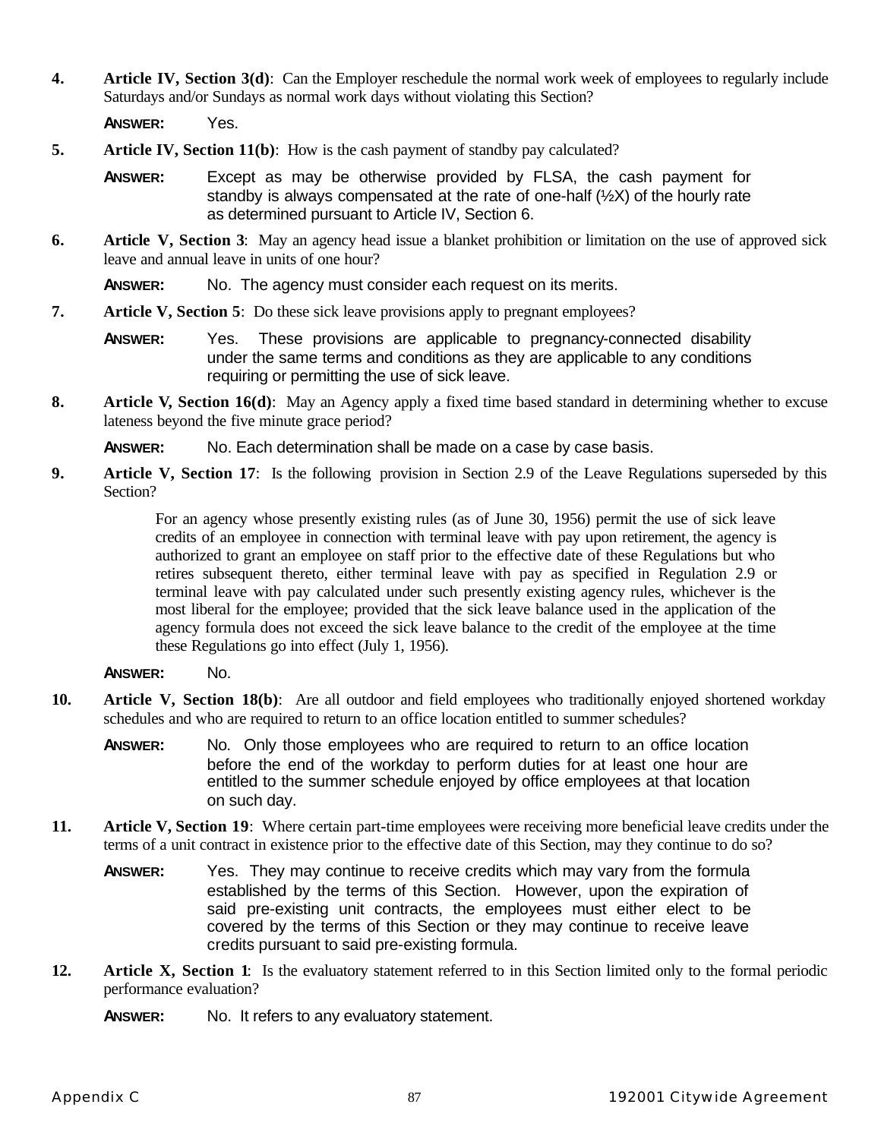**4. Article IV, Section 3(d)**: Can the Employer reschedule the normal work week of employees to regularly include Saturdays and/or Sundays as normal work days without violating this Section?

**ANSWER:** Yes.

- **5. Article IV, Section 11(b)**: How is the cash payment of standby pay calculated?
	- **ANSWER:** Except as may be otherwise provided by FLSA, the cash payment for standby is always compensated at the rate of one-half  $(\frac{1}{2}X)$  of the hourly rate as determined pursuant to Article IV, Section 6.
- **6. Article V, Section 3**: May an agency head issue a blanket prohibition or limitation on the use of approved sick leave and annual leave in units of one hour?

**ANSWER:** No. The agency must consider each request on its merits.

- **7. Article V, Section 5**: Do these sick leave provisions apply to pregnant employees?
	- **ANSWER:** Yes. These provisions are applicable to pregnancy-connected disability under the same terms and conditions as they are applicable to any conditions requiring or permitting the use of sick leave.
- **8. Article V, Section 16(d)**: May an Agency apply a fixed time based standard in determining whether to excuse lateness beyond the five minute grace period?

**ANSWER:** No. Each determination shall be made on a case by case basis.

**9. Article V, Section 17**: Is the following provision in Section 2.9 of the Leave Regulations superseded by this Section?

> For an agency whose presently existing rules (as of June 30, 1956) permit the use of sick leave credits of an employee in connection with terminal leave with pay upon retirement, the agency is authorized to grant an employee on staff prior to the effective date of these Regulations but who retires subsequent thereto, either terminal leave with pay as specified in Regulation 2.9 or terminal leave with pay calculated under such presently existing agency rules, whichever is the most liberal for the employee; provided that the sick leave balance used in the application of the agency formula does not exceed the sick leave balance to the credit of the employee at the time these Regulations go into effect (July 1, 1956).

- **ANSWER:** No.
- **10. Article V, Section 18(b)**: Are all outdoor and field employees who traditionally enjoyed shortened workday schedules and who are required to return to an office location entitled to summer schedules?
	- **ANSWER:** No. Only those employees who are required to return to an office location before the end of the workday to perform duties for at least one hour are entitled to the summer schedule enjoyed by office employees at that location on such day.
- **11. Article V, Section 19**: Where certain part-time employees were receiving more beneficial leave credits under the terms of a unit contract in existence prior to the effective date of this Section, may they continue to do so?
	- **ANSWER:** Yes. They may continue to receive credits which may vary from the formula established by the terms of this Section. However, upon the expiration of said pre-existing unit contracts, the employees must either elect to be covered by the terms of this Section or they may continue to receive leave credits pursuant to said pre-existing formula.
- **12. Article X, Section 1**: Is the evaluatory statement referred to in this Section limited only to the formal periodic performance evaluation?

**ANSWER:** No. It refers to any evaluatory statement.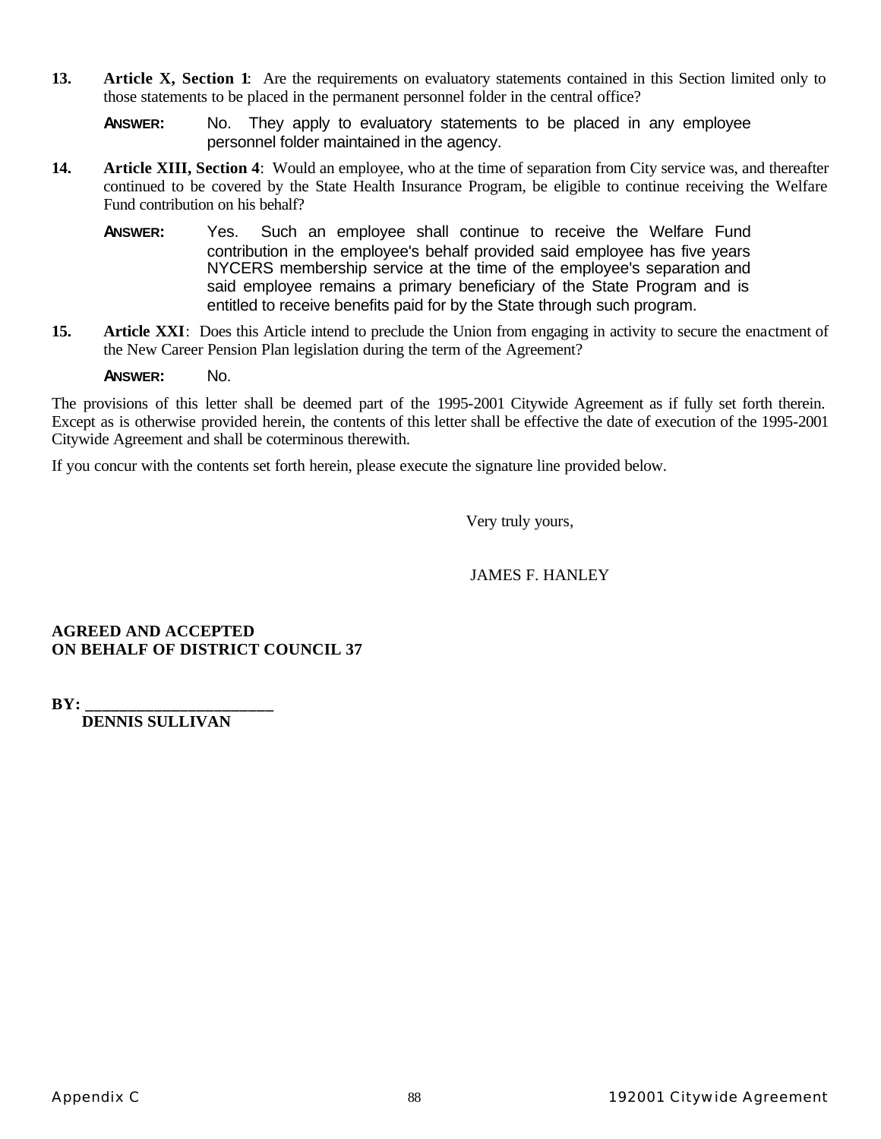**13. Article X, Section 1**: Are the requirements on evaluatory statements contained in this Section limited only to those statements to be placed in the permanent personnel folder in the central office?

**ANSWER:** No. They apply to evaluatory statements to be placed in any employee personnel folder maintained in the agency.

- **14. Article XIII, Section 4**: Would an employee, who at the time of separation from City service was, and thereafter continued to be covered by the State Health Insurance Program, be eligible to continue receiving the Welfare Fund contribution on his behalf?
	- **ANSWER:** Yes. Such an employee shall continue to receive the Welfare Fund contribution in the employee's behalf provided said employee has five years NYCERS membership service at the time of the employee's separation and said employee remains a primary beneficiary of the State Program and is entitled to receive benefits paid for by the State through such program.
- **15. Article XXI**: Does this Article intend to preclude the Union from engaging in activity to secure the enactment of the New Career Pension Plan legislation during the term of the Agreement?

#### **ANSWER:** No.

The provisions of this letter shall be deemed part of the 1995-2001 Citywide Agreement as if fully set forth therein. Except as is otherwise provided herein, the contents of this letter shall be effective the date of execution of the 1995-2001 Citywide Agreement and shall be coterminous therewith.

If you concur with the contents set forth herein, please execute the signature line provided below.

Very truly yours,

#### JAMES F. HANLEY

#### **AGREED AND ACCEPTED ON BEHALF OF DISTRICT COUNCIL 37**

**BY:**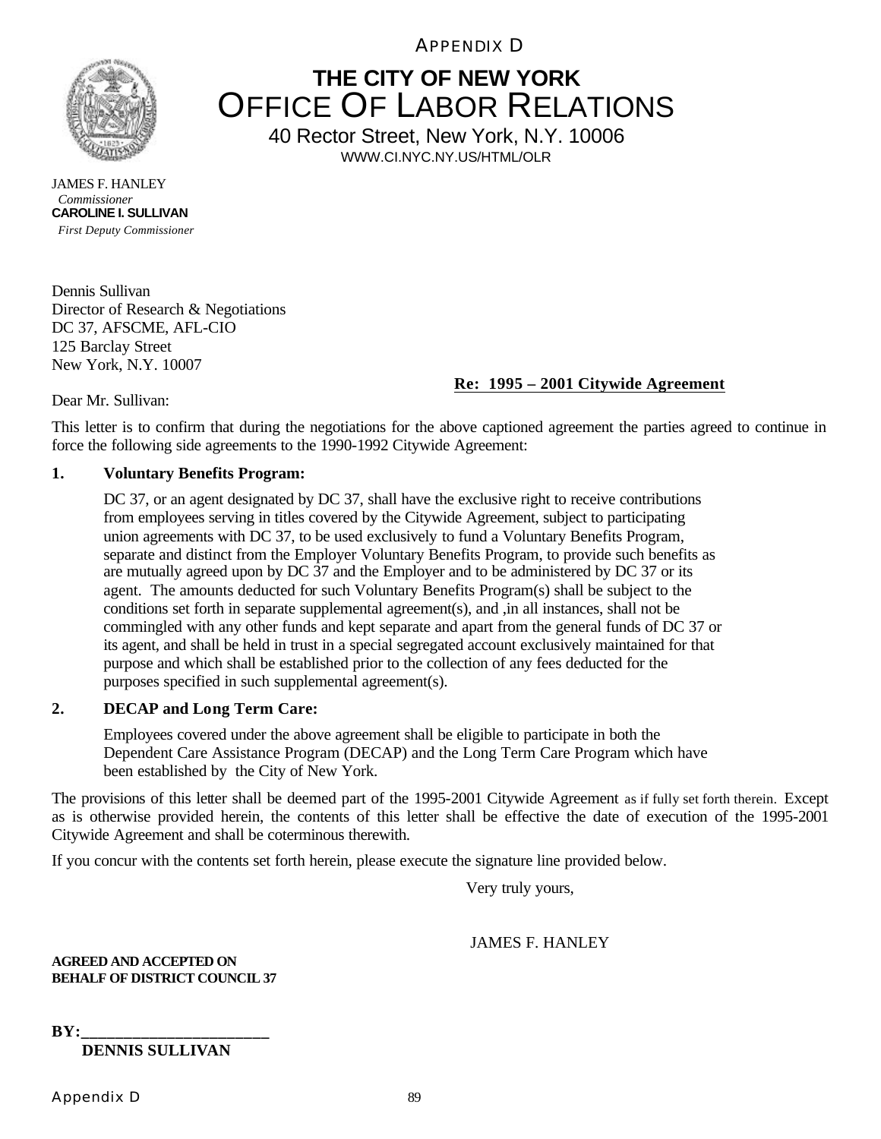APPENDIX D



**THE CITY OF NEW YORK** OFFICE OF LABOR RELATIONS

40 Rector Street, New York, N.Y. 10006 WWW.CI.NYC.NY.US/HTML/OLR

JAMES F. HANLEY *Commissioner* **CAROLINE I. SULLIVAN**  *First Deputy Commissioner*

Dennis Sullivan Director of Research & Negotiations DC 37, AFSCME, AFL-CIO 125 Barclay Street New York, N.Y. 10007

## **Re: 1995 – 2001 Citywide Agreement**

Dear Mr. Sullivan:

This letter is to confirm that during the negotiations for the above captioned agreement the parties agreed to continue in force the following side agreements to the 1990-1992 Citywide Agreement:

### **1. Voluntary Benefits Program:**

DC 37, or an agent designated by DC 37, shall have the exclusive right to receive contributions from employees serving in titles covered by the Citywide Agreement, subject to participating union agreements with DC 37, to be used exclusively to fund a Voluntary Benefits Program, separate and distinct from the Employer Voluntary Benefits Program, to provide such benefits as are mutually agreed upon by DC 37 and the Employer and to be administered by DC 37 or its agent. The amounts deducted for such Voluntary Benefits Program(s) shall be subject to the conditions set forth in separate supplemental agreement(s), and ,in all instances, shall not be commingled with any other funds and kept separate and apart from the general funds of DC 37 or its agent, and shall be held in trust in a special segregated account exclusively maintained for that purpose and which shall be established prior to the collection of any fees deducted for the purposes specified in such supplemental agreement(s).

### **2. DECAP and Long Term Care:**

Employees covered under the above agreement shall be eligible to participate in both the Dependent Care Assistance Program (DECAP) and the Long Term Care Program which have been established by the City of New York.

The provisions of this letter shall be deemed part of the 1995-2001 Citywide Agreement as if fully set forth therein. Except as is otherwise provided herein, the contents of this letter shall be effective the date of execution of the 1995-2001 Citywide Agreement and shall be coterminous therewith.

If you concur with the contents set forth herein, please execute the signature line provided below.

Very truly yours,

#### JAMES F. HANLEY

**AGREED AND ACCEPTED ON BEHALF OF DISTRICT COUNCIL 37**

 $BY:$  **DENNIS SULLIVAN**

Appendix D 89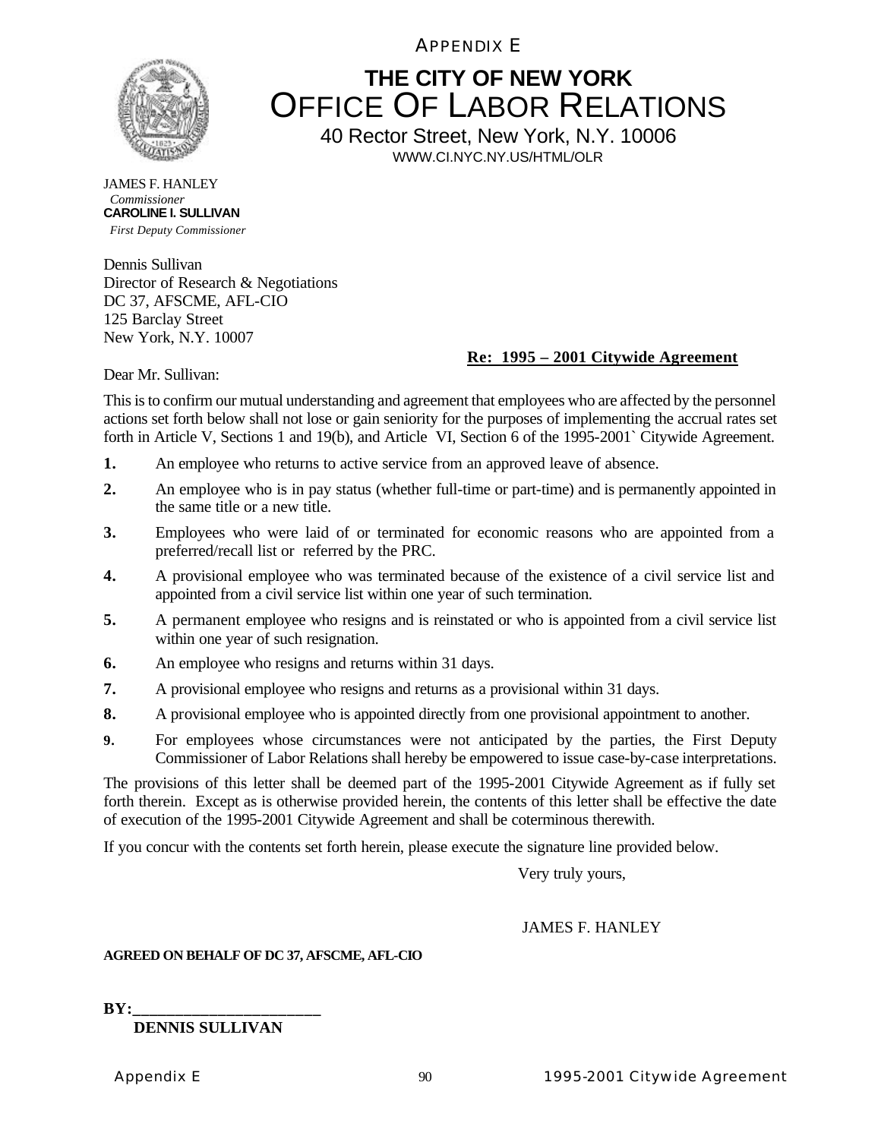APPENDIX E



# **THE CITY OF NEW YORK** OFFICE OF LABOR RELATIONS

40 Rector Street, New York, N.Y. 10006 WWW.CI.NYC.NY.US/HTML/OLR

JAMES F. HANLEY *Commissioner* **CAROLINE I. SULLIVAN**  *First Deputy Commissioner*

Dennis Sullivan Director of Research & Negotiations DC 37, AFSCME, AFL-CIO 125 Barclay Street New York, N.Y. 10007

## **Re: 1995 – 2001 Citywide Agreement**

Dear Mr. Sullivan:

This is to confirm our mutual understanding and agreement that employees who are affected by the personnel actions set forth below shall not lose or gain seniority for the purposes of implementing the accrual rates set forth in Article V, Sections 1 and 19(b), and Article VI, Section 6 of the 1995-2001` Citywide Agreement.

- **1.** An employee who returns to active service from an approved leave of absence.
- **2.** An employee who is in pay status (whether full-time or part-time) and is permanently appointed in the same title or a new title.
- **3.** Employees who were laid of or terminated for economic reasons who are appointed from a preferred/recall list or referred by the PRC.
- **4.** A provisional employee who was terminated because of the existence of a civil service list and appointed from a civil service list within one year of such termination.
- **5.** A permanent employee who resigns and is reinstated or who is appointed from a civil service list within one year of such resignation.
- **6.** An employee who resigns and returns within 31 days.
- **7.** A provisional employee who resigns and returns as a provisional within 31 days.
- **8.** A provisional employee who is appointed directly from one provisional appointment to another.
- **9.** For employees whose circumstances were not anticipated by the parties, the First Deputy Commissioner of Labor Relations shall hereby be empowered to issue case-by-case interpretations.

The provisions of this letter shall be deemed part of the 1995-2001 Citywide Agreement as if fully set forth therein. Except as is otherwise provided herein, the contents of this letter shall be effective the date of execution of the 1995-2001 Citywide Agreement and shall be coterminous therewith.

If you concur with the contents set forth herein, please execute the signature line provided below.

Very truly yours,

### JAMES F. HANLEY

#### **AGREED ON BEHALF OF DC 37, AFSCME, AFL-CIO**

 $BY:$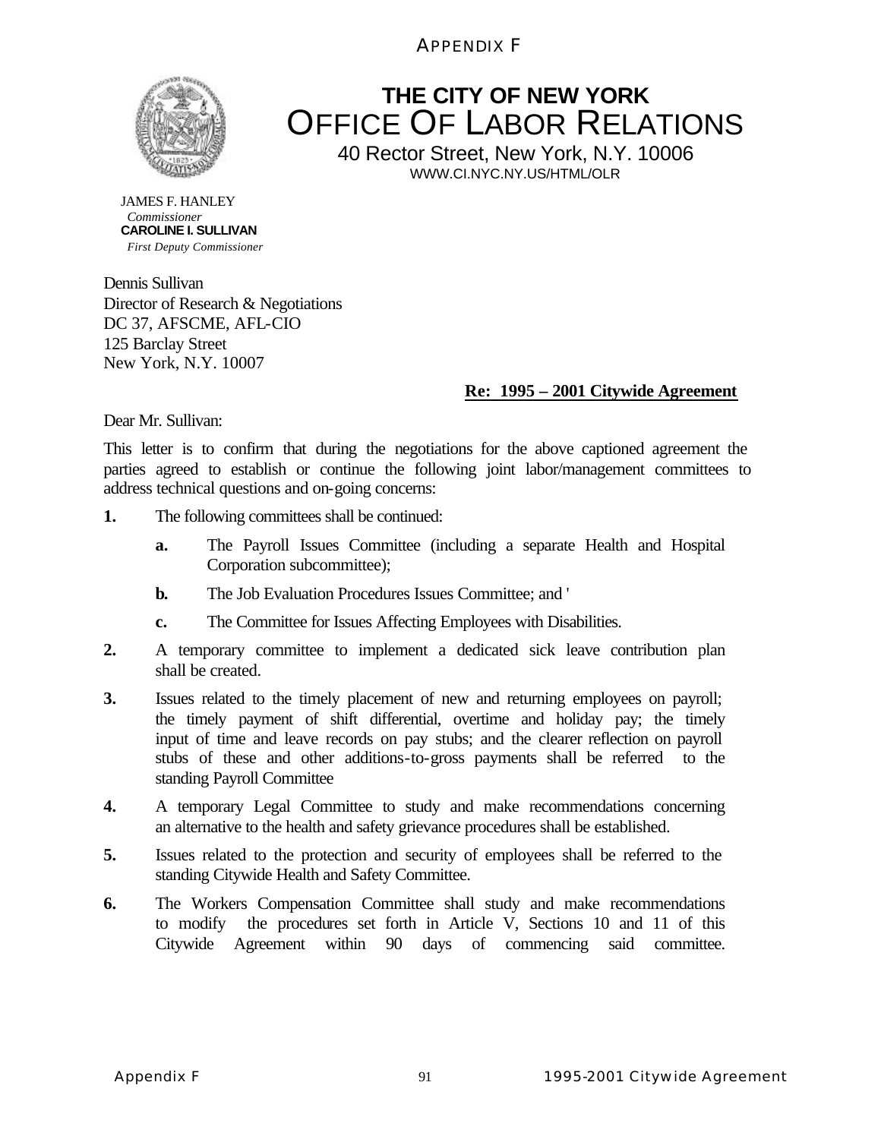APPENDIX F



# **THE CITY OF NEW YORK** OFFICE OF LABOR RELATIONS

40 Rector Street, New York, N.Y. 10006 WWW.CI.NYC.NY.US/HTML/OLR

JAMES F. HANLEY *Commissioner* **CAROLINE I. SULLIVAN**  *First Deputy Commissioner*

Dennis Sullivan Director of Research & Negotiations DC 37, AFSCME, AFL-CIO 125 Barclay Street New York, N.Y. 10007

## **Re: 1995 – 2001 Citywide Agreement**

Dear Mr. Sullivan:

This letter is to confirm that during the negotiations for the above captioned agreement the parties agreed to establish or continue the following joint labor/management committees to address technical questions and on-going concerns:

- **1.** The following committees shall be continued:
	- **a.** The Payroll Issues Committee (including a separate Health and Hospital Corporation subcommittee);
	- **b.** The Job Evaluation Procedures Issues Committee; and '
	- **c.** The Committee for Issues Affecting Employees with Disabilities.
- **2.** A temporary committee to implement a dedicated sick leave contribution plan shall be created.
- **3.** Issues related to the timely placement of new and returning employees on payroll; the timely payment of shift differential, overtime and holiday pay; the timely input of time and leave records on pay stubs; and the clearer reflection on payroll stubs of these and other additions-to-gross payments shall be referred to the standing Payroll Committee
- **4.** A temporary Legal Committee to study and make recommendations concerning an alternative to the health and safety grievance procedures shall be established.
- **5.** Issues related to the protection and security of employees shall be referred to the standing Citywide Health and Safety Committee.
- **6.** The Workers Compensation Committee shall study and make recommendations to modify the procedures set forth in Article V, Sections 10 and 11 of this Citywide Agreement within 90 days of commencing said committee.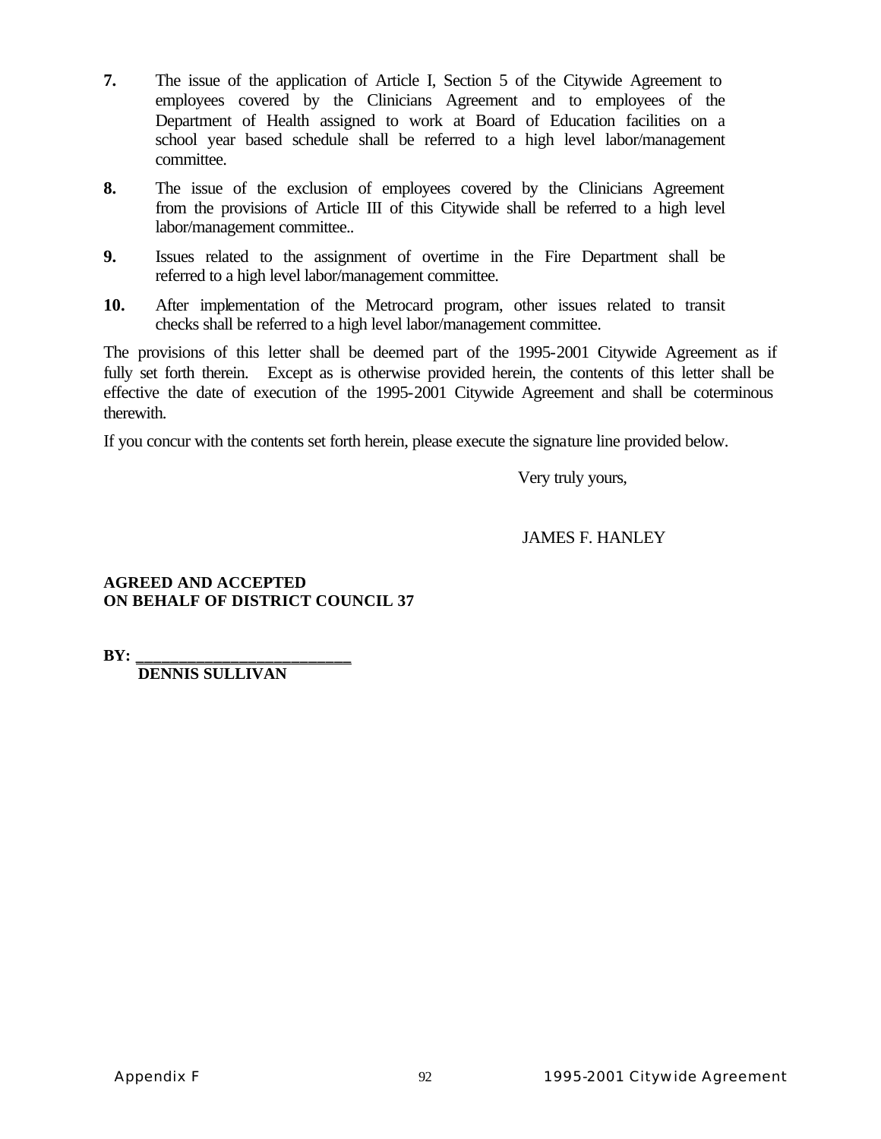- **7.** The issue of the application of Article I, Section 5 of the Citywide Agreement to employees covered by the Clinicians Agreement and to employees of the Department of Health assigned to work at Board of Education facilities on a school year based schedule shall be referred to a high level labor/management committee.
- **8.** The issue of the exclusion of employees covered by the Clinicians Agreement from the provisions of Article III of this Citywide shall be referred to a high level labor/management committee..
- **9.** Issues related to the assignment of overtime in the Fire Department shall be referred to a high level labor/management committee.
- **10.** After implementation of the Metrocard program, other issues related to transit checks shall be referred to a high level labor/management committee.

The provisions of this letter shall be deemed part of the 1995-2001 Citywide Agreement as if fully set forth therein. Except as is otherwise provided herein, the contents of this letter shall be effective the date of execution of the 1995-2001 Citywide Agreement and shall be coterminous therewith.

If you concur with the contents set forth herein, please execute the signature line provided below.

Very truly yours,

JAMES F. HANLEY

#### **AGREED AND ACCEPTED ON BEHALF OF DISTRICT COUNCIL 37**

**BY: \_\_\_\_\_\_\_\_\_\_\_\_\_\_\_\_\_\_\_\_\_\_\_\_\_**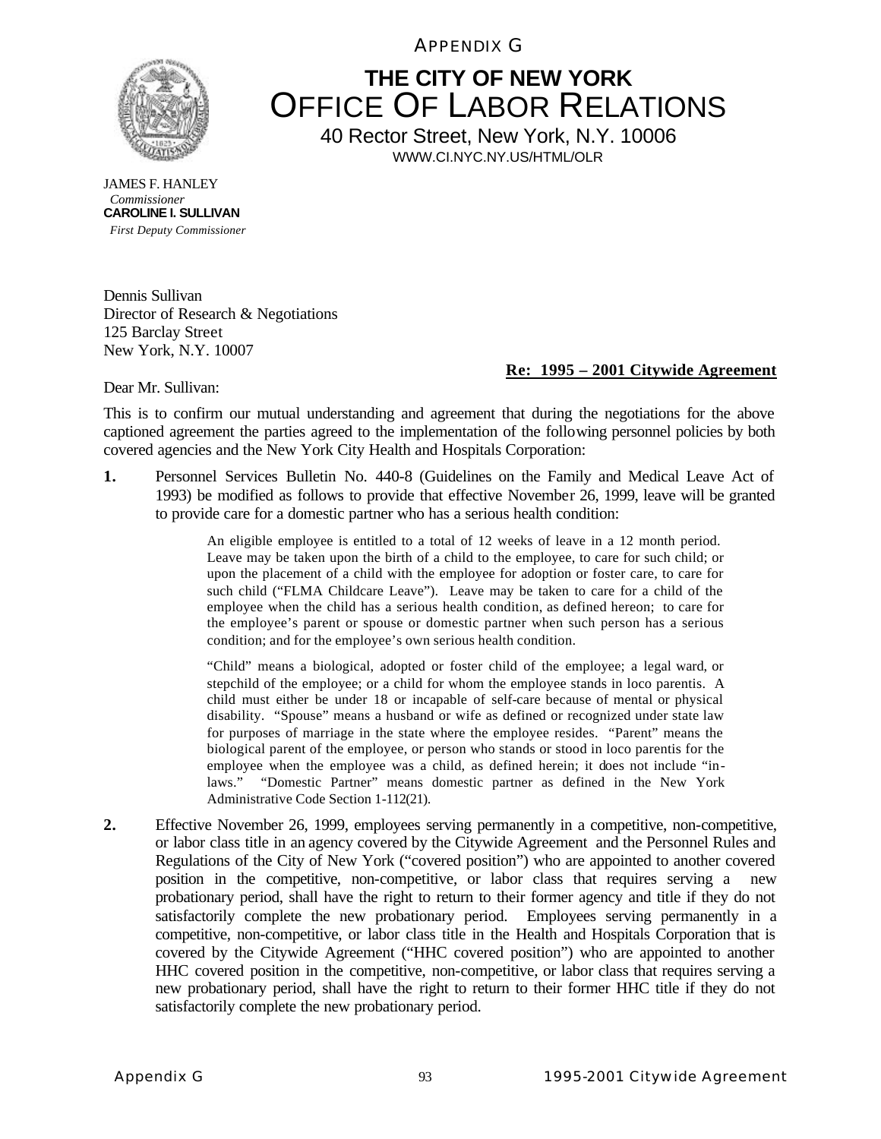APPENDIX G



## **THE CITY OF NEW YORK** OFFICE OF LABOR RELATIONS 40 Rector Street, New York, N.Y. 10006

WWW.CI.NYC.NY.US/HTML/OLR

JAMES F. HANLEY *Commissioner* **CAROLINE I. SULLIVAN**  *First Deputy Commissioner*

Dennis Sullivan Director of Research & Negotiations 125 Barclay Street New York, N.Y. 10007

#### **Re: 1995 – 2001 Citywide Agreement**

Dear Mr. Sullivan:

This is to confirm our mutual understanding and agreement that during the negotiations for the above captioned agreement the parties agreed to the implementation of the following personnel policies by both covered agencies and the New York City Health and Hospitals Corporation:

**1.** Personnel Services Bulletin No. 440-8 (Guidelines on the Family and Medical Leave Act of 1993) be modified as follows to provide that effective November 26, 1999, leave will be granted to provide care for a domestic partner who has a serious health condition:

> An eligible employee is entitled to a total of 12 weeks of leave in a 12 month period. Leave may be taken upon the birth of a child to the employee, to care for such child; or upon the placement of a child with the employee for adoption or foster care, to care for such child ("FLMA Childcare Leave"). Leave may be taken to care for a child of the employee when the child has a serious health condition, as defined hereon; to care for the employee's parent or spouse or domestic partner when such person has a serious condition; and for the employee's own serious health condition.

> "Child" means a biological, adopted or foster child of the employee; a legal ward, or stepchild of the employee; or a child for whom the employee stands in loco parentis. A child must either be under 18 or incapable of self-care because of mental or physical disability. "Spouse" means a husband or wife as defined or recognized under state law for purposes of marriage in the state where the employee resides. "Parent" means the biological parent of the employee, or person who stands or stood in loco parentis for the employee when the employee was a child, as defined herein; it does not include "inlaws." "Domestic Partner" means domestic partner as defined in the New York Administrative Code Section 1-112(21).

**2.** Effective November 26, 1999, employees serving permanently in a competitive, non-competitive, or labor class title in an agency covered by the Citywide Agreement and the Personnel Rules and Regulations of the City of New York ("covered position") who are appointed to another covered position in the competitive, non-competitive, or labor class that requires serving a new probationary period, shall have the right to return to their former agency and title if they do not satisfactorily complete the new probationary period. Employees serving permanently in a competitive, non-competitive, or labor class title in the Health and Hospitals Corporation that is covered by the Citywide Agreement ("HHC covered position") who are appointed to another HHC covered position in the competitive, non-competitive, or labor class that requires serving a new probationary period, shall have the right to return to their former HHC title if they do not satisfactorily complete the new probationary period.